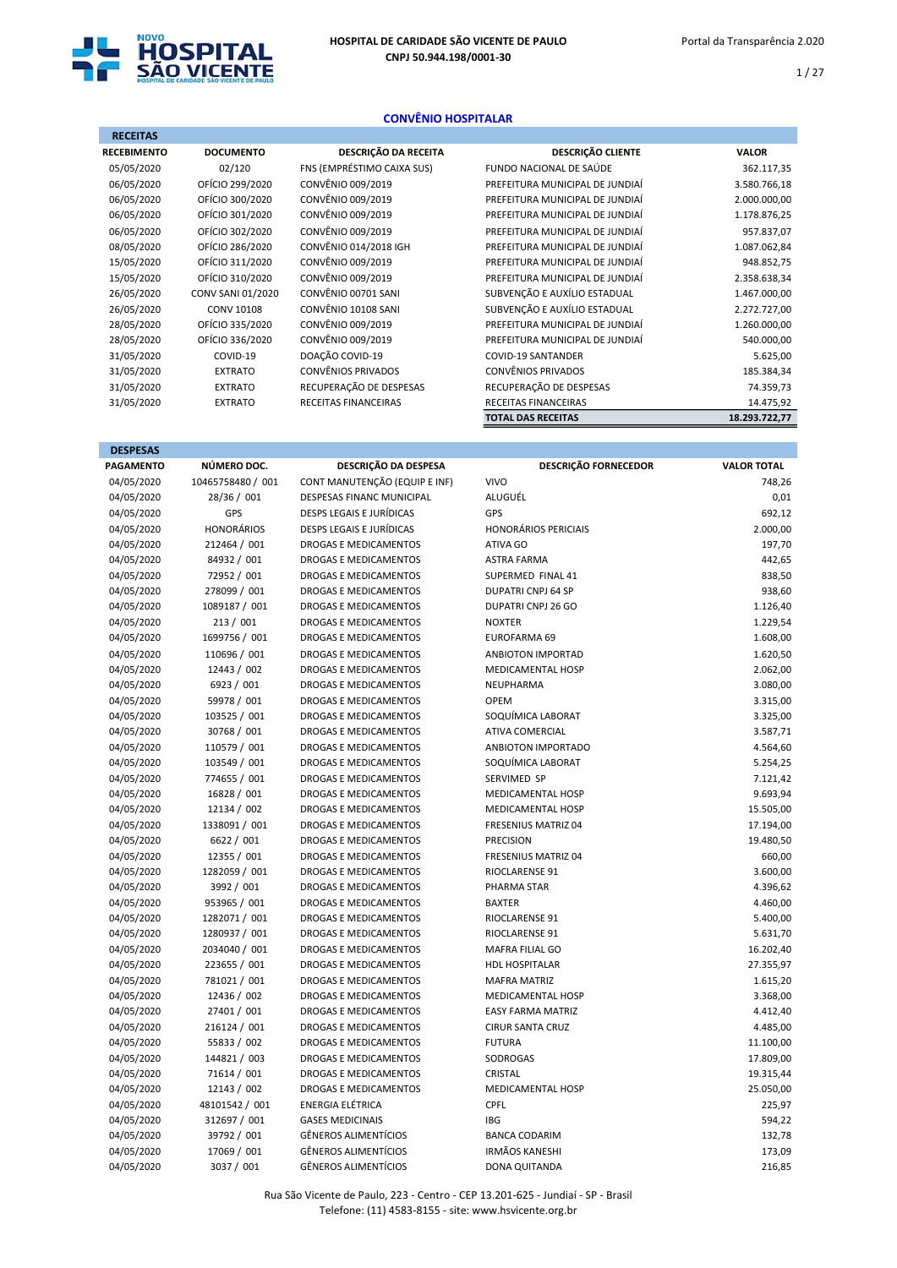

 $1 / 27$ 

### CONVÊNIO HOSPITALAR

| <b>RECEITAS</b>    |                   |                            |                                 |               |
|--------------------|-------------------|----------------------------|---------------------------------|---------------|
| <b>RECEBIMENTO</b> | <b>DOCUMENTO</b>  | DESCRIÇÃO DA RECEITA       | <b>DESCRIÇÃO CLIENTE</b>        | <b>VALOR</b>  |
| 05/05/2020         | 02/120            | FNS (EMPRÉSTIMO CAIXA SUS) | FUNDO NACIONAL DE SAÚDE         | 362.117,35    |
| 06/05/2020         | OFÍCIO 299/2020   | CONVÊNIO 009/2019          | PREFEITURA MUNICIPAL DE JUNDIAÍ | 3.580.766,18  |
| 06/05/2020         | OFÍCIO 300/2020   | CONVÊNIO 009/2019          | PREFEITURA MUNICIPAL DE JUNDIAÍ | 2.000.000,00  |
| 06/05/2020         | OFÍCIO 301/2020   | CONVÊNIO 009/2019          | PREFEITURA MUNICIPAL DE JUNDIAÍ | 1.178.876,25  |
| 06/05/2020         | OFÍCIO 302/2020   | CONVÊNIO 009/2019          | PREFEITURA MUNICIPAL DE JUNDIAÍ | 957.837,07    |
| 08/05/2020         | OFÍCIO 286/2020   | CONVÊNIO 014/2018 IGH      | PREFEITURA MUNICIPAL DE JUNDIAÍ | 1.087.062,84  |
| 15/05/2020         | OFÍCIO 311/2020   | CONVÊNIO 009/2019          | PREFEITURA MUNICIPAL DE JUNDIAÍ | 948.852,75    |
| 15/05/2020         | OFÍCIO 310/2020   | CONVÊNIO 009/2019          | PREFEITURA MUNICIPAL DE JUNDIAÍ | 2.358.638,34  |
| 26/05/2020         | CONV SANI 01/2020 | CONVÊNIO 00701 SANI        | SUBVENÇÃO E AUXÍLIO ESTADUAL    | 1.467.000,00  |
| 26/05/2020         | <b>CONV 10108</b> | CONVÊNIO 10108 SANI        | SUBVENÇÃO E AUXÍLIO ESTADUAL    | 2.272.727,00  |
| 28/05/2020         | OFÍCIO 335/2020   | CONVÊNIO 009/2019          | PREFEITURA MUNICIPAL DE JUNDIAÍ | 1.260.000,00  |
| 28/05/2020         | OFÍCIO 336/2020   | CONVÊNIO 009/2019          | PREFEITURA MUNICIPAL DE JUNDIAÍ | 540.000,00    |
| 31/05/2020         | COVID-19          | DOAÇÃO COVID-19            | <b>COVID-19 SANTANDER</b>       | 5.625,00      |
| 31/05/2020         | <b>EXTRATO</b>    | <b>CONVÊNIOS PRIVADOS</b>  | CONVÊNIOS PRIVADOS              | 185.384,34    |
| 31/05/2020         | <b>EXTRATO</b>    | RECUPERAÇÃO DE DESPESAS    | RECUPERAÇÃO DE DESPESAS         | 74.359,73     |
| 31/05/2020         | <b>EXTRATO</b>    | RECEITAS FINANCEIRAS       | <b>RECEITAS FINANCEIRAS</b>     | 14.475,92     |
|                    |                   |                            | <b>TOTAL DAS RECEITAS</b>       | 18.293.722,77 |

| <b>DESPESAS</b>  |                   |                                  |                             |                    |
|------------------|-------------------|----------------------------------|-----------------------------|--------------------|
| <b>PAGAMENTO</b> | NÚMERO DOC.       | DESCRIÇÃO DA DESPESA             | <b>DESCRIÇÃO FORNECEDOR</b> | <b>VALOR TOTAL</b> |
| 04/05/2020       | 10465758480 / 001 | CONT MANUTENÇÃO (EQUIP E INF)    | <b>VIVO</b>                 | 748,26             |
| 04/05/2020       | 28/36 / 001       | <b>DESPESAS FINANC MUNICIPAL</b> | ALUGUÉL                     | 0,01               |
| 04/05/2020       | GPS               | DESPS LEGAIS E JURÍDICAS         | GPS                         | 692,12             |
| 04/05/2020       | <b>HONORÁRIOS</b> | DESPS LEGAIS E JURÍDICAS         | <b>HONORÁRIOS PERICIAIS</b> | 2.000,00           |
| 04/05/2020       | 212464 / 001      | <b>DROGAS E MEDICAMENTOS</b>     | ATIVA GO                    | 197,70             |
| 04/05/2020       | 84932 / 001       | <b>DROGAS E MEDICAMENTOS</b>     | <b>ASTRA FARMA</b>          | 442,65             |
| 04/05/2020       | 72952 / 001       | <b>DROGAS E MEDICAMENTOS</b>     | SUPERMED FINAL 41           | 838,50             |
| 04/05/2020       | 278099 / 001      | DROGAS E MEDICAMENTOS            | <b>DUPATRI CNPJ 64 SP</b>   | 938,60             |
| 04/05/2020       | 1089187 / 001     | <b>DROGAS E MEDICAMENTOS</b>     | DUPATRI CNPJ 26 GO          | 1.126,40           |
| 04/05/2020       | 213 / 001         | <b>DROGAS E MEDICAMENTOS</b>     | <b>NOXTER</b>               | 1.229,54           |
| 04/05/2020       | 1699756 / 001     | DROGAS E MEDICAMENTOS            | EUROFARMA 69                | 1.608,00           |
| 04/05/2020       | 110696 / 001      | <b>DROGAS E MEDICAMENTOS</b>     | <b>ANBIOTON IMPORTAD</b>    | 1.620,50           |
| 04/05/2020       | 12443 / 002       | DROGAS E MEDICAMENTOS            | MEDICAMENTAL HOSP           | 2.062,00           |
| 04/05/2020       | 6923 / 001        | <b>DROGAS E MEDICAMENTOS</b>     | NEUPHARMA                   | 3.080,00           |
| 04/05/2020       | 59978 / 001       | <b>DROGAS E MEDICAMENTOS</b>     | <b>OPEM</b>                 | 3.315,00           |
| 04/05/2020       | 103525 / 001      | DROGAS E MEDICAMENTOS            | SOQUÍMICA LABORAT           | 3.325,00           |
| 04/05/2020       | 30768 / 001       | <b>DROGAS E MEDICAMENTOS</b>     | <b>ATIVA COMERCIAL</b>      | 3.587,71           |
| 04/05/2020       | 110579 / 001      | <b>DROGAS E MEDICAMENTOS</b>     | ANBIOTON IMPORTADO          | 4.564,60           |
| 04/05/2020       | 103549 / 001      | DROGAS E MEDICAMENTOS            | SOQUÍMICA LABORAT           | 5.254,25           |
| 04/05/2020       | 774655 / 001      | DROGAS E MEDICAMENTOS            | SERVIMED SP                 | 7.121,42           |
| 04/05/2020       | 16828 / 001       | <b>DROGAS E MEDICAMENTOS</b>     | MEDICAMENTAL HOSP           | 9.693,94           |
| 04/05/2020       | 12134 / 002       | <b>DROGAS E MEDICAMENTOS</b>     | MEDICAMENTAL HOSP           | 15.505,00          |
| 04/05/2020       | 1338091 / 001     | <b>DROGAS E MEDICAMENTOS</b>     | <b>FRESENIUS MATRIZ 04</b>  | 17.194,00          |
| 04/05/2020       | 6622 / 001        | <b>DROGAS E MEDICAMENTOS</b>     | <b>PRECISION</b>            | 19.480,50          |
| 04/05/2020       | 12355 / 001       | DROGAS E MEDICAMENTOS            | FRESENIUS MATRIZ 04         | 660,00             |
| 04/05/2020       | 1282059 / 001     | <b>DROGAS E MEDICAMENTOS</b>     | RIOCLARENSE 91              | 3.600,00           |
| 04/05/2020       | 3992 / 001        | <b>DROGAS E MEDICAMENTOS</b>     | PHARMA STAR                 | 4.396,62           |
| 04/05/2020       | 953965 / 001      | <b>DROGAS E MEDICAMENTOS</b>     | <b>BAXTER</b>               | 4.460,00           |
| 04/05/2020       | 1282071 / 001     | <b>DROGAS E MEDICAMENTOS</b>     | RIOCLARENSE 91              | 5.400,00           |
| 04/05/2020       | 1280937 / 001     | <b>DROGAS E MEDICAMENTOS</b>     | RIOCLARENSE 91              | 5.631,70           |
| 04/05/2020       | 2034040 / 001     | DROGAS E MEDICAMENTOS            | MAFRA FILIAL GO             | 16.202,40          |
| 04/05/2020       | 223655 / 001      | <b>DROGAS E MEDICAMENTOS</b>     | <b>HDL HOSPITALAR</b>       | 27.355,97          |
| 04/05/2020       | 781021 / 001      | <b>DROGAS E MEDICAMENTOS</b>     | <b>MAFRA MATRIZ</b>         | 1.615,20           |
| 04/05/2020       | 12436 / 002       | <b>DROGAS E MEDICAMENTOS</b>     | MEDICAMENTAL HOSP           | 3.368,00           |
| 04/05/2020       | 27401 / 001       | <b>DROGAS E MEDICAMENTOS</b>     | <b>EASY FARMA MATRIZ</b>    | 4.412,40           |
| 04/05/2020       | 216124 / 001      | <b>DROGAS E MEDICAMENTOS</b>     | <b>CIRUR SANTA CRUZ</b>     | 4.485,00           |
| 04/05/2020       | 55833 / 002       | DROGAS E MEDICAMENTOS            | <b>FUTURA</b>               | 11.100,00          |
| 04/05/2020       | 144821 / 003      | <b>DROGAS E MEDICAMENTOS</b>     | SODROGAS                    | 17.809,00          |
| 04/05/2020       | 71614 / 001       | <b>DROGAS E MEDICAMENTOS</b>     | <b>CRISTAL</b>              | 19.315,44          |
| 04/05/2020       | 12143 / 002       | <b>DROGAS E MEDICAMENTOS</b>     | <b>MEDICAMENTAL HOSP</b>    | 25.050,00          |
| 04/05/2020       | 48101542 / 001    | <b>ENERGIA ELÉTRICA</b>          | <b>CPFL</b>                 | 225,97             |
| 04/05/2020       | 312697 / 001      | <b>GASES MEDICINAIS</b>          | <b>IBG</b>                  | 594,22             |
| 04/05/2020       | 39792 / 001       | <b>GÊNEROS ALIMENTÍCIOS</b>      | <b>BANCA CODARIM</b>        | 132,78             |
| 04/05/2020       | 17069 / 001       | <b>GÊNEROS ALIMENTÍCIOS</b>      | <b>IRMÃOS KANESHI</b>       | 173,09             |
| 04/05/2020       | 3037 / 001        | <b>GÊNEROS ALIMENTÍCIOS</b>      | DONA QUITANDA               | 216,85             |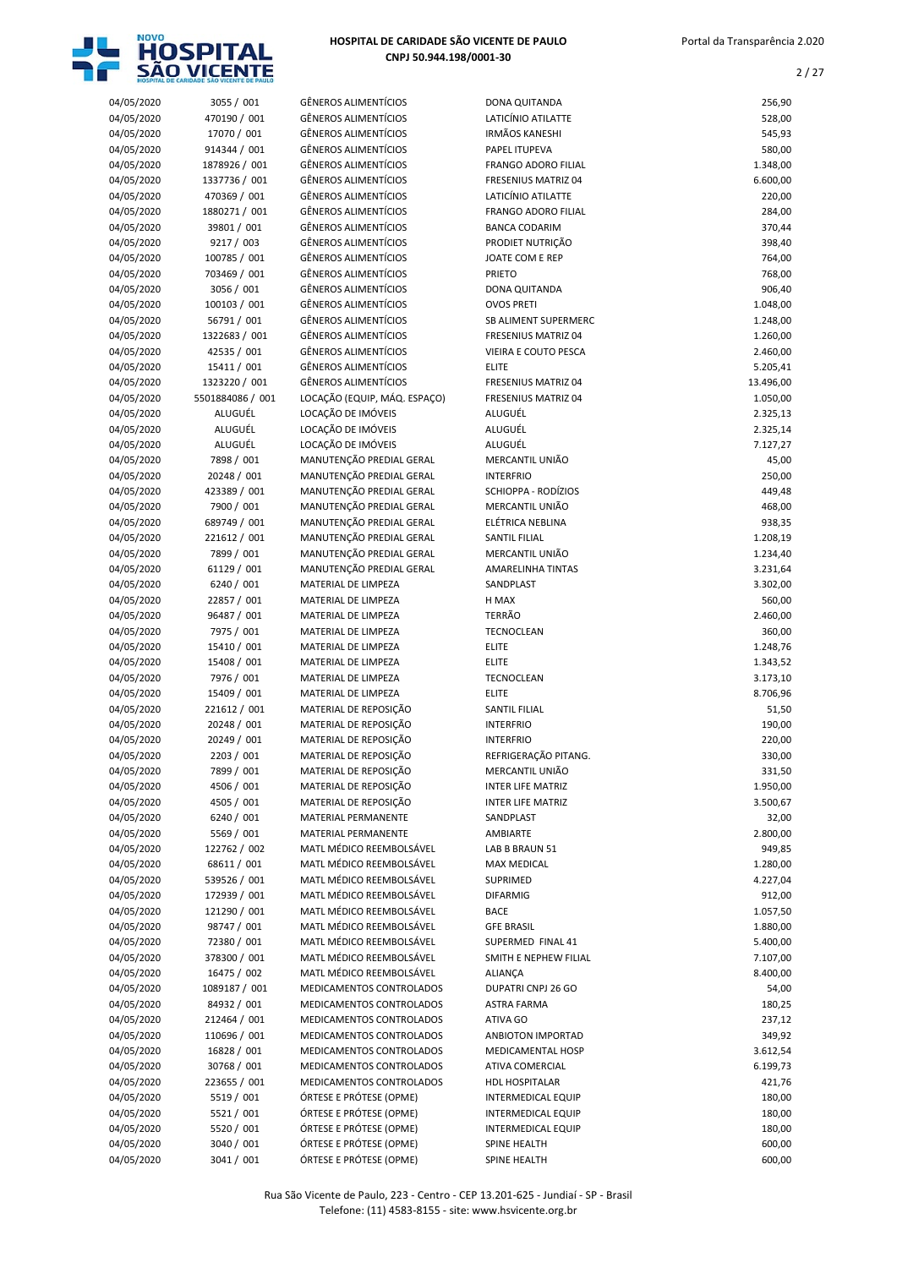

| 04/05/2020 | 3055 / 001       | <b>GÊNEROS ALIMENTÍCIOS</b>  | DONA QUITANDA              | 256,90    |
|------------|------------------|------------------------------|----------------------------|-----------|
| 04/05/2020 | 470190 / 001     | <b>GÊNEROS ALIMENTÍCIOS</b>  | LATICÍNIO ATILATTE         | 528,00    |
| 04/05/2020 | 17070 / 001      | <b>GÊNEROS ALIMENTÍCIOS</b>  | <b>IRMÃOS KANESHI</b>      | 545,93    |
| 04/05/2020 | 914344 / 001     | <b>GÊNEROS ALIMENTÍCIOS</b>  | PAPEL ITUPEVA              | 580,00    |
| 04/05/2020 | 1878926 / 001    | <b>GÊNEROS ALIMENTÍCIOS</b>  | <b>FRANGO ADORO FILIAL</b> | 1.348,00  |
| 04/05/2020 | 1337736 / 001    | <b>GÊNEROS ALIMENTÍCIOS</b>  | <b>FRESENIUS MATRIZ 04</b> | 6.600,00  |
| 04/05/2020 | 470369 / 001     | <b>GÊNEROS ALIMENTÍCIOS</b>  | LATICÍNIO ATILATTE         | 220,00    |
| 04/05/2020 | 1880271 / 001    | <b>GÊNEROS ALIMENTÍCIOS</b>  | <b>FRANGO ADORO FILIAL</b> | 284,00    |
| 04/05/2020 | 39801 / 001      | <b>GÊNEROS ALIMENTÍCIOS</b>  | <b>BANCA CODARIM</b>       | 370,44    |
| 04/05/2020 | 9217 / 003       | <b>GÊNEROS ALIMENTÍCIOS</b>  | PRODIET NUTRIÇÃO           | 398,40    |
| 04/05/2020 | 100785 / 001     | <b>GÊNEROS ALIMENTÍCIOS</b>  | JOATE COM E REP            | 764,00    |
| 04/05/2020 | 703469 / 001     | <b>GÊNEROS ALIMENTÍCIOS</b>  | <b>PRIETO</b>              | 768,00    |
| 04/05/2020 | 3056 / 001       | <b>GÊNEROS ALIMENTÍCIOS</b>  | DONA QUITANDA              | 906,40    |
| 04/05/2020 | 100103 / 001     | <b>GÊNEROS ALIMENTÍCIOS</b>  | <b>OVOS PRETI</b>          | 1.048,00  |
| 04/05/2020 | 56791 / 001      | <b>GÊNEROS ALIMENTÍCIOS</b>  | SB ALIMENT SUPERMERC       | 1.248,00  |
| 04/05/2020 | 1322683 / 001    | <b>GÊNEROS ALIMENTÍCIOS</b>  | <b>FRESENIUS MATRIZ 04</b> | 1.260,00  |
| 04/05/2020 | 42535 / 001      | <b>GÊNEROS ALIMENTÍCIOS</b>  | VIEIRA E COUTO PESCA       | 2.460,00  |
| 04/05/2020 | 15411 / 001      | <b>GÊNEROS ALIMENTÍCIOS</b>  | <b>ELITE</b>               | 5.205,41  |
| 04/05/2020 | 1323220 / 001    | <b>GÊNEROS ALIMENTÍCIOS</b>  | <b>FRESENIUS MATRIZ 04</b> | 13.496,00 |
| 04/05/2020 | 5501884086 / 001 | LOCAÇÃO (EQUIP, MÁQ. ESPAÇO) | <b>FRESENIUS MATRIZ 04</b> | 1.050,00  |
| 04/05/2020 | ALUGUÉL          | LOCAÇÃO DE IMÓVEIS           | ALUGUÉL                    | 2.325,13  |
| 04/05/2020 | ALUGUÉL          | LOCAÇÃO DE IMÓVEIS           | ALUGUÉL                    | 2.325,14  |
| 04/05/2020 | ALUGUÉL          | LOCAÇÃO DE IMÓVEIS           | ALUGUÉL                    | 7.127,27  |
| 04/05/2020 | 7898 / 001       | MANUTENÇÃO PREDIAL GERAL     | MERCANTIL UNIÃO            | 45,00     |
| 04/05/2020 | 20248 / 001      | MANUTENÇÃO PREDIAL GERAL     | <b>INTERFRIO</b>           | 250,00    |
| 04/05/2020 | 423389 / 001     | MANUTENÇÃO PREDIAL GERAL     | SCHIOPPA - RODÍZIOS        | 449,48    |
| 04/05/2020 | 7900 / 001       | MANUTENÇÃO PREDIAL GERAL     | MERCANTIL UNIÃO            | 468,00    |
| 04/05/2020 | 689749 / 001     | MANUTENÇÃO PREDIAL GERAL     | ELÉTRICA NEBLINA           | 938,35    |
| 04/05/2020 | 221612 / 001     | MANUTENÇÃO PREDIAL GERAL     | <b>SANTIL FILIAL</b>       | 1.208,19  |
| 04/05/2020 | 7899 / 001       | MANUTENÇÃO PREDIAL GERAL     | MERCANTIL UNIÃO            | 1.234,40  |
| 04/05/2020 | 61129 / 001      | MANUTENÇÃO PREDIAL GERAL     | <b>AMARELINHA TINTAS</b>   | 3.231,64  |
| 04/05/2020 | 6240 / 001       | MATERIAL DE LIMPEZA          | SANDPLAST                  | 3.302,00  |
| 04/05/2020 | 22857 / 001      | MATERIAL DE LIMPEZA          | H MAX                      | 560,00    |
| 04/05/2020 | 96487 / 001      | MATERIAL DE LIMPEZA          | <b>TERRÃO</b>              | 2.460,00  |
| 04/05/2020 | 7975 / 001       | MATERIAL DE LIMPEZA          | TECNOCLEAN                 | 360,00    |
| 04/05/2020 | 15410 / 001      | MATERIAL DE LIMPEZA          | <b>ELITE</b>               | 1.248,76  |
| 04/05/2020 | 15408 / 001      | MATERIAL DE LIMPEZA          | <b>ELITE</b>               | 1.343,52  |
| 04/05/2020 | 7976 / 001       | MATERIAL DE LIMPEZA          | TECNOCLEAN                 | 3.173,10  |
| 04/05/2020 | 15409 / 001      | MATERIAL DE LIMPEZA          | <b>ELITE</b>               | 8.706,96  |
| 04/05/2020 | 221612 / 001     | MATERIAL DE REPOSIÇÃO        | <b>SANTIL FILIAL</b>       | 51,50     |
| 04/05/2020 | 20248 / 001      | MATERIAL DE REPOSIÇÃO        | <b>INTERFRIO</b>           | 190,00    |
| 04/05/2020 | 20249 / 001      | MATERIAL DE REPOSIÇÃO        | <b>INTERFRIO</b>           | 220,00    |
| 04/05/2020 | 2203 / 001       | MATERIAL DE REPOSIÇÃO        | REFRIGERAÇÃO PITANG.       | 330,00    |
| 04/05/2020 | 7899 / 001       | MATERIAL DE REPOSIÇÃO        | MERCANTIL UNIÃO            | 331,50    |
| 04/05/2020 | 4506 / 001       | MATERIAL DE REPOSIÇÃO        | <b>INTER LIFE MATRIZ</b>   | 1.950,00  |
| 04/05/2020 | 4505 / 001       | MATERIAL DE REPOSIÇÃO        | <b>INTER LIFE MATRIZ</b>   | 3.500,67  |
| 04/05/2020 | 6240 / 001       | MATERIAL PERMANENTE          | SANDPLAST                  | 32,00     |
| 04/05/2020 | 5569 / 001       | MATERIAL PERMANENTE          | AMBIARTE                   | 2.800,00  |
| 04/05/2020 | 122762 / 002     | MATL MÉDICO REEMBOLSÁVEL     | LAB B BRAUN 51             | 949,85    |
| 04/05/2020 | 68611 / 001      | MATL MÉDICO REEMBOLSÁVEL     | <b>MAX MEDICAL</b>         | 1.280,00  |
| 04/05/2020 | 539526 / 001     | MATL MÉDICO REEMBOLSÁVEL     | SUPRIMED                   | 4.227,04  |
| 04/05/2020 | 172939 / 001     | MATL MÉDICO REEMBOLSÁVEL     | <b>DIFARMIG</b>            | 912,00    |
| 04/05/2020 | 121290 / 001     | MATL MÉDICO REEMBOLSÁVEL     | <b>BACE</b>                | 1.057,50  |
| 04/05/2020 | 98747 / 001      | MATL MÉDICO REEMBOLSÁVEL     | <b>GFE BRASIL</b>          | 1.880,00  |
| 04/05/2020 | 72380 / 001      | MATL MÉDICO REEMBOLSÁVEL     | SUPERMED FINAL 41          | 5.400,00  |
| 04/05/2020 | 378300 / 001     | MATL MÉDICO REEMBOLSÁVEL     | SMITH E NEPHEW FILIAL      | 7.107,00  |
| 04/05/2020 | 16475 / 002      | MATL MÉDICO REEMBOLSÁVEL     | <b>ALIANÇA</b>             | 8.400,00  |
| 04/05/2020 | 1089187 / 001    | MEDICAMENTOS CONTROLADOS     | DUPATRI CNPJ 26 GO         | 54,00     |
| 04/05/2020 | 84932 / 001      | MEDICAMENTOS CONTROLADOS     | <b>ASTRA FARMA</b>         | 180,25    |
| 04/05/2020 | 212464 / 001     | MEDICAMENTOS CONTROLADOS     | ATIVA GO                   | 237,12    |
| 04/05/2020 | 110696 / 001     | MEDICAMENTOS CONTROLADOS     | ANBIOTON IMPORTAD          | 349,92    |
| 04/05/2020 | 16828 / 001      | MEDICAMENTOS CONTROLADOS     | MEDICAMENTAL HOSP          | 3.612,54  |
| 04/05/2020 | 30768 / 001      | MEDICAMENTOS CONTROLADOS     | ATIVA COMERCIAL            | 6.199,73  |
| 04/05/2020 | 223655 / 001     | MEDICAMENTOS CONTROLADOS     | HDL HOSPITALAR             | 421,76    |
| 04/05/2020 | 5519 / 001       | ÓRTESE E PRÓTESE (OPME)      | <b>INTERMEDICAL EQUIP</b>  | 180,00    |
| 04/05/2020 | 5521/001         | ÓRTESE E PRÓTESE (OPME)      | INTERMEDICAL EQUIP         | 180,00    |
| 04/05/2020 | 5520 / 001       | ÓRTESE E PRÓTESE (OPME)      | <b>INTERMEDICAL EQUIP</b>  | 180,00    |
| 04/05/2020 | 3040 / 001       | ÓRTESE E PRÓTESE (OPME)      | SPINE HEALTH               | 600,00    |
| 04/05/2020 | 3041 / 001       | ÓRTESE E PRÓTESE (OPME)      | SPINE HEALTH               | 600,00    |

| 04/05/2020               | 3055 / 001                 | <b>GÊNEROS ALIMENTÍCIOS</b>                | DONA QUITANDA                | 256,90               |
|--------------------------|----------------------------|--------------------------------------------|------------------------------|----------------------|
| 04/05/2020               | 470190 / 001               | <b>GÊNEROS ALIMENTÍCIOS</b>                | LATICÍNIO ATILATTE           | 528,00               |
| 04/05/2020               | 17070 / 001                | <b>GÊNEROS ALIMENTÍCIOS</b>                | <b>IRMÃOS KANESHI</b>        | 545,93               |
| 04/05/2020               | 914344 / 001               | <b>GÊNEROS ALIMENTÍCIOS</b>                | <b>PAPEL ITUPEVA</b>         | 580,00               |
| 04/05/2020               | 1878926 / 001              | <b>GÊNEROS ALIMENTÍCIOS</b>                | <b>FRANGO ADORO FILIAL</b>   | 1.348,00             |
| 04/05/2020               | 1337736 / 001              | <b>GÊNEROS ALIMENTÍCIOS</b>                | <b>FRESENIUS MATRIZ 04</b>   | 6.600,00             |
| 04/05/2020               | 470369 / 001               | <b>GÊNEROS ALIMENTÍCIOS</b>                | LATICÍNIO ATILATTE           | 220,00               |
| 04/05/2020               | 1880271 / 001              | <b>GÊNEROS ALIMENTÍCIOS</b>                | FRANGO ADORO FILIAL          | 284,00               |
| 04/05/2020               | 39801 / 001                | <b>GÊNEROS ALIMENTÍCIOS</b>                | <b>BANCA CODARIM</b>         | 370,44               |
| 04/05/2020               | 9217 / 003                 | <b>GÊNEROS ALIMENTÍCIOS</b>                | PRODIET NUTRIÇÃO             | 398,40               |
| 04/05/2020               | 100785 / 001               | <b>GÊNEROS ALIMENTÍCIOS</b>                | JOATE COM E REP              | 764,00               |
| 04/05/2020               | 703469 / 001               | <b>GÊNEROS ALIMENTÍCIOS</b>                | PRIETO                       | 768,00               |
| 04/05/2020               | 3056 / 001                 | <b>GÊNEROS ALIMENTÍCIOS</b>                | DONA QUITANDA                | 906,40               |
| 04/05/2020               | 100103 / 001               | <b>GÊNEROS ALIMENTÍCIOS</b>                | <b>OVOS PRETI</b>            | 1.048,00             |
| 04/05/2020               | 56791 / 001                | <b>GÊNEROS ALIMENTÍCIOS</b>                | SB ALIMENT SUPERMERC         | 1.248,00             |
| 04/05/2020               | 1322683 / 001              | <b>GÊNEROS ALIMENTÍCIOS</b>                | <b>FRESENIUS MATRIZ 04</b>   | 1.260,00             |
| 04/05/2020               | 42535 / 001                | <b>GÊNEROS ALIMENTÍCIOS</b>                | VIEIRA E COUTO PESCA         | 2.460,00             |
| 04/05/2020               | 15411 / 001                | <b>GÊNEROS ALIMENTÍCIOS</b>                | <b>ELITE</b>                 | 5.205,41             |
| 04/05/2020               | 1323220 / 001              | <b>GÊNEROS ALIMENTÍCIOS</b>                | <b>FRESENIUS MATRIZ 04</b>   | 13.496,00            |
| 04/05/2020               | 5501884086 / 001           | LOCAÇÃO (EQUIP, MÁQ. ESPAÇO)               | <b>FRESENIUS MATRIZ 04</b>   | 1.050,00             |
| 04/05/2020               | ALUGUÉL                    | LOCAÇÃO DE IMÓVEIS                         | ALUGUÉL                      | 2.325,13             |
| 04/05/2020               | ALUGUÉL                    | LOCAÇÃO DE IMÓVEIS                         | ALUGUÉL                      | 2.325,14             |
| 04/05/2020               | ALUGUÉL                    | LOCAÇÃO DE IMÓVEIS                         | ALUGUÉL                      | 7.127,27             |
| 04/05/2020               | 7898 / 001                 | MANUTENÇÃO PREDIAL GERAL                   | MERCANTIL UNIÃO              | 45,00                |
| 04/05/2020               | 20248 / 001                | MANUTENÇÃO PREDIAL GERAL                   | <b>INTERFRIO</b>             | 250,00               |
| 04/05/2020               | 423389 / 001               | MANUTENÇÃO PREDIAL GERAL                   | SCHIOPPA - RODÍZIOS          | 449,48               |
| 04/05/2020               | 7900 / 001                 | MANUTENÇÃO PREDIAL GERAL                   | MERCANTIL UNIÃO              | 468,00               |
| 04/05/2020               | 689749 / 001               | MANUTENÇÃO PREDIAL GERAL                   | ELÉTRICA NEBLINA             | 938,35               |
| 04/05/2020               | 221612 / 001               | MANUTENÇÃO PREDIAL GERAL                   | SANTIL FILIAL                | 1.208,19             |
| 04/05/2020               | 7899 / 001                 | MANUTENÇÃO PREDIAL GERAL                   | MERCANTIL UNIÃO              | 1.234,40             |
| 04/05/2020               | 61129 / 001                | MANUTENÇÃO PREDIAL GERAL                   | <b>AMARELINHA TINTAS</b>     | 3.231,64             |
| 04/05/2020               | 6240 / 001                 | MATERIAL DE LIMPEZA                        | SANDPLAST                    | 3.302,00             |
| 04/05/2020               | 22857 / 001                | MATERIAL DE LIMPEZA                        | H MAX                        | 560,00               |
| 04/05/2020               | 96487 / 001                | MATERIAL DE LIMPEZA                        | <b>TERRÃO</b>                | 2.460,00             |
| 04/05/2020               | 7975 / 001                 | MATERIAL DE LIMPEZA                        | <b>TECNOCLEAN</b>            | 360,00               |
| 04/05/2020<br>04/05/2020 | 15410 / 001<br>15408 / 001 | MATERIAL DE LIMPEZA<br>MATERIAL DE LIMPEZA | <b>ELITE</b><br><b>ELITE</b> | 1.248,76             |
| 04/05/2020               | 7976 / 001                 | MATERIAL DE LIMPEZA                        | TECNOCLEAN                   | 1.343,52<br>3.173,10 |
| 04/05/2020               | 15409 / 001                | MATERIAL DE LIMPEZA                        | <b>ELITE</b>                 | 8.706,96             |
| 04/05/2020               | 221612 / 001               | MATERIAL DE REPOSIÇÃO                      | <b>SANTIL FILIAL</b>         | 51,50                |
| 04/05/2020               | 20248 / 001                | MATERIAL DE REPOSIÇÃO                      | <b>INTERFRIO</b>             | 190,00               |
| 04/05/2020               | 20249 / 001                | MATERIAL DE REPOSIÇÃO                      | <b>INTERFRIO</b>             | 220,00               |
| 04/05/2020               | 2203 / 001                 | MATERIAL DE REPOSIÇÃO                      | REFRIGERAÇÃO PITANG.         | 330,00               |
| 04/05/2020               | 7899 / 001                 | MATERIAL DE REPOSIÇÃO                      | MERCANTIL UNIÃO              | 331,50               |
| 04/05/2020               | 4506 / 001                 | MATERIAL DE REPOSIÇÃO                      | <b>INTER LIFE MATRIZ</b>     | 1.950,00             |
| 04/05/2020               | 4505 / 001                 | MATERIAL DE REPOSIÇÃO                      | <b>INTER LIFE MATRIZ</b>     | 3.500,67             |
| 04/05/2020               | 6240 / 001                 | MATERIAL PERMANENTE                        | SANDPLAST                    | 32,00                |
| 04/05/2020               | 5569 / 001                 | <b>MATERIAL PERMANENTE</b>                 | AMBIARTE                     | 2.800,00             |
| 04/05/2020               | 122762 / 002               | MATL MÉDICO REEMBOLSÁVEL                   | LAB B BRAUN 51               | 949,85               |
| 04/05/2020               | 68611 / 001                | MATL MÉDICO REEMBOLSÁVEL                   | <b>MAX MEDICAL</b>           | 1.280,00             |
| 04/05/2020               | 539526 / 001               | MATL MÉDICO REEMBOLSÁVEL                   | SUPRIMED                     | 4.227,04             |
| 04/05/2020               | 172939 / 001               | MATL MÉDICO REEMBOLSÁVEL                   | <b>DIFARMIG</b>              | 912,00               |
| 04/05/2020               | 121290 / 001               | MATL MÉDICO REEMBOLSÁVEL                   | <b>BACE</b>                  | 1.057,50             |
| 04/05/2020               | 98747 / 001                | MATL MÉDICO REEMBOLSÁVEL                   | <b>GFE BRASIL</b>            | 1.880,00             |
| 04/05/2020               | 72380 / 001                | MATL MÉDICO REEMBOLSÁVEL                   | SUPERMED FINAL 41            | 5.400,00             |
| 04/05/2020               | 378300 / 001               | MATL MÉDICO REEMBOLSÁVEL                   | SMITH E NEPHEW FILIAL        | 7.107,00             |
| 04/05/2020               | 16475 / 002                | MATL MÉDICO REEMBOLSÁVEL                   | <b>ALIANÇA</b>               | 8.400,00             |
| 04/05/2020               | 1089187 / 001              | MEDICAMENTOS CONTROLADOS                   | DUPATRI CNPJ 26 GO           | 54,00                |
| 04/05/2020               | 84932 / 001                | MEDICAMENTOS CONTROLADOS                   | ASTRA FARMA                  | 180,25               |
| 04/05/2020               | 212464 / 001               | MEDICAMENTOS CONTROLADOS                   | ATIVA GO                     | 237,12               |
| 04/05/2020               | 110696 / 001               | MEDICAMENTOS CONTROLADOS                   | ANBIOTON IMPORTAD            | 349,92               |
| 04/05/2020               | 16828 / 001                | MEDICAMENTOS CONTROLADOS                   | MEDICAMENTAL HOSP            | 3.612,54             |
| 04/05/2020               | 30768 / 001                | MEDICAMENTOS CONTROLADOS                   | ATIVA COMERCIAL              | 6.199,73             |
| 04/05/2020               | 223655 / 001               | MEDICAMENTOS CONTROLADOS                   | <b>HDL HOSPITALAR</b>        | 421,76               |
| 04/05/2020               | 5519 / 001                 | ÓRTESE E PRÓTESE (OPME)                    | <b>INTERMEDICAL EQUIP</b>    | 180,00               |
| 04/05/2020               | 5521/001                   | ÓRTESE E PRÓTESE (OPME)                    | <b>INTERMEDICAL EQUIP</b>    | 180,00               |
| 04/05/2020               | 5520 / 001                 | ÓRTESE E PRÓTESE (OPME)                    | <b>INTERMEDICAL EQUIP</b>    | 180,00               |
| 04/05/2020               | 3040 / 001                 | ÓRTESE E PRÓTESE (OPME)                    | SPINE HEALTH                 | 600,00               |
|                          |                            |                                            |                              |                      |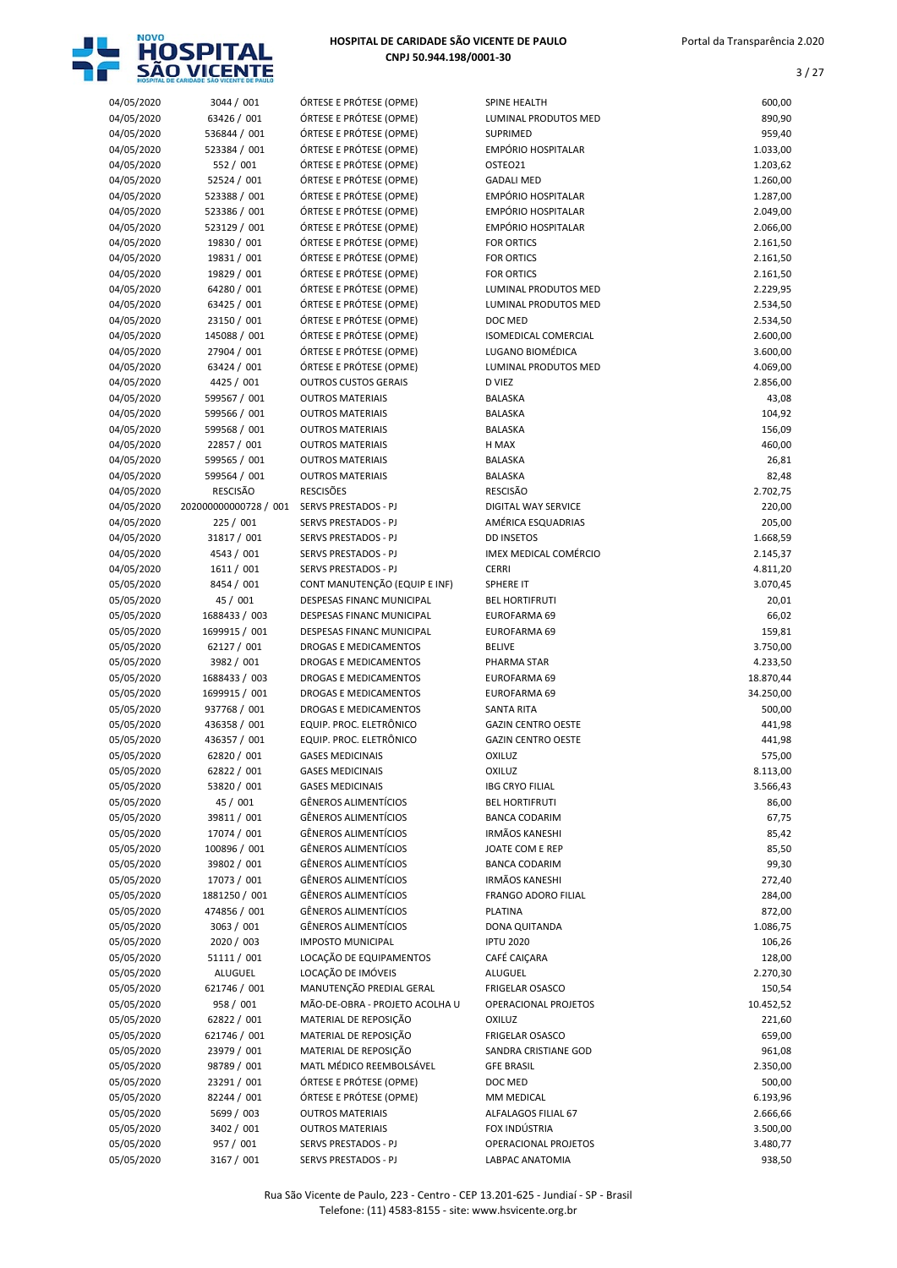

| 04/05/2020 | 3044 / 001            | ÓRTESE E PRÓTESE (OPME)        | <b>SPINE HEALTH</b>         | 600,00    |
|------------|-----------------------|--------------------------------|-----------------------------|-----------|
| 04/05/2020 | 63426 / 001           | ÓRTESE E PRÓTESE (OPME)        | LUMINAL PRODUTOS MED        | 890,90    |
|            | 536844 / 001          |                                |                             |           |
| 04/05/2020 |                       | ÓRTESE E PRÓTESE (OPME)        | <b>SUPRIMED</b>             | 959,40    |
| 04/05/2020 | 523384 / 001          | ÓRTESE E PRÓTESE (OPME)        | <b>EMPÓRIO HOSPITALAR</b>   | 1.033,00  |
| 04/05/2020 | 552 / 001             | ÓRTESE E PRÓTESE (OPME)        | OSTEO21                     | 1.203,62  |
| 04/05/2020 | 52524 / 001           | ÓRTESE E PRÓTESE (OPME)        | <b>GADALI MED</b>           | 1.260,00  |
| 04/05/2020 | 523388 / 001          | ÓRTESE E PRÓTESE (OPME)        | <b>EMPÓRIO HOSPITALAR</b>   | 1.287,00  |
| 04/05/2020 | 523386 / 001          | ÓRTESE E PRÓTESE (OPME)        | EMPÓRIO HOSPITALAR          | 2.049,00  |
| 04/05/2020 | 523129 / 001          | ÓRTESE E PRÓTESE (OPME)        | <b>EMPÓRIO HOSPITALAR</b>   | 2.066,00  |
| 04/05/2020 | 19830 / 001           | ÓRTESE E PRÓTESE (OPME)        | <b>FOR ORTICS</b>           | 2.161,50  |
| 04/05/2020 | 19831 / 001           | ÓRTESE E PRÓTESE (OPME)        | <b>FOR ORTICS</b>           | 2.161,50  |
| 04/05/2020 | 19829 / 001           | ÓRTESE E PRÓTESE (OPME)        | <b>FOR ORTICS</b>           | 2.161,50  |
| 04/05/2020 | 64280 / 001           | ÓRTESE E PRÓTESE (OPME)        | LUMINAL PRODUTOS MED        | 2.229,95  |
| 04/05/2020 | 63425 / 001           | ÓRTESE E PRÓTESE (OPME)        | LUMINAL PRODUTOS MED        | 2.534,50  |
| 04/05/2020 | 23150 / 001           | ÓRTESE E PRÓTESE (OPME)        | DOC MED                     | 2.534,50  |
| 04/05/2020 | 145088 / 001          | ÓRTESE E PRÓTESE (OPME)        | <b>ISOMEDICAL COMERCIAL</b> | 2.600,00  |
| 04/05/2020 | 27904 / 001           | ÓRTESE E PRÓTESE (OPME)        | LUGANO BIOMÉDICA            | 3.600,00  |
| 04/05/2020 | 63424 / 001           | ÓRTESE E PRÓTESE (OPME)        | <b>LUMINAL PRODUTOS MED</b> | 4.069,00  |
| 04/05/2020 | 4425 / 001            | <b>OUTROS CUSTOS GERAIS</b>    | D VIEZ                      | 2.856,00  |
| 04/05/2020 | 599567 / 001          | <b>OUTROS MATERIAIS</b>        | <b>BALASKA</b>              | 43,08     |
| 04/05/2020 | 599566 / 001          | <b>OUTROS MATERIAIS</b>        | <b>BALASKA</b>              | 104,92    |
|            |                       | <b>OUTROS MATERIAIS</b>        |                             |           |
| 04/05/2020 | 599568 / 001          |                                | <b>BALASKA</b>              | 156,09    |
| 04/05/2020 | 22857 / 001           | <b>OUTROS MATERIAIS</b>        | H MAX                       | 460,00    |
| 04/05/2020 | 599565 / 001          | <b>OUTROS MATERIAIS</b>        | <b>BALASKA</b>              | 26,81     |
| 04/05/2020 | 599564 / 001          | <b>OUTROS MATERIAIS</b>        | <b>BALASKA</b>              | 82,48     |
| 04/05/2020 | <b>RESCISÃO</b>       | <b>RESCISÕES</b>               | <b>RESCISÃO</b>             | 2.702,75  |
| 04/05/2020 | 202000000000728 / 001 | SERVS PRESTADOS - PJ           | DIGITAL WAY SERVICE         | 220,00    |
| 04/05/2020 | 225 / 001             | SERVS PRESTADOS - PJ           | AMÉRICA ESQUADRIAS          | 205,00    |
| 04/05/2020 | 31817 / 001           | SERVS PRESTADOS - PJ           | <b>DD INSETOS</b>           | 1.668,59  |
| 04/05/2020 | 4543 / 001            | <b>SERVS PRESTADOS - PJ</b>    | IMEX MEDICAL COMÉRCIO       | 2.145,37  |
| 04/05/2020 | 1611 / 001            | SERVS PRESTADOS - PJ           | <b>CERRI</b>                | 4.811,20  |
| 05/05/2020 | 8454 / 001            | CONT MANUTENÇÃO (EQUIP E INF)  | SPHERE IT                   | 3.070,45  |
| 05/05/2020 | 45 / 001              | DESPESAS FINANC MUNICIPAL      | <b>BEL HORTIFRUTI</b>       | 20,01     |
| 05/05/2020 | 1688433 / 003         | DESPESAS FINANC MUNICIPAL      | EUROFARMA 69                | 66,02     |
| 05/05/2020 | 1699915 / 001         | DESPESAS FINANC MUNICIPAL      | EUROFARMA 69                | 159,81    |
| 05/05/2020 | 62127 / 001           | DROGAS E MEDICAMENTOS          | <b>BELIVE</b>               | 3.750,00  |
| 05/05/2020 | 3982 / 001            | DROGAS E MEDICAMENTOS          | PHARMA STAR                 | 4.233,50  |
| 05/05/2020 | 1688433 / 003         | <b>DROGAS E MEDICAMENTOS</b>   | EUROFARMA 69                | 18.870,44 |
| 05/05/2020 | 1699915 / 001         | <b>DROGAS E MEDICAMENTOS</b>   | EUROFARMA 69                | 34.250,00 |
| 05/05/2020 | 937768 / 001          | DROGAS E MEDICAMENTOS          | <b>SANTA RITA</b>           | 500,00    |
| 05/05/2020 | 436358 / 001          | EQUIP. PROC. ELETRÔNICO        | <b>GAZIN CENTRO OESTE</b>   | 441,98    |
| 05/05/2020 | 436357 / 001          | EQUIP. PROC. ELETRÔNICO        | <b>GAZIN CENTRO OESTE</b>   | 441,98    |
| 05/05/2020 | 62820 / 001           | <b>GASES MEDICINAIS</b>        | <b>OXILUZ</b>               | 575,00    |
| 05/05/2020 | 62822 / 001           | <b>GASES MEDICINAIS</b>        | <b>OXILUZ</b>               | 8.113,00  |
|            |                       |                                |                             |           |
| 05/05/2020 | 53820 / 001           | <b>GASES MEDICINAIS</b>        | <b>IBG CRYO FILIAL</b>      | 3.566,43  |
| 05/05/2020 | 45 / 001              | GÊNEROS ALIMENTÍCIOS           | <b>BEL HORTIFRUTI</b>       | 86,00     |
| 05/05/2020 | 39811 / 001           | GÊNEROS ALIMENTÍCIOS           | <b>BANCA CODARIM</b>        | 67,75     |
| 05/05/2020 | 17074 / 001           | <b>GÊNEROS ALIMENTÍCIOS</b>    | <b>IRMÃOS KANESHI</b>       | 85,42     |
| 05/05/2020 | 100896 / 001          | <b>GÊNEROS ALIMENTÍCIOS</b>    | JOATE COM E REP             | 85,50     |
| 05/05/2020 | 39802 / 001           | <b>GÊNEROS ALIMENTÍCIOS</b>    | <b>BANCA CODARIM</b>        | 99,30     |
| 05/05/2020 | 17073 / 001           | GÊNEROS ALIMENTÍCIOS           | <b>IRMÃOS KANESHI</b>       | 272,40    |
| 05/05/2020 | 1881250 / 001         | GÊNEROS ALIMENTÍCIOS           | <b>FRANGO ADORO FILIAL</b>  | 284,00    |
| 05/05/2020 | 474856 / 001          | GÊNEROS ALIMENTÍCIOS           | <b>PLATINA</b>              | 872,00    |
| 05/05/2020 | 3063 / 001            | <b>GÊNEROS ALIMENTÍCIOS</b>    | DONA QUITANDA               | 1.086,75  |
| 05/05/2020 | 2020 / 003            | <b>IMPOSTO MUNICIPAL</b>       | <b>IPTU 2020</b>            | 106,26    |
| 05/05/2020 | 51111 / 001           | LOCAÇÃO DE EQUIPAMENTOS        | CAFÉ CAIÇARA                | 128,00    |
| 05/05/2020 | <b>ALUGUEL</b>        | LOCAÇÃO DE IMÓVEIS             | ALUGUEL                     | 2.270,30  |
| 05/05/2020 | 621746 / 001          | MANUTENÇÃO PREDIAL GERAL       | <b>FRIGELAR OSASCO</b>      | 150,54    |
| 05/05/2020 | 958 / 001             | MÃO-DE-OBRA - PROJETO ACOLHA U | OPERACIONAL PROJETOS        | 10.452,52 |
| 05/05/2020 | 62822 / 001           | MATERIAL DE REPOSIÇÃO          | <b>OXILUZ</b>               | 221,60    |
| 05/05/2020 | 621746 / 001          | MATERIAL DE REPOSIÇÃO          | <b>FRIGELAR OSASCO</b>      | 659,00    |
| 05/05/2020 | 23979 / 001           | MATERIAL DE REPOSIÇÃO          | SANDRA CRISTIANE GOD        | 961,08    |
| 05/05/2020 | 98789 / 001           | MATL MÉDICO REEMBOLSÁVEL       | <b>GFE BRASIL</b>           | 2.350,00  |
|            |                       |                                |                             |           |
| 05/05/2020 | 23291 / 001           | ÓRTESE E PRÓTESE (OPME)        | DOC MED                     | 500,00    |
| 05/05/2020 | 82244 / 001           | ÓRTESE E PRÓTESE (OPME)        | MM MEDICAL                  | 6.193,96  |
| 05/05/2020 | 5699 / 003            | <b>OUTROS MATERIAIS</b>        | ALFALAGOS FILIAL 67         | 2.666,66  |
| 05/05/2020 | 3402 / 001            | <b>OUTROS MATERIAIS</b>        | FOX INDÚSTRIA               | 3.500,00  |
| 05/05/2020 | 957 / 001             | SERVS PRESTADOS - PJ           | OPERACIONAL PROJETOS        | 3.480,77  |
| 05/05/2020 | 3167 / 001            | SERVS PRESTADOS - PJ           | LABPAC ANATOMIA             | 938,50    |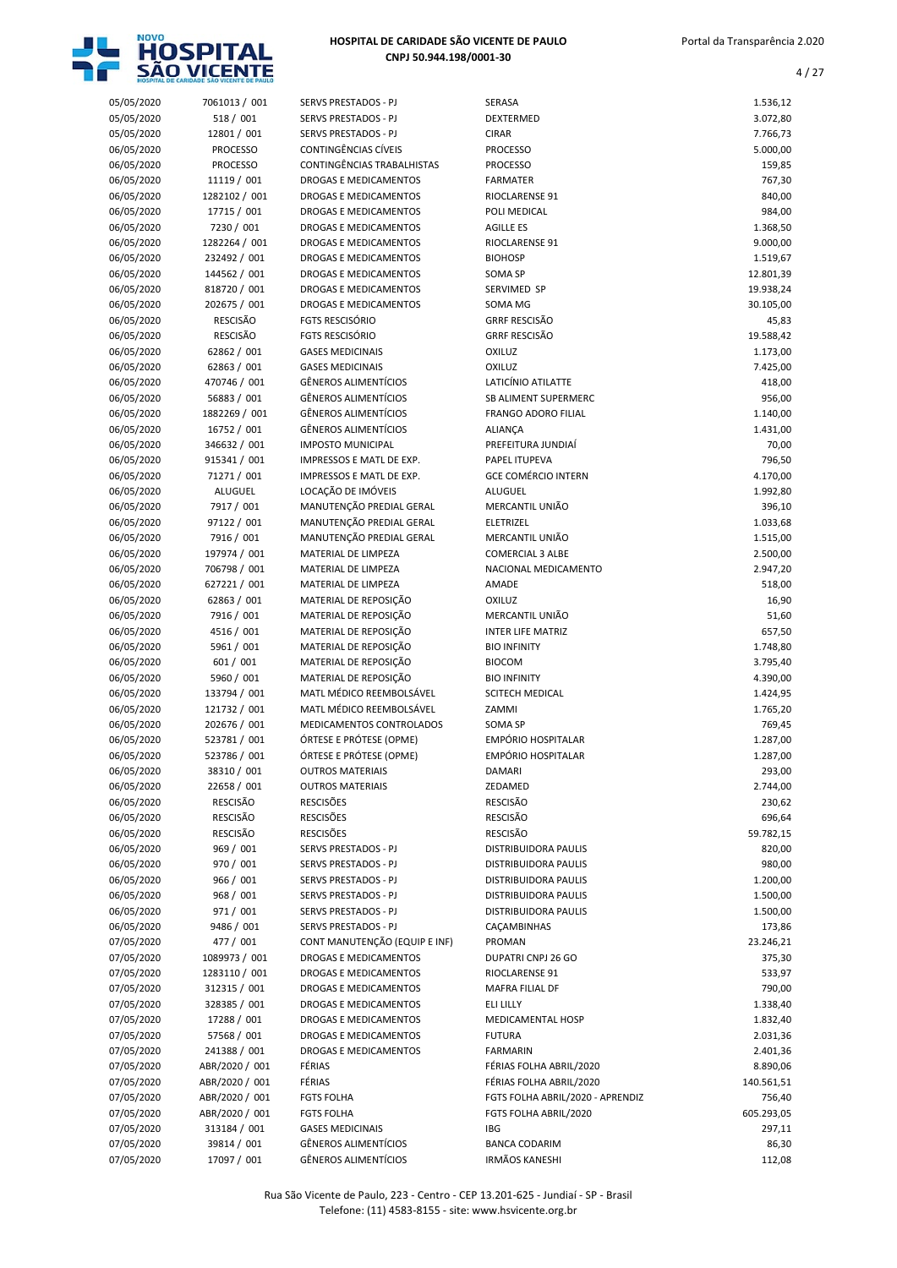

| 05/05/2020               | 7061013 / 001               | SERVS PRESTADOS - PJ                                 | SERASA                                       | 1.536,12             |
|--------------------------|-----------------------------|------------------------------------------------------|----------------------------------------------|----------------------|
| 05/05/2020               | 518 / 001                   | SERVS PRESTADOS - PJ                                 | DEXTERMED                                    | 3.072,80             |
| 05/05/2020               | 12801 / 001                 | SERVS PRESTADOS - PJ                                 | <b>CIRAR</b>                                 | 7.766,73             |
| 06/05/2020               | <b>PROCESSO</b>             | CONTINGÊNCIAS CÍVEIS                                 | PROCESSO                                     | 5.000,00             |
| 06/05/2020               | <b>PROCESSO</b>             | CONTINGÊNCIAS TRABALHISTAS                           | <b>PROCESSO</b>                              | 159,85               |
| 06/05/2020               | 11119 / 001                 | DROGAS E MEDICAMENTOS                                | <b>FARMATER</b>                              | 767,30               |
| 06/05/2020               | 1282102 / 001               | DROGAS E MEDICAMENTOS                                | <b>RIOCLARENSE 91</b>                        | 840,00               |
| 06/05/2020               | 17715 / 001                 | DROGAS E MEDICAMENTOS                                | POLI MEDICAL                                 | 984,00               |
| 06/05/2020               | 7230 / 001                  | DROGAS E MEDICAMENTOS                                | <b>AGILLE ES</b>                             | 1.368,50             |
| 06/05/2020               | 1282264 / 001               | DROGAS E MEDICAMENTOS                                | RIOCLARENSE 91                               | 9.000,00             |
| 06/05/2020               | 232492 / 001                | DROGAS E MEDICAMENTOS                                | <b>BIOHOSP</b>                               | 1.519,67             |
| 06/05/2020               | 144562 / 001                | DROGAS E MEDICAMENTOS                                | SOMA SP                                      | 12.801,39            |
| 06/05/2020               | 818720 / 001                | <b>DROGAS E MEDICAMENTOS</b>                         | SERVIMED SP                                  | 19.938,24            |
| 06/05/2020               | 202675 / 001                | DROGAS E MEDICAMENTOS                                | SOMA MG                                      | 30.105,00            |
| 06/05/2020               | <b>RESCISÃO</b>             | <b>FGTS RESCISÓRIO</b>                               | <b>GRRF RESCISÃO</b>                         | 45,83                |
| 06/05/2020               | <b>RESCISÃO</b>             | <b>FGTS RESCISÓRIO</b>                               | <b>GRRF RESCISÃO</b>                         | 19.588,42            |
| 06/05/2020               | 62862 / 001                 | <b>GASES MEDICINAIS</b>                              | <b>OXILUZ</b>                                | 1.173,00             |
| 06/05/2020               | 62863 / 001                 | <b>GASES MEDICINAIS</b>                              | OXILUZ                                       | 7.425,00             |
| 06/05/2020               | 470746 / 001                | <b>GÊNEROS ALIMENTÍCIOS</b>                          | LATICÍNIO ATILATTE                           | 418,00               |
| 06/05/2020               | 56883 / 001                 | <b>GÊNEROS ALIMENTÍCIOS</b>                          | <b>SB ALIMENT SUPERMERC</b>                  | 956,00               |
| 06/05/2020               | 1882269 / 001               | <b>GÊNEROS ALIMENTÍCIOS</b>                          | <b>FRANGO ADORO FILIAL</b>                   | 1.140,00             |
| 06/05/2020               | 16752 / 001<br>346632 / 001 | <b>GÊNEROS ALIMENTÍCIOS</b>                          | <b>ALIANÇA</b>                               | 1.431,00             |
| 06/05/2020               |                             | <b>IMPOSTO MUNICIPAL</b>                             | PREFEITURA JUNDIAÍ                           | 70,00                |
| 06/05/2020               | 915341 / 001                | IMPRESSOS E MATL DE EXP.<br>IMPRESSOS E MATL DE EXP. | PAPEL ITUPEVA<br><b>GCE COMÉRCIO INTERN</b>  | 796,50               |
| 06/05/2020<br>06/05/2020 | 71271 / 001<br>ALUGUEL      | LOCAÇÃO DE IMÓVEIS                                   | ALUGUEL                                      | 4.170,00<br>1.992,80 |
| 06/05/2020               | 7917 / 001                  | MANUTENÇÃO PREDIAL GERAL                             | MERCANTIL UNIÃO                              | 396,10               |
| 06/05/2020               | 97122 / 001                 | MANUTENÇÃO PREDIAL GERAL                             | ELETRIZEL                                    | 1.033,68             |
| 06/05/2020               | 7916 / 001                  | MANUTENÇÃO PREDIAL GERAL                             | MERCANTIL UNIÃO                              | 1.515,00             |
| 06/05/2020               | 197974 / 001                | MATERIAL DE LIMPEZA                                  | <b>COMERCIAL 3 ALBE</b>                      | 2.500,00             |
| 06/05/2020               | 706798 / 001                | MATERIAL DE LIMPEZA                                  | NACIONAL MEDICAMENTO                         | 2.947,20             |
| 06/05/2020               | 627221 / 001                | MATERIAL DE LIMPEZA                                  | AMADE                                        | 518,00               |
| 06/05/2020               | 62863 / 001                 | MATERIAL DE REPOSIÇÃO                                | <b>OXILUZ</b>                                | 16,90                |
| 06/05/2020               | 7916 / 001                  | MATERIAL DE REPOSIÇÃO                                | MERCANTIL UNIÃO                              | 51,60                |
| 06/05/2020               | 4516 / 001                  | MATERIAL DE REPOSIÇÃO                                | <b>INTER LIFE MATRIZ</b>                     | 657,50               |
| 06/05/2020               | 5961 / 001                  | MATERIAL DE REPOSIÇÃO                                | <b>BIO INFINITY</b>                          | 1.748,80             |
| 06/05/2020               | 601 / 001                   | MATERIAL DE REPOSIÇÃO                                | <b>BIOCOM</b>                                | 3.795,40             |
| 06/05/2020               | 5960 / 001                  | MATERIAL DE REPOSIÇÃO                                | <b>BIO INFINITY</b>                          | 4.390,00             |
| 06/05/2020               | 133794 / 001                | MATL MÉDICO REEMBOLSÁVEL                             | SCITECH MEDICAL                              | 1.424,95             |
| 06/05/2020               | 121732 / 001                | MATL MÉDICO REEMBOLSÁVEL                             | ZAMMI                                        | 1.765,20             |
| 06/05/2020               | 202676 / 001                | MEDICAMENTOS CONTROLADOS                             | SOMA SP                                      | 769,45               |
| 06/05/2020               | 523781 / 001                | ÓRTESE E PRÓTESE (OPME)                              | EMPÓRIO HOSPITALAR                           | 1.287,00             |
| 06/05/2020               | 523786 / 001                | ÓRTESE E PRÓTESE (OPME)                              | <b>EMPÓRIO HOSPITALAR</b>                    | 1.287,00             |
| 06/05/2020               | 38310 / 001                 | <b>OUTROS MATERIAIS</b>                              | DAMARI                                       | 293,00               |
| 06/05/2020               | 22658 / 001                 | <b>OUTROS MATERIAIS</b>                              | ZEDAMED                                      | 2.744,00             |
| 06/05/2020               | <b>RESCISÃO</b>             | <b>RESCISÕES</b>                                     | <b>RESCISÃO</b>                              | 230,62               |
| 06/05/2020               | RESCISÃO                    | <b>RESCISÕES</b>                                     | <b>RESCISÃO</b>                              | 696,64               |
| 06/05/2020               | RESCISÃO<br>969 / 001       | <b>RESCISÕES</b>                                     | <b>RESCISÃO</b>                              | 59.782,15            |
| 06/05/2020               |                             | SERVS PRESTADOS - PJ                                 | DISTRIBUIDORA PAULIS                         | 820,00               |
| 06/05/2020<br>06/05/2020 | 970 / 001<br>966 / 001      | SERVS PRESTADOS - PJ<br>SERVS PRESTADOS - PJ         | DISTRIBUIDORA PAULIS<br>DISTRIBUIDORA PAULIS | 980,00<br>1.200,00   |
| 06/05/2020               | 968 / 001                   | SERVS PRESTADOS - PJ                                 | DISTRIBUIDORA PAULIS                         | 1.500,00             |
| 06/05/2020               | 971 / 001                   | SERVS PRESTADOS - PJ                                 | DISTRIBUIDORA PAULIS                         | 1.500,00             |
| 06/05/2020               | 9486 / 001                  | SERVS PRESTADOS - PJ                                 | CAÇAMBINHAS                                  | 173,86               |
| 07/05/2020               | 477 / 001                   | CONT MANUTENÇÃO (EQUIP E INF)                        | PROMAN                                       | 23.246,21            |
| 07/05/2020               | 1089973 / 001               | DROGAS E MEDICAMENTOS                                | DUPATRI CNPJ 26 GO                           | 375,30               |
| 07/05/2020               | 1283110 / 001               | DROGAS E MEDICAMENTOS                                | RIOCLARENSE 91                               | 533,97               |
| 07/05/2020               | 312315 / 001                | DROGAS E MEDICAMENTOS                                | MAFRA FILIAL DF                              | 790,00               |
| 07/05/2020               | 328385 / 001                | DROGAS E MEDICAMENTOS                                | ELI LILLY                                    | 1.338,40             |
| 07/05/2020               | 17288 / 001                 | DROGAS E MEDICAMENTOS                                | MEDICAMENTAL HOSP                            | 1.832,40             |
| 07/05/2020               | 57568 / 001                 | DROGAS E MEDICAMENTOS                                | <b>FUTURA</b>                                | 2.031,36             |
| 07/05/2020               | 241388 / 001                | DROGAS E MEDICAMENTOS                                | <b>FARMARIN</b>                              | 2.401,36             |
| 07/05/2020               | ABR/2020 / 001              | FÉRIAS                                               | FÉRIAS FOLHA ABRIL/2020                      | 8.890,06             |
| 07/05/2020               | ABR/2020 / 001              | FÉRIAS                                               | FÉRIAS FOLHA ABRIL/2020                      | 140.561,51           |
| 07/05/2020               | ABR/2020 / 001              | <b>FGTS FOLHA</b>                                    | FGTS FOLHA ABRIL/2020 - APRENDIZ             | 756,40               |
| 07/05/2020               | ABR/2020 / 001              | <b>FGTS FOLHA</b>                                    | FGTS FOLHA ABRIL/2020                        | 605.293,05           |
| 07/05/2020               | 313184 / 001                | <b>GASES MEDICINAIS</b>                              | <b>IBG</b>                                   | 297,11               |
| 07/05/2020               | 39814 / 001                 | GÊNEROS ALIMENTÍCIOS                                 | <b>BANCA CODARIM</b>                         | 86,30                |
| 07/05/2020               | 17097 / 001                 | GÊNEROS ALIMENTÍCIOS                                 | <b>IRMÃOS KANESHI</b>                        | 112,08               |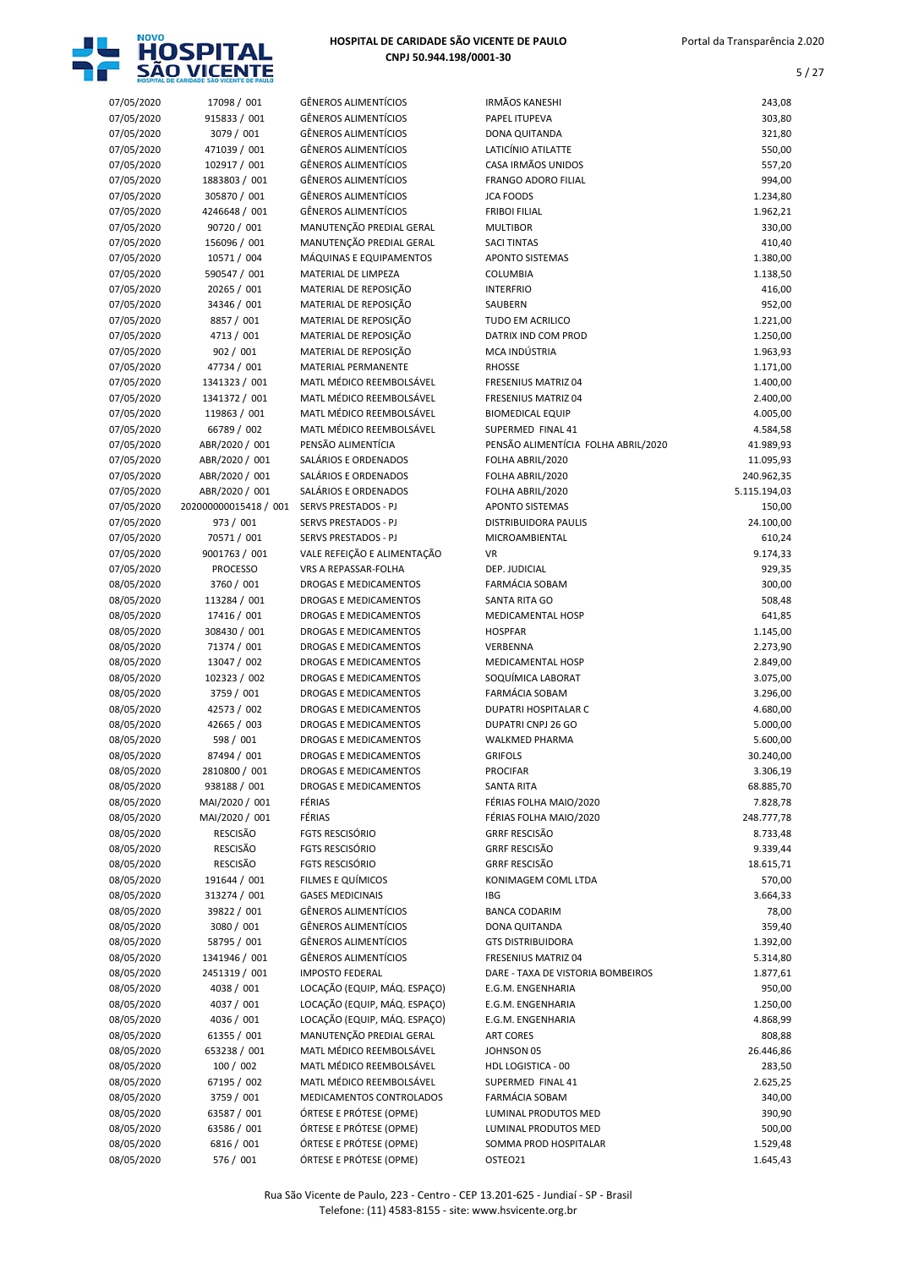

| 07/05/2020 | 17098 / 001                       | <b>GÊNEROS ALIMENTÍCIOS</b>                                | <b>IRMÃOS KANESHI</b>                       | 243,08                |
|------------|-----------------------------------|------------------------------------------------------------|---------------------------------------------|-----------------------|
| 07/05/2020 | 915833 / 001                      | <b>GÊNEROS ALIMENTÍCIOS</b>                                | PAPEL ITUPEVA                               | 303,80                |
| 07/05/2020 | 3079 / 001                        | <b>GÊNEROS ALIMENTÍCIOS</b>                                | DONA QUITANDA                               | 321,80                |
| 07/05/2020 | 471039 / 001                      | <b>GÊNEROS ALIMENTÍCIOS</b>                                | LATICÍNIO ATILATTE                          | 550,00                |
| 07/05/2020 | 102917 / 001                      | <b>GÊNEROS ALIMENTÍCIOS</b>                                | CASA IRMÃOS UNIDOS                          | 557,20                |
| 07/05/2020 | 1883803 / 001                     | <b>GÊNEROS ALIMENTÍCIOS</b>                                | <b>FRANGO ADORO FILIAL</b>                  | 994,00                |
| 07/05/2020 | 305870 / 001                      | <b>GÊNEROS ALIMENTÍCIOS</b>                                | <b>JCA FOODS</b>                            | 1.234,80              |
| 07/05/2020 | 4246648 / 001                     | <b>GÊNEROS ALIMENTÍCIOS</b>                                | <b>FRIBOI FILIAL</b>                        | 1.962,21              |
| 07/05/2020 | 90720 / 001                       | MANUTENÇÃO PREDIAL GERAL                                   | <b>MULTIBOR</b>                             | 330,00                |
| 07/05/2020 | 156096 / 001                      | MANUTENÇÃO PREDIAL GERAL                                   | <b>SACI TINTAS</b>                          | 410,40                |
| 07/05/2020 | 10571 / 004                       | MÁQUINAS E EQUIPAMENTOS                                    | <b>APONTO SISTEMAS</b>                      | 1.380,00              |
| 07/05/2020 | 590547 / 001                      | MATERIAL DE LIMPEZA                                        | COLUMBIA                                    | 1.138,50              |
| 07/05/2020 | 20265 / 001                       | MATERIAL DE REPOSIÇÃO                                      | <b>INTERFRIO</b>                            | 416,00                |
| 07/05/2020 | 34346 / 001                       | MATERIAL DE REPOSIÇÃO                                      | SAUBERN                                     | 952,00                |
| 07/05/2020 | 8857 / 001                        | MATERIAL DE REPOSIÇÃO                                      | <b>TUDO EM ACRILICO</b>                     | 1.221,00              |
| 07/05/2020 | 4713 / 001                        | MATERIAL DE REPOSIÇÃO                                      | DATRIX IND COM PROD                         | 1.250,00              |
| 07/05/2020 | 902 / 001                         | MATERIAL DE REPOSIÇÃO                                      | MCA INDÚSTRIA                               | 1.963,93              |
| 07/05/2020 | 47734 / 001                       | <b>MATERIAL PERMANENTE</b>                                 | <b>RHOSSE</b>                               | 1.171,00              |
| 07/05/2020 | 1341323 / 001                     | MATL MÉDICO REEMBOLSÁVEL                                   | FRESENIUS MATRIZ 04                         | 1.400,00              |
| 07/05/2020 | 1341372 / 001                     | MATL MÉDICO REEMBOLSÁVEL                                   | <b>FRESENIUS MATRIZ 04</b>                  | 2.400,00              |
| 07/05/2020 | 119863 / 001                      | MATL MÉDICO REEMBOLSÁVEL                                   | <b>BIOMEDICAL EQUIP</b>                     | 4.005,00              |
| 07/05/2020 | 66789 / 002                       | MATL MÉDICO REEMBOLSÁVEL                                   | SUPERMED FINAL 41                           | 4.584,58              |
| 07/05/2020 | ABR/2020 / 001                    | PENSÃO ALIMENTÍCIA                                         | PENSÃO ALIMENTÍCIA FOLHA ABRIL/2020         | 41.989,93             |
| 07/05/2020 | ABR/2020 / 001                    | SALÁRIOS E ORDENADOS                                       | FOLHA ABRIL/2020                            | 11.095,93             |
| 07/05/2020 | ABR/2020 / 001                    | SALÁRIOS E ORDENADOS                                       | FOLHA ABRIL/2020                            | 240.962,35            |
| 07/05/2020 | ABR/2020 / 001                    | SALÁRIOS E ORDENADOS                                       | FOLHA ABRIL/2020                            | 5.115.194,03          |
| 07/05/2020 | 202000000015418 / 001             | SERVS PRESTADOS - PJ                                       | APONTO SISTEMAS                             | 150,00                |
| 07/05/2020 | 973 / 001                         | SERVS PRESTADOS - PJ                                       | <b>DISTRIBUIDORA PAULIS</b>                 | 24.100,00             |
| 07/05/2020 | 70571 / 001                       | SERVS PRESTADOS - PJ                                       | MICROAMBIENTAL                              | 610,24                |
| 07/05/2020 | 9001763 / 001                     | VALE REFEIÇÃO E ALIMENTAÇÃO                                | <b>VR</b>                                   | 9.174,33              |
| 07/05/2020 | <b>PROCESSO</b>                   | VRS A REPASSAR-FOLHA                                       | DEP. JUDICIAL                               | 929,35                |
|            | 3760 / 001                        | DROGAS E MEDICAMENTOS                                      | <b>FARMÁCIA SOBAM</b>                       | 300,00                |
| 08/05/2020 |                                   |                                                            |                                             |                       |
| 08/05/2020 | 113284 / 001                      | DROGAS E MEDICAMENTOS                                      | SANTA RITA GO                               | 508,48                |
| 08/05/2020 | 17416 / 001                       | DROGAS E MEDICAMENTOS                                      | MEDICAMENTAL HOSP                           | 641,85                |
| 08/05/2020 | 308430 / 001                      | DROGAS E MEDICAMENTOS                                      | <b>HOSPFAR</b>                              | 1.145,00              |
| 08/05/2020 | 71374 / 001                       | DROGAS E MEDICAMENTOS                                      | VERBENNA                                    | 2.273,90              |
| 08/05/2020 | 13047 / 002                       | DROGAS E MEDICAMENTOS                                      | MEDICAMENTAL HOSP                           | 2.849,00              |
| 08/05/2020 | 102323 / 002<br>3759 / 001        | DROGAS E MEDICAMENTOS                                      | SOQUÍMICA LABORAT                           | 3.075,00              |
| 08/05/2020 |                                   | DROGAS E MEDICAMENTOS                                      | FARMÁCIA SOBAM                              | 3.296,00              |
| 08/05/2020 | 42573 / 002<br>42665 / 003        | DROGAS E MEDICAMENTOS                                      | DUPATRI HOSPITALAR C                        | 4.680,00              |
| 08/05/2020 | 598 / 001                         | DROGAS E MEDICAMENTOS<br>DROGAS E MEDICAMENTOS             | DUPATRI CNPJ 26 GO<br><b>WALKMED PHARMA</b> | 5.000,00<br>5.600,00  |
| 08/05/2020 |                                   | <b>DROGAS E MEDICAMENTOS</b>                               |                                             |                       |
| 08/05/2020 | 87494 / 001                       |                                                            | <b>GRIFOLS</b>                              | 30.240,00             |
| 08/05/2020 | 2810800 / 001                     | DROGAS E MEDICAMENTOS                                      | <b>PROCIFAR</b>                             | 3.306,19              |
| 08/05/2020 | 938188 / 001                      | DROGAS E MEDICAMENTOS<br>FÉRIAS                            | <b>SANTA RITA</b><br>FÉRIAS FOLHA MAIO/2020 | 68.885,70<br>7.828,78 |
| 08/05/2020 | MAI/2020 / 001                    |                                                            |                                             |                       |
| 08/05/2020 | MAI/2020 / 001<br><b>RESCISÃO</b> | FÉRIAS<br><b>FGTS RESCISÓRIO</b>                           | FÉRIAS FOLHA MAIO/2020                      | 248.777,78            |
| 08/05/2020 | <b>RESCISÃO</b>                   |                                                            | <b>GRRF RESCISÃO</b>                        | 8.733,48<br>9.339,44  |
| 08/05/2020 |                                   | <b>FGTS RESCISÓRIO</b>                                     | <b>GRRF RESCISÃO</b>                        |                       |
| 08/05/2020 | <b>RESCISÃO</b>                   | <b>FGTS RESCISÓRIO</b>                                     | <b>GRRF RESCISÃO</b>                        | 18.615,71             |
| 08/05/2020 | 191644 / 001                      | FILMES E QUÍMICOS                                          | KONIMAGEM COML LTDA                         | 570,00                |
| 08/05/2020 | 313274 / 001                      | <b>GASES MEDICINAIS</b>                                    | <b>IBG</b>                                  | 3.664,33              |
| 08/05/2020 | 39822 / 001                       | <b>GÊNEROS ALIMENTÍCIOS</b>                                | <b>BANCA CODARIM</b>                        | 78,00                 |
| 08/05/2020 | 3080 / 001                        | <b>GÊNEROS ALIMENTÍCIOS</b><br><b>GÊNEROS ALIMENTÍCIOS</b> | DONA QUITANDA                               | 359,40                |
| 08/05/2020 | 58795 / 001                       | <b>GÊNEROS ALIMENTÍCIOS</b>                                | <b>GTS DISTRIBUIDORA</b>                    | 1.392,00              |
| 08/05/2020 | 1341946 / 001                     | <b>IMPOSTO FEDERAL</b>                                     | FRESENIUS MATRIZ 04                         | 5.314,80              |
| 08/05/2020 | 2451319 / 001                     |                                                            | DARE - TAXA DE VISTORIA BOMBEIROS           | 1.877,61              |
| 08/05/2020 | 4038 / 001                        | LOCAÇÃO (EQUIP, MÁQ. ESPAÇO)                               | E.G.M. ENGENHARIA                           | 950,00                |
| 08/05/2020 | 4037 / 001                        | LOCAÇÃO (EQUIP, MÁQ. ESPAÇO)                               | E.G.M. ENGENHARIA                           | 1.250,00              |
| 08/05/2020 | 4036 / 001                        | LOCAÇÃO (EQUIP, MÁQ. ESPAÇO)                               | E.G.M. ENGENHARIA                           | 4.868,99              |
| 08/05/2020 | 61355 / 001                       | MANUTENÇÃO PREDIAL GERAL                                   | <b>ART CORES</b>                            | 808,88                |
| 08/05/2020 | 653238 / 001                      | MATL MÉDICO REEMBOLSÁVEL                                   | JOHNSON 05                                  | 26.446,86             |
| 08/05/2020 | 100 / 002                         | MATL MÉDICO REEMBOLSÁVEL                                   | HDL LOGISTICA - 00                          | 283,50                |
| 08/05/2020 | 67195 / 002                       | MATL MÉDICO REEMBOLSÁVEL                                   | SUPERMED FINAL 41                           | 2.625,25              |
| 08/05/2020 | 3759 / 001                        | MEDICAMENTOS CONTROLADOS                                   | <b>FARMÁCIA SOBAM</b>                       | 340,00                |
| 08/05/2020 | 63587 / 001                       | ÓRTESE E PRÓTESE (OPME)                                    | LUMINAL PRODUTOS MED                        | 390,90                |
| 08/05/2020 | 63586 / 001                       | ÓRTESE E PRÓTESE (OPME)                                    | LUMINAL PRODUTOS MED                        | 500,00                |
| 08/05/2020 | 6816 / 001                        | ÓRTESE E PRÓTESE (OPME)                                    | SOMMA PROD HOSPITALAR                       | 1.529,48              |
| 08/05/2020 | 576 / 001                         | ÓRTESE E PRÓTESE (OPME)                                    | OSTEO21                                     | 1.645,43              |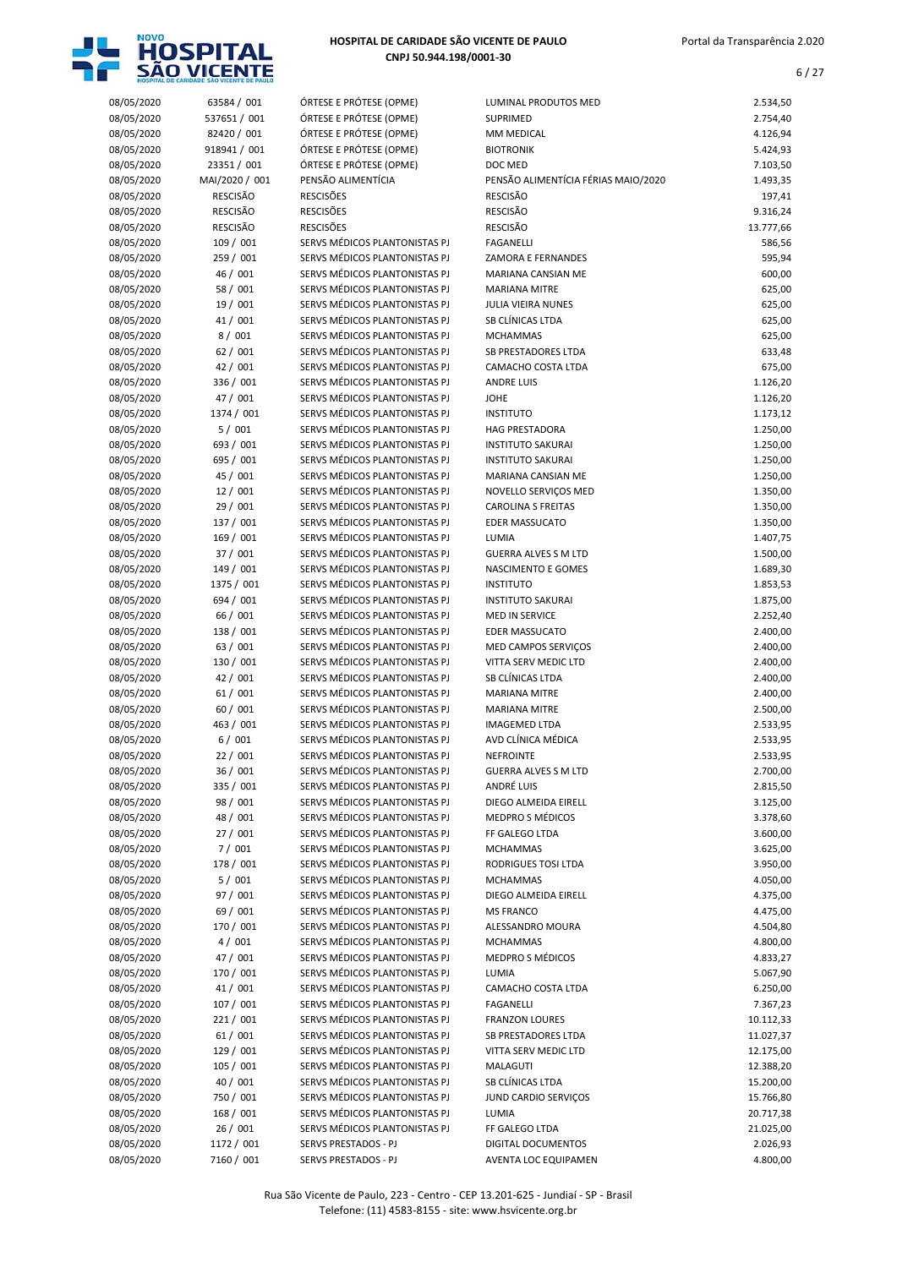

| 08/05/2020 | 63584 / 001     | ÓRTESE E PRÓTESE (OPME)       | LUMINAL PRODUTOS MED                | 2.534,50  |
|------------|-----------------|-------------------------------|-------------------------------------|-----------|
| 08/05/2020 | 537651 / 001    | ÓRTESE E PRÓTESE (OPME)       | <b>SUPRIMED</b>                     | 2.754,40  |
| 08/05/2020 | 82420 / 001     | ÓRTESE E PRÓTESE (OPME)       | MM MEDICAL                          | 4.126,94  |
| 08/05/2020 | 918941 / 001    | ÓRTESE E PRÓTESE (OPME)       | <b>BIOTRONIK</b>                    | 5.424,93  |
| 08/05/2020 | 23351 / 001     | ÓRTESE E PRÓTESE (OPME)       | DOC MED                             | 7.103,50  |
| 08/05/2020 | MAI/2020 / 001  | PENSÃO ALIMENTÍCIA            | PENSÃO ALIMENTÍCIA FÉRIAS MAIO/2020 | 1.493,35  |
|            |                 |                               |                                     |           |
| 08/05/2020 | <b>RESCISÃO</b> | <b>RESCISÕES</b>              | <b>RESCISÃO</b>                     | 197,41    |
| 08/05/2020 | <b>RESCISÃO</b> | <b>RESCISÕES</b>              | <b>RESCISÃO</b>                     | 9.316,24  |
| 08/05/2020 | <b>RESCISÃO</b> | <b>RESCISÕES</b>              | <b>RESCISÃO</b>                     | 13.777,66 |
| 08/05/2020 | 109 / 001       | SERVS MÉDICOS PLANTONISTAS PJ | <b>FAGANELLI</b>                    | 586,56    |
| 08/05/2020 | 259 / 001       | SERVS MÉDICOS PLANTONISTAS PJ | <b>ZAMORA E FERNANDES</b>           | 595,94    |
| 08/05/2020 | 46 / 001        | SERVS MÉDICOS PLANTONISTAS PJ | MARIANA CANSIAN ME                  | 600,00    |
| 08/05/2020 | 58 / 001        | SERVS MÉDICOS PLANTONISTAS PJ | <b>MARIANA MITRE</b>                | 625,00    |
| 08/05/2020 | 19 / 001        | SERVS MÉDICOS PLANTONISTAS PJ | <b>JULIA VIEIRA NUNES</b>           | 625,00    |
| 08/05/2020 | 41 / 001        | SERVS MÉDICOS PLANTONISTAS PJ | SB CLÍNICAS LTDA                    | 625,00    |
|            |                 |                               |                                     |           |
| 08/05/2020 | 8/001           | SERVS MÉDICOS PLANTONISTAS PJ | <b>MCHAMMAS</b>                     | 625,00    |
| 08/05/2020 | 62/001          | SERVS MÉDICOS PLANTONISTAS PJ | <b>SB PRESTADORES LTDA</b>          | 633,48    |
| 08/05/2020 | 42 / 001        | SERVS MÉDICOS PLANTONISTAS PJ | CAMACHO COSTA LTDA                  | 675,00    |
| 08/05/2020 | 336 / 001       | SERVS MÉDICOS PLANTONISTAS PJ | <b>ANDRE LUIS</b>                   | 1.126,20  |
| 08/05/2020 | 47 / 001        | SERVS MÉDICOS PLANTONISTAS PJ | <b>JOHE</b>                         | 1.126,20  |
| 08/05/2020 | 1374 / 001      | SERVS MÉDICOS PLANTONISTAS PJ | <b>INSTITUTO</b>                    | 1.173,12  |
| 08/05/2020 | 5/001           | SERVS MÉDICOS PLANTONISTAS PJ | <b>HAG PRESTADORA</b>               | 1.250,00  |
| 08/05/2020 | 693 / 001       | SERVS MÉDICOS PLANTONISTAS PJ | <b>INSTITUTO SAKURAI</b>            | 1.250,00  |
| 08/05/2020 | 695 / 001       | SERVS MÉDICOS PLANTONISTAS PJ | <b>INSTITUTO SAKURAI</b>            | 1.250,00  |
| 08/05/2020 | 45 / 001        | SERVS MÉDICOS PLANTONISTAS PJ |                                     | 1.250,00  |
|            |                 |                               | MARIANA CANSIAN ME                  |           |
| 08/05/2020 | 12/001          | SERVS MÉDICOS PLANTONISTAS PJ | NOVELLO SERVIÇOS MED                | 1.350,00  |
| 08/05/2020 | 29 / 001        | SERVS MÉDICOS PLANTONISTAS PJ | <b>CAROLINA S FREITAS</b>           | 1.350,00  |
| 08/05/2020 | 137 / 001       | SERVS MÉDICOS PLANTONISTAS PJ | <b>EDER MASSUCATO</b>               | 1.350,00  |
| 08/05/2020 | 169 / 001       | SERVS MÉDICOS PLANTONISTAS PJ | LUMIA                               | 1.407,75  |
| 08/05/2020 | 37 / 001        | SERVS MÉDICOS PLANTONISTAS PJ | <b>GUERRA ALVES S M LTD</b>         | 1.500,00  |
| 08/05/2020 | 149 / 001       | SERVS MÉDICOS PLANTONISTAS PJ | NASCIMENTO E GOMES                  | 1.689,30  |
| 08/05/2020 | 1375 / 001      | SERVS MÉDICOS PLANTONISTAS PJ | <b>INSTITUTO</b>                    | 1.853,53  |
| 08/05/2020 | 694 / 001       | SERVS MÉDICOS PLANTONISTAS PJ | <b>INSTITUTO SAKURAI</b>            | 1.875,00  |
| 08/05/2020 | 66 / 001        | SERVS MÉDICOS PLANTONISTAS PJ | <b>MED IN SERVICE</b>               | 2.252,40  |
| 08/05/2020 | 138 / 001       | SERVS MÉDICOS PLANTONISTAS PJ | <b>EDER MASSUCATO</b>               | 2.400,00  |
|            |                 |                               |                                     |           |
| 08/05/2020 | 63 / 001        | SERVS MÉDICOS PLANTONISTAS PJ | MED CAMPOS SERVIÇOS                 | 2.400,00  |
| 08/05/2020 | 130 / 001       | SERVS MÉDICOS PLANTONISTAS PJ | VITTA SERV MEDIC LTD                | 2.400,00  |
| 08/05/2020 | 42 / 001        | SERVS MÉDICOS PLANTONISTAS PJ | SB CLÍNICAS LTDA                    | 2.400,00  |
| 08/05/2020 | 61/001          | SERVS MÉDICOS PLANTONISTAS PJ | <b>MARIANA MITRE</b>                | 2.400,00  |
| 08/05/2020 | 60 / 001        | SERVS MÉDICOS PLANTONISTAS PJ | <b>MARIANA MITRE</b>                | 2.500,00  |
| 08/05/2020 | 463 / 001       | SERVS MÉDICOS PLANTONISTAS PJ | <b>IMAGEMED LTDA</b>                | 2.533,95  |
| 08/05/2020 | 6/001           | SERVS MÉDICOS PLANTONISTAS PJ | AVD CLÍNICA MÉDICA                  | 2.533,95  |
| 08/05/2020 | 22/001          | SERVS MÉDICOS PLANTONISTAS PJ | <b>NEFROINTE</b>                    | 2.533,95  |
| 08/05/2020 | 36 / 001        | SERVS MÉDICOS PLANTONISTAS PJ | <b>GUERRA ALVES S M LTD</b>         | 2.700,00  |
| 08/05/2020 | 335 / 001       | SERVS MÉDICOS PLANTONISTAS PJ | ANDRÉ LUIS                          | 2.815,50  |
|            |                 |                               |                                     |           |
| 08/05/2020 | 98 / 001        | SERVS MÉDICOS PLANTONISTAS PJ | DIEGO ALMEIDA EIRELL                | 3.125,00  |
| 08/05/2020 | 48 / 001        | SERVS MÉDICOS PLANTONISTAS PJ | <b>MEDPRO S MÉDICOS</b>             | 3.378,60  |
| 08/05/2020 | 27/001          | SERVS MÉDICOS PLANTONISTAS PJ | FF GALEGO LTDA                      | 3.600,00  |
| 08/05/2020 | 7/001           | SERVS MÉDICOS PLANTONISTAS PJ | <b>MCHAMMAS</b>                     | 3.625,00  |
| 08/05/2020 | 178 / 001       | SERVS MÉDICOS PLANTONISTAS PJ | RODRIGUES TOSI LTDA                 | 3.950,00  |
| 08/05/2020 | 5/001           | SERVS MÉDICOS PLANTONISTAS PJ | <b>MCHAMMAS</b>                     | 4.050,00  |
| 08/05/2020 | 97 / 001        | SERVS MÉDICOS PLANTONISTAS PJ | DIEGO ALMEIDA EIRELL                | 4.375,00  |
| 08/05/2020 | 69 / 001        | SERVS MÉDICOS PLANTONISTAS PJ | <b>MS FRANCO</b>                    | 4.475,00  |
| 08/05/2020 | 170 / 001       | SERVS MÉDICOS PLANTONISTAS PJ | ALESSANDRO MOURA                    | 4.504,80  |
| 08/05/2020 | 4/001           | SERVS MÉDICOS PLANTONISTAS PJ | <b>MCHAMMAS</b>                     | 4.800,00  |
| 08/05/2020 | 47 / 001        | SERVS MÉDICOS PLANTONISTAS PJ | MEDPRO S MÉDICOS                    | 4.833,27  |
|            |                 |                               |                                     |           |
| 08/05/2020 | 170 / 001       | SERVS MÉDICOS PLANTONISTAS PJ | LUMIA                               | 5.067,90  |
| 08/05/2020 | 41 / 001        | SERVS MÉDICOS PLANTONISTAS PJ | CAMACHO COSTA LTDA                  | 6.250,00  |
| 08/05/2020 | 107/001         | SERVS MÉDICOS PLANTONISTAS PJ | FAGANELLI                           | 7.367,23  |
| 08/05/2020 | 221 / 001       | SERVS MÉDICOS PLANTONISTAS PJ | <b>FRANZON LOURES</b>               | 10.112,33 |
| 08/05/2020 | 61/001          | SERVS MÉDICOS PLANTONISTAS PJ | <b>SB PRESTADORES LTDA</b>          | 11.027,37 |
| 08/05/2020 | 129 / 001       | SERVS MÉDICOS PLANTONISTAS PJ | VITTA SERV MEDIC LTD                | 12.175,00 |
| 08/05/2020 | 105 / 001       | SERVS MÉDICOS PLANTONISTAS PJ | MALAGUTI                            | 12.388,20 |
| 08/05/2020 | 40 / 001        | SERVS MÉDICOS PLANTONISTAS PJ | SB CLÍNICAS LTDA                    | 15.200,00 |
| 08/05/2020 | 750 / 001       | SERVS MÉDICOS PLANTONISTAS PJ | JUND CARDIO SERVIÇOS                | 15.766,80 |
| 08/05/2020 | 168 / 001       | SERVS MÉDICOS PLANTONISTAS PJ | LUMIA                               | 20.717,38 |
| 08/05/2020 | 26/001          | SERVS MÉDICOS PLANTONISTAS PJ |                                     |           |
|            |                 |                               | FF GALEGO LTDA                      | 21.025,00 |
| 08/05/2020 | 1172 / 001      | SERVS PRESTADOS - PJ          | DIGITAL DOCUMENTOS                  | 2.026,93  |
| 08/05/2020 | 7160 / 001      | SERVS PRESTADOS - PJ          | AVENTA LOC EQUIPAMEN                | 4.800,00  |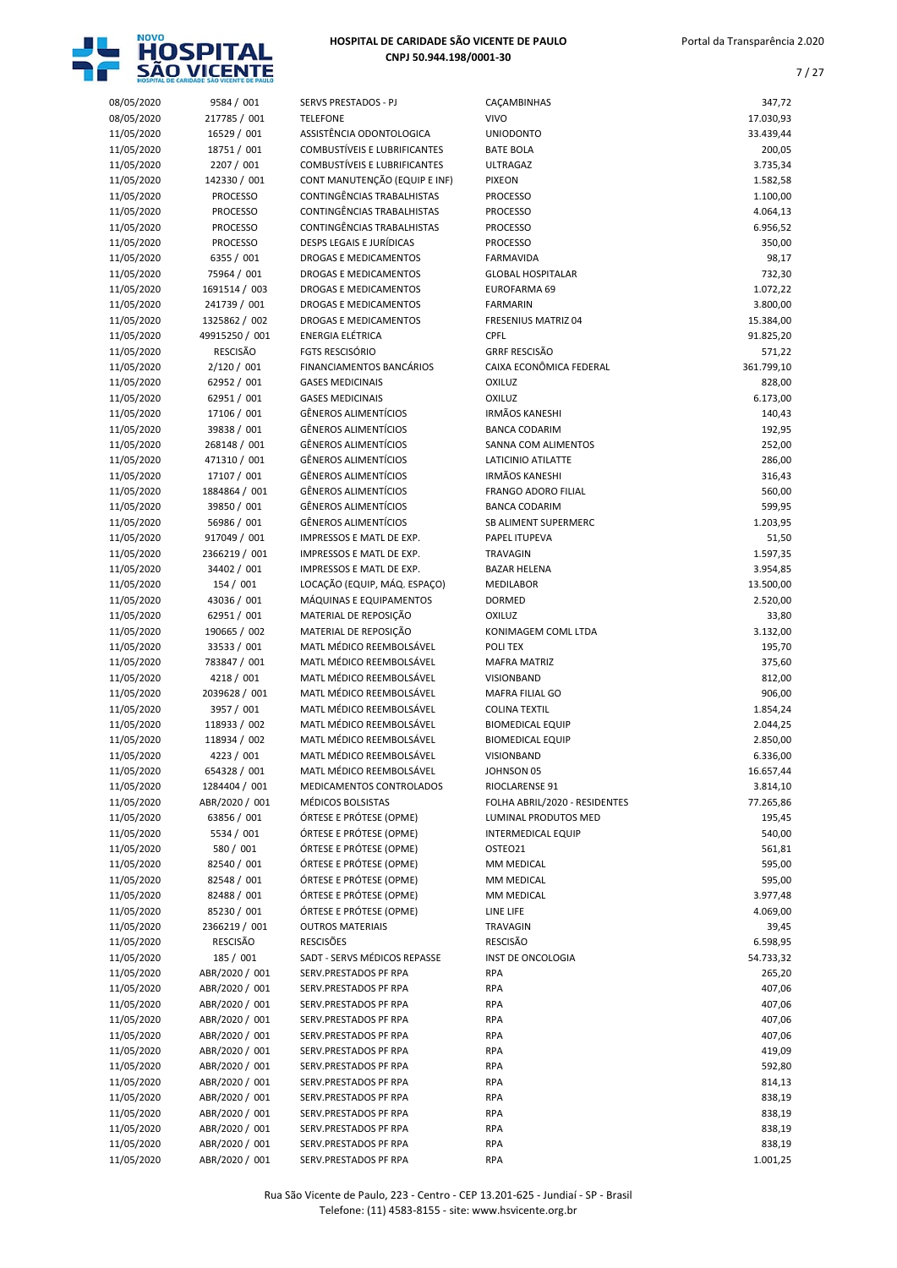

7 / 27

| 08/05/2020               | 9584 / 001                       | SERVS PRESTADOS - PJ                                 | CAÇAMBINHAS                                     | 347,72               |
|--------------------------|----------------------------------|------------------------------------------------------|-------------------------------------------------|----------------------|
| 08/05/2020               | 217785 / 001                     | <b>TELEFONE</b>                                      | <b>VIVO</b>                                     | 17.030,93            |
| 11/05/2020               | 16529 / 001                      | ASSISTÊNCIA ODONTOLOGICA                             | <b>UNIODONTO</b>                                | 33.439,44            |
| 11/05/2020               | 18751 / 001                      | <b>COMBUSTÍVEIS E LUBRIFICANTES</b>                  | <b>BATE BOLA</b>                                | 200,05               |
| 11/05/2020               | 2207 / 001                       | <b>COMBUSTÍVEIS E LUBRIFICANTES</b>                  | <b>ULTRAGAZ</b>                                 | 3.735,34             |
| 11/05/2020               | 142330 / 001                     | CONT MANUTENÇÃO (EQUIP E INF)                        | <b>PIXEON</b>                                   | 1.582,58             |
| 11/05/2020               | <b>PROCESSO</b>                  | CONTINGÊNCIAS TRABALHISTAS                           | <b>PROCESSO</b>                                 | 1.100,00             |
| 11/05/2020               | <b>PROCESSO</b>                  | CONTINGÊNCIAS TRABALHISTAS                           | <b>PROCESSO</b>                                 | 4.064,13             |
| 11/05/2020               | <b>PROCESSO</b>                  | CONTINGÊNCIAS TRABALHISTAS                           | <b>PROCESSO</b>                                 | 6.956,52             |
| 11/05/2020               | <b>PROCESSO</b>                  | <b>DESPS LEGAIS E JURÍDICAS</b>                      | <b>PROCESSO</b>                                 | 350,00               |
| 11/05/2020               | 6355 / 001                       | DROGAS E MEDICAMENTOS                                | <b>FARMAVIDA</b>                                | 98,17                |
| 11/05/2020               | 75964 / 001                      | DROGAS E MEDICAMENTOS                                | <b>GLOBAL HOSPITALAR</b>                        | 732,30               |
| 11/05/2020               | 1691514 / 003                    | <b>DROGAS E MEDICAMENTOS</b>                         | EUROFARMA 69                                    | 1.072,22             |
| 11/05/2020               | 241739 / 001                     | DROGAS E MEDICAMENTOS                                | <b>FARMARIN</b>                                 | 3.800,00             |
| 11/05/2020               | 1325862 / 002                    | <b>DROGAS E MEDICAMENTOS</b>                         | <b>FRESENIUS MATRIZ 04</b>                      | 15.384,00            |
| 11/05/2020               | 49915250 / 001                   | <b>ENERGIA ELÉTRICA</b>                              | <b>CPFL</b>                                     | 91.825,20            |
| 11/05/2020               | <b>RESCISÃO</b>                  | <b>FGTS RESCISÓRIO</b>                               | <b>GRRF RESCISÃO</b><br>CAIXA ECONÔMICA FEDERAL | 571,22               |
| 11/05/2020<br>11/05/2020 | 2/120 / 001<br>62952 / 001       | FINANCIAMENTOS BANCÁRIOS<br><b>GASES MEDICINAIS</b>  | <b>OXILUZ</b>                                   | 361.799,10<br>828,00 |
| 11/05/2020               | 62951 / 001                      | <b>GASES MEDICINAIS</b>                              | <b>OXILUZ</b>                                   | 6.173,00             |
| 11/05/2020               | 17106 / 001                      | <b>GÊNEROS ALIMENTÍCIOS</b>                          | <b>IRMÃOS KANESHI</b>                           | 140,43               |
| 11/05/2020               | 39838 / 001                      | <b>GÊNEROS ALIMENTÍCIOS</b>                          | <b>BANCA CODARIM</b>                            | 192,95               |
| 11/05/2020               | 268148 / 001                     | <b>GÊNEROS ALIMENTÍCIOS</b>                          | SANNA COM ALIMENTOS                             | 252,00               |
| 11/05/2020               | 471310 / 001                     | <b>GÊNEROS ALIMENTÍCIOS</b>                          | LATICINIO ATILATTE                              | 286,00               |
| 11/05/2020               | 17107 / 001                      | <b>GÊNEROS ALIMENTÍCIOS</b>                          | <b>IRMÃOS KANESHI</b>                           | 316,43               |
| 11/05/2020               | 1884864 / 001                    | <b>GÊNEROS ALIMENTÍCIOS</b>                          | <b>FRANGO ADORO FILIAL</b>                      | 560,00               |
| 11/05/2020               | 39850 / 001                      | <b>GÊNEROS ALIMENTÍCIOS</b>                          | <b>BANCA CODARIM</b>                            | 599,95               |
| 11/05/2020               | 56986 / 001                      | <b>GÊNEROS ALIMENTÍCIOS</b>                          | SB ALIMENT SUPERMERC                            | 1.203,95             |
| 11/05/2020               | 917049 / 001                     | IMPRESSOS E MATL DE EXP.                             | PAPEL ITUPEVA                                   | 51,50                |
| 11/05/2020               | 2366219 / 001                    | IMPRESSOS E MATL DE EXP.                             | <b>TRAVAGIN</b>                                 | 1.597,35             |
| 11/05/2020               | 34402 / 001                      | IMPRESSOS E MATL DE EXP.                             | <b>BAZAR HELENA</b>                             | 3.954,85             |
| 11/05/2020               | 154 / 001                        | LOCAÇÃO (EQUIP, MÁQ. ESPAÇO)                         | MEDILABOR                                       | 13.500,00            |
| 11/05/2020               | 43036 / 001                      | MÁQUINAS E EQUIPAMENTOS                              | <b>DORMED</b>                                   | 2.520,00             |
| 11/05/2020               | 62951 / 001                      | MATERIAL DE REPOSIÇÃO                                | <b>OXILUZ</b>                                   | 33,80                |
| 11/05/2020               | 190665 / 002                     | MATERIAL DE REPOSIÇÃO                                | KONIMAGEM COML LTDA                             | 3.132,00             |
| 11/05/2020               | 33533 / 001                      | MATL MÉDICO REEMBOLSÁVEL                             | POLI TEX                                        | 195,70               |
| 11/05/2020               | 783847 / 001<br>4218 / 001       | MATL MÉDICO REEMBOLSÁVEL<br>MATL MÉDICO REEMBOLSÁVEL | <b>MAFRA MATRIZ</b><br><b>VISIONBAND</b>        | 375,60               |
| 11/05/2020<br>11/05/2020 | 2039628 / 001                    | MATL MÉDICO REEMBOLSÁVEL                             | MAFRA FILIAL GO                                 | 812,00<br>906,00     |
| 11/05/2020               | 3957 / 001                       | MATL MÉDICO REEMBOLSÁVEL                             | <b>COLINA TEXTIL</b>                            | 1.854,24             |
| 11/05/2020               | 118933 / 002                     | MATL MÉDICO REEMBOLSÁVEL                             | <b>BIOMEDICAL EQUIP</b>                         | 2.044,25             |
| 11/05/2020               | 118934 / 002                     | MATL MÉDICO REEMBOLSÁVEL                             | <b>BIOMEDICAL EQUIP</b>                         | 2.850,00             |
| 11/05/2020               | 4223 / 001                       | MATL MÉDICO REEMBOLSÁVEL                             | VISIONBAND                                      | 6.336,00             |
| 11/05/2020               | 654328 / 001                     | MATL MÉDICO REEMBOLSÁVEL                             | JOHNSON 05                                      | 16.657,44            |
| 11/05/2020               | 1284404 / 001                    | MEDICAMENTOS CONTROLADOS                             | RIOCLARENSE 91                                  | 3.814,10             |
| 11/05/2020               | ABR/2020 / 001                   | MÉDICOS BOLSISTAS                                    | FOLHA ABRIL/2020 - RESIDENTES                   | 77.265,86            |
| 11/05/2020               | 63856 / 001                      | ÓRTESE E PRÓTESE (OPME)                              | LUMINAL PRODUTOS MED                            | 195,45               |
| 11/05/2020               | 5534 / 001                       | ÓRTESE E PRÓTESE (OPME)                              | <b>INTERMEDICAL EQUIP</b>                       | 540,00               |
| 11/05/2020               | 580 / 001                        | ÓRTESE E PRÓTESE (OPME)                              | OSTEO21                                         | 561,81               |
| 11/05/2020               | 82540 / 001                      | ÓRTESE E PRÓTESE (OPME)                              | MM MEDICAL                                      | 595,00               |
| 11/05/2020               | 82548 / 001                      | ÓRTESE E PRÓTESE (OPME)                              | MM MEDICAL                                      | 595,00               |
| 11/05/2020               | 82488 / 001                      | ÓRTESE E PRÓTESE (OPME)                              | MM MEDICAL                                      | 3.977,48             |
| 11/05/2020               | 85230 / 001                      | ÓRTESE E PRÓTESE (OPME)                              | LINE LIFE                                       | 4.069,00             |
| 11/05/2020<br>11/05/2020 | 2366219 / 001<br><b>RESCISÃO</b> | <b>OUTROS MATERIAIS</b><br><b>RESCISÕES</b>          | TRAVAGIN<br><b>RESCISÃO</b>                     | 39,45<br>6.598,95    |
| 11/05/2020               | 185 / 001                        | SADT - SERVS MÉDICOS REPASSE                         | <b>INST DE ONCOLOGIA</b>                        | 54.733,32            |
| 11/05/2020               | ABR/2020 / 001                   | SERV.PRESTADOS PF RPA                                | RPA                                             | 265,20               |
| 11/05/2020               | ABR/2020 / 001                   | SERV.PRESTADOS PF RPA                                | RPA                                             | 407,06               |
| 11/05/2020               | ABR/2020 / 001                   | SERV.PRESTADOS PF RPA                                | RPA                                             | 407,06               |
| 11/05/2020               | ABR/2020 / 001                   | SERV.PRESTADOS PF RPA                                | RPA                                             | 407,06               |
| 11/05/2020               | ABR/2020 / 001                   | SERV.PRESTADOS PF RPA                                | RPA                                             | 407,06               |
| 11/05/2020               | ABR/2020 / 001                   | SERV.PRESTADOS PF RPA                                | RPA                                             | 419,09               |
| 11/05/2020               | ABR/2020 / 001                   | SERV.PRESTADOS PF RPA                                | RPA                                             | 592,80               |
| 11/05/2020               | ABR/2020 / 001                   | SERV.PRESTADOS PF RPA                                | RPA                                             | 814,13               |
| 11/05/2020               | ABR/2020 / 001                   | SERV.PRESTADOS PF RPA                                | RPA                                             | 838,19               |
| 11/05/2020               | ABR/2020 / 001                   | SERV.PRESTADOS PF RPA                                | RPA                                             | 838,19               |
| 11/05/2020               | ABR/2020 / 001                   | SERV.PRESTADOS PF RPA                                | RPA                                             | 838,19               |
| 11/05/2020               | ABR/2020 / 001                   | SERV.PRESTADOS PF RPA                                | RPA                                             | 838,19               |
| 11/05/2020               | ABR/2020 / 001                   | SERV.PRESTADOS PF RPA                                | <b>RPA</b>                                      | 1.001,25             |

Rua São Vicente de Paulo, 223 - Centro - CEP 13.201-625 - Jundiaí - SP - Brasil Telefone: (11) 4583-8155 - site: www.hsvicente.org.br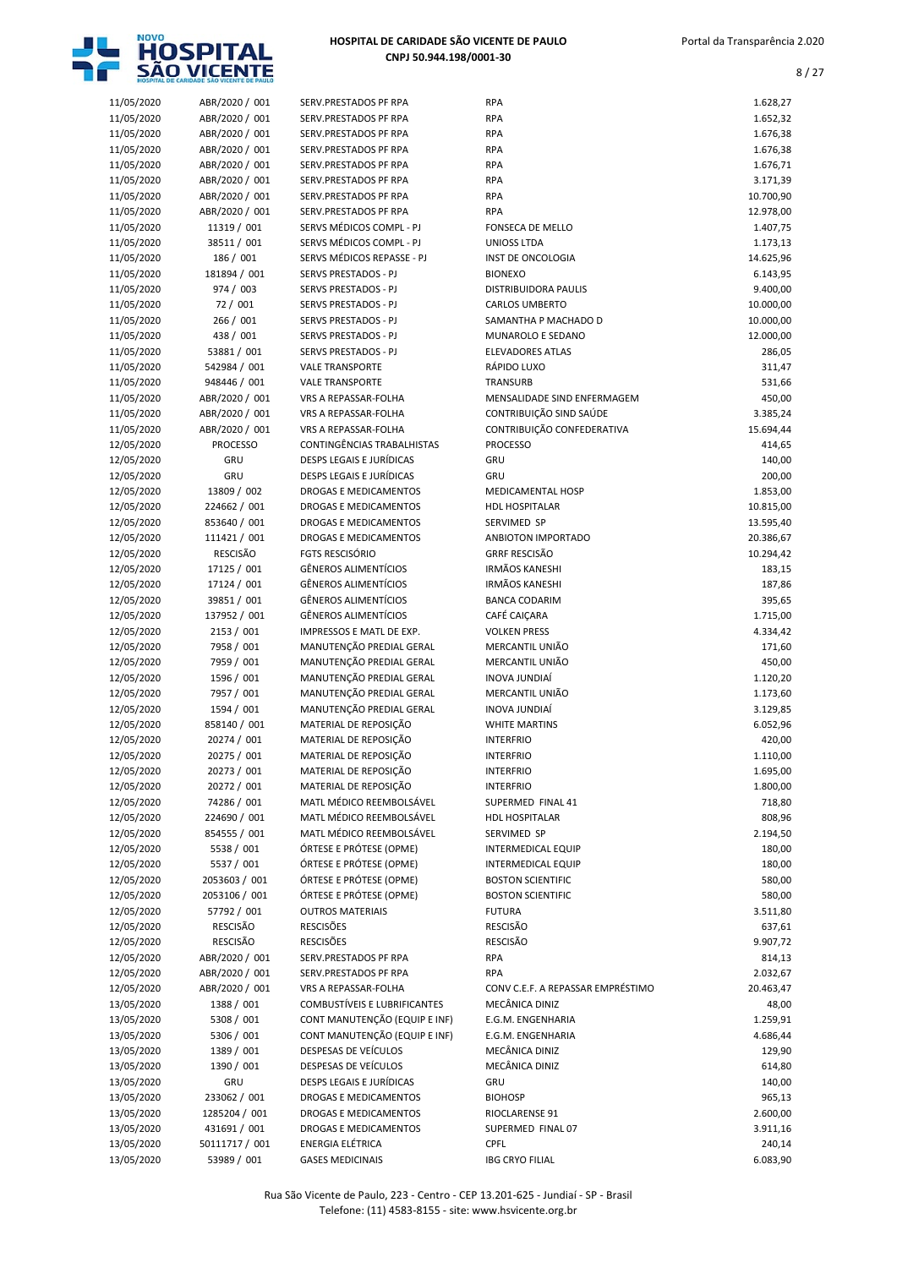

| 11/05/2020               | ABR/2020 / 001                   | SERV.PRESTADOS PF RPA                             | <b>RPA</b>                                 | 1.628,27               |
|--------------------------|----------------------------------|---------------------------------------------------|--------------------------------------------|------------------------|
| 11/05/2020               | ABR/2020 / 001                   | SERV.PRESTADOS PF RPA                             | <b>RPA</b>                                 | 1.652,32               |
| 11/05/2020               | ABR/2020 / 001                   | SERV.PRESTADOS PF RPA                             | <b>RPA</b>                                 | 1.676,38               |
| 11/05/2020               | ABR/2020 / 001                   | SERV.PRESTADOS PF RPA                             | <b>RPA</b>                                 | 1.676,38               |
| 11/05/2020               | ABR/2020 / 001                   | SERV.PRESTADOS PF RPA                             | <b>RPA</b>                                 | 1.676,71               |
| 11/05/2020               | ABR/2020 / 001                   | SERV.PRESTADOS PF RPA                             | <b>RPA</b>                                 | 3.171,39               |
| 11/05/2020<br>11/05/2020 | ABR/2020 / 001<br>ABR/2020 / 001 | SERV.PRESTADOS PF RPA<br>SERV.PRESTADOS PF RPA    | <b>RPA</b><br><b>RPA</b>                   | 10.700,90<br>12.978,00 |
| 11/05/2020               | 11319 / 001                      | SERVS MÉDICOS COMPL - PJ                          | FONSECA DE MELLO                           | 1.407,75               |
| 11/05/2020               | 38511 / 001                      | SERVS MÉDICOS COMPL - PJ                          | <b>UNIOSS LTDA</b>                         | 1.173,13               |
| 11/05/2020               | 186 / 001                        | SERVS MÉDICOS REPASSE - PJ                        | INST DE ONCOLOGIA                          | 14.625,96              |
| 11/05/2020               | 181894 / 001                     | SERVS PRESTADOS - PJ                              | <b>BIONEXO</b>                             | 6.143,95               |
| 11/05/2020               | 974 / 003                        | SERVS PRESTADOS - PJ                              | DISTRIBUIDORA PAULIS                       | 9.400,00               |
| 11/05/2020               | 72 / 001                         | SERVS PRESTADOS - PJ                              | <b>CARLOS UMBERTO</b>                      | 10.000,00              |
| 11/05/2020               | 266 / 001                        | SERVS PRESTADOS - PJ                              | SAMANTHA P MACHADO D                       | 10.000,00              |
| 11/05/2020               | 438 / 001                        | SERVS PRESTADOS - PJ                              | MUNAROLO E SEDANO                          | 12.000,00              |
| 11/05/2020               | 53881 / 001                      | SERVS PRESTADOS - PJ                              | <b>ELEVADORES ATLAS</b>                    | 286,05                 |
| 11/05/2020               | 542984 / 001                     | <b>VALE TRANSPORTE</b>                            | RÁPIDO LUXO                                | 311,47                 |
| 11/05/2020               | 948446 / 001                     | <b>VALE TRANSPORTE</b>                            | TRANSURB                                   | 531,66                 |
| 11/05/2020               | ABR/2020 / 001                   | VRS A REPASSAR-FOLHA                              | MENSALIDADE SIND ENFERMAGEM                | 450,00                 |
| 11/05/2020               | ABR/2020 / 001                   | <b>VRS A REPASSAR-FOLHA</b>                       | CONTRIBUIÇÃO SIND SAÚDE                    | 3.385,24               |
| 11/05/2020               | ABR/2020 / 001                   | VRS A REPASSAR-FOLHA                              | CONTRIBUIÇÃO CONFEDERATIVA                 | 15.694,44              |
| 12/05/2020               | <b>PROCESSO</b>                  | CONTINGÊNCIAS TRABALHISTAS                        | <b>PROCESSO</b>                            | 414,65                 |
| 12/05/2020               | GRU                              | DESPS LEGAIS E JURÍDICAS                          | GRU                                        | 140,00                 |
| 12/05/2020               | GRU                              | DESPS LEGAIS E JURÍDICAS                          | GRU                                        | 200,00                 |
| 12/05/2020               | 13809 / 002                      | DROGAS E MEDICAMENTOS                             | <b>MEDICAMENTAL HOSP</b>                   | 1.853,00               |
| 12/05/2020               | 224662 / 001                     | <b>DROGAS E MEDICAMENTOS</b>                      | <b>HDL HOSPITALAR</b>                      | 10.815,00              |
| 12/05/2020<br>12/05/2020 | 853640 / 001<br>111421 / 001     | DROGAS E MEDICAMENTOS<br>DROGAS E MEDICAMENTOS    | SERVIMED SP<br>ANBIOTON IMPORTADO          | 13.595,40<br>20.386,67 |
| 12/05/2020               | <b>RESCISÃO</b>                  | <b>FGTS RESCISÓRIO</b>                            | <b>GRRF RESCISÃO</b>                       | 10.294,42              |
| 12/05/2020               | 17125 / 001                      | <b>GÊNEROS ALIMENTÍCIOS</b>                       | <b>IRMÃOS KANESHI</b>                      | 183,15                 |
| 12/05/2020               | 17124 / 001                      | <b>GÊNEROS ALIMENTÍCIOS</b>                       | <b>IRMÃOS KANESHI</b>                      | 187,86                 |
| 12/05/2020               | 39851 / 001                      | <b>GÊNEROS ALIMENTÍCIOS</b>                       | <b>BANCA CODARIM</b>                       | 395,65                 |
| 12/05/2020               | 137952 / 001                     | <b>GÊNEROS ALIMENTÍCIOS</b>                       | CAFÉ CAIÇARA                               | 1.715,00               |
| 12/05/2020               | 2153 / 001                       | IMPRESSOS E MATL DE EXP.                          | <b>VOLKEN PRESS</b>                        | 4.334,42               |
| 12/05/2020               | 7958 / 001                       | MANUTENÇÃO PREDIAL GERAL                          | MERCANTIL UNIÃO                            | 171,60                 |
| 12/05/2020               | 7959 / 001                       | MANUTENÇÃO PREDIAL GERAL                          | MERCANTIL UNIÃO                            | 450,00                 |
| 12/05/2020               | 1596 / 001                       | MANUTENÇÃO PREDIAL GERAL                          | INOVA JUNDIAÍ                              | 1.120,20               |
| 12/05/2020               | 7957 / 001                       | MANUTENÇÃO PREDIAL GERAL                          | MERCANTIL UNIÃO                            | 1.173,60               |
| 12/05/2020               | 1594 / 001                       | MANUTENÇÃO PREDIAL GERAL                          | INOVA JUNDIAÍ                              | 3.129,85               |
| 12/05/2020               | 858140 / 001                     | MATERIAL DE REPOSIÇÃO                             | <b>WHITE MARTINS</b>                       | 6.052,96               |
| 12/05/2020               | 20274 / 001                      | MATERIAL DE REPOSIÇÃO                             | <b>INTERFRIO</b>                           | 420,00                 |
| 12/05/2020               | 20275 / 001                      | MATERIAL DE REPOSIÇÃO                             | <b>INTERFRIO</b>                           | 1.110,00               |
| 12/05/2020               | 20273 / 001                      | MATERIAL DE REPOSIÇÃO                             | <b>INTERFRIO</b>                           | 1.695,00               |
| 12/05/2020               | 20272 / 001                      | MATERIAL DE REPOSIÇÃO<br>MATL MÉDICO REEMBOLSÁVEL | <b>INTERFRIO</b>                           | 1.800,00               |
| 12/05/2020<br>12/05/2020 | 74286 / 001<br>224690 / 001      | MATL MÉDICO REEMBOLSÁVEL                          | SUPERMED FINAL 41<br><b>HDL HOSPITALAR</b> | 718,80<br>808,96       |
| 12/05/2020               | 854555 / 001                     | MATL MÉDICO REEMBOLSÁVEL                          | SERVIMED SP                                | 2.194,50               |
| 12/05/2020               | 5538 / 001                       | ÓRTESE E PRÓTESE (OPME)                           | <b>INTERMEDICAL EQUIP</b>                  | 180,00                 |
| 12/05/2020               | 5537 / 001                       | ÓRTESE E PRÓTESE (OPME)                           | <b>INTERMEDICAL EQUIP</b>                  | 180,00                 |
| 12/05/2020               | 2053603 / 001                    | ÓRTESE E PRÓTESE (OPME)                           | <b>BOSTON SCIENTIFIC</b>                   | 580,00                 |
| 12/05/2020               | 2053106 / 001                    | ÓRTESE E PRÓTESE (OPME)                           | <b>BOSTON SCIENTIFIC</b>                   | 580,00                 |
| 12/05/2020               | 57792 / 001                      | <b>OUTROS MATERIAIS</b>                           | <b>FUTURA</b>                              | 3.511,80               |
| 12/05/2020               | <b>RESCISÃO</b>                  | <b>RESCISÕES</b>                                  | <b>RESCISÃO</b>                            | 637,61                 |
| 12/05/2020               | <b>RESCISÃO</b>                  | <b>RESCISÕES</b>                                  | RESCISÃO                                   | 9.907,72               |
| 12/05/2020               | ABR/2020 / 001                   | SERV.PRESTADOS PF RPA                             | <b>RPA</b>                                 | 814,13                 |
| 12/05/2020               | ABR/2020 / 001                   | SERV.PRESTADOS PF RPA                             | <b>RPA</b>                                 | 2.032,67               |
| 12/05/2020               | ABR/2020 / 001                   | VRS A REPASSAR-FOLHA                              | CONV C.E.F. A REPASSAR EMPRÉSTIMO          | 20.463,47              |
| 13/05/2020               | 1388 / 001                       | <b>COMBUSTÍVEIS E LUBRIFICANTES</b>               | MECÂNICA DINIZ                             | 48,00                  |
| 13/05/2020               | 5308 / 001                       | CONT MANUTENÇÃO (EQUIP E INF)                     | E.G.M. ENGENHARIA                          | 1.259,91               |
| 13/05/2020               | 5306 / 001                       | CONT MANUTENÇÃO (EQUIP E INF)                     | E.G.M. ENGENHARIA                          | 4.686,44               |
| 13/05/2020               | 1389 / 001                       | DESPESAS DE VEÍCULOS                              | MECÂNICA DINIZ                             | 129,90                 |
| 13/05/2020               | 1390 / 001                       | DESPESAS DE VEÍCULOS                              | MECÂNICA DINIZ                             | 614,80                 |
| 13/05/2020               | GRU                              | DESPS LEGAIS E JURÍDICAS                          | <b>GRU</b>                                 | 140,00                 |
| 13/05/2020               | 233062 / 001                     | DROGAS E MEDICAMENTOS                             | <b>BIOHOSP</b>                             | 965,13                 |
| 13/05/2020<br>13/05/2020 | 1285204 / 001<br>431691 / 001    | DROGAS E MEDICAMENTOS<br>DROGAS E MEDICAMENTOS    | RIOCLARENSE 91<br>SUPERMED FINAL 07        | 2.600,00<br>3.911,16   |
| 13/05/2020               | 50111717 / 001                   | ENERGIA ELÉTRICA                                  | <b>CPFL</b>                                | 240,14                 |
| 13/05/2020               | 53989 / 001                      | <b>GASES MEDICINAIS</b>                           | <b>IBG CRYO FILIAL</b>                     | 6.083,90               |
|                          |                                  |                                                   |                                            |                        |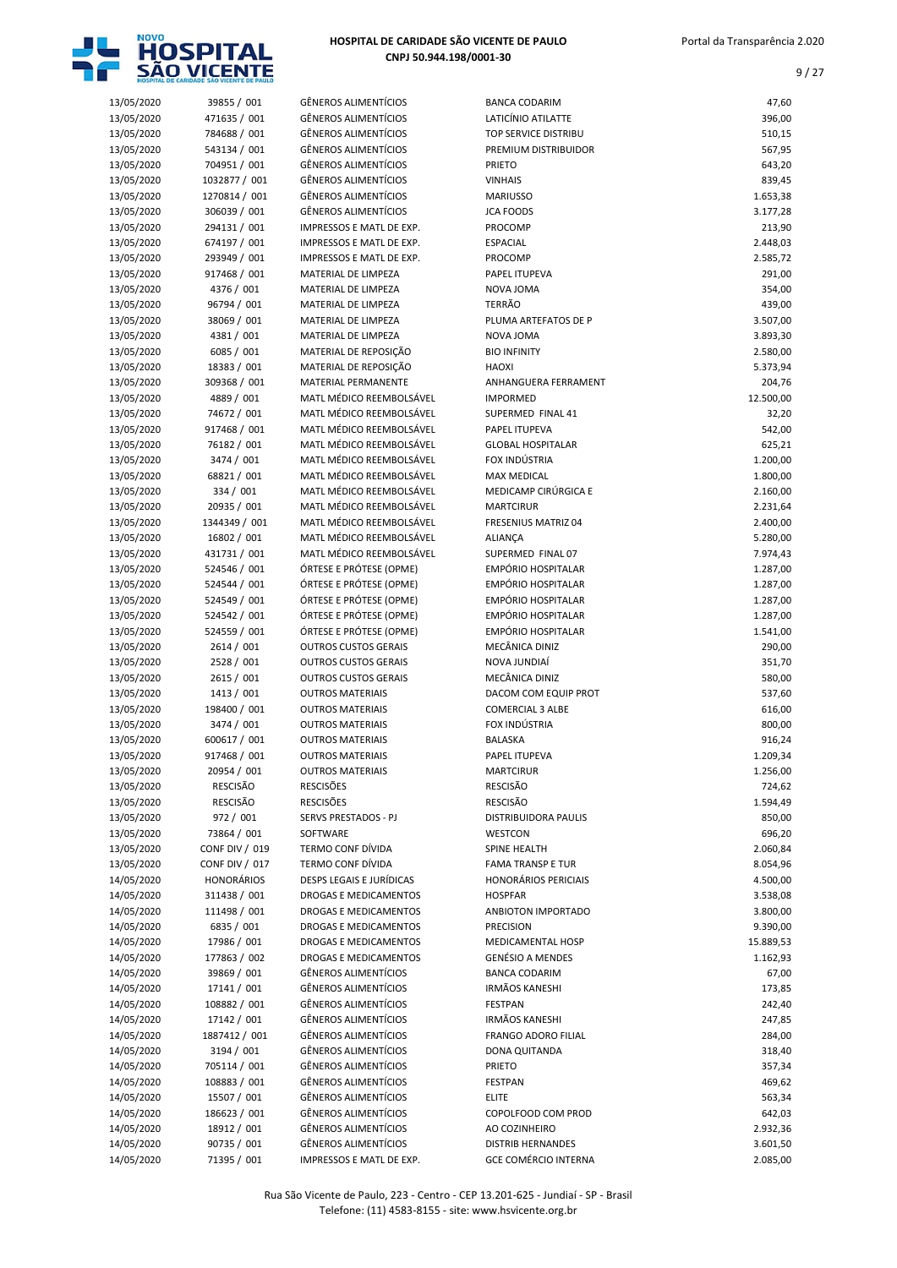

| 13/05/2020 | 39855 / 001           | <b>GÊNEROS ALIMENTÍCIOS</b> | <b>BANCA CODARIM</b>        | 47,60     |
|------------|-----------------------|-----------------------------|-----------------------------|-----------|
| 13/05/2020 | 471635 / 001          | <b>GÊNEROS ALIMENTÍCIOS</b> | LATICÍNIO ATILATTE          | 396,00    |
| 13/05/2020 | 784688 / 001          | <b>GÊNEROS ALIMENTÍCIOS</b> | TOP SERVICE DISTRIBU        | 510,15    |
| 13/05/2020 | 543134 / 001          | <b>GÊNEROS ALIMENTÍCIOS</b> | PREMIUM DISTRIBUIDOR        | 567,95    |
| 13/05/2020 | 704951 / 001          | <b>GÊNEROS ALIMENTÍCIOS</b> | PRIETO                      | 643,20    |
| 13/05/2020 | 1032877 / 001         | <b>GÊNEROS ALIMENTÍCIOS</b> | <b>VINHAIS</b>              | 839,45    |
| 13/05/2020 | 1270814 / 001         | <b>GÊNEROS ALIMENTÍCIOS</b> | <b>MARIUSSO</b>             | 1.653,38  |
| 13/05/2020 | 306039 / 001          | <b>GÊNEROS ALIMENTÍCIOS</b> | <b>JCA FOODS</b>            | 3.177,28  |
| 13/05/2020 | 294131 / 001          | IMPRESSOS E MATL DE EXP.    | PROCOMP                     | 213,90    |
| 13/05/2020 | 674197 / 001          | IMPRESSOS E MATL DE EXP.    | <b>ESPACIAL</b>             | 2.448,03  |
| 13/05/2020 | 293949 / 001          | IMPRESSOS E MATL DE EXP.    | PROCOMP                     | 2.585,72  |
| 13/05/2020 | 917468 / 001          | MATERIAL DE LIMPEZA         | PAPEL ITUPEVA               | 291,00    |
| 13/05/2020 | 4376 / 001            | MATERIAL DE LIMPEZA         | NOVA JOMA                   | 354,00    |
| 13/05/2020 | 96794 / 001           | MATERIAL DE LIMPEZA         | <b>TERRÃO</b>               | 439,00    |
| 13/05/2020 | 38069 / 001           | MATERIAL DE LIMPEZA         | PLUMA ARTEFATOS DE P        | 3.507,00  |
| 13/05/2020 | 4381 / 001            | MATERIAL DE LIMPEZA         | NOVA JOMA                   | 3.893,30  |
| 13/05/2020 | 6085 / 001            | MATERIAL DE REPOSIÇÃO       | <b>BIO INFINITY</b>         | 2.580,00  |
| 13/05/2020 | 18383 / 001           | MATERIAL DE REPOSIÇÃO       | <b>HAOXI</b>                | 5.373,94  |
| 13/05/2020 | 309368 / 001          | MATERIAL PERMANENTE         | ANHANGUERA FERRAMENT        | 204,76    |
| 13/05/2020 | 4889 / 001            | MATL MÉDICO REEMBOLSÁVEL    | <b>IMPORMED</b>             | 12.500,00 |
| 13/05/2020 | 74672 / 001           | MATL MÉDICO REEMBOLSÁVEL    | SUPERMED FINAL 41           | 32,20     |
| 13/05/2020 | 917468 / 001          | MATL MÉDICO REEMBOLSÁVEL    | PAPEL ITUPEVA               | 542,00    |
| 13/05/2020 | 76182 / 001           | MATL MÉDICO REEMBOLSÁVEL    | <b>GLOBAL HOSPITALAR</b>    | 625,21    |
| 13/05/2020 | 3474 / 001            | MATL MÉDICO REEMBOLSÁVEL    | FOX INDÚSTRIA               | 1.200,00  |
| 13/05/2020 | 68821 / 001           | MATL MÉDICO REEMBOLSÁVEL    | <b>MAX MEDICAL</b>          | 1.800,00  |
| 13/05/2020 | 334 / 001             | MATL MÉDICO REEMBOLSÁVEL    | MEDICAMP CIRÚRGICA E        | 2.160,00  |
| 13/05/2020 | 20935 / 001           | MATL MÉDICO REEMBOLSÁVEL    | <b>MARTCIRUR</b>            | 2.231,64  |
| 13/05/2020 | 1344349 / 001         | MATL MÉDICO REEMBOLSÁVEL    | <b>FRESENIUS MATRIZ 04</b>  | 2.400,00  |
| 13/05/2020 | 16802 / 001           | MATL MÉDICO REEMBOLSÁVEL    | <b>ALIANÇA</b>              | 5.280,00  |
| 13/05/2020 | 431731 / 001          | MATL MÉDICO REEMBOLSÁVEL    | SUPERMED FINAL 07           | 7.974,43  |
| 13/05/2020 | 524546 / 001          | ÓRTESE E PRÓTESE (OPME)     | <b>EMPÓRIO HOSPITALAR</b>   | 1.287,00  |
| 13/05/2020 | 524544 / 001          | ÓRTESE E PRÓTESE (OPME)     | EMPÓRIO HOSPITALAR          | 1.287,00  |
| 13/05/2020 | 524549 / 001          | ÓRTESE E PRÓTESE (OPME)     | <b>EMPÓRIO HOSPITALAR</b>   | 1.287,00  |
| 13/05/2020 | 524542 / 001          | ÓRTESE E PRÓTESE (OPME)     | <b>EMPÓRIO HOSPITALAR</b>   | 1.287,00  |
| 13/05/2020 | 524559 / 001          | ÓRTESE E PRÓTESE (OPME)     | <b>EMPÓRIO HOSPITALAR</b>   | 1.541,00  |
| 13/05/2020 | 2614 / 001            | <b>OUTROS CUSTOS GERAIS</b> | MECÂNICA DINIZ              | 290,00    |
| 13/05/2020 | 2528 / 001            | <b>OUTROS CUSTOS GERAIS</b> | NOVA JUNDIAÍ                | 351,70    |
| 13/05/2020 | 2615 / 001            | <b>OUTROS CUSTOS GERAIS</b> | MECÂNICA DINIZ              | 580,00    |
| 13/05/2020 | 1413 / 001            | <b>OUTROS MATERIAIS</b>     | DACOM COM EQUIP PROT        | 537,60    |
| 13/05/2020 | 198400 / 001          | <b>OUTROS MATERIAIS</b>     | <b>COMERCIAL 3 ALBE</b>     | 616,00    |
| 13/05/2020 | 3474 / 001            | <b>OUTROS MATERIAIS</b>     | FOX INDÚSTRIA               | 800,00    |
| 13/05/2020 | 600617 / 001          | <b>OUTROS MATERIAIS</b>     | <b>BALASKA</b>              | 916,24    |
| 13/05/2020 | 917468 / 001          | <b>OUTROS MATERIAIS</b>     | PAPEL ITUPEVA               | 1.209,34  |
| 13/05/2020 | 20954 / 001           | <b>OUTROS MATERIAIS</b>     | <b>MARTCIRUR</b>            | 1.256,00  |
| 13/05/2020 | <b>RESCISÃO</b>       | <b>RESCISÕES</b>            | <b>RESCISÃO</b>             | 724,62    |
| 13/05/2020 | RESCISÃO              | <b>RESCISÕES</b>            | RESCISÃO                    | 1.594,49  |
| 13/05/2020 | 972 / 001             | SERVS PRESTADOS - PJ        | <b>DISTRIBUIDORA PAULIS</b> | 850,00    |
| 13/05/2020 | 73864 / 001           | SOFTWARE                    | WESTCON                     | 696,20    |
| 13/05/2020 | <b>CONF DIV / 019</b> | <b>TERMO CONF DÍVIDA</b>    | SPINE HEALTH                | 2.060,84  |
| 13/05/2020 | <b>CONF DIV / 017</b> | <b>TERMO CONF DÍVIDA</b>    | <b>FAMA TRANSP E TUR</b>    | 8.054,96  |
| 14/05/2020 | <b>HONORÁRIOS</b>     | DESPS LEGAIS E JURÍDICAS    | <b>HONORÁRIOS PERICIAIS</b> | 4.500,00  |
| 14/05/2020 | 311438 / 001          | DROGAS E MEDICAMENTOS       | <b>HOSPFAR</b>              | 3.538,08  |
| 14/05/2020 | 111498 / 001          | DROGAS E MEDICAMENTOS       | ANBIOTON IMPORTADO          | 3.800,00  |
| 14/05/2020 | 6835 / 001            | DROGAS E MEDICAMENTOS       | <b>PRECISION</b>            | 9.390,00  |
| 14/05/2020 | 17986 / 001           | DROGAS E MEDICAMENTOS       | MEDICAMENTAL HOSP           | 15.889,53 |
| 14/05/2020 | 177863 / 002          | DROGAS E MEDICAMENTOS       | <b>GENÉSIO A MENDES</b>     | 1.162,93  |
| 14/05/2020 | 39869 / 001           | <b>GËNEROS ALIMENTÍCIOS</b> | <b>BANCA CODARIM</b>        | 67,00     |
| 14/05/2020 | 17141 / 001           | <b>GÊNEROS ALIMENTÍCIOS</b> | <b>IRMÃOS KANESHI</b>       | 173,85    |
| 14/05/2020 | 108882 / 001          | <b>GÊNEROS ALIMENTÍCIOS</b> | <b>FESTPAN</b>              | 242,40    |
| 14/05/2020 | 17142 / 001           | <b>GÊNEROS ALIMENTÍCIOS</b> | <b>IRMÃOS KANESHI</b>       | 247,85    |
| 14/05/2020 | 1887412 / 001         | <b>GÊNEROS ALIMENTÍCIOS</b> | FRANGO ADORO FILIAL         | 284,00    |
| 14/05/2020 | 3194 / 001            | <b>GÊNEROS ALIMENTÍCIOS</b> | DONA QUITANDA               | 318,40    |
| 14/05/2020 | 705114 / 001          | <b>GÊNEROS ALIMENTÍCIOS</b> | <b>PRIETO</b>               | 357,34    |
| 14/05/2020 | 108883 / 001          | <b>GÊNEROS ALIMENTÍCIOS</b> | <b>FESTPAN</b>              | 469,62    |
| 14/05/2020 | 15507 / 001           | <b>GÊNEROS ALIMENTÍCIOS</b> | <b>ELITE</b>                | 563,34    |
| 14/05/2020 | 186623 / 001          | <b>GÊNEROS ALIMENTÍCIOS</b> | COPOLFOOD COM PROD          | 642,03    |
| 14/05/2020 | 18912 / 001           | <b>GÊNEROS ALIMENTÍCIOS</b> | AO COZINHEIRO               | 2.932,36  |
| 14/05/2020 | 90735 / 001           | <b>GÊNEROS ALIMENTÍCIOS</b> | <b>DISTRIB HERNANDES</b>    | 3.601,50  |
| 14/05/2020 | 71395 / 001           | IMPRESSOS E MATL DE EXP.    | <b>GCE COMÉRCIO INTERNA</b> | 2.085,00  |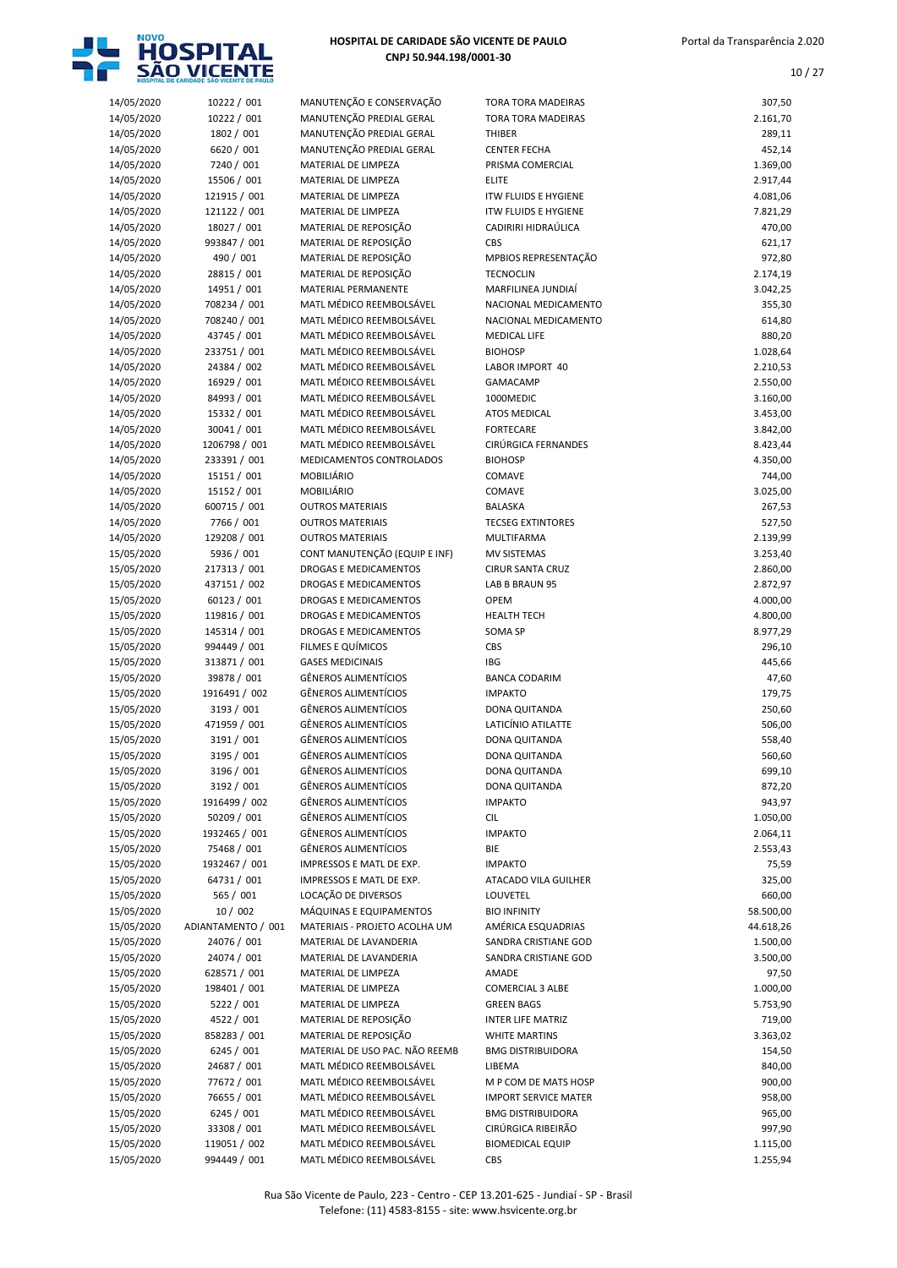

| 14/05/2020 | 10222 / 001        | MANUTENÇÃO E CONSERVAÇÃO       | <b>TORA TORA MADEIRAS</b>   | 307,50    |
|------------|--------------------|--------------------------------|-----------------------------|-----------|
| 14/05/2020 | 10222 / 001        | MANUTENÇÃO PREDIAL GERAL       | <b>TORA TORA MADEIRAS</b>   | 2.161,70  |
| 14/05/2020 | 1802 / 001         | MANUTENÇÃO PREDIAL GERAL       | THIBER                      | 289,11    |
| 14/05/2020 | 6620 / 001         | MANUTENÇÃO PREDIAL GERAL       | <b>CENTER FECHA</b>         | 452,14    |
| 14/05/2020 | 7240 / 001         | MATERIAL DE LIMPEZA            | PRISMA COMERCIAL            | 1.369,00  |
| 14/05/2020 | 15506 / 001        | MATERIAL DE LIMPEZA            | <b>ELITE</b>                | 2.917,44  |
| 14/05/2020 | 121915 / 001       | MATERIAL DE LIMPEZA            | <b>ITW FLUIDS E HYGIENE</b> | 4.081,06  |
| 14/05/2020 | 121122 / 001       | MATERIAL DE LIMPEZA            | <b>ITW FLUIDS E HYGIENE</b> | 7.821,29  |
| 14/05/2020 | 18027 / 001        | MATERIAL DE REPOSIÇÃO          | CADIRIRI HIDRAÚLICA         | 470,00    |
| 14/05/2020 | 993847 / 001       | MATERIAL DE REPOSIÇÃO          | CBS                         | 621,17    |
| 14/05/2020 | 490 / 001          | MATERIAL DE REPOSIÇÃO          | MPBIOS REPRESENTAÇÃO        | 972,80    |
| 14/05/2020 | 28815 / 001        | MATERIAL DE REPOSIÇÃO          | <b>TECNOCLIN</b>            | 2.174,19  |
| 14/05/2020 | 14951 / 001        | MATERIAL PERMANENTE            | MARFILINEA JUNDIAÍ          | 3.042,25  |
| 14/05/2020 | 708234 / 001       | MATL MÉDICO REEMBOLSÁVEL       | NACIONAL MEDICAMENTO        | 355,30    |
| 14/05/2020 | 708240 / 001       | MATL MÉDICO REEMBOLSÁVEL       | NACIONAL MEDICAMENTO        | 614,80    |
| 14/05/2020 | 43745 / 001        | MATL MÉDICO REEMBOLSÁVEL       | <b>MEDICAL LIFE</b>         | 880,20    |
| 14/05/2020 | 233751 / 001       | MATL MÉDICO REEMBOLSÁVEL       | <b>BIOHOSP</b>              | 1.028,64  |
| 14/05/2020 | 24384 / 002        | MATL MÉDICO REEMBOLSÁVEL       | LABOR IMPORT 40             | 2.210,53  |
| 14/05/2020 | 16929 / 001        | MATL MÉDICO REEMBOLSÁVEL       | <b>GAMACAMP</b>             | 2.550,00  |
| 14/05/2020 | 84993 / 001        | MATL MÉDICO REEMBOLSÁVEL       | 1000MEDIC                   | 3.160,00  |
| 14/05/2020 | 15332 / 001        | MATL MÉDICO REEMBOLSÁVEL       | <b>ATOS MEDICAL</b>         | 3.453,00  |
| 14/05/2020 | 30041 / 001        | MATL MÉDICO REEMBOLSÁVEL       | <b>FORTECARE</b>            | 3.842,00  |
| 14/05/2020 | 1206798 / 001      | MATL MÉDICO REEMBOLSÁVEL       | CIRÚRGICA FERNANDES         | 8.423,44  |
| 14/05/2020 | 233391 / 001       | MEDICAMENTOS CONTROLADOS       | <b>BIOHOSP</b>              | 4.350,00  |
| 14/05/2020 | 15151 / 001        | <b>MOBILIÁRIO</b>              | COMAVE                      | 744,00    |
| 14/05/2020 | 15152 / 001        | MOBILIÁRIO                     | COMAVE                      | 3.025,00  |
| 14/05/2020 | 600715 / 001       | <b>OUTROS MATERIAIS</b>        | <b>BALASKA</b>              | 267,53    |
| 14/05/2020 | 7766 / 001         | <b>OUTROS MATERIAIS</b>        | <b>TECSEG EXTINTORES</b>    | 527,50    |
| 14/05/2020 | 129208 / 001       | <b>OUTROS MATERIAIS</b>        | MULTIFARMA                  | 2.139,99  |
| 15/05/2020 | 5936 / 001         | CONT MANUTENÇÃO (EQUIP E INF)  | <b>MV SISTEMAS</b>          | 3.253,40  |
| 15/05/2020 | 217313 / 001       | DROGAS E MEDICAMENTOS          | <b>CIRUR SANTA CRUZ</b>     | 2.860,00  |
| 15/05/2020 | 437151 / 002       | DROGAS E MEDICAMENTOS          | LAB B BRAUN 95              | 2.872,97  |
| 15/05/2020 | 60123 / 001        | DROGAS E MEDICAMENTOS          | <b>OPEM</b>                 | 4.000,00  |
| 15/05/2020 | 119816 / 001       | DROGAS E MEDICAMENTOS          | <b>HEALTH TECH</b>          | 4.800,00  |
| 15/05/2020 | 145314 / 001       | DROGAS E MEDICAMENTOS          | <b>SOMA SP</b>              | 8.977,29  |
| 15/05/2020 | 994449 / 001       | FILMES E QUÍMICOS              | CBS                         | 296,10    |
| 15/05/2020 | 313871 / 001       | <b>GASES MEDICINAIS</b>        | <b>IBG</b>                  | 445,66    |
| 15/05/2020 | 39878 / 001        | <b>GÊNEROS ALIMENTÍCIOS</b>    | <b>BANCA CODARIM</b>        | 47,60     |
| 15/05/2020 | 1916491 / 002      | <b>GÊNEROS ALIMENTÍCIOS</b>    | <b>IMPAKTO</b>              | 179,75    |
| 15/05/2020 | 3193 / 001         | <b>GÊNEROS ALIMENTÍCIOS</b>    | <b>DONA QUITANDA</b>        | 250,60    |
| 15/05/2020 | 471959 / 001       | <b>GÊNEROS ALIMENTÍCIOS</b>    | LATICÍNIO ATILATTE          | 506,00    |
| 15/05/2020 | 3191 / 001         | <b>GÊNEROS ALIMENTÍCIOS</b>    | DONA QUITANDA               | 558,40    |
| 15/05/2020 | 3195 / 001         | <b>GÊNEROS ALIMENTÍCIOS</b>    | <b>DONA QUITANDA</b>        | 560,60    |
| 15/05/2020 | 3196 / 001         | <b>GÊNEROS ALIMENTÍCIOS</b>    | DONA QUITANDA               | 699,10    |
| 15/05/2020 | 3192 / 001         | <b>GËNEROS ALIMENTÍCIOS</b>    | DONA QUITANDA               | 872,20    |
| 15/05/2020 | 1916499 / 002      | <b>GÊNEROS ALIMENTÍCIOS</b>    | <b>IMPAKTO</b>              | 943,97    |
| 15/05/2020 | 50209 / 001        | <b>GÊNEROS ALIMENTÍCIOS</b>    | <b>CIL</b>                  | 1.050,00  |
| 15/05/2020 | 1932465 / 001      | <b>GÊNEROS ALIMENTÍCIOS</b>    | <b>IMPAKTO</b>              | 2.064,11  |
| 15/05/2020 | 75468 / 001        | GÊNEROS ALIMENTÍCIOS           | BIE                         | 2.553,43  |
| 15/05/2020 | 1932467 / 001      | IMPRESSOS E MATL DE EXP.       | <b>IMPAKTO</b>              | 75,59     |
| 15/05/2020 | 64731 / 001        | IMPRESSOS E MATL DE EXP.       | ATACADO VILA GUILHER        | 325,00    |
| 15/05/2020 | 565 / 001          | LOCAÇÃO DE DIVERSOS            | LOUVETEL                    | 660,00    |
| 15/05/2020 | 10 / 002           | MÁQUINAS E EQUIPAMENTOS        | <b>BIO INFINITY</b>         | 58.500,00 |
| 15/05/2020 | ADIANTAMENTO / 001 | MATERIAIS - PROJETO ACOLHA UM  | AMÉRICA ESQUADRIAS          | 44.618,26 |
| 15/05/2020 | 24076 / 001        | MATERIAL DE LAVANDERIA         | SANDRA CRISTIANE GOD        | 1.500,00  |
| 15/05/2020 | 24074 / 001        | MATERIAL DE LAVANDERIA         | SANDRA CRISTIANE GOD        | 3.500,00  |
| 15/05/2020 | 628571 / 001       | MATERIAL DE LIMPEZA            | AMADE                       | 97,50     |
| 15/05/2020 | 198401 / 001       | MATERIAL DE LIMPEZA            | <b>COMERCIAL 3 ALBE</b>     | 1.000,00  |
| 15/05/2020 | 5222 / 001         | MATERIAL DE LIMPEZA            | <b>GREEN BAGS</b>           | 5.753,90  |
| 15/05/2020 | 4522 / 001         | MATERIAL DE REPOSIÇÃO          | INTER LIFE MATRIZ           | 719,00    |
| 15/05/2020 | 858283 / 001       | MATERIAL DE REPOSIÇÃO          | <b>WHITE MARTINS</b>        | 3.363,02  |
| 15/05/2020 | 6245 / 001         | MATERIAL DE USO PAC. NÃO REEMB | <b>BMG DISTRIBUIDORA</b>    | 154,50    |
| 15/05/2020 | 24687 / 001        | MATL MÉDICO REEMBOLSÁVEL       | LIBEMA                      | 840,00    |
| 15/05/2020 | 77672 / 001        | MATL MÉDICO REEMBOLSÁVEL       | M P COM DE MATS HOSP        | 900,00    |
| 15/05/2020 | 76655 / 001        | MATL MÉDICO REEMBOLSÁVEL       | <b>IMPORT SERVICE MATER</b> | 958,00    |
| 15/05/2020 | 6245 / 001         | MATL MÉDICO REEMBOLSÁVEL       | <b>BMG DISTRIBUIDORA</b>    | 965,00    |
| 15/05/2020 | 33308 / 001        | MATL MÉDICO REEMBOLSÁVEL       | CIRÚRGICA RIBEIRÃO          | 997,90    |
| 15/05/2020 | 119051 / 002       | MATL MÉDICO REEMBOLSÁVEL       | <b>BIOMEDICAL EQUIP</b>     | 1.115,00  |
| 15/05/2020 | 994449 / 001       | MATL MÉDICO REEMBOLSÁVEL       | CBS                         | 1.255,94  |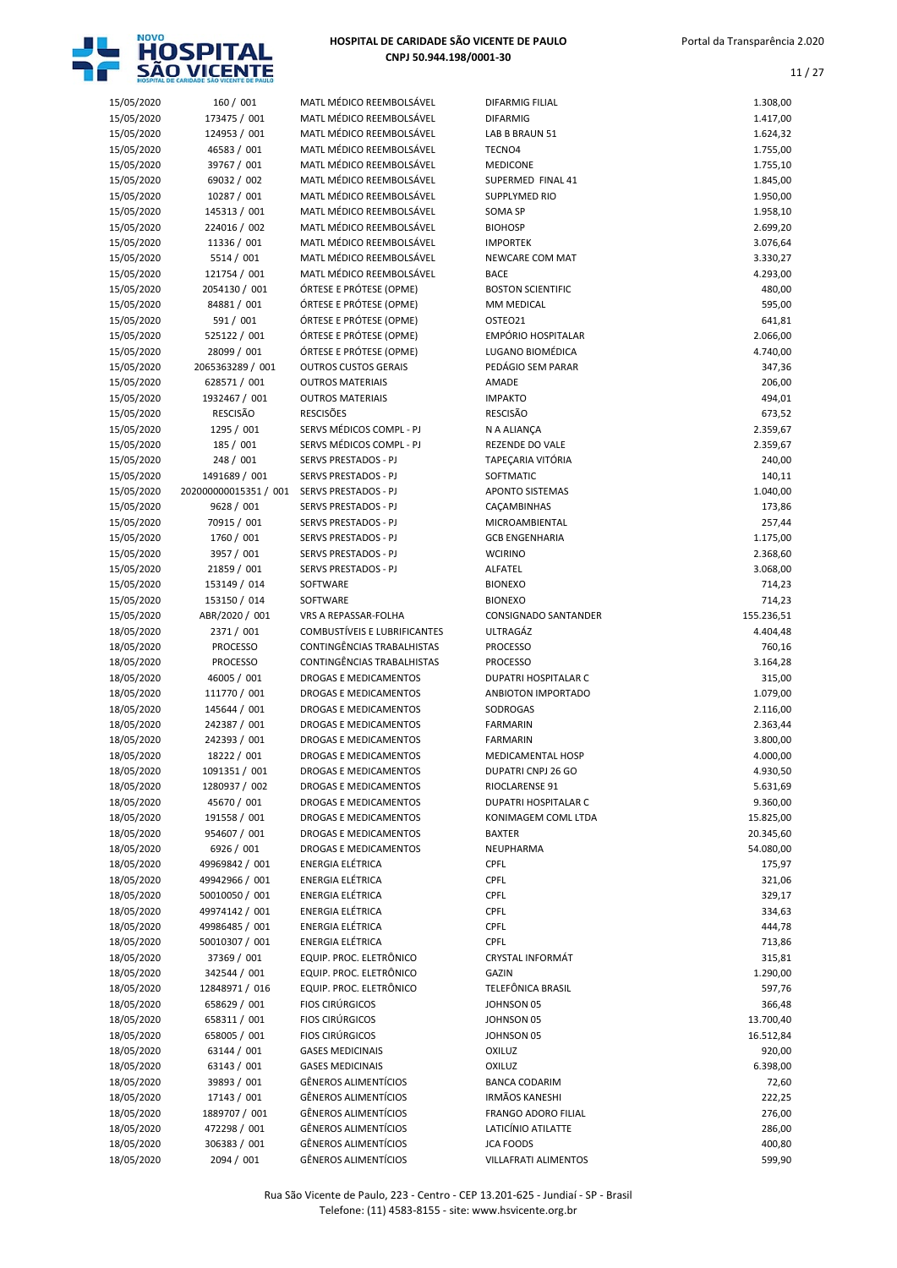

| 15/05/2020 | 160 / 001             | MATL MÉDICO REEMBOLSÁVEL     | <b>DIFARMIG FILIAL</b>      | 1.308,00   |
|------------|-----------------------|------------------------------|-----------------------------|------------|
| 15/05/2020 | 173475 / 001          | MATL MÉDICO REEMBOLSÁVEL     | <b>DIFARMIG</b>             | 1.417,00   |
| 15/05/2020 | 124953 / 001          | MATL MÉDICO REEMBOLSÁVEL     | LAB B BRAUN 51              | 1.624,32   |
| 15/05/2020 | 46583 / 001           | MATL MÉDICO REEMBOLSÁVEL     | TECNO4                      | 1.755,00   |
| 15/05/2020 | 39767 / 001           | MATL MÉDICO REEMBOLSÁVEL     | <b>MEDICONE</b>             | 1.755,10   |
| 15/05/2020 | 69032 / 002           | MATL MÉDICO REEMBOLSÁVEL     | SUPERMED FINAL 41           | 1.845,00   |
| 15/05/2020 | 10287 / 001           | MATL MÉDICO REEMBOLSÁVEL     | <b>SUPPLYMED RIO</b>        | 1.950,00   |
| 15/05/2020 | 145313 / 001          | MATL MÉDICO REEMBOLSÁVEL     | SOMA SP                     | 1.958,10   |
| 15/05/2020 | 224016 / 002          | MATL MÉDICO REEMBOLSÁVEL     | <b>BIOHOSP</b>              | 2.699,20   |
| 15/05/2020 | 11336 / 001           | MATL MÉDICO REEMBOLSÁVEL     | <b>IMPORTEK</b>             | 3.076,64   |
| 15/05/2020 | 5514 / 001            | MATL MÉDICO REEMBOLSÁVEL     | NEWCARE COM MAT             | 3.330,27   |
| 15/05/2020 | 121754 / 001          | MATL MÉDICO REEMBOLSÁVEL     | <b>BACE</b>                 | 4.293,00   |
| 15/05/2020 | 2054130 / 001         | ÓRTESE E PRÓTESE (OPME)      | <b>BOSTON SCIENTIFIC</b>    | 480,00     |
|            | 84881 / 001           | ÓRTESE E PRÓTESE (OPME)      | MM MEDICAL                  | 595,00     |
| 15/05/2020 |                       |                              |                             |            |
| 15/05/2020 | 591 / 001             | ÓRTESE E PRÓTESE (OPME)      | OSTEO21                     | 641,81     |
| 15/05/2020 | 525122 / 001          | ÓRTESE E PRÓTESE (OPME)      | <b>EMPÓRIO HOSPITALAR</b>   | 2.066,00   |
| 15/05/2020 | 28099 / 001           | ÓRTESE E PRÓTESE (OPME)      | LUGANO BIOMÉDICA            | 4.740,00   |
| 15/05/2020 | 2065363289 / 001      | <b>OUTROS CUSTOS GERAIS</b>  | PEDÁGIO SEM PARAR           | 347,36     |
| 15/05/2020 | 628571 / 001          | <b>OUTROS MATERIAIS</b>      | <b>AMADE</b>                | 206,00     |
| 15/05/2020 | 1932467 / 001         | <b>OUTROS MATERIAIS</b>      | <b>IMPAKTO</b>              | 494,01     |
| 15/05/2020 | <b>RESCISÃO</b>       | <b>RESCISÕES</b>             | <b>RESCISÃO</b>             | 673,52     |
| 15/05/2020 | 1295 / 001            | SERVS MÉDICOS COMPL - PJ     | N A ALIANÇA                 | 2.359,67   |
| 15/05/2020 | 185 / 001             | SERVS MÉDICOS COMPL - PJ     | REZENDE DO VALE             | 2.359,67   |
| 15/05/2020 | 248 / 001             | SERVS PRESTADOS - PJ         | TAPEÇARIA VITÓRIA           | 240,00     |
| 15/05/2020 | 1491689 / 001         | SERVS PRESTADOS - PJ         | SOFTMATIC                   | 140,11     |
| 15/05/2020 | 202000000015351 / 001 | <b>SERVS PRESTADOS - PJ</b>  | <b>APONTO SISTEMAS</b>      | 1.040,00   |
| 15/05/2020 | 9628 / 001            | SERVS PRESTADOS - PJ         | CAÇAMBINHAS                 | 173,86     |
| 15/05/2020 | 70915 / 001           | SERVS PRESTADOS - PJ         | MICROAMBIENTAL              | 257,44     |
| 15/05/2020 | 1760 / 001            | SERVS PRESTADOS - PJ         | <b>GCB ENGENHARIA</b>       | 1.175,00   |
| 15/05/2020 | 3957 / 001            | <b>SERVS PRESTADOS - PJ</b>  | <b>WCIRINO</b>              | 2.368,60   |
| 15/05/2020 | 21859 / 001           | SERVS PRESTADOS - PJ         | ALFATEL                     | 3.068,00   |
| 15/05/2020 | 153149 / 014          | SOFTWARE                     | <b>BIONEXO</b>              | 714,23     |
| 15/05/2020 | 153150 / 014          | SOFTWARE                     | <b>BIONEXO</b>              | 714,23     |
| 15/05/2020 | ABR/2020 / 001        | VRS A REPASSAR-FOLHA         | CONSIGNADO SANTANDER        | 155.236,51 |
| 18/05/2020 | 2371 / 001            | COMBUSTÍVEIS E LUBRIFICANTES | ULTRAGÁZ                    | 4.404,48   |
|            | <b>PROCESSO</b>       | CONTINGÊNCIAS TRABALHISTAS   |                             |            |
| 18/05/2020 |                       |                              | <b>PROCESSO</b>             | 760,16     |
| 18/05/2020 | <b>PROCESSO</b>       | CONTINGÊNCIAS TRABALHISTAS   | <b>PROCESSO</b>             | 3.164,28   |
| 18/05/2020 | 46005 / 001           | DROGAS E MEDICAMENTOS        | <b>DUPATRI HOSPITALAR C</b> | 315,00     |
| 18/05/2020 | 111770 / 001          | DROGAS E MEDICAMENTOS        | ANBIOTON IMPORTADO          | 1.079,00   |
| 18/05/2020 | 145644 / 001          | DROGAS E MEDICAMENTOS        | SODROGAS                    | 2.116,00   |
| 18/05/2020 | 242387 / 001          | DROGAS E MEDICAMENTOS        | <b>FARMARIN</b>             | 2.363,44   |
| 18/05/2020 | 242393 / 001          | DROGAS E MEDICAMENTOS        | <b>FARMARIN</b>             | 3.800,00   |
| 18/05/2020 | 18222 / 001           | <b>DROGAS E MEDICAMENTOS</b> | MEDICAMENTAL HOSP           | 4.000,00   |
| 18/05/2020 | 1091351 / 001         | DROGAS E MEDICAMENTOS        | DUPATRI CNPJ 26 GO          | 4.930,50   |
| 18/05/2020 | 1280937 / 002         | <b>DROGAS E MEDICAMENTOS</b> | RIOCLARENSE 91              | 5.631,69   |
| 18/05/2020 | 45670 / 001           | DROGAS E MEDICAMENTOS        | DUPATRI HOSPITALAR C        | 9.360,00   |
| 18/05/2020 | 191558 / 001          | DROGAS E MEDICAMENTOS        | KONIMAGEM COML LTDA         | 15.825,00  |
| 18/05/2020 | 954607 / 001          | <b>DROGAS E MEDICAMENTOS</b> | <b>BAXTER</b>               | 20.345,60  |
| 18/05/2020 | 6926 / 001            | DROGAS E MEDICAMENTOS        | NEUPHARMA                   | 54.080,00  |
| 18/05/2020 | 49969842 / 001        | <b>ENERGIA ELÉTRICA</b>      | CPFL                        | 175,97     |
| 18/05/2020 | 49942966 / 001        | <b>ENERGIA ELÉTRICA</b>      | CPFL                        | 321,06     |
| 18/05/2020 | 50010050 / 001        | <b>ENERGIA ELÉTRICA</b>      | CPFL                        | 329,17     |
| 18/05/2020 | 49974142 / 001        | <b>ENERGIA ELÉTRICA</b>      | <b>CPFL</b>                 | 334,63     |
| 18/05/2020 | 49986485 / 001        | <b>ENERGIA ELÉTRICA</b>      | <b>CPFL</b>                 | 444,78     |
| 18/05/2020 | 50010307 / 001        | <b>ENERGIA ELÉTRICA</b>      | <b>CPFL</b>                 | 713,86     |
| 18/05/2020 | 37369 / 001           | EQUIP. PROC. ELETRÔNICO      | <b>CRYSTAL INFORMÁT</b>     | 315,81     |
|            | 342544 / 001          | EQUIP. PROC. ELETRÔNICO      | GAZIN                       |            |
| 18/05/2020 |                       |                              |                             | 1.290,00   |
| 18/05/2020 | 12848971 / 016        | EQUIP. PROC. ELETRÔNICO      | TELEFÔNICA BRASIL           | 597,76     |
| 18/05/2020 | 658629 / 001          | <b>FIOS CIRÚRGICOS</b>       | JOHNSON 05                  | 366,48     |
| 18/05/2020 | 658311 / 001          | <b>FIOS CIRÚRGICOS</b>       | JOHNSON 05                  | 13.700,40  |
| 18/05/2020 | 658005 / 001          | <b>FIOS CIRÚRGICOS</b>       | JOHNSON 05                  | 16.512,84  |
| 18/05/2020 | 63144 / 001           | <b>GASES MEDICINAIS</b>      | <b>OXILUZ</b>               | 920,00     |
| 18/05/2020 | 63143 / 001           | <b>GASES MEDICINAIS</b>      | <b>OXILUZ</b>               | 6.398,00   |
| 18/05/2020 | 39893 / 001           | <b>GÊNEROS ALIMENTÍCIOS</b>  | <b>BANCA CODARIM</b>        | 72,60      |
| 18/05/2020 | 17143 / 001           | <b>GÊNEROS ALIMENTÍCIOS</b>  | <b>IRMÃOS KANESHI</b>       | 222,25     |
| 18/05/2020 | 1889707 / 001         | <b>GÊNEROS ALIMENTÍCIOS</b>  | <b>FRANGO ADORO FILIAL</b>  | 276,00     |
| 18/05/2020 | 472298 / 001          | <b>GÊNEROS ALIMENTÍCIOS</b>  | LATICÍNIO ATILATTE          | 286,00     |
| 18/05/2020 | 306383 / 001          | <b>GÊNEROS ALIMENTÍCIOS</b>  | <b>JCA FOODS</b>            | 400,80     |
| 18/05/2020 | 2094 / 001            | <b>GÊNEROS ALIMENTÍCIOS</b>  | VILLAFRATI ALIMENTOS        | 599,90     |
|            |                       |                              |                             |            |

| DIFARMIG FILIAL                       | 1.308,00             |
|---------------------------------------|----------------------|
| <b>DIFARMIG</b>                       | 1.417,00             |
| LAB B BRAUN 51                        | 1.624,32             |
| TECNO4                                | 1.755,00             |
| <b>MEDICONE</b>                       | 1.755,10             |
| SUPERMED FINAL 41                     | 1.845,00             |
| SUPPLYMED RIO<br>SOMA SP              | 1.950,00<br>1.958,10 |
| <b>BIOHOSP</b>                        | 2.699,20             |
| <b>IMPORTEK</b>                       | 3.076,64             |
| <b>NEWCARE COM MAT</b>                | 3.330,27             |
| BACE                                  | 4.293,00             |
| <b>BOSTON SCIENTIFIC</b>              | 480,00               |
| MM MEDICAL                            | 595,00               |
| OSTEO21                               | 641,81               |
| EMPÓRIO HOSPITALAR                    | 2.066,00             |
| LUGANO BIOMÉDICA                      | 4.740,00             |
| PEDÁGIO SEM PARAR                     | 347,36               |
| <b>AMADE</b>                          | 206,00               |
| <b>IMPAKTO</b>                        | 494,01               |
| <b>RESCISÃO</b>                       | 673,52               |
| N A ALIANÇA<br><b>REZENDE DO VALE</b> | 2.359,67             |
| TAPECARIA VITÓRIA                     | 2.359,67             |
| SOFTMATIC                             | 240,00<br>140,11     |
| <b>APONTO SISTEMAS</b>                | 1.040,00             |
| CAÇAMBINHAS                           | 173,86               |
| <b>MICROAMBIENTAL</b>                 | 257,44               |
| <b>GCB ENGENHARIA</b>                 | 1.175,00             |
| <b>WCIRINO</b>                        | 2.368,60             |
| ALFATEL                               | 3.068,00             |
| <b>BIONEXO</b>                        | 714,23               |
| <b>BIONEXO</b>                        | 714,23               |
| <b>CONSIGNADO SANTANDER</b>           | 155.236,51           |
| <b>ULTRAGÁZ</b>                       | 4.404,48             |
| <b>PROCESSO</b>                       | 760,16               |
| <b>PROCESSO</b>                       | 3.164,28             |
| <b>DUPATRI HOSPITALAR C</b>           | 315,00               |
| ANBIOTON IMPORTADO                    | 1.079,00             |
| SODROGAS<br><b>FARMARIN</b>           | 2.116,00             |
| <b>FARMARIN</b>                       | 2.363,44<br>3.800,00 |
| MEDICAMENTAL HOSP                     | 4.000,00             |
| DUPATRI CNPJ 26 GO                    | 4.930,50             |
| RIOCLARENSE 91                        | 5.631,69             |
| <b>DUPATRI HOSPITALAR C</b>           | 9.360,00             |
| KONIMAGEM COML LTDA                   | 15.825,00            |
| <b>BAXTER</b>                         | 20.345,60            |
| NEUPHARMA                             | 54.080,00            |
| <b>CPFL</b>                           | 175,97               |
| <b>CPFL</b>                           | 321,06               |
| <b>CPFL</b>                           | 329,17               |
| <b>CPFL</b>                           | 334,63               |
| <b>CPFL</b>                           | 444,78               |
| <b>CPFL</b>                           | 713,86               |
| <b>CRYSTAL INFORMÁT</b>               | 315,81               |
| GAZIN<br>TELEFÖNICA BRASIL            | 1.290,00<br>597,76   |
| JOHNSON 05                            | 366,48               |
| JOHNSON 05                            | 13.700,40            |
| JOHNSON 05                            | 16.512,84            |
| OXILUZ                                | 920,00               |
| <b>OXILUZ</b>                         | 6.398,00             |
| <b>BANCA CODARIM</b>                  | 72,60                |
| <b>IRMÃOS KANESHI</b>                 | 222,25               |
| <b>FRANGO ADORO FILIAL</b>            | 276,00               |
| LATICÍNIO ATILATTE                    | 286,00               |
| <b>JCA FOODS</b>                      | 400,80               |
| VILLAFRATI ALIMENTOS                  | 599,90               |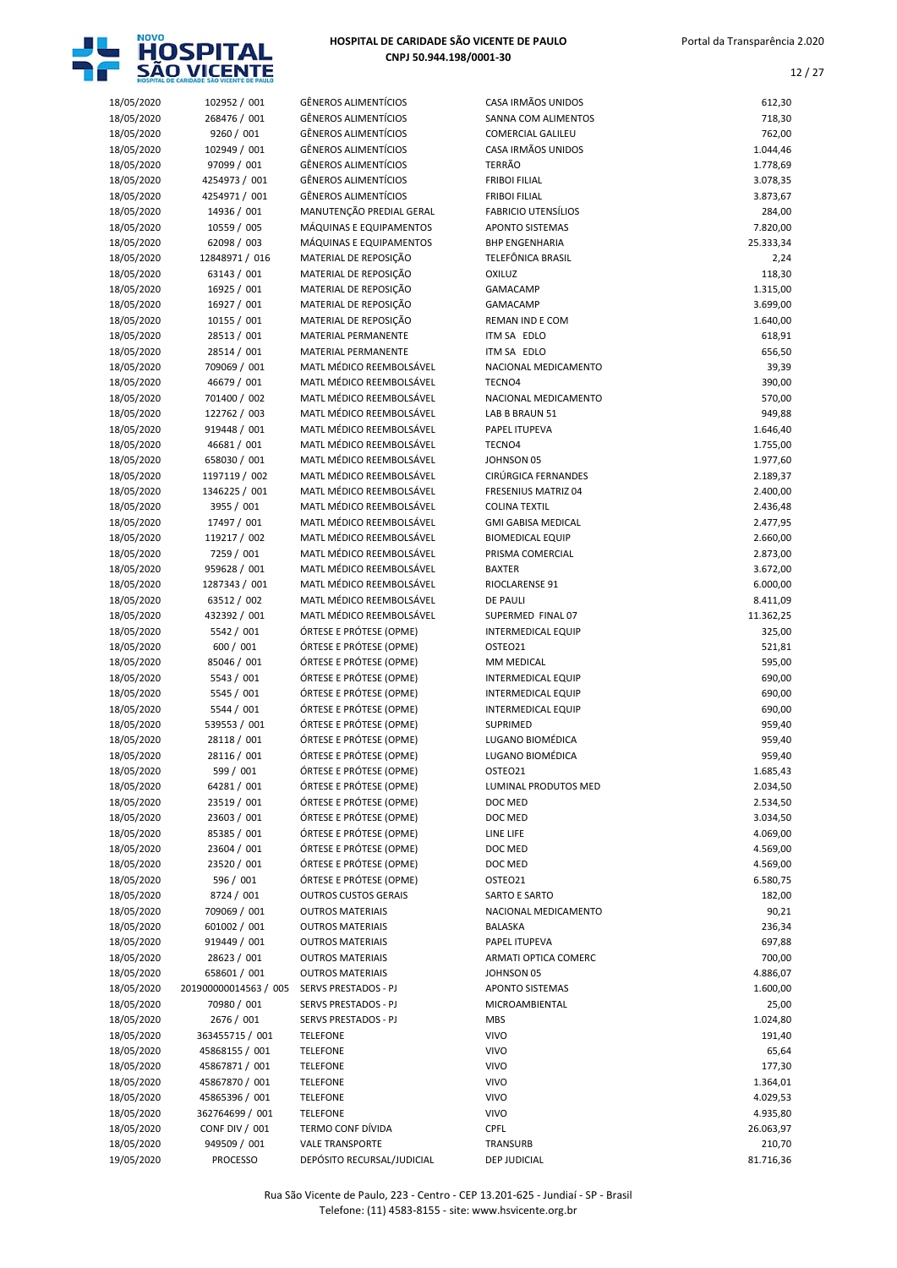

| 18/05/2020 | 102952 / 001          | <b>GÊNEROS ALIMENTÍCIOS</b> | CASA IRMÃOS UNIDOS         | 612,30    |
|------------|-----------------------|-----------------------------|----------------------------|-----------|
| 18/05/2020 | 268476 / 001          | <b>GÊNEROS ALIMENTÍCIOS</b> | <b>SANNA COM ALIMENTOS</b> | 718,30    |
| 18/05/2020 | 9260 / 001            | <b>GÊNEROS ALIMENTÍCIOS</b> | <b>COMERCIAL GALILEU</b>   | 762,00    |
| 18/05/2020 | 102949 / 001          | <b>GÊNEROS ALIMENTÍCIOS</b> | CASA IRMÃOS UNIDOS         | 1.044,46  |
|            |                       |                             |                            |           |
| 18/05/2020 | 97099 / 001           | <b>GÊNEROS ALIMENTÍCIOS</b> | <b>TERRÃO</b>              | 1.778,69  |
| 18/05/2020 | 4254973 / 001         | <b>GÊNEROS ALIMENTÍCIOS</b> | <b>FRIBOI FILIAL</b>       | 3.078,35  |
| 18/05/2020 | 4254971 / 001         | <b>GÊNEROS ALIMENTÍCIOS</b> | <b>FRIBOI FILIAL</b>       | 3.873,67  |
| 18/05/2020 | 14936 / 001           | MANUTENÇÃO PREDIAL GERAL    | <b>FABRICIO UTENSÍLIOS</b> | 284,00    |
|            | 10559 / 005           | MÁQUINAS E EQUIPAMENTOS     | <b>APONTO SISTEMAS</b>     | 7.820,00  |
| 18/05/2020 |                       |                             |                            |           |
| 18/05/2020 | 62098 / 003           | MÁQUINAS E EQUIPAMENTOS     | <b>BHP ENGENHARIA</b>      | 25.333,34 |
| 18/05/2020 | 12848971 / 016        | MATERIAL DE REPOSIÇÃO       | TELEFÔNICA BRASIL          | 2,24      |
| 18/05/2020 | 63143 / 001           | MATERIAL DE REPOSIÇÃO       | <b>OXILUZ</b>              | 118,30    |
| 18/05/2020 | 16925 / 001           | MATERIAL DE REPOSIÇÃO       | <b>GAMACAMP</b>            | 1.315,00  |
| 18/05/2020 | 16927 / 001           | MATERIAL DE REPOSIÇÃO       | GAMACAMP                   | 3.699,00  |
|            |                       |                             |                            |           |
| 18/05/2020 | 10155 / 001           | MATERIAL DE REPOSIÇÃO       | REMAN IND E COM            | 1.640,00  |
| 18/05/2020 | 28513 / 001           | MATERIAL PERMANENTE         | ITM SA EDLO                | 618,91    |
| 18/05/2020 | 28514 / 001           | MATERIAL PERMANENTE         | ITM SA EDLO                | 656,50    |
| 18/05/2020 | 709069 / 001          | MATL MÉDICO REEMBOLSÁVEL    | NACIONAL MEDICAMENTO       | 39,39     |
| 18/05/2020 | 46679 / 001           | MATL MÉDICO REEMBOLSÁVEL    | TECNO <sub>4</sub>         | 390,00    |
|            |                       |                             |                            |           |
| 18/05/2020 | 701400 / 002          | MATL MÉDICO REEMBOLSÁVEL    | NACIONAL MEDICAMENTO       | 570,00    |
| 18/05/2020 | 122762 / 003          | MATL MÉDICO REEMBOLSÁVEL    | LAB B BRAUN 51             | 949,88    |
| 18/05/2020 | 919448 / 001          | MATL MÉDICO REEMBOLSÁVEL    | PAPEL ITUPEVA              | 1.646,40  |
| 18/05/2020 | 46681 / 001           | MATL MÉDICO REEMBOLSÁVEL    | TECNO <sub>4</sub>         | 1.755,00  |
| 18/05/2020 | 658030 / 001          | MATL MÉDICO REEMBOLSÁVEL    | JOHNSON 05                 | 1.977,60  |
|            |                       |                             |                            |           |
| 18/05/2020 | 1197119 / 002         | MATL MÉDICO REEMBOLSÁVEL    | CIRÚRGICA FERNANDES        | 2.189,37  |
| 18/05/2020 | 1346225 / 001         | MATL MÉDICO REEMBOLSÁVEL    | <b>FRESENIUS MATRIZ 04</b> | 2.400,00  |
| 18/05/2020 | 3955 / 001            | MATL MÉDICO REEMBOLSÁVEL    | <b>COLINA TEXTIL</b>       | 2.436,48  |
| 18/05/2020 | 17497 / 001           | MATL MÉDICO REEMBOLSÁVEL    | <b>GMI GABISA MEDICAL</b>  | 2.477,95  |
| 18/05/2020 | 119217 / 002          | MATL MÉDICO REEMBOLSÁVEL    | <b>BIOMEDICAL EQUIP</b>    | 2.660,00  |
|            |                       |                             |                            |           |
| 18/05/2020 | 7259 / 001            | MATL MÉDICO REEMBOLSÁVEL    | PRISMA COMERCIAL           | 2.873,00  |
| 18/05/2020 | 959628 / 001          | MATL MÉDICO REEMBOLSÁVEL    | <b>BAXTER</b>              | 3.672,00  |
| 18/05/2020 | 1287343 / 001         | MATL MÉDICO REEMBOLSÁVEL    | RIOCLARENSE 91             | 6.000,00  |
| 18/05/2020 | 63512 / 002           | MATL MÉDICO REEMBOLSÁVEL    | <b>DE PAULI</b>            | 8.411,09  |
| 18/05/2020 | 432392 / 001          | MATL MÉDICO REEMBOLSÁVEL    | SUPERMED FINAL 07          | 11.362,25 |
|            |                       |                             |                            |           |
| 18/05/2020 | 5542 / 001            | ÓRTESE E PRÓTESE (OPME)     | INTERMEDICAL EQUIP         | 325,00    |
| 18/05/2020 | 600 / 001             | ÓRTESE E PRÓTESE (OPME)     | OSTEO21                    | 521,81    |
| 18/05/2020 | 85046 / 001           | ÓRTESE E PRÓTESE (OPME)     | MM MEDICAL                 | 595,00    |
| 18/05/2020 | 5543 / 001            | ÓRTESE E PRÓTESE (OPME)     | <b>INTERMEDICAL EQUIP</b>  | 690,00    |
| 18/05/2020 | 5545 / 001            | ÓRTESE E PRÓTESE (OPME)     | <b>INTERMEDICAL EQUIP</b>  | 690,00    |
|            |                       |                             |                            |           |
| 18/05/2020 | 5544 / 001            | ÓRTESE E PRÓTESE (OPME)     | <b>INTERMEDICAL EQUIP</b>  | 690,00    |
| 18/05/2020 | 539553 / 001          | ÓRTESE E PRÓTESE (OPME)     | <b>SUPRIMED</b>            | 959,40    |
| 18/05/2020 | 28118 / 001           | ÓRTESE E PRÓTESE (OPME)     | LUGANO BIOMÉDICA           | 959,40    |
| 18/05/2020 | 28116 / 001           | ÓRTESE E PRÓTESE (OPME)     | LUGANO BIOMÉDICA           | 959,40    |
| 18/05/2020 | 599 / 001             | ÓRTESE E PRÓTESE (OPME)     | OSTEO21                    | 1.685,43  |
|            |                       |                             |                            |           |
| 18/05/2020 | 64281 / 001           | ÓRTESE E PRÓTESE (OPME)     | LUMINAL PRODUTOS MED       | 2.034,50  |
| 18/05/2020 | 23519 / 001           | ÓRTESE E PRÓTESE (OPME)     | DOC MED                    | 2.534,50  |
| 18/05/2020 | 23603 / 001           | ÓRTESE E PRÓTESE (OPME)     | DOC MED                    | 3.034,50  |
| 18/05/2020 | 85385 / 001           | ÓRTESE E PRÓTESE (OPME)     | LINE LIFE                  | 4.069,00  |
| 18/05/2020 | 23604 / 001           | ÓRTESE E PRÓTESE (OPME)     | DOC MED                    | 4.569,00  |
|            |                       |                             |                            |           |
| 18/05/2020 | 23520 / 001           | ÓRTESE E PRÓTESE (OPME)     | DOC MED                    | 4.569,00  |
| 18/05/2020 | 596 / 001             | ÓRTESE E PRÓTESE (OPME)     | OSTEO21                    | 6.580,75  |
| 18/05/2020 | 8724 / 001            | <b>OUTROS CUSTOS GERAIS</b> | SARTO E SARTO              | 182,00    |
| 18/05/2020 | 709069 / 001          | <b>OUTROS MATERIAIS</b>     | NACIONAL MEDICAMENTO       | 90,21     |
| 18/05/2020 | 601002 / 001          | <b>OUTROS MATERIAIS</b>     | BALASKA                    | 236,34    |
|            | 919449 / 001          | <b>OUTROS MATERIAIS</b>     | PAPEL ITUPEVA              |           |
| 18/05/2020 |                       |                             |                            | 697,88    |
| 18/05/2020 | 28623 / 001           | <b>OUTROS MATERIAIS</b>     | ARMATI OPTICA COMERC       | 700,00    |
| 18/05/2020 | 658601 / 001          | <b>OUTROS MATERIAIS</b>     | JOHNSON 05                 | 4.886,07  |
| 18/05/2020 | 201900000014563 / 005 | SERVS PRESTADOS - PJ        | APONTO SISTEMAS            | 1.600,00  |
| 18/05/2020 | 70980 / 001           | SERVS PRESTADOS - PJ        | MICROAMBIENTAL             | 25,00     |
|            | 2676 / 001            | SERVS PRESTADOS - PJ        | <b>MBS</b>                 | 1.024,80  |
| 18/05/2020 |                       |                             |                            |           |
| 18/05/2020 | 363455715 / 001       | <b>TELEFONE</b>             | <b>VIVO</b>                | 191,40    |
| 18/05/2020 | 45868155 / 001        | <b>TELEFONE</b>             | <b>VIVO</b>                | 65,64     |
| 18/05/2020 | 45867871 / 001        | <b>TELEFONE</b>             | <b>VIVO</b>                | 177,30    |
| 18/05/2020 | 45867870 / 001        | <b>TELEFONE</b>             | <b>VIVO</b>                | 1.364,01  |
| 18/05/2020 | 45865396 / 001        | <b>TELEFONE</b>             | <b>VIVO</b>                | 4.029,53  |
|            |                       |                             |                            |           |
| 18/05/2020 | 362764699 / 001       | <b>TELEFONE</b>             | <b>VIVO</b>                | 4.935,80  |
| 18/05/2020 | <b>CONF DIV / 001</b> | TERMO CONF DÍVIDA           | <b>CPFL</b>                | 26.063,97 |
| 18/05/2020 | 949509 / 001          | <b>VALE TRANSPORTE</b>      | TRANSURB                   | 210,70    |
| 19/05/2020 | <b>PROCESSO</b>       | DEPÓSITO RECURSAL/JUDICIAL  | DEP JUDICIAL               | 81.716,36 |
|            |                       |                             |                            |           |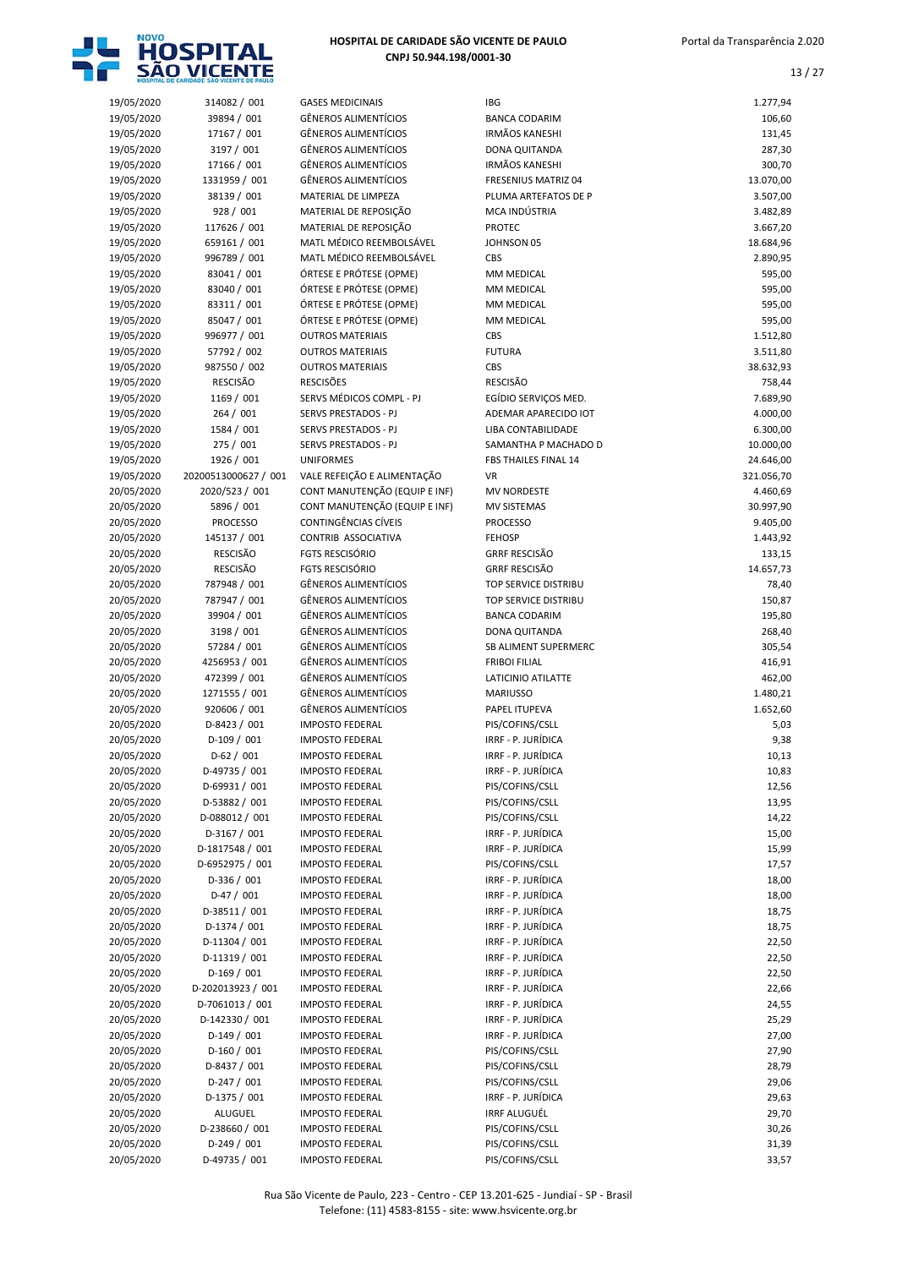

|            |                      |                               | IBG                         |            |
|------------|----------------------|-------------------------------|-----------------------------|------------|
| 19/05/2020 | 314082 / 001         | <b>GASES MEDICINAIS</b>       |                             | 1.277,94   |
| 19/05/2020 | 39894 / 001          | <b>GÊNEROS ALIMENTÍCIOS</b>   | <b>BANCA CODARIM</b>        | 106,60     |
| 19/05/2020 | 17167 / 001          | <b>GÊNEROS ALIMENTÍCIOS</b>   | <b>IRMÃOS KANESHI</b>       | 131,45     |
| 19/05/2020 | 3197 / 001           | <b>GÊNEROS ALIMENTÍCIOS</b>   | DONA QUITANDA               | 287,30     |
| 19/05/2020 | 17166 / 001          | <b>GÊNEROS ALIMENTÍCIOS</b>   | <b>IRMÃOS KANESHI</b>       | 300,70     |
| 19/05/2020 | 1331959 / 001        | <b>GÊNEROS ALIMENTÍCIOS</b>   | <b>FRESENIUS MATRIZ 04</b>  | 13.070,00  |
| 19/05/2020 | 38139 / 001          | MATERIAL DE LIMPEZA           | PLUMA ARTEFATOS DE P        | 3.507,00   |
| 19/05/2020 | 928 / 001            | MATERIAL DE REPOSIÇÃO         | MCA INDÚSTRIA               | 3.482,89   |
| 19/05/2020 | 117626 / 001         | MATERIAL DE REPOSIÇÃO         | <b>PROTEC</b>               | 3.667,20   |
| 19/05/2020 | 659161 / 001         | MATL MÉDICO REEMBOLSÁVEL      | JOHNSON 05                  | 18.684,96  |
| 19/05/2020 | 996789 / 001         | MATL MÉDICO REEMBOLSÁVEL      | CBS                         | 2.890,95   |
|            | 83041 / 001          | ÓRTESE E PRÓTESE (OPME)       | MM MEDICAL                  | 595,00     |
| 19/05/2020 |                      |                               |                             |            |
| 19/05/2020 | 83040 / 001          | ÓRTESE E PRÓTESE (OPME)       | MM MEDICAL                  | 595,00     |
| 19/05/2020 | 83311 / 001          | ÓRTESE E PRÓTESE (OPME)       | MM MEDICAL                  | 595,00     |
| 19/05/2020 | 85047 / 001          | ÓRTESE E PRÓTESE (OPME)       | MM MEDICAL                  | 595,00     |
| 19/05/2020 | 996977 / 001         | <b>OUTROS MATERIAIS</b>       | <b>CBS</b>                  | 1.512,80   |
| 19/05/2020 | 57792 / 002          | <b>OUTROS MATERIAIS</b>       | <b>FUTURA</b>               | 3.511,80   |
| 19/05/2020 | 987550 / 002         | <b>OUTROS MATERIAIS</b>       | CBS                         | 38.632,93  |
| 19/05/2020 | <b>RESCISÃO</b>      | <b>RESCISÕES</b>              | <b>RESCISÃO</b>             | 758,44     |
| 19/05/2020 | 1169 / 001           | SERVS MÉDICOS COMPL - PJ      | EGÍDIO SERVIÇOS MED.        | 7.689,90   |
| 19/05/2020 | 264 / 001            | <b>SERVS PRESTADOS - PJ</b>   | ADEMAR APARECIDO IOT        | 4.000,00   |
| 19/05/2020 | 1584 / 001           | SERVS PRESTADOS - PJ          | <b>LIBA CONTABILIDADE</b>   | 6.300,00   |
|            |                      | <b>SERVS PRESTADOS - PJ</b>   |                             |            |
| 19/05/2020 | 275 / 001            |                               | SAMANTHA P MACHADO D        | 10.000,00  |
| 19/05/2020 | 1926 / 001           | <b>UNIFORMES</b>              | FBS THAILES FINAL 14        | 24.646,00  |
| 19/05/2020 | 20200513000627 / 001 | VALE REFEIÇÃO E ALIMENTAÇÃO   | <b>VR</b>                   | 321.056,70 |
| 20/05/2020 | 2020/523 / 001       | CONT MANUTENÇÃO (EQUIP E INF) | <b>MV NORDESTE</b>          | 4.460,69   |
| 20/05/2020 | 5896 / 001           | CONT MANUTENÇÃO (EQUIP E INF) | <b>MV SISTEMAS</b>          | 30.997,90  |
| 20/05/2020 | <b>PROCESSO</b>      | CONTINGÊNCIAS CÍVEIS          | <b>PROCESSO</b>             | 9.405,00   |
| 20/05/2020 | 145137 / 001         | CONTRIB ASSOCIATIVA           | <b>FEHOSP</b>               | 1.443,92   |
| 20/05/2020 | <b>RESCISÃO</b>      | <b>FGTS RESCISÓRIO</b>        | <b>GRRF RESCISÃO</b>        | 133,15     |
| 20/05/2020 | <b>RESCISÃO</b>      | <b>FGTS RESCISÓRIO</b>        | <b>GRRF RESCISÃO</b>        | 14.657,73  |
| 20/05/2020 | 787948 / 001         | <b>GÊNEROS ALIMENTÍCIOS</b>   | <b>TOP SERVICE DISTRIBU</b> | 78,40      |
| 20/05/2020 | 787947 / 001         | <b>GÊNEROS ALIMENTÍCIOS</b>   | TOP SERVICE DISTRIBU        | 150,87     |
|            |                      |                               |                             |            |
| 20/05/2020 | 39904 / 001          | <b>GÊNEROS ALIMENTÍCIOS</b>   | <b>BANCA CODARIM</b>        | 195,80     |
| 20/05/2020 | 3198 / 001           | <b>GÊNEROS ALIMENTÍCIOS</b>   | DONA QUITANDA               | 268,40     |
| 20/05/2020 | 57284 / 001          | <b>GÊNEROS ALIMENTÍCIOS</b>   | SB ALIMENT SUPERMERC        | 305,54     |
| 20/05/2020 | 4256953 / 001        | <b>GÊNEROS ALIMENTÍCIOS</b>   | <b>FRIBOI FILIAL</b>        | 416,91     |
| 20/05/2020 | 472399 / 001         | <b>GÊNEROS ALIMENTÍCIOS</b>   | LATICINIO ATILATTE          | 462,00     |
| 20/05/2020 | 1271555 / 001        | <b>GÊNEROS ALIMENTÍCIOS</b>   | <b>MARIUSSO</b>             | 1.480,21   |
| 20/05/2020 | 920606 / 001         | <b>GÊNEROS ALIMENTÍCIOS</b>   | PAPEL ITUPEVA               | 1.652,60   |
| 20/05/2020 | D-8423 / 001         | <b>IMPOSTO FEDERAL</b>        | PIS/COFINS/CSLL             | 5,03       |
| 20/05/2020 | $D-109/001$          | <b>IMPOSTO FEDERAL</b>        | IRRF - P. JURÍDICA          | 9,38       |
| 20/05/2020 | $D-62 / 001$         | <b>IMPOSTO FEDERAL</b>        | IRRF - P. JURÍDICA          | 10,13      |
| 20/05/2020 | D-49735 / 001        | <b>IMPOSTO FEDERAL</b>        | IRRF - P. JURÍDICA          | 10,83      |
|            |                      |                               |                             |            |
| 20/05/2020 | D-69931 / 001        | <b>IMPOSTO FEDERAL</b>        | PIS/COFINS/CSLL             | 12,56      |
| 20/05/2020 | D-53882 / 001        | <b>IMPOSTO FEDERAL</b>        | PIS/COFINS/CSLL             | 13,95      |
| 20/05/2020 | D-088012 / 001       | <b>IMPOSTO FEDERAL</b>        | PIS/COFINS/CSLL             | 14,22      |
| 20/05/2020 | D-3167 / 001         | <b>IMPOSTO FEDERAL</b>        | IRRF - P. JURÍDICA          | 15,00      |
| 20/05/2020 | D-1817548 / 001      | <b>IMPOSTO FEDERAL</b>        | IRRF - P. JURÍDICA          | 15,99      |
| 20/05/2020 | D-6952975 / 001      | <b>IMPOSTO FEDERAL</b>        | PIS/COFINS/CSLL             | 17,57      |
| 20/05/2020 | D-336 / 001          | <b>IMPOSTO FEDERAL</b>        | IRRF - P. JURÍDICA          | 18,00      |
| 20/05/2020 | $D-47/001$           | <b>IMPOSTO FEDERAL</b>        | IRRF - P. JURÍDICA          | 18,00      |
| 20/05/2020 | D-38511 / 001        | <b>IMPOSTO FEDERAL</b>        | IRRF - P. JURÍDICA          | 18,75      |
| 20/05/2020 | D-1374 / 001         | <b>IMPOSTO FEDERAL</b>        | IRRF - P. JURÍDICA          | 18,75      |
| 20/05/2020 | D-11304 / 001        | <b>IMPOSTO FEDERAL</b>        | IRRF - P. JURÍDICA          | 22,50      |
|            |                      |                               |                             |            |
| 20/05/2020 | D-11319 / 001        | <b>IMPOSTO FEDERAL</b>        | IRRF - P. JURÍDICA          | 22,50      |
| 20/05/2020 | $D-169/001$          | <b>IMPOSTO FEDERAL</b>        | IRRF - P. JURÍDICA          | 22,50      |
| 20/05/2020 | D-202013923 / 001    | <b>IMPOSTO FEDERAL</b>        | IRRF - P. JURÍDICA          | 22,66      |
| 20/05/2020 | D-7061013 / 001      | <b>IMPOSTO FEDERAL</b>        | IRRF - P. JURÍDICA          | 24,55      |
| 20/05/2020 | D-142330 / 001       | <b>IMPOSTO FEDERAL</b>        | IRRF - P. JURÍDICA          | 25,29      |
| 20/05/2020 | $D-149/001$          | <b>IMPOSTO FEDERAL</b>        | IRRF - P. JURÍDICA          | 27,00      |
| 20/05/2020 | $D-160/001$          | <b>IMPOSTO FEDERAL</b>        | PIS/COFINS/CSLL             | 27,90      |
| 20/05/2020 | D-8437 / 001         | <b>IMPOSTO FEDERAL</b>        | PIS/COFINS/CSLL             | 28,79      |
| 20/05/2020 | $D-247/001$          | <b>IMPOSTO FEDERAL</b>        | PIS/COFINS/CSLL             | 29,06      |
| 20/05/2020 | D-1375 / 001         | <b>IMPOSTO FEDERAL</b>        | IRRF - P. JURÍDICA          | 29,63      |
| 20/05/2020 | ALUGUEL              | <b>IMPOSTO FEDERAL</b>        | <b>IRRF ALUGUÉL</b>         | 29,70      |
| 20/05/2020 | D-238660 / 001       | <b>IMPOSTO FEDERAL</b>        | PIS/COFINS/CSLL             | 30,26      |
|            |                      |                               |                             |            |
| 20/05/2020 | $D-249/001$          | <b>IMPOSTO FEDERAL</b>        | PIS/COFINS/CSLL             | 31,39      |
| 20/05/2020 | D-49735 / 001        | <b>IMPOSTO FEDERAL</b>        | PIS/COFINS/CSLL             | 33,57      |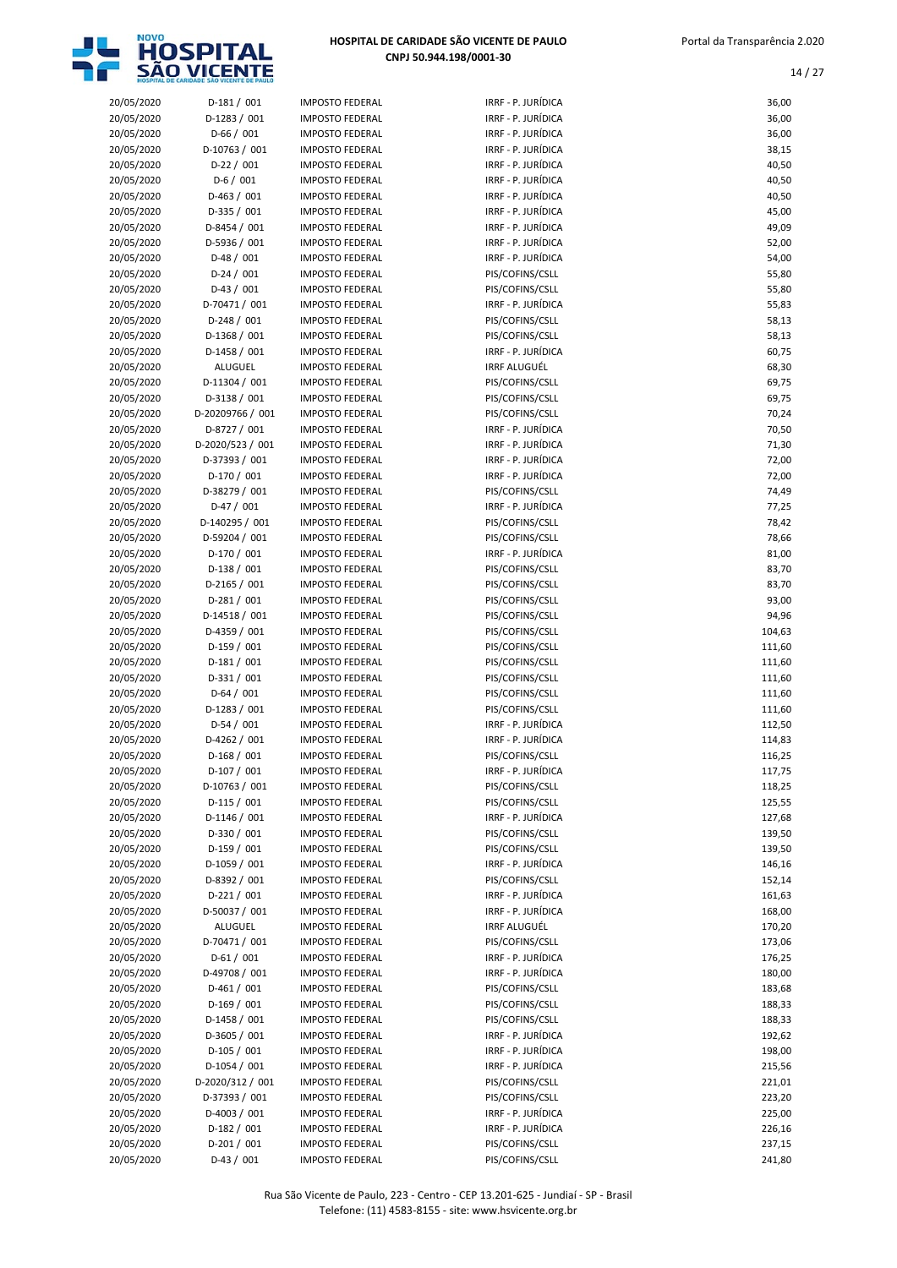

| 20/05/2020 | $D-181/001$      | <b>IMPOSTO FEDERAL</b> | IRRF - P. JURÍDICA  | 36,00  |
|------------|------------------|------------------------|---------------------|--------|
| 20/05/2020 | D-1283 / 001     | <b>IMPOSTO FEDERAL</b> | IRRF - P. JURÍDICA  | 36,00  |
| 20/05/2020 | $D-66/001$       | <b>IMPOSTO FEDERAL</b> | IRRF - P. JURÍDICA  | 36,00  |
| 20/05/2020 | D-10763 / 001    | <b>IMPOSTO FEDERAL</b> | IRRF - P. JURÍDICA  | 38,15  |
|            |                  |                        |                     |        |
| 20/05/2020 | $D-22 / 001$     | <b>IMPOSTO FEDERAL</b> | IRRF - P. JURÍDICA  | 40,50  |
| 20/05/2020 | $D-6/001$        | <b>IMPOSTO FEDERAL</b> | IRRF - P. JURÍDICA  | 40,50  |
| 20/05/2020 | $D-463 / 001$    | <b>IMPOSTO FEDERAL</b> | IRRF - P. JURÍDICA  | 40,50  |
|            |                  |                        |                     |        |
| 20/05/2020 | $D-335 / 001$    | <b>IMPOSTO FEDERAL</b> | IRRF - P. JURÍDICA  | 45,00  |
| 20/05/2020 | D-8454 / 001     | <b>IMPOSTO FEDERAL</b> | IRRF - P. JURÍDICA  | 49,09  |
| 20/05/2020 | D-5936 / 001     | <b>IMPOSTO FEDERAL</b> | IRRF - P. JURÍDICA  | 52,00  |
| 20/05/2020 | $D-48/001$       | <b>IMPOSTO FEDERAL</b> | IRRF - P. JURÍDICA  | 54,00  |
|            |                  |                        |                     |        |
| 20/05/2020 | $D-24/001$       | <b>IMPOSTO FEDERAL</b> | PIS/COFINS/CSLL     | 55,80  |
| 20/05/2020 | $D-43 / 001$     | <b>IMPOSTO FEDERAL</b> | PIS/COFINS/CSLL     | 55,80  |
| 20/05/2020 | D-70471 / 001    | <b>IMPOSTO FEDERAL</b> | IRRF - P. JURÍDICA  | 55,83  |
| 20/05/2020 | $D-248 / 001$    | <b>IMPOSTO FEDERAL</b> | PIS/COFINS/CSLL     | 58,13  |
|            |                  |                        |                     |        |
| 20/05/2020 | $D-1368 / 001$   | <b>IMPOSTO FEDERAL</b> | PIS/COFINS/CSLL     | 58,13  |
| 20/05/2020 | $D-1458 / 001$   | <b>IMPOSTO FEDERAL</b> | IRRF - P. JURÍDICA  | 60,75  |
| 20/05/2020 | ALUGUEL          | <b>IMPOSTO FEDERAL</b> | <b>IRRF ALUGUÉL</b> | 68,30  |
| 20/05/2020 | D-11304 / 001    | <b>IMPOSTO FEDERAL</b> | PIS/COFINS/CSLL     | 69,75  |
|            |                  |                        |                     |        |
| 20/05/2020 | D-3138 / 001     | <b>IMPOSTO FEDERAL</b> | PIS/COFINS/CSLL     | 69,75  |
| 20/05/2020 | D-20209766 / 001 | <b>IMPOSTO FEDERAL</b> | PIS/COFINS/CSLL     | 70,24  |
| 20/05/2020 | D-8727 / 001     | <b>IMPOSTO FEDERAL</b> | IRRF - P. JURÍDICA  | 70,50  |
| 20/05/2020 | D-2020/523 / 001 | <b>IMPOSTO FEDERAL</b> | IRRF - P. JURÍDICA  | 71,30  |
|            |                  |                        |                     |        |
| 20/05/2020 | D-37393 / 001    | <b>IMPOSTO FEDERAL</b> | IRRF - P. JURÍDICA  | 72,00  |
| 20/05/2020 | D-170 / 001      | <b>IMPOSTO FEDERAL</b> | IRRF - P. JURÍDICA  | 72,00  |
| 20/05/2020 | D-38279 / 001    | <b>IMPOSTO FEDERAL</b> | PIS/COFINS/CSLL     | 74,49  |
| 20/05/2020 | $D-47/001$       | <b>IMPOSTO FEDERAL</b> | IRRF - P. JURÍDICA  | 77,25  |
|            |                  |                        |                     |        |
| 20/05/2020 | D-140295 / 001   | <b>IMPOSTO FEDERAL</b> | PIS/COFINS/CSLL     | 78,42  |
| 20/05/2020 | D-59204 / 001    | <b>IMPOSTO FEDERAL</b> | PIS/COFINS/CSLL     | 78,66  |
| 20/05/2020 | D-170 / 001      | <b>IMPOSTO FEDERAL</b> | IRRF - P. JURÍDICA  | 81,00  |
| 20/05/2020 | $D-138/001$      | <b>IMPOSTO FEDERAL</b> | PIS/COFINS/CSLL     | 83,70  |
|            |                  |                        |                     |        |
| 20/05/2020 | $D-2165 / 001$   | <b>IMPOSTO FEDERAL</b> | PIS/COFINS/CSLL     | 83,70  |
| 20/05/2020 | $D-281/001$      | <b>IMPOSTO FEDERAL</b> | PIS/COFINS/CSLL     | 93,00  |
| 20/05/2020 | D-14518 / 001    | <b>IMPOSTO FEDERAL</b> | PIS/COFINS/CSLL     | 94,96  |
|            | D-4359 / 001     |                        |                     |        |
| 20/05/2020 |                  | <b>IMPOSTO FEDERAL</b> | PIS/COFINS/CSLL     | 104,63 |
| 20/05/2020 | $D-159/001$      | <b>IMPOSTO FEDERAL</b> | PIS/COFINS/CSLL     | 111,60 |
| 20/05/2020 | $D-181/001$      | <b>IMPOSTO FEDERAL</b> | PIS/COFINS/CSLL     | 111,60 |
| 20/05/2020 | $D-331/001$      | <b>IMPOSTO FEDERAL</b> | PIS/COFINS/CSLL     | 111,60 |
|            | $D-64/001$       | <b>IMPOSTO FEDERAL</b> | PIS/COFINS/CSLL     | 111,60 |
| 20/05/2020 |                  |                        |                     |        |
| 20/05/2020 | D-1283 / 001     | <b>IMPOSTO FEDERAL</b> | PIS/COFINS/CSLL     | 111,60 |
| 20/05/2020 | $D-54/001$       | <b>IMPOSTO FEDERAL</b> | IRRF - P. JURÍDICA  | 112,50 |
| 20/05/2020 | $D-4262 / 001$   | <b>IMPOSTO FEDERAL</b> | IRRF - P. JURÍDICA  | 114,83 |
| 20/05/2020 | $D-168/001$      | <b>IMPOSTO FEDERAL</b> | PIS/COFINS/CSLL     | 116,25 |
|            |                  |                        |                     |        |
| 20/05/2020 | $D-107/001$      | <b>IMPOSTO FEDERAL</b> | IRRF - P. JURIDICA  | 117,75 |
| 20/05/2020 | D-10763 / 001    | <b>IMPOSTO FEDERAL</b> | PIS/COFINS/CSLL     | 118,25 |
| 20/05/2020 | $D-115/001$      | <b>IMPOSTO FEDERAL</b> | PIS/COFINS/CSLL     | 125,55 |
| 20/05/2020 | D-1146 / 001     | <b>IMPOSTO FEDERAL</b> | IRRF - P. JURÍDICA  | 127,68 |
|            |                  |                        |                     |        |
| 20/05/2020 | D-330 / 001      | <b>IMPOSTO FEDERAL</b> | PIS/COFINS/CSLL     | 139,50 |
| 20/05/2020 | D-159 / 001      | <b>IMPOSTO FEDERAL</b> | PIS/COFINS/CSLL     | 139,50 |
| 20/05/2020 | D-1059 / 001     | <b>IMPOSTO FEDERAL</b> | IRRF - P. JURÍDICA  | 146,16 |
| 20/05/2020 | D-8392 / 001     | <b>IMPOSTO FEDERAL</b> | PIS/COFINS/CSLL     | 152,14 |
|            | $D-221/001$      |                        | IRRF - P. JURÍDICA  |        |
| 20/05/2020 |                  | <b>IMPOSTO FEDERAL</b> |                     | 161,63 |
| 20/05/2020 | D-50037 / 001    | <b>IMPOSTO FEDERAL</b> | IRRF - P. JURÍDICA  | 168,00 |
| 20/05/2020 | <b>ALUGUEL</b>   | <b>IMPOSTO FEDERAL</b> | <b>IRRF ALUGUÉL</b> | 170,20 |
| 20/05/2020 | D-70471 / 001    | <b>IMPOSTO FEDERAL</b> | PIS/COFINS/CSLL     | 173,06 |
|            |                  |                        | IRRF - P. JURÍDICA  |        |
| 20/05/2020 | $D-61/001$       | <b>IMPOSTO FEDERAL</b> |                     | 176,25 |
| 20/05/2020 | D-49708 / 001    | <b>IMPOSTO FEDERAL</b> | IRRF - P. JURÍDICA  | 180,00 |
| 20/05/2020 | $D-461/001$      | <b>IMPOSTO FEDERAL</b> | PIS/COFINS/CSLL     | 183,68 |
| 20/05/2020 | $D-169/001$      | <b>IMPOSTO FEDERAL</b> | PIS/COFINS/CSLL     | 188,33 |
|            |                  |                        |                     |        |
| 20/05/2020 | D-1458 / 001     | <b>IMPOSTO FEDERAL</b> | PIS/COFINS/CSLL     | 188,33 |
| 20/05/2020 | D-3605 / 001     | <b>IMPOSTO FEDERAL</b> | IRRF - P. JURÍDICA  | 192,62 |
| 20/05/2020 | $D-105 / 001$    | <b>IMPOSTO FEDERAL</b> | IRRF - P. JURÍDICA  | 198,00 |
| 20/05/2020 | D-1054 / 001     | <b>IMPOSTO FEDERAL</b> | IRRF - P. JURÍDICA  | 215,56 |
|            |                  |                        |                     |        |
| 20/05/2020 | D-2020/312 / 001 | <b>IMPOSTO FEDERAL</b> | PIS/COFINS/CSLL     | 221,01 |
| 20/05/2020 | D-37393 / 001    | <b>IMPOSTO FEDERAL</b> | PIS/COFINS/CSLL     | 223,20 |
| 20/05/2020 | D-4003 / 001     | <b>IMPOSTO FEDERAL</b> | IRRF - P. JURÍDICA  | 225,00 |
| 20/05/2020 | $D-182 / 001$    | <b>IMPOSTO FEDERAL</b> | IRRF - P. JURÍDICA  | 226,16 |
|            |                  |                        |                     |        |
| 20/05/2020 | $D-201/001$      | <b>IMPOSTO FEDERAL</b> | PIS/COFINS/CSLL     | 237,15 |
| 20/05/2020 | $D-43 / 001$     | <b>IMPOSTO FEDERAL</b> | PIS/COFINS/CSLL     | 241,80 |

| IMPOSTO FEDERAL        |
|------------------------|
| <b>IMPOSTO FEDERAL</b> |
| IMPOSTO FEDERAL        |
|                        |
| <b>IMPOSTO FEDERAL</b> |
| <b>IMPOSTO FEDERAL</b> |
| <b>IMPOSTO FEDERAL</b> |
| <b>IMPOSTO FEDERAL</b> |
| <b>IMPOSTO FEDERAL</b> |
| IMPOSTO FEDERAL        |
| <b>IMPOSTO FEDERAL</b> |
| <b>IMPOSTO FEDERAL</b> |
| <b>IMPOSTO FEDERAL</b> |
|                        |
| <b>IMPOSTO FEDERAL</b> |
| IMPOSTO FEDERAL        |
| <b>IMPOSTO FEDERAL</b> |
| <b>IMPOSTO FEDERAL</b> |
| <b>IMPOSTO FEDERAL</b> |
| <b>IMPOSTO FEDERAL</b> |
| IMPOSTO FEDERAL        |
| IMPOSTO FEDERAL        |
| IMPOSTO FEDERAL        |
| <b>IMPOSTO FEDERAL</b> |
|                        |
| <b>IMPOSTO FEDERAL</b> |
| IMPOSTO FEDERAL        |
| <b>IMPOSTO FEDERAL</b> |
| <b>IMPOSTO FEDERAL</b> |
| IMPOSTO FEDERAL        |
| IMPOSTO FEDERAL        |
| <b>IMPOSTO FEDERAL</b> |
| IMPOSTO FEDERAL        |
| <b>IMPOSTO FEDERAL</b> |
| <b>IMPOSTO FEDERAL</b> |
|                        |
| <b>IMPOSTO FEDERAL</b> |
| <b>IMPOSTO FEDERAL</b> |
|                        |
| IMPOSTO FEDERAL        |
| <b>IMPOSTO FEDERAL</b> |
| IMPOSTO FEDERAL        |
| <b>IMPOSTO FEDERAL</b> |
| IMPOSTO FEDERAL        |
| <b>IMPOSTO FEDERAL</b> |
| <b>IMPOSTO FEDERAL</b> |
| <b>IMPOSTO FEDERAL</b> |
|                        |
| <b>IMPOSTO FEDERAI</b> |
| <b>IMPOSTO FEDERAL</b> |
| IMPOSTO FEDERAL        |
| <b>IMPOSTO FEDERAL</b> |
| <b>IMPOSTO FEDERAL</b> |
| <b>IMPOSTO FEDERAL</b> |
| <b>IMPOSTO FEDERAL</b> |
| <b>IMPOSTO FEDERAL</b> |
| <b>IMPOSTO FEDERAL</b> |
| <b>IMPOSTO FEDERAL</b> |
| <b>IMPOSTO FEDERAL</b> |
| <b>IMPOSTO FEDERAL</b> |
|                        |
| <b>IMPOSTO FEDERAL</b> |
| <b>IMPOSTO FEDERAL</b> |
| <b>IMPOSTO FEDERAL</b> |
| <b>IMPOSTO FEDERAL</b> |
| <b>IMPOSTO FEDERAL</b> |
| IMPOSTO FEDERAL        |
| <b>IMPOSTO FEDERAL</b> |
| <b>IMPOSTO FEDERAL</b> |
| <b>IMPOSTO FEDERAL</b> |
| <b>IMPOSTO FEDERAL</b> |
| <b>IMPOSTO FEDERAL</b> |
| <b>IMPOSTO FEDERAL</b> |

|                          | <b>SAO VICENTE</b>           |                                                  |                                               |                 |
|--------------------------|------------------------------|--------------------------------------------------|-----------------------------------------------|-----------------|
| 20/05/2020               | $D-181/001$                  | <b>IMPOSTO FEDERAL</b>                           | IRRF - P. JURÍDICA                            | 36,00           |
| 20/05/2020               | $D-1283 / 001$               | <b>IMPOSTO FEDERAL</b>                           | IRRF - P. JURÍDICA                            | 36,00           |
| 20/05/2020               | $D-66/001$                   | <b>IMPOSTO FEDERAL</b>                           | IRRF - P. JURÍDICA                            | 36,00           |
| 20/05/2020               | D-10763 / 001                | <b>IMPOSTO FEDERAL</b>                           | IRRF - P. JURÍDICA                            | 38,15           |
| 20/05/2020               | $D-22/001$                   | <b>IMPOSTO FEDERAL</b>                           | IRRF - P. JURÍDICA                            | 40,50           |
| 20/05/2020               | $D-6/001$                    | <b>IMPOSTO FEDERAL</b>                           | IRRF - P. JURÍDICA                            | 40,50           |
| 20/05/2020               | $D-463 / 001$                | <b>IMPOSTO FEDERAL</b>                           | IRRF - P. JURÍDICA                            | 40,50           |
| 20/05/2020               | $D-335 / 001$                | <b>IMPOSTO FEDERAL</b>                           | IRRF - P. JURÍDICA                            | 45,00           |
| 20/05/2020               | D-8454 / 001                 | <b>IMPOSTO FEDERAL</b>                           | IRRF - P. JURÍDICA                            | 49,09           |
| 20/05/2020               | D-5936 / 001                 | <b>IMPOSTO FEDERAL</b>                           | IRRF - P. JURÍDICA                            | 52,00           |
| 20/05/2020               | $D-48/001$                   | <b>IMPOSTO FEDERAL</b>                           | IRRF - P. JURÍDICA                            | 54,00           |
| 20/05/2020               | $D-24/001$                   | <b>IMPOSTO FEDERAL</b>                           | PIS/COFINS/CSLL                               | 55,80           |
| 20/05/2020               | $D-43 / 001$                 | <b>IMPOSTO FEDERAL</b>                           | PIS/COFINS/CSLL                               | 55,80           |
| 20/05/2020               | D-70471 / 001                | <b>IMPOSTO FEDERAL</b>                           | IRRF - P. JURÍDICA                            | 55,83           |
| 20/05/2020               | $D-248 / 001$                | <b>IMPOSTO FEDERAL</b>                           | PIS/COFINS/CSLL                               | 58,13           |
| 20/05/2020               | D-1368 / 001                 | <b>IMPOSTO FEDERAL</b>                           | PIS/COFINS/CSLL                               | 58,13           |
| 20/05/2020               | $D-1458 / 001$               | <b>IMPOSTO FEDERAL</b>                           | IRRF - P. JURÍDICA                            | 60,75           |
| 20/05/2020               | ALUGUEL                      | <b>IMPOSTO FEDERAL</b>                           | <b>IRRF ALUGUÉL</b>                           | 68,30           |
| 20/05/2020               | D-11304 / 001                | <b>IMPOSTO FEDERAL</b>                           | PIS/COFINS/CSLL                               | 69,75           |
| 20/05/2020               | D-3138 / 001                 | <b>IMPOSTO FEDERAL</b>                           | PIS/COFINS/CSLL                               | 69,75           |
| 20/05/2020               | D-20209766 / 001             | <b>IMPOSTO FEDERAL</b>                           | PIS/COFINS/CSLL                               | 70,24           |
| 20/05/2020               | D-8727 / 001                 | <b>IMPOSTO FEDERAL</b>                           | IRRF - P. JURÍDICA                            | 70,50           |
| 20/05/2020               | D-2020/523 / 001             | <b>IMPOSTO FEDERAL</b>                           | IRRF - P. JURÍDICA                            | 71,30           |
| 20/05/2020               | D-37393 / 001                | <b>IMPOSTO FEDERAL</b>                           | IRRF - P. JURÍDICA                            | 72,00           |
| 20/05/2020               | $D-170/001$                  | <b>IMPOSTO FEDERAL</b>                           | IRRF - P. JURÍDICA                            | 72,00           |
| 20/05/2020               | D-38279 / 001                | <b>IMPOSTO FEDERAL</b>                           | PIS/COFINS/CSLL                               | 74,49           |
| 20/05/2020               | $D-47/001$                   | <b>IMPOSTO FEDERAL</b>                           | IRRF - P. JURÍDICA                            | 77,25           |
| 20/05/2020               | D-140295 / 001               | <b>IMPOSTO FEDERAL</b>                           | PIS/COFINS/CSLL                               | 78,42           |
| 20/05/2020               | D-59204 / 001                | <b>IMPOSTO FEDERAL</b>                           | PIS/COFINS/CSLL                               | 78,66           |
| 20/05/2020               | $D-170/001$                  | <b>IMPOSTO FEDERAL</b>                           | IRRF - P. JURÍDICA                            | 81,00           |
| 20/05/2020               | $D-138 / 001$                | <b>IMPOSTO FEDERAL</b>                           | PIS/COFINS/CSLL                               | 83,70           |
| 20/05/2020               | $D-2165 / 001$               | <b>IMPOSTO FEDERAL</b>                           | PIS/COFINS/CSLL                               | 83,70           |
| 20/05/2020               | $D-281/001$                  | <b>IMPOSTO FEDERAL</b>                           | PIS/COFINS/CSLL                               | 93,00           |
| 20/05/2020               | D-14518 / 001                | <b>IMPOSTO FEDERAL</b>                           | PIS/COFINS/CSLL                               | 94,96           |
| 20/05/2020               | D-4359 / 001                 | <b>IMPOSTO FEDERAL</b>                           | PIS/COFINS/CSLL                               | 104,63          |
| 20/05/2020               | $D-159/001$                  | <b>IMPOSTO FEDERAL</b>                           | PIS/COFINS/CSLL                               | 111,60          |
| 20/05/2020               | $D-181/001$                  | <b>IMPOSTO FEDERAL</b>                           | PIS/COFINS/CSLL                               | 111,60          |
| 20/05/2020               | $D-331/001$                  | <b>IMPOSTO FEDERAL</b>                           | PIS/COFINS/CSLL                               | 111,60          |
| 20/05/2020               | $D-64/001$                   | <b>IMPOSTO FEDERAL</b>                           | PIS/COFINS/CSLL                               | 111,60          |
| 20/05/2020               | $D-1283 / 001$               | <b>IMPOSTO FEDERAL</b>                           | PIS/COFINS/CSLL                               | 111,60          |
| 20/05/2020               | D-54 / 001                   | <b>IMPOSTO FEDERAL</b>                           | IRRF - P. JURÍDICA                            | 112,50          |
| 20/05/2020               | D-4262/001                   | <b>IMPOSTO FEDERAL</b>                           | IRRF - P. JURÍDICA                            | 114,83          |
| 20/05/2020               | $D-168/001$                  | <b>IMPOSTO FEDERAL</b>                           | PIS/COFINS/CSLL                               | 116,25          |
| 20/05/2020               | $D-107/001$                  | <b>IMPOSTO FEDERAL</b>                           | IRRF - P. JURÍDICA                            | 117,75          |
| 20/05/2020               | D-10763 / 001                | <b>IMPOSTO FEDERAL</b>                           | PIS/COFINS/CSLL                               | 118,25          |
| 20/05/2020               | $D-115/001$                  | <b>IMPOSTO FEDERAL</b>                           | PIS/COFINS/CSLL                               | 125,55          |
| 20/05/2020               | $D-1146 / 001$               | <b>IMPOSTO FEDERAL</b>                           | IRRF - P. JURÍDICA                            | 127,68          |
| 20/05/2020               | $D-330 / 001$                | <b>IMPOSTO FEDERAL</b>                           | PIS/COFINS/CSLL                               | 139,50          |
| 20/05/2020               | D-159 / 001                  | <b>IMPOSTO FEDERAL</b>                           | PIS/COFINS/CSLL                               | 139,50          |
| 20/05/2020               | D-1059 / 001                 | <b>IMPOSTO FEDERAL</b>                           | IRRF - P. JURÍDICA                            | 146,16          |
| 20/05/2020               | D-8392 / 001                 | <b>IMPOSTO FEDERAL</b>                           | PIS/COFINS/CSLL                               | 152,14          |
| 20/05/2020               | $D-221/001$                  | <b>IMPOSTO FEDERAL</b>                           | IRRF - P. JURÍDICA                            |                 |
| 20/05/2020               | D-50037 / 001                |                                                  | IRRF - P. JURÍDICA                            | 161,63          |
|                          | <b>ALUGUEL</b>               | <b>IMPOSTO FEDERAL</b><br><b>IMPOSTO FEDERAL</b> |                                               | 168,00          |
| 20/05/2020               |                              |                                                  | <b>IRRF ALUGUÉL</b>                           | 170,20          |
| 20/05/2020               | D-70471 / 001                | <b>IMPOSTO FEDERAL</b>                           | PIS/COFINS/CSLL                               | 173,06          |
| 20/05/2020               | $D-61/001$                   | <b>IMPOSTO FEDERAL</b>                           | IRRF - P. JURÍDICA                            | 176,25          |
| 20/05/2020               | D-49708 / 001                | <b>IMPOSTO FEDERAL</b>                           | IRRF - P. JURÍDICA                            | 180,00          |
| 20/05/2020               | $D-461/001$                  | <b>IMPOSTO FEDERAL</b>                           | PIS/COFINS/CSLL                               | 183,68          |
| 20/05/2020               | $D-169/001$                  | <b>IMPOSTO FEDERAL</b>                           | PIS/COFINS/CSLL                               | 188,33          |
| 20/05/2020               | D-1458 / 001                 | <b>IMPOSTO FEDERAL</b>                           | PIS/COFINS/CSLL                               | 188,33          |
| 20/05/2020               | D-3605 / 001                 | <b>IMPOSTO FEDERAL</b>                           | IRRF - P. JURÍDICA                            | 192,62          |
| 20/05/2020               | $D-105/001$                  | <b>IMPOSTO FEDERAL</b>                           | IRRF - P. JURÍDICA                            | 198,00          |
| 20/05/2020               | $D-1054 / 001$               | <b>IMPOSTO FEDERAL</b>                           | IRRF - P. JURÍDICA                            | 215,56          |
| 20/05/2020               | D-2020/312 / 001             | <b>IMPOSTO FEDERAL</b>                           | PIS/COFINS/CSLL                               | 221,01          |
| 20/05/2020               | D-37393 / 001                | <b>IMPOSTO FEDERAL</b>                           | PIS/COFINS/CSLL                               | 223,20          |
| 20/05/2020               | D-4003 / 001                 | <b>IMPOSTO FEDERAL</b>                           | IRRF - P. JURÍDICA                            | 225,00          |
| 20/05/2020<br>20/05/2020 | $D-182 / 001$<br>$D-201/001$ | <b>IMPOSTO FEDERAL</b><br>IMPOSTO EEDERAL        | IRRF - P. JURÍDICA<br><b>DIC/COEINIC/CCII</b> | 226,16<br>22715 |
|                          |                              |                                                  |                                               |                 |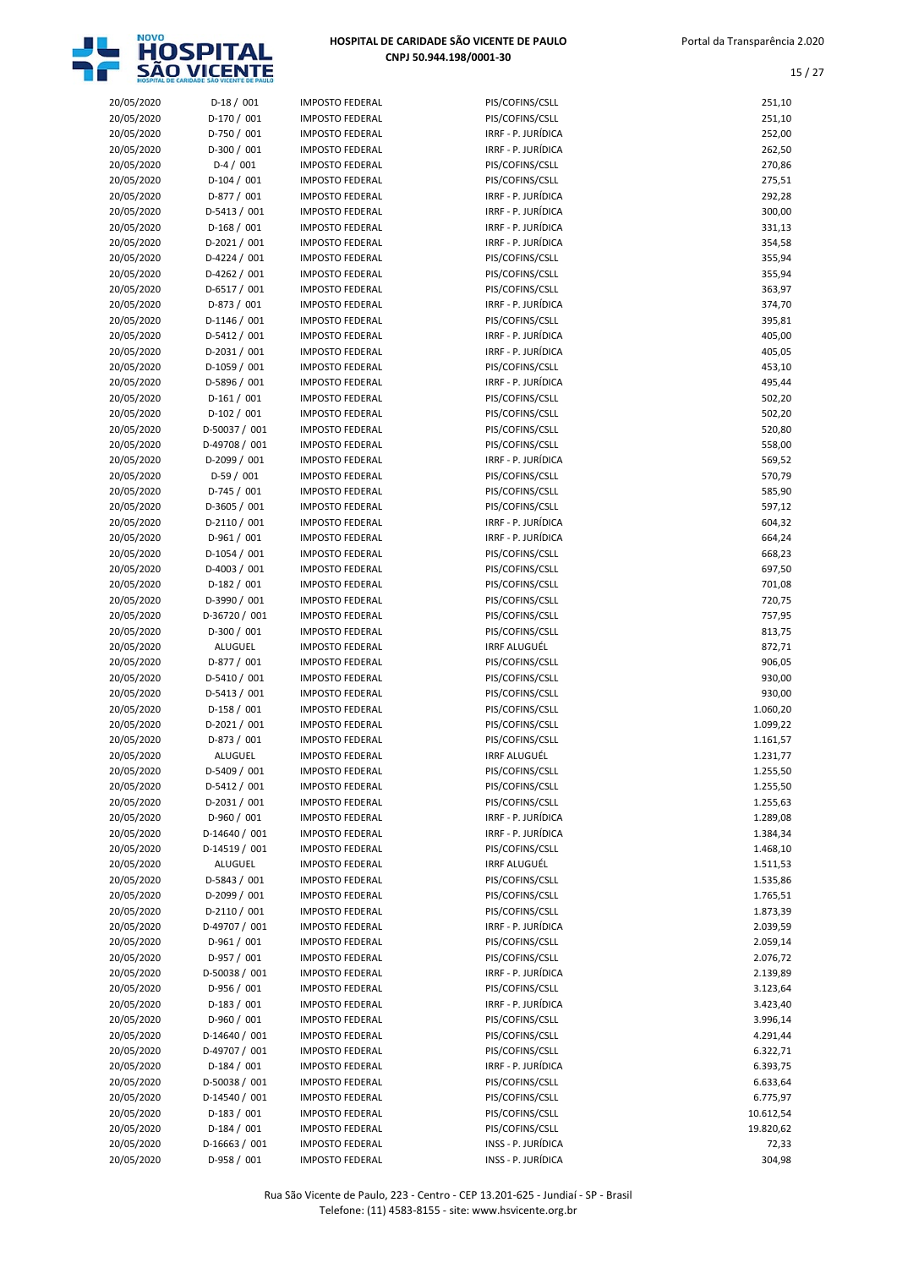

| 20/05/2020 | $D-18/001$     | <b>IMPOSTO FEDERAL</b> | PIS/COFINS/CSLL     | 251,10    |
|------------|----------------|------------------------|---------------------|-----------|
| 20/05/2020 | D-170 / 001    | <b>IMPOSTO FEDERAL</b> | PIS/COFINS/CSLL     | 251,10    |
| 20/05/2020 | D-750 / 001    | <b>IMPOSTO FEDERAL</b> | IRRF - P. JURÍDICA  | 252,00    |
| 20/05/2020 | $D-300 / 001$  | <b>IMPOSTO FEDERAL</b> | IRRF - P. JURÍDICA  | 262,50    |
| 20/05/2020 | $D-4/001$      | <b>IMPOSTO FEDERAL</b> | PIS/COFINS/CSLL     | 270,86    |
| 20/05/2020 | $D-104 / 001$  | <b>IMPOSTO FEDERAL</b> | PIS/COFINS/CSLL     | 275,51    |
| 20/05/2020 | D-877 / 001    | <b>IMPOSTO FEDERAL</b> | IRRF - P. JURÍDICA  | 292,28    |
|            |                |                        |                     |           |
| 20/05/2020 | $D-5413 / 001$ | <b>IMPOSTO FEDERAL</b> | IRRF - P. JURÍDICA  | 300,00    |
| 20/05/2020 | $D-168/001$    | <b>IMPOSTO FEDERAL</b> | IRRF - P. JURÍDICA  | 331,13    |
| 20/05/2020 | $D-2021 / 001$ | <b>IMPOSTO FEDERAL</b> | IRRF - P. JURÍDICA  | 354,58    |
| 20/05/2020 | D-4224 / 001   | <b>IMPOSTO FEDERAL</b> | PIS/COFINS/CSLL     | 355,94    |
| 20/05/2020 | $D-4262 / 001$ | <b>IMPOSTO FEDERAL</b> | PIS/COFINS/CSLL     | 355,94    |
| 20/05/2020 | $D-6517/001$   | <b>IMPOSTO FEDERAL</b> | PIS/COFINS/CSLL     | 363,97    |
| 20/05/2020 | D-873 / 001    | <b>IMPOSTO FEDERAL</b> | IRRF - P. JURÍDICA  | 374,70    |
| 20/05/2020 | $D-1146 / 001$ | <b>IMPOSTO FEDERAL</b> | PIS/COFINS/CSLL     | 395,81    |
| 20/05/2020 | D-5412 / 001   | <b>IMPOSTO FEDERAL</b> | IRRF - P. JURÍDICA  | 405,00    |
| 20/05/2020 | $D-2031 / 001$ | <b>IMPOSTO FEDERAL</b> | IRRF - P. JURÍDICA  | 405,05    |
| 20/05/2020 | D-1059 / 001   | <b>IMPOSTO FEDERAL</b> |                     |           |
|            |                |                        | PIS/COFINS/CSLL     | 453,10    |
| 20/05/2020 | D-5896 / 001   | <b>IMPOSTO FEDERAL</b> | IRRF - P. JURÍDICA  | 495,44    |
| 20/05/2020 | $D-161/001$    | <b>IMPOSTO FEDERAL</b> | PIS/COFINS/CSLL     | 502,20    |
| 20/05/2020 | $D-102 / 001$  | <b>IMPOSTO FEDERAL</b> | PIS/COFINS/CSLL     | 502,20    |
| 20/05/2020 | D-50037 / 001  | <b>IMPOSTO FEDERAL</b> | PIS/COFINS/CSLL     | 520,80    |
| 20/05/2020 | D-49708 / 001  | <b>IMPOSTO FEDERAL</b> | PIS/COFINS/CSLL     | 558,00    |
| 20/05/2020 | D-2099 / 001   | <b>IMPOSTO FEDERAL</b> | IRRF - P. JURÍDICA  | 569,52    |
| 20/05/2020 | $D-59/001$     | <b>IMPOSTO FEDERAL</b> | PIS/COFINS/CSLL     | 570,79    |
| 20/05/2020 | $D-745/001$    | <b>IMPOSTO FEDERAL</b> | PIS/COFINS/CSLL     | 585,90    |
| 20/05/2020 | D-3605 / 001   | <b>IMPOSTO FEDERAL</b> | PIS/COFINS/CSLL     | 597,12    |
| 20/05/2020 | $D-2110/001$   | <b>IMPOSTO FEDERAL</b> | IRRF - P. JURÍDICA  | 604,32    |
| 20/05/2020 | $D-961/001$    | <b>IMPOSTO FEDERAL</b> | IRRF - P. JURÍDICA  | 664,24    |
|            |                |                        |                     |           |
| 20/05/2020 | D-1054 / 001   | <b>IMPOSTO FEDERAL</b> | PIS/COFINS/CSLL     | 668,23    |
| 20/05/2020 | $D-4003 / 001$ | <b>IMPOSTO FEDERAL</b> | PIS/COFINS/CSLL     | 697,50    |
| 20/05/2020 | $D-182 / 001$  | <b>IMPOSTO FEDERAL</b> | PIS/COFINS/CSLL     | 701,08    |
| 20/05/2020 | D-3990 / 001   | <b>IMPOSTO FEDERAL</b> | PIS/COFINS/CSLL     | 720,75    |
| 20/05/2020 | D-36720 / 001  | <b>IMPOSTO FEDERAL</b> | PIS/COFINS/CSLL     | 757,95    |
| 20/05/2020 | $D-300 / 001$  | <b>IMPOSTO FEDERAL</b> | PIS/COFINS/CSLL     | 813,75    |
| 20/05/2020 | ALUGUEL        | <b>IMPOSTO FEDERAL</b> | <b>IRRF ALUGUÉL</b> | 872,71    |
| 20/05/2020 | D-877 / 001    | <b>IMPOSTO FEDERAL</b> | PIS/COFINS/CSLL     | 906,05    |
| 20/05/2020 | D-5410 / 001   | <b>IMPOSTO FEDERAL</b> | PIS/COFINS/CSLL     | 930,00    |
| 20/05/2020 | $D-5413 / 001$ | <b>IMPOSTO FEDERAL</b> | PIS/COFINS/CSLL     | 930,00    |
| 20/05/2020 | $D-158 / 001$  | <b>IMPOSTO FEDERAL</b> | PIS/COFINS/CSLL     | 1.060,20  |
|            |                |                        |                     |           |
| 20/05/2020 | $D-2021 / 001$ | <b>IMPOSTO FEDERAL</b> | PIS/COFINS/CSLL     | 1.099,22  |
| 20/05/2020 | $D-873 / 001$  | <b>IMPOSTO FEDERAL</b> | PIS/COFINS/CSLL     | 1.161,57  |
| 20/05/2020 | <b>ALUGUEL</b> | <b>IMPOSTO FEDERAL</b> | <b>IRRF ALUGUÉL</b> | 1.231,77  |
| 20/05/2020 | D-5409 / 001   | <b>IMPOSTO FEDERAL</b> | PIS/COFINS/CSLL     | 1.255,50  |
| 20/05/2020 | D-5412 / 001   | <b>IMPOSTO FEDERAL</b> | PIS/COFINS/CSLL     | 1.255,50  |
| 20/05/2020 | $D-2031 / 001$ | <b>IMPOSTO FEDERAL</b> | PIS/COFINS/CSLL     | 1.255,63  |
| 20/05/2020 | D-960 / 001    | <b>IMPOSTO FEDERAL</b> | IRRF - P. JURÍDICA  | 1.289,08  |
| 20/05/2020 | D-14640 / 001  | <b>IMPOSTO FEDERAL</b> | IRRF - P. JURÍDICA  | 1.384,34  |
| 20/05/2020 | D-14519 / 001  | <b>IMPOSTO FEDERAL</b> | PIS/COFINS/CSLL     | 1.468,10  |
| 20/05/2020 | ALUGUEL        | <b>IMPOSTO FEDERAL</b> | <b>IRRF ALUGUÉL</b> | 1.511,53  |
| 20/05/2020 | D-5843 / 001   | <b>IMPOSTO FEDERAL</b> | PIS/COFINS/CSLL     |           |
|            |                |                        |                     | 1.535,86  |
| 20/05/2020 | D-2099 / 001   | <b>IMPOSTO FEDERAL</b> | PIS/COFINS/CSLL     | 1.765,51  |
| 20/05/2020 | $D-2110/001$   | <b>IMPOSTO FEDERAL</b> | PIS/COFINS/CSLL     | 1.873,39  |
| 20/05/2020 | D-49707 / 001  | <b>IMPOSTO FEDERAL</b> | IRRF - P. JURÍDICA  | 2.039,59  |
| 20/05/2020 | D-961 / 001    | <b>IMPOSTO FEDERAL</b> | PIS/COFINS/CSLL     | 2.059,14  |
| 20/05/2020 | D-957 / 001    | <b>IMPOSTO FEDERAL</b> | PIS/COFINS/CSLL     | 2.076,72  |
| 20/05/2020 | D-50038 / 001  | <b>IMPOSTO FEDERAL</b> | IRRF - P. JURÍDICA  | 2.139,89  |
| 20/05/2020 | D-956 / 001    | <b>IMPOSTO FEDERAL</b> | PIS/COFINS/CSLL     | 3.123,64  |
| 20/05/2020 | $D-183 / 001$  | <b>IMPOSTO FEDERAL</b> | IRRF - P. JURÍDICA  | 3.423,40  |
| 20/05/2020 | D-960 / 001    | <b>IMPOSTO FEDERAL</b> | PIS/COFINS/CSLL     | 3.996,14  |
| 20/05/2020 | D-14640 / 001  | <b>IMPOSTO FEDERAL</b> | PIS/COFINS/CSLL     | 4.291,44  |
| 20/05/2020 | D-49707 / 001  | <b>IMPOSTO FEDERAL</b> | PIS/COFINS/CSLL     | 6.322,71  |
|            |                |                        |                     |           |
| 20/05/2020 | $D-184 / 001$  | <b>IMPOSTO FEDERAL</b> | IRRF - P. JURÍDICA  | 6.393,75  |
| 20/05/2020 | D-50038 / 001  | <b>IMPOSTO FEDERAL</b> | PIS/COFINS/CSLL     | 6.633,64  |
| 20/05/2020 | D-14540 / 001  | <b>IMPOSTO FEDERAL</b> | PIS/COFINS/CSLL     | 6.775,97  |
| 20/05/2020 | $D-183 / 001$  | <b>IMPOSTO FEDERAL</b> | PIS/COFINS/CSLL     | 10.612,54 |
| 20/05/2020 | $D-184 / 001$  | <b>IMPOSTO FEDERAL</b> | PIS/COFINS/CSLL     | 19.820,62 |
| 20/05/2020 | D-16663 / 001  | <b>IMPOSTO FEDERAL</b> | INSS - P. JURÍDICA  | 72,33     |
| 20/05/2020 | D-958 / 001    | <b>IMPOSTO FEDERAL</b> | INSS - P. JURÍDICA  | 304,98    |

| 20/05/2020               | $D-18/001$                     | <b>IMPOSTO FEDERAL</b>                           | PIS/COFINS/CSLL                          | 251,10             |
|--------------------------|--------------------------------|--------------------------------------------------|------------------------------------------|--------------------|
| 20/05/2020               | D-170 / 001                    | <b>IMPOSTO FEDERAL</b>                           | PIS/COFINS/CSLL                          | 251,10             |
| 20/05/2020               | D-750 / 001                    | <b>IMPOSTO FEDERAL</b>                           | IRRF - P. JURÍDICA                       | 252,00             |
| 20/05/2020               | $D-300 / 001$                  | <b>IMPOSTO FEDERAL</b>                           | IRRF - P. JURÍDICA                       | 262,50             |
| 20/05/2020               | $D-4/001$                      | <b>IMPOSTO FEDERAL</b>                           | PIS/COFINS/CSLL                          | 270,86             |
| 20/05/2020               | $D-104 / 001$                  | <b>IMPOSTO FEDERAL</b>                           | PIS/COFINS/CSLL                          | 275,51             |
| 20/05/2020               | D-877 / 001                    | <b>IMPOSTO FEDERAL</b>                           | IRRF - P. JURÍDICA                       | 292,28             |
| 20/05/2020               | $D-5413 / 001$                 | <b>IMPOSTO FEDERAL</b>                           | IRRF - P. JURÍDICA                       | 300,00             |
| 20/05/2020               | $D-168/001$                    | <b>IMPOSTO FEDERAL</b>                           | IRRF - P. JURÍDICA                       | 331,13             |
| 20/05/2020               | $D-2021/001$                   | <b>IMPOSTO FEDERAL</b>                           | IRRF - P. JURÍDICA                       | 354,58             |
| 20/05/2020               | $D-4224 / 001$                 | <b>IMPOSTO FEDERAL</b>                           | PIS/COFINS/CSLL                          | 355,94             |
| 20/05/2020               | $D-4262 / 001$                 | <b>IMPOSTO FEDERAL</b>                           | PIS/COFINS/CSLL                          | 355,94             |
| 20/05/2020               | $D-6517/001$                   | <b>IMPOSTO FEDERAL</b>                           | PIS/COFINS/CSLL                          | 363,97             |
| 20/05/2020               | D-873 / 001                    | <b>IMPOSTO FEDERAL</b>                           | IRRF - P. JURÍDICA                       | 374,70             |
| 20/05/2020               | $D-1146 / 001$                 | <b>IMPOSTO FEDERAL</b>                           | PIS/COFINS/CSLL                          | 395,81             |
| 20/05/2020               | D-5412 / 001                   | <b>IMPOSTO FEDERAL</b>                           | IRRF - P. JURÍDICA                       | 405,00             |
| 20/05/2020               | D-2031 / 001                   | <b>IMPOSTO FEDERAL</b>                           | IRRF - P. JURÍDICA                       | 405,05             |
| 20/05/2020               | D-1059 / 001                   | <b>IMPOSTO FEDERAL</b>                           | PIS/COFINS/CSLL                          | 453,10             |
| 20/05/2020               | D-5896 / 001                   | <b>IMPOSTO FEDERAL</b>                           | IRRF - P. JURÍDICA                       | 495,44             |
| 20/05/2020               | $D-161/001$                    | <b>IMPOSTO FEDERAL</b>                           | PIS/COFINS/CSLL                          | 502,20             |
| 20/05/2020               | $D-102 / 001$                  | <b>IMPOSTO FEDERAL</b>                           | PIS/COFINS/CSLL                          | 502,20             |
| 20/05/2020               | D-50037 / 001                  | <b>IMPOSTO FEDERAL</b>                           | PIS/COFINS/CSLL                          | 520,80             |
| 20/05/2020               | D-49708 / 001                  | <b>IMPOSTO FEDERAL</b>                           | PIS/COFINS/CSLL                          | 558,00             |
| 20/05/2020               | D-2099 / 001                   | <b>IMPOSTO FEDERAL</b>                           | IRRF - P. JURÍDICA                       | 569,52             |
| 20/05/2020               | $D-59/001$                     | <b>IMPOSTO FEDERAL</b>                           | PIS/COFINS/CSLL                          | 570,79             |
| 20/05/2020<br>20/05/2020 | $D-745/001$                    | <b>IMPOSTO FEDERAL</b>                           | PIS/COFINS/CSLL                          | 585,90             |
|                          | D-3605 / 001                   | <b>IMPOSTO FEDERAL</b>                           | PIS/COFINS/CSLL                          | 597,12             |
| 20/05/2020<br>20/05/2020 | $D-2110/001$<br>$D-961/001$    | <b>IMPOSTO FEDERAL</b><br><b>IMPOSTO FEDERAL</b> | IRRF - P. JURÍDICA<br>IRRF - P. JURÍDICA | 604,32<br>664,24   |
| 20/05/2020               | $D-1054 / 001$                 | <b>IMPOSTO FEDERAL</b>                           | PIS/COFINS/CSLL                          | 668,23             |
| 20/05/2020               | D-4003 / 001                   | <b>IMPOSTO FEDERAL</b>                           | PIS/COFINS/CSLL                          | 697,50             |
| 20/05/2020               | $D-182 / 001$                  | <b>IMPOSTO FEDERAL</b>                           | PIS/COFINS/CSLL                          | 701,08             |
| 20/05/2020               | D-3990 / 001                   | <b>IMPOSTO FEDERAL</b>                           | PIS/COFINS/CSLL                          | 720,75             |
| 20/05/2020               | D-36720 / 001                  | <b>IMPOSTO FEDERAL</b>                           | PIS/COFINS/CSLL                          | 757,95             |
| 20/05/2020               | $D-300 / 001$                  | <b>IMPOSTO FEDERAL</b>                           | PIS/COFINS/CSLL                          | 813,75             |
| 20/05/2020               | ALUGUEL                        | <b>IMPOSTO FEDERAL</b>                           | <b>IRRF ALUGUÉL</b>                      | 872,71             |
| 20/05/2020               | $D-877/001$                    | <b>IMPOSTO FEDERAL</b>                           | PIS/COFINS/CSLL                          | 906,05             |
| 20/05/2020               | D-5410 / 001                   | <b>IMPOSTO FEDERAL</b>                           | PIS/COFINS/CSLL                          | 930,00             |
| 20/05/2020               | $D-5413 / 001$                 | <b>IMPOSTO FEDERAL</b>                           | PIS/COFINS/CSLL                          | 930,00             |
| 20/05/2020               | $D-158/001$                    | <b>IMPOSTO FEDERAL</b>                           | PIS/COFINS/CSLL                          | 1.060,20           |
| 20/05/2020               | $D-2021/001$                   | <b>IMPOSTO FEDERAL</b>                           | PIS/COFINS/CSLL                          | 1.099,22           |
| 20/05/2020               | D-873 / 001                    | <b>IMPOSTO FEDERAL</b>                           | PIS/COFINS/CSLL                          | 1.161,57           |
| 20/05/2020               | <b>ALUGUEL</b>                 | <b>IMPOSTO FEDERAL</b>                           | <b>IRRF ALUGUÉL</b>                      | 1.231,77           |
| 20/05/2020               | D-5409 / 001                   | <b>IMPOSTO FEDERAL</b>                           | PIS/COFINS/CSLL                          | 1.255,50           |
| 20/05/2020               | $D-5412 / 001$                 | <b>IMPOSTO FEDERAL</b>                           | PIS/COFINS/CSLL                          | 1.255,50           |
| 20/05/2020               | $D-2031/001$                   | <b>IMPOSTO FEDERAL</b>                           | PIS/COFINS/CSLL                          | 1.255,63           |
| 20/05/2020               | D-960 / 001                    | <b>IMPOSTO FEDERAL</b>                           | IRRF - P. JURÍDICA                       | 1.289,08           |
| 20/05/2020               | D-14640 / 001                  | <b>IMPOSTO FEDERAL</b>                           | IRRF - P. JURÍDICA                       | 1.384,34           |
| 20/05/2020               | D-14519 / 001                  | <b>IMPOSTO FEDERAL</b>                           | PIS/COFINS/CSLL                          | 1.468,10           |
| 20/05/2020               | ALUGUEL                        | <b>IMPOSTO FEDERAL</b>                           | <b>IRRF ALUGUÉL</b>                      | 1.511,53           |
| 20/05/2020               | D-5843 / 001                   | <b>IMPOSTO FEDERAL</b>                           | PIS/COFINS/CSLL                          | 1.535,86           |
| 20/05/2020               | D-2099 / 001                   | <b>IMPOSTO FEDERAL</b>                           | PIS/COFINS/CSLL                          | 1.765,51           |
| 20/05/2020               | D-2110 / 001                   | <b>IMPOSTO FEDERAL</b>                           | PIS/COFINS/CSLL                          | 1.873,39           |
| 20/05/2020               | D-49707 / 001                  | <b>IMPOSTO FEDERAL</b>                           | IRRF - P. JURÍDICA                       | 2.039,59           |
| 20/05/2020               | $D-961/001$                    | <b>IMPOSTO FEDERAL</b>                           | PIS/COFINS/CSLL                          | 2.059,14           |
| 20/05/2020               | D-957 / 001                    | <b>IMPOSTO FEDERAL</b>                           | PIS/COFINS/CSLL                          | 2.076,72           |
| 20/05/2020               | D-50038 / 001                  | <b>IMPOSTO FEDERAL</b>                           | IRRF - P. JURÍDICA                       | 2.139,89           |
| 20/05/2020               | D-956 / 001                    | <b>IMPOSTO FEDERAL</b>                           | PIS/COFINS/CSLL                          | 3.123,64           |
| 20/05/2020               | $D-183 / 001$                  | <b>IMPOSTO FEDERAL</b>                           | IRRF - P. JURÍDICA                       | 3.423,40           |
| 20/05/2020               | D-960 / 001                    | <b>IMPOSTO FEDERAL</b>                           | PIS/COFINS/CSLL                          | 3.996,14           |
| 20/05/2020               | D-14640 / 001                  | <b>IMPOSTO FEDERAL</b>                           | PIS/COFINS/CSLL                          | 4.291,44           |
| 20/05/2020               | D-49707 / 001                  | <b>IMPOSTO FEDERAL</b>                           | PIS/COFINS/CSLL                          | 6.322,71           |
| 20/05/2020               | $D-184 / 001$                  | <b>IMPOSTO FEDERAL</b>                           | IRRF - P. JURÍDICA                       | 6.393,75           |
| 20/05/2020               | D-50038 / 001                  | <b>IMPOSTO FEDERAL</b>                           | PIS/COFINS/CSLL                          | 6.633,64           |
| 20/05/2020               | D-14540 / 001                  | <b>IMPOSTO FEDERAL</b>                           | PIS/COFINS/CSLL                          | 6.775,97           |
| 20/05/2020               | $D-183 / 001$                  | <b>IMPOSTO FEDERAL</b>                           | PIS/COFINS/CSLL                          | 10.612,54          |
| 20/05/2020<br>20/05/2020 | $D-184 / 001$<br>D-16663 / 001 | <b>IMPOSTO FEDERAL</b><br><b>IMPOSTO FEDERAL</b> | PIS/COFINS/CSLL<br>$INSS - P$ $IIRÍDICA$ | 19.820,62<br>72.33 |
|                          |                                |                                                  |                                          |                    |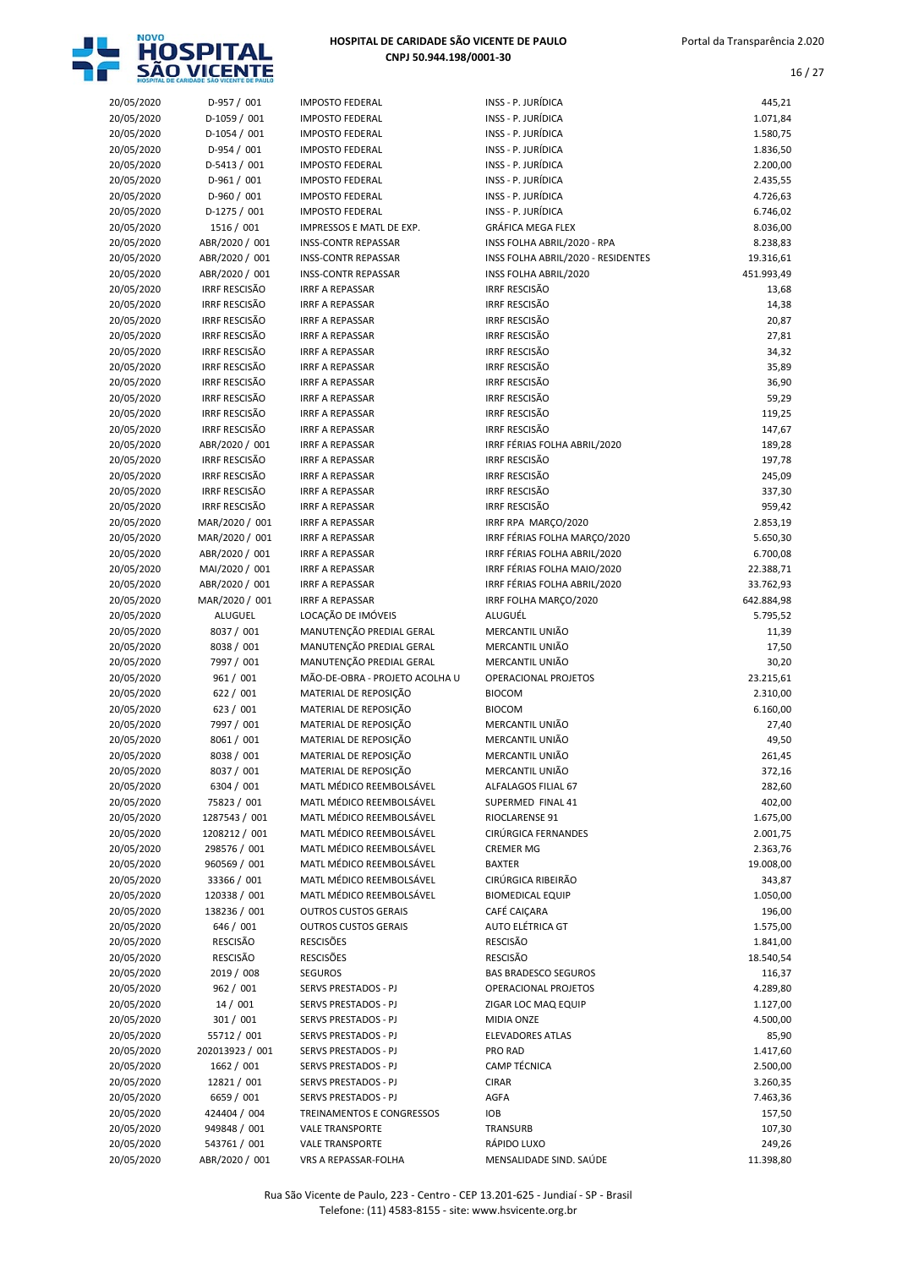

| 20/05/2020 | $D-957 / 001$        | <b>IMPOSTO FEDERAL</b>         | INSS - P. JURÍDICA                 | 445,21     |
|------------|----------------------|--------------------------------|------------------------------------|------------|
| 20/05/2020 | D-1059 / 001         | <b>IMPOSTO FEDERAL</b>         | INSS - P. JURÍDICA                 | 1.071,84   |
| 20/05/2020 | $D-1054 / 001$       | <b>IMPOSTO FEDERAL</b>         | INSS - P. JURÍDICA                 | 1.580,75   |
| 20/05/2020 | $D-954 / 001$        | <b>IMPOSTO FEDERAL</b>         | INSS - P. JURÍDICA                 | 1.836,50   |
| 20/05/2020 | $D-5413 / 001$       | <b>IMPOSTO FEDERAL</b>         | INSS - P. JURÍDICA                 | 2.200,00   |
| 20/05/2020 | D-961 / 001          | <b>IMPOSTO FEDERAL</b>         | INSS - P. JURÍDICA                 | 2.435,55   |
| 20/05/2020 | D-960 / 001          | <b>IMPOSTO FEDERAL</b>         | INSS - P. JURÍDICA                 | 4.726,63   |
| 20/05/2020 | $D-1275 / 001$       | <b>IMPOSTO FEDERAL</b>         | INSS - P. JURÍDICA                 | 6.746,02   |
| 20/05/2020 | 1516 / 001           | IMPRESSOS E MATL DE EXP.       | <b>GRÁFICA MEGA FLEX</b>           | 8.036,00   |
| 20/05/2020 | ABR/2020 / 001       | <b>INSS-CONTR REPASSAR</b>     | INSS FOLHA ABRIL/2020 - RPA        | 8.238,83   |
| 20/05/2020 | ABR/2020 / 001       | <b>INSS-CONTR REPASSAR</b>     | INSS FOLHA ABRIL/2020 - RESIDENTES | 19.316,61  |
| 20/05/2020 | ABR/2020 / 001       | <b>INSS-CONTR REPASSAR</b>     | INSS FOLHA ABRIL/2020              | 451.993,49 |
| 20/05/2020 | <b>IRRF RESCISÃO</b> | <b>IRRF A REPASSAR</b>         | <b>IRRF RESCISÃO</b>               | 13,68      |
| 20/05/2020 | <b>IRRF RESCISÃO</b> | <b>IRRF A REPASSAR</b>         | <b>IRRF RESCISÃO</b>               | 14,38      |
| 20/05/2020 | <b>IRRF RESCISÃO</b> | <b>IRRF A REPASSAR</b>         | <b>IRRF RESCISÃO</b>               | 20,87      |
| 20/05/2020 | <b>IRRF RESCISÃO</b> | <b>IRRF A REPASSAR</b>         | <b>IRRF RESCISÃO</b>               | 27,81      |
| 20/05/2020 | <b>IRRF RESCISÃO</b> | <b>IRRF A REPASSAR</b>         | <b>IRRF RESCISÃO</b>               | 34,32      |
| 20/05/2020 | <b>IRRF RESCISÃO</b> | <b>IRRF A REPASSAR</b>         | <b>IRRF RESCISÃO</b>               | 35,89      |
| 20/05/2020 | <b>IRRF RESCISÃO</b> | <b>IRRF A REPASSAR</b>         | <b>IRRF RESCISÃO</b>               | 36,90      |
| 20/05/2020 | <b>IRRF RESCISÃO</b> | <b>IRRF A REPASSAR</b>         | <b>IRRF RESCISÃO</b>               | 59,29      |
| 20/05/2020 | <b>IRRF RESCISÃO</b> | <b>IRRF A REPASSAR</b>         | <b>IRRF RESCISÃO</b>               | 119,25     |
| 20/05/2020 | <b>IRRF RESCISÃO</b> | <b>IRRF A REPASSAR</b>         | <b>IRRF RESCISÃO</b>               | 147,67     |
| 20/05/2020 | ABR/2020 / 001       | <b>IRRF A REPASSAR</b>         | IRRF FÉRIAS FOLHA ABRIL/2020       | 189,28     |
| 20/05/2020 | <b>IRRF RESCISÃO</b> | <b>IRRF A REPASSAR</b>         | <b>IRRF RESCISÃO</b>               | 197,78     |
| 20/05/2020 | <b>IRRF RESCISÃO</b> | <b>IRRF A REPASSAR</b>         | <b>IRRF RESCISÃO</b>               | 245,09     |
| 20/05/2020 | <b>IRRF RESCISÃO</b> | <b>IRRF A REPASSAR</b>         | <b>IRRF RESCISÃO</b>               | 337,30     |
| 20/05/2020 | <b>IRRF RESCISÃO</b> | <b>IRRF A REPASSAR</b>         | <b>IRRF RESCISÃO</b>               | 959,42     |
| 20/05/2020 | MAR/2020 / 001       | <b>IRRF A REPASSAR</b>         | IRRF RPA MARCO/2020                | 2.853,19   |
| 20/05/2020 | MAR/2020 / 001       | <b>IRRF A REPASSAR</b>         | IRRF FÉRIAS FOLHA MARÇO/2020       | 5.650,30   |
| 20/05/2020 | ABR/2020 / 001       | <b>IRRF A REPASSAR</b>         | IRRF FÉRIAS FOLHA ABRIL/2020       | 6.700,08   |
| 20/05/2020 | MAI/2020 / 001       | <b>IRRF A REPASSAR</b>         | IRRF FÉRIAS FOLHA MAIO/2020        | 22.388,71  |
| 20/05/2020 | ABR/2020 / 001       | <b>IRRF A REPASSAR</b>         | IRRF FÉRIAS FOLHA ABRIL/2020       | 33.762,93  |
| 20/05/2020 | MAR/2020 / 001       | <b>IRRF A REPASSAR</b>         | IRRF FOLHA MARÇO/2020              | 642.884,98 |
| 20/05/2020 | <b>ALUGUEL</b>       | LOCAÇÃO DE IMÓVEIS             | ALUGUÉL                            | 5.795,52   |
| 20/05/2020 | 8037 / 001           | MANUTENÇÃO PREDIAL GERAL       | MERCANTIL UNIÃO                    | 11,39      |
| 20/05/2020 | 8038 / 001           | MANUTENÇÃO PREDIAL GERAL       | MERCANTIL UNIÃO                    | 17,50      |
| 20/05/2020 | 7997 / 001           | MANUTENÇÃO PREDIAL GERAL       | MERCANTIL UNIÃO                    | 30,20      |
| 20/05/2020 | 961 / 001            | MÃO-DE-OBRA - PROJETO ACOLHA U | OPERACIONAL PROJETOS               | 23.215,61  |
| 20/05/2020 | 622 / 001            | MATERIAL DE REPOSIÇÃO          | <b>BIOCOM</b>                      | 2.310,00   |
| 20/05/2020 | 623 / 001            | MATERIAL DE REPOSIÇÃO          | <b>BIOCOM</b>                      | 6.160,00   |
| 20/05/2020 | 7997 / 001           | MATERIAL DE REPOSIÇÃO          | MERCANTIL UNIÃO                    | 27,40      |
| 20/05/2020 | 8061 / 001           | MATERIAL DE REPOSIÇÃO          | MERCANTIL UNIÃO                    | 49,50      |
| 20/05/2020 | 8038 / 001           | MATERIAL DE REPOSIÇÃO          | MERCANTIL UNIÃO                    | 261,45     |
| 20/05/2020 | 8037 / 001           | MATERIAL DE REPOSIÇÃO          | MERCANTIL UNIÃO                    | 372,16     |
| 20/05/2020 | 6304 / 001           | MATL MÉDICO REEMBOLSÁVEL       | ALFALAGOS FILIAL 67                | 282,60     |
| 20/05/2020 | 75823 / 001          | MATL MÉDICO REEMBOLSÁVEL       | SUPERMED FINAL 41                  | 402,00     |
| 20/05/2020 | 1287543 / 001        | MATL MÉDICO REEMBOLSÁVEL       | RIOCLARENSE 91                     | 1.675,00   |
| 20/05/2020 | 1208212 / 001        | MATL MÉDICO REEMBOLSÁVEL       | CIRÚRGICA FERNANDES                | 2.001,75   |
| 20/05/2020 | 298576 / 001         | MATL MÉDICO REEMBOLSÁVEL       | <b>CREMER MG</b>                   | 2.363,76   |
| 20/05/2020 | 960569 / 001         | MATL MÉDICO REEMBOLSÁVEL       | <b>BAXTER</b>                      | 19.008,00  |
| 20/05/2020 | 33366 / 001          | MATL MÉDICO REEMBOLSÁVEL       | CIRÚRGICA RIBEIRÃO                 | 343,87     |
| 20/05/2020 | 120338 / 001         | MATL MÉDICO REEMBOLSÁVEL       | <b>BIOMEDICAL EQUIP</b>            | 1.050,00   |
| 20/05/2020 | 138236 / 001         | <b>OUTROS CUSTOS GERAIS</b>    | CAFÉ CAIÇARA                       | 196,00     |
| 20/05/2020 | 646 / 001            | <b>OUTROS CUSTOS GERAIS</b>    | AUTO ELÉTRICA GT                   | 1.575,00   |
| 20/05/2020 | <b>RESCISÃO</b>      | <b>RESCISÕES</b>               | <b>RESCISÃO</b>                    | 1.841,00   |
| 20/05/2020 | RESCISÃO             | <b>RESCISÕES</b>               | RESCISÃO                           | 18.540,54  |
| 20/05/2020 | 2019 / 008           | <b>SEGUROS</b>                 | <b>BAS BRADESCO SEGUROS</b>        | 116,37     |
| 20/05/2020 | 962 / 001            | SERVS PRESTADOS - PJ           | OPERACIONAL PROJETOS               | 4.289,80   |
| 20/05/2020 | 14/001               | SERVS PRESTADOS - PJ           | ZIGAR LOC MAQ EQUIP                | 1.127,00   |
| 20/05/2020 | 301 / 001            | SERVS PRESTADOS - PJ           | MIDIA ONZE                         | 4.500,00   |
| 20/05/2020 | 55712 / 001          | SERVS PRESTADOS - PJ           | <b>ELEVADORES ATLAS</b>            | 85,90      |
| 20/05/2020 | 202013923 / 001      | SERVS PRESTADOS - PJ           | PRO RAD                            | 1.417,60   |
| 20/05/2020 | 1662 / 001           | SERVS PRESTADOS - PJ           | CAMP TÉCNICA                       | 2.500,00   |
| 20/05/2020 | 12821 / 001          | SERVS PRESTADOS - PJ           | <b>CIRAR</b>                       | 3.260,35   |
| 20/05/2020 | 6659 / 001           | SERVS PRESTADOS - PJ           | AGFA                               | 7.463,36   |
| 20/05/2020 | 424404 / 004         | TREINAMENTOS E CONGRESSOS      | <b>IOB</b>                         | 157,50     |
| 20/05/2020 | 949848 / 001         | <b>VALE TRANSPORTE</b>         | TRANSURB                           | 107,30     |
| 20/05/2020 | 543761 / 001         | <b>VALE TRANSPORTE</b>         | RÁPIDO LUXO                        | 249,26     |
| 20/05/2020 | ABR/2020 / 001       | VRS A REPASSAR-FOLHA           | MENSALIDADE SIND. SAÚDE            | 11.398,80  |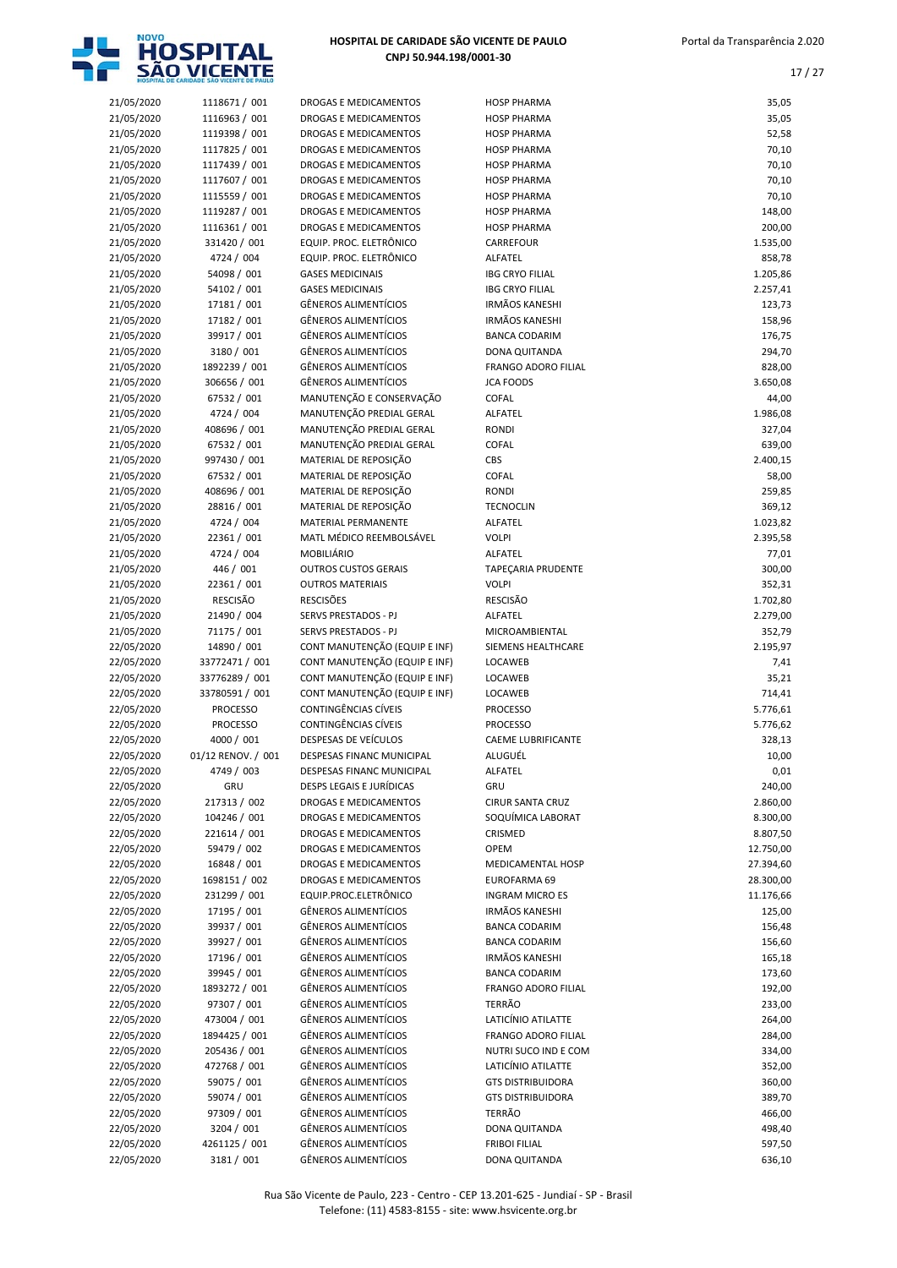

| 21/05/2020 | 1118671 / 001      | DROGAS E MEDICAMENTOS         | <b>HOSP PHARMA</b>         | 35,05     |
|------------|--------------------|-------------------------------|----------------------------|-----------|
| 21/05/2020 | 1116963 / 001      | DROGAS E MEDICAMENTOS         | <b>HOSP PHARMA</b>         | 35,05     |
| 21/05/2020 | 1119398 / 001      | <b>DROGAS E MEDICAMENTOS</b>  | <b>HOSP PHARMA</b>         | 52,58     |
|            |                    |                               |                            |           |
| 21/05/2020 | 1117825 / 001      | DROGAS E MEDICAMENTOS         | <b>HOSP PHARMA</b>         | 70,10     |
| 21/05/2020 | 1117439 / 001      | DROGAS E MEDICAMENTOS         | <b>HOSP PHARMA</b>         | 70,10     |
| 21/05/2020 | 1117607 / 001      | DROGAS E MEDICAMENTOS         | <b>HOSP PHARMA</b>         | 70,10     |
| 21/05/2020 | 1115559 / 001      | DROGAS E MEDICAMENTOS         | <b>HOSP PHARMA</b>         | 70,10     |
| 21/05/2020 | 1119287 / 001      | DROGAS E MEDICAMENTOS         | <b>HOSP PHARMA</b>         | 148,00    |
|            |                    |                               |                            |           |
| 21/05/2020 | 1116361 / 001      | DROGAS E MEDICAMENTOS         | <b>HOSP PHARMA</b>         | 200,00    |
| 21/05/2020 | 331420 / 001       | EQUIP. PROC. ELETRÔNICO       | <b>CARREFOUR</b>           | 1.535,00  |
| 21/05/2020 | 4724 / 004         | EQUIP. PROC. ELETRÔNICO       | ALFATEL                    | 858,78    |
| 21/05/2020 | 54098 / 001        | <b>GASES MEDICINAIS</b>       | <b>IBG CRYO FILIAL</b>     | 1.205,86  |
|            |                    |                               |                            |           |
| 21/05/2020 | 54102 / 001        | <b>GASES MEDICINAIS</b>       | <b>IBG CRYO FILIAL</b>     | 2.257,41  |
| 21/05/2020 | 17181 / 001        | <b>GÊNEROS ALIMENTÍCIOS</b>   | <b>IRMÃOS KANESHI</b>      | 123,73    |
| 21/05/2020 | 17182 / 001        | <b>GÊNEROS ALIMENTÍCIOS</b>   | <b>IRMÃOS KANESHI</b>      | 158,96    |
| 21/05/2020 | 39917 / 001        | <b>GÊNEROS ALIMENTÍCIOS</b>   | <b>BANCA CODARIM</b>       | 176,75    |
|            | 3180 / 001         | <b>GÊNEROS ALIMENTÍCIOS</b>   | DONA QUITANDA              |           |
| 21/05/2020 |                    |                               |                            | 294,70    |
| 21/05/2020 | 1892239 / 001      | <b>GÊNEROS ALIMENTÍCIOS</b>   | <b>FRANGO ADORO FILIAL</b> | 828,00    |
| 21/05/2020 | 306656 / 001       | <b>GÊNEROS ALIMENTÍCIOS</b>   | <b>JCA FOODS</b>           | 3.650,08  |
| 21/05/2020 | 67532 / 001        | MANUTENÇÃO E CONSERVAÇÃO      | <b>COFAL</b>               | 44,00     |
| 21/05/2020 | 4724 / 004         | MANUTENÇÃO PREDIAL GERAL      | <b>ALFATEL</b>             | 1.986,08  |
|            |                    |                               | <b>RONDI</b>               |           |
| 21/05/2020 | 408696 / 001       | MANUTENÇÃO PREDIAL GERAL      |                            | 327,04    |
| 21/05/2020 | 67532 / 001        | MANUTENÇÃO PREDIAL GERAL      | COFAL                      | 639,00    |
| 21/05/2020 | 997430 / 001       | MATERIAL DE REPOSIÇÃO         | CBS                        | 2.400,15  |
| 21/05/2020 | 67532 / 001        | MATERIAL DE REPOSIÇÃO         | COFAL                      | 58,00     |
| 21/05/2020 | 408696 / 001       | MATERIAL DE REPOSIÇÃO         | <b>RONDI</b>               | 259,85    |
|            |                    |                               |                            |           |
| 21/05/2020 | 28816 / 001        | MATERIAL DE REPOSIÇÃO         | <b>TECNOCLIN</b>           | 369,12    |
| 21/05/2020 | 4724 / 004         | MATERIAL PERMANENTE           | ALFATEL                    | 1.023,82  |
| 21/05/2020 | 22361 / 001        | MATL MÉDICO REEMBOLSÁVEL      | <b>VOLPI</b>               | 2.395,58  |
| 21/05/2020 | 4724 / 004         | <b>MOBILIÁRIO</b>             | ALFATEL                    | 77,01     |
|            |                    |                               |                            |           |
| 21/05/2020 | 446 / 001          | <b>OUTROS CUSTOS GERAIS</b>   | TAPEÇARIA PRUDENTE         | 300,00    |
| 21/05/2020 | 22361 / 001        | <b>OUTROS MATERIAIS</b>       | <b>VOLPI</b>               | 352,31    |
| 21/05/2020 | <b>RESCISÃO</b>    | <b>RESCISÕES</b>              | <b>RESCISÃO</b>            | 1.702,80  |
| 21/05/2020 | 21490 / 004        | SERVS PRESTADOS - PJ          | ALFATEL                    | 2.279,00  |
|            |                    |                               |                            |           |
|            |                    |                               |                            |           |
| 21/05/2020 | 71175 / 001        | <b>SERVS PRESTADOS - PJ</b>   | MICROAMBIENTAL             | 352,79    |
| 22/05/2020 | 14890 / 001        | CONT MANUTENÇÃO (EQUIP E INF) | SIEMENS HEALTHCARE         | 2.195,97  |
| 22/05/2020 | 33772471 / 001     | CONT MANUTENÇÃO (EQUIP E INF) | LOCAWEB                    | 7,41      |
|            |                    |                               |                            |           |
| 22/05/2020 | 33776289 / 001     | CONT MANUTENÇÃO (EQUIP E INF) | LOCAWEB                    | 35,21     |
| 22/05/2020 | 33780591 / 001     | CONT MANUTENÇÃO (EQUIP E INF) | LOCAWEB                    | 714,41    |
| 22/05/2020 | <b>PROCESSO</b>    | CONTINGÊNCIAS CÍVEIS          | <b>PROCESSO</b>            | 5.776,61  |
| 22/05/2020 | <b>PROCESSO</b>    | CONTINGÊNCIAS CÍVEIS          | <b>PROCESSO</b>            | 5.776,62  |
|            |                    | DESPESAS DE VEÍCULOS          | <b>CAEME LUBRIFICANTE</b>  |           |
| 22/05/2020 | 4000 / 001         |                               |                            | 328,13    |
| 22/05/2020 | 01/12 RENOV. / 001 | DESPESAS FINANC MUNICIPAL     | ALUGUÉL                    | 10,00     |
| 22/05/2020 | 4749 / 003         | DESPESAS FINANC MUNICIPAL     | ALFATEL                    | 0,01      |
| 22/05/2020 | GRU                | DESPS LEGAIS E JURÍDICAS      | GRU                        | 240,00    |
| 22/05/2020 | 217313 / 002       | DROGAS E MEDICAMENTOS         | <b>CIRUR SANTA CRUZ</b>    | 2.860,00  |
|            |                    |                               |                            |           |
| 22/05/2020 | 104246 / 001       | DROGAS E MEDICAMENTOS         | SOQUÍMICA LABORAT          | 8.300,00  |
| 22/05/2020 | 221614 / 001       | DROGAS E MEDICAMENTOS         | CRISMED                    | 8.807,50  |
| 22/05/2020 | 59479 / 002        | DROGAS E MEDICAMENTOS         | <b>OPEM</b>                | 12.750,00 |
| 22/05/2020 | 16848 / 001        | DROGAS E MEDICAMENTOS         | MEDICAMENTAL HOSP          | 27.394,60 |
|            | 1698151 / 002      |                               | EUROFARMA 69               |           |
| 22/05/2020 |                    | DROGAS E MEDICAMENTOS         |                            | 28.300,00 |
| 22/05/2020 | 231299 / 001       | EQUIP.PROC.ELETRÔNICO         | <b>INGRAM MICRO ES</b>     | 11.176,66 |
| 22/05/2020 | 17195 / 001        | <b>GÊNEROS ALIMENTÍCIOS</b>   | <b>IRMÃOS KANESHI</b>      | 125,00    |
| 22/05/2020 | 39937 / 001        | GÊNEROS ALIMENTÍCIOS          | <b>BANCA CODARIM</b>       | 156,48    |
| 22/05/2020 | 39927 / 001        | <b>GÊNEROS ALIMENTÍCIOS</b>   | <b>BANCA CODARIM</b>       | 156,60    |
|            | 17196 / 001        | <b>GÊNEROS ALIMENTÍCIOS</b>   | <b>IRMÃOS KANESHI</b>      |           |
| 22/05/2020 |                    |                               |                            | 165,18    |
| 22/05/2020 | 39945 / 001        | <b>GÊNEROS ALIMENTÍCIOS</b>   | <b>BANCA CODARIM</b>       | 173,60    |
| 22/05/2020 | 1893272 / 001      | <b>GÊNEROS ALIMENTÍCIOS</b>   | FRANGO ADORO FILIAL        | 192,00    |
| 22/05/2020 | 97307 / 001        | <b>GÊNEROS ALIMENTÍCIOS</b>   | TERRÃO                     | 233,00    |
| 22/05/2020 | 473004 / 001       | <b>GÊNEROS ALIMENTÍCIOS</b>   | LATICÍNIO ATILATTE         | 264,00    |
|            |                    |                               |                            |           |
| 22/05/2020 | 1894425 / 001      | <b>GÊNEROS ALIMENTÍCIOS</b>   | <b>FRANGO ADORO FILIAL</b> | 284,00    |
| 22/05/2020 | 205436 / 001       | GÊNEROS ALIMENTÍCIOS          | NUTRI SUCO IND E COM       | 334,00    |
| 22/05/2020 | 472768 / 001       | <b>GÊNEROS ALIMENTÍCIOS</b>   | LATICÍNIO ATILATTE         | 352,00    |
| 22/05/2020 | 59075 / 001        | <b>GÊNEROS ALIMENTÍCIOS</b>   | <b>GTS DISTRIBUIDORA</b>   | 360,00    |
|            |                    |                               |                            |           |
| 22/05/2020 | 59074 / 001        | <b>GÊNEROS ALIMENTÍCIOS</b>   | <b>GTS DISTRIBUIDORA</b>   | 389,70    |
| 22/05/2020 | 97309 / 001        | <b>GÊNEROS ALIMENTÍCIOS</b>   | <b>TERRÃO</b>              | 466,00    |
| 22/05/2020 | 3204 / 001         | <b>GÊNEROS ALIMENTÍCIOS</b>   | DONA QUITANDA              | 498,40    |
| 22/05/2020 | 4261125 / 001      | <b>GÊNEROS ALIMENTÍCIOS</b>   | <b>FRIBOI FILIAL</b>       | 597,50    |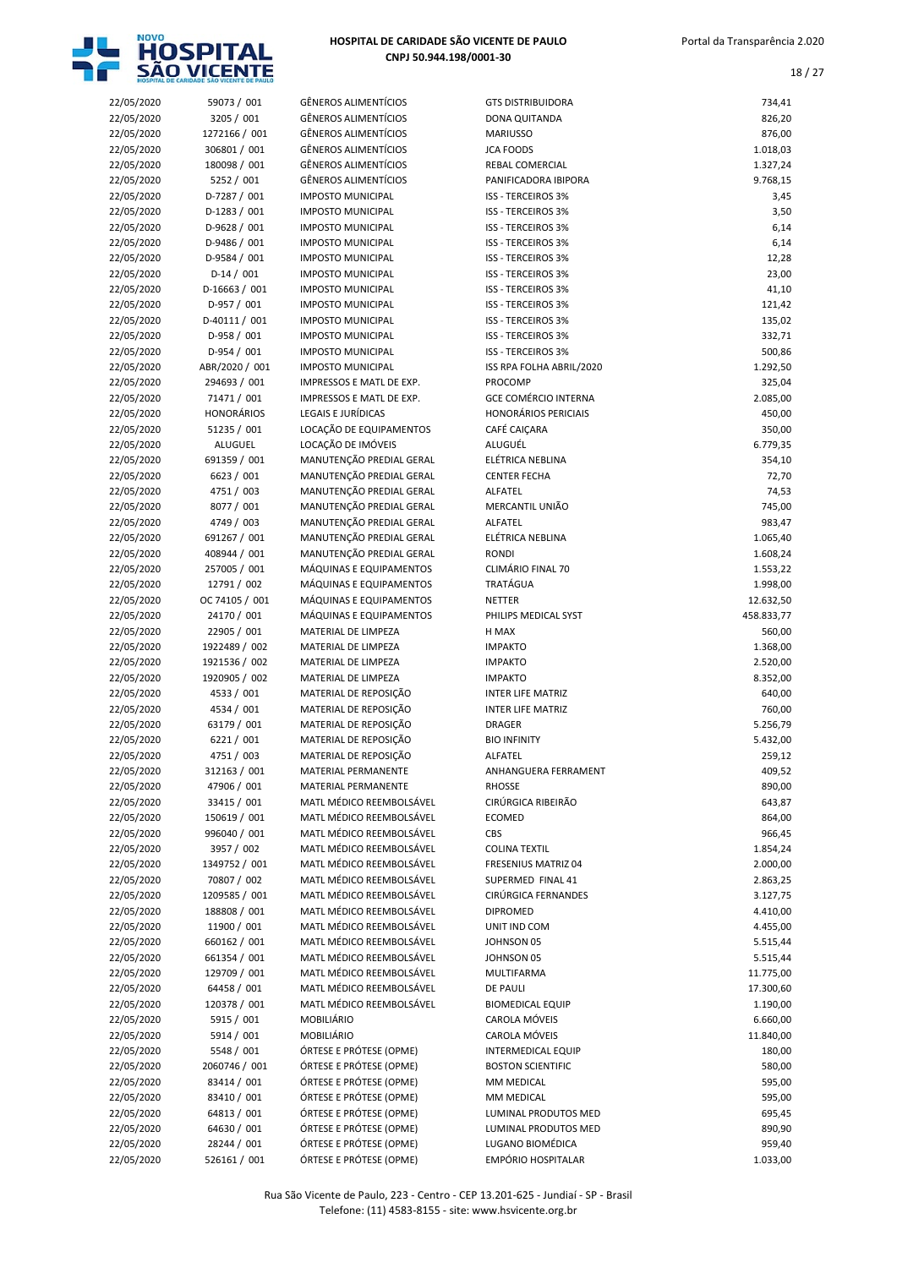

| 22/05/2020               | 59073 / 001                   | <b>GÊNEROS ALIMENTÍCI</b>                            |
|--------------------------|-------------------------------|------------------------------------------------------|
| 22/05/2020               | 3205 / 001                    | GÊNEROS ALIMENTÍCI                                   |
| 22/05/2020               | 1272166 / 001                 | <b>GÊNEROS ALIMENTÍCI</b>                            |
| 22/05/2020               | 306801 / 001                  | <b>GÊNEROS ALIMENTÍCI</b>                            |
| 22/05/2020               | 180098 / 001                  | <b>GÊNEROS ALIMENTÍCI</b>                            |
| 22/05/2020               | 5252 / 001                    | GÊNEROS ALIMENTÍCI                                   |
| 22/05/2020               | D-7287 / 001                  | <b>IMPOSTO MUNICIPAL</b>                             |
| 22/05/2020               | $D-1283 / 001$                | <b>IMPOSTO MUNICIPAL</b>                             |
| 22/05/2020               | D-9628 / 001                  | <b>IMPOSTO MUNICIPAL</b>                             |
| 22/05/2020               | D-9486 / 001                  | <b>IMPOSTO MUNICIPAL</b>                             |
| 22/05/2020               | D-9584 / 001<br>$D-14/001$    | <b>IMPOSTO MUNICIPAL</b>                             |
| 22/05/2020               | D-16663 / 001                 | <b>IMPOSTO MUNICIPAL</b><br><b>IMPOSTO MUNICIPAL</b> |
| 22/05/2020<br>22/05/2020 | D-957 / 001                   | <b>IMPOSTO MUNICIPAL</b>                             |
| 22/05/2020               | D-40111 / 001                 | <b>IMPOSTO MUNICIPAL</b>                             |
| 22/05/2020               | D-958 / 001                   | <b>IMPOSTO MUNICIPAL</b>                             |
| 22/05/2020               | D-954 / 001                   | <b>IMPOSTO MUNICIPAL</b>                             |
| 22/05/2020               | ABR/2020 / 001                | <b>IMPOSTO MUNICIPAL</b>                             |
| 22/05/2020               | 294693 / 001                  | <b>IMPRESSOS E MATL DI</b>                           |
| 22/05/2020               | 71471 / 001                   | <b>IMPRESSOS E MATL DI</b>                           |
| 22/05/2020               | <b>HONORÁRIOS</b>             | LEGAIS E JURÍDICAS                                   |
| 22/05/2020               | 51235 / 001                   | LOCAÇÃO DE EQUIPAI                                   |
| 22/05/2020               | ALUGUEL                       | LOCAÇÃO DE IMÓVEIS                                   |
| 22/05/2020               | 691359 / 001                  | MANUTENÇÃO PREDIA                                    |
| 22/05/2020               | 6623 / 001                    | MANUTENÇÃO PREDIA                                    |
| 22/05/2020               | 4751 / 003                    | MANUTENÇÃO PREDIA                                    |
| 22/05/2020               | 8077 / 001                    | MANUTENÇÃO PREDIA                                    |
| 22/05/2020               | 4749 / 003                    | MANUTENÇÃO PREDIA                                    |
| 22/05/2020               | 691267 / 001                  | MANUTENÇÃO PREDIA                                    |
| 22/05/2020               | 408944 / 001                  | MANUTENÇÃO PREDIA                                    |
| 22/05/2020               | 257005 / 001                  | MÁQUINAS E EQUIPAI                                   |
| 22/05/2020<br>22/05/2020 | 12791 / 002<br>OC 74105 / 001 | MÁQUINAS E EQUIPAI<br>MÁQUINAS E EQUIPAI             |
| 22/05/2020               | 24170 / 001                   | MÁQUINAS E EQUIPAI                                   |
| 22/05/2020               | 22905 / 001                   | MATERIAL DE LIMPEZ/                                  |
| 22/05/2020               | 1922489 / 002                 | MATERIAL DE LIMPEZ/                                  |
| 22/05/2020               | 1921536 / 002                 | MATERIAL DE LIMPEZ/                                  |
| 22/05/2020               | 1920905 / 002                 | MATERIAL DE LIMPEZ/                                  |
| 22/05/2020               | 4533 / 001                    | MATERIAL DE REPOSIO                                  |
| 22/05/2020               | 4534 / 001                    | MATERIAL DE REPOSIO                                  |
| 22/05/2020               | 63179 / 001                   | MATERIAL DE REPOSIO                                  |
| 22/05/2020               | 6221 / 001                    | MATERIAL DE REPOSIO                                  |
| 22/05/2020               | 4751 / 003                    | MATERIAL DE REPOSIO                                  |
| 22/05/2020               | 312163 / 001                  | MATERIAL PERMANEN                                    |
| 22/05/2020               | 47906 / 001                   | <b>MATERIAL PERMANEN</b>                             |
| 22/05/2020               | 33415 / 001                   | MATL MÉDICO REEMB                                    |
| 22/05/2020               | 150619 / 001                  | MATL MÉDICO REEME                                    |
| 22/05/2020               | 996040 / 001                  | MATL MÉDICO REEME                                    |
| 22/05/2020               | 3957 / 002                    | MATL MÉDICO REEME<br>MATL MÉDICO REEMB               |
| 22/05/2020<br>22/05/2020 | 1349752 / 001<br>70807 / 002  | MATL MÉDICO REEMB                                    |
| 22/05/2020               | 1209585 / 001                 | MATL MÉDICO REEMB                                    |
| 22/05/2020               | 188808 / 001                  | MATL MÉDICO REEMB                                    |
| 22/05/2020               | 11900 / 001                   | MATL MÉDICO REEMB                                    |
| 22/05/2020               | 660162 / 001                  | MATL MÉDICO REEME                                    |
| 22/05/2020               | 661354 / 001                  | MATL MÉDICO REEME                                    |
| 22/05/2020               | 129709 / 001                  | MATL MÉDICO REEME                                    |
| 22/05/2020               | 64458 / 001                   | MATL MÉDICO REEMB                                    |
| 22/05/2020               | 120378 / 001                  | MATL MÉDICO REEME                                    |
| 22/05/2020               | 5915 / 001                    | MOBILIÁRIO                                           |
| 22/05/2020               | 5914 / 001                    | MOBILIÁRIO                                           |
| 22/05/2020               | 5548 / 001                    | ÓRTESE E PRÓTESE (O                                  |
| 22/05/2020               | 2060746 / 001                 | ÓRTESE E PRÓTESE (O                                  |
| 22/05/2020               | 83414 / 001                   | ÓRTESE E PRÓTESE (O                                  |
| 22/05/2020               | 83410 / 001                   | ÓRTESE E PRÓTESE (O                                  |
| 22/05/2020               | 64813 / 001                   | ÓRTESE E PRÓTESE (O                                  |
| 22/05/2020               | 64630 / 001<br>28244 / 001    | ÓRTESE E PRÓTESE (O<br>ÓRTESE E PRÓTESE (O           |
| 22/05/2020<br>22/05/2020 | 526161 / 001                  | ÓRTESE E PRÓTESE (O                                  |
|                          |                               |                                                      |

| 22/05/2020               | 59073 / 001                    | <b>GÊNEROS ALIMENTÍCIOS</b>                          | <b>GTS DISTRIBUIDORA</b>                        | 734,41              |
|--------------------------|--------------------------------|------------------------------------------------------|-------------------------------------------------|---------------------|
| 22/05/2020               | 3205 / 001                     | <b>GÊNEROS ALIMENTÍCIOS</b>                          | DONA QUITANDA                                   | 826,20              |
| 22/05/2020               | 1272166 / 001                  | <b>GÊNEROS ALIMENTÍCIOS</b>                          | <b>MARIUSSO</b>                                 | 876,00              |
| 22/05/2020               | 306801 / 001                   | <b>GÊNEROS ALIMENTÍCIOS</b>                          | <b>JCA FOODS</b>                                | 1.018,03            |
| 22/05/2020               | 180098 / 001                   | <b>GÊNEROS ALIMENTÍCIOS</b>                          | <b>REBAL COMERCIAL</b>                          | 1.327,24            |
| 22/05/2020               | 5252 / 001                     | <b>GÊNEROS ALIMENTÍCIOS</b>                          | PANIFICADORA IBIPORA                            | 9.768,15            |
| 22/05/2020               | D-7287 / 001                   | <b>IMPOSTO MUNICIPAL</b>                             | <b>ISS - TERCEIROS 3%</b>                       | 3,45                |
| 22/05/2020               | $D-1283 / 001$                 | <b>IMPOSTO MUNICIPAL</b><br><b>IMPOSTO MUNICIPAL</b> | ISS - TERCEIROS 3%<br><b>ISS - TERCEIROS 3%</b> | 3,50                |
| 22/05/2020<br>22/05/2020 | $D-9628 / 001$<br>D-9486 / 001 | <b>IMPOSTO MUNICIPAL</b>                             | ISS - TERCEIROS 3%                              | 6,14<br>6,14        |
| 22/05/2020               | D-9584 / 001                   | <b>IMPOSTO MUNICIPAL</b>                             | <b>ISS - TERCEIROS 3%</b>                       | 12,28               |
| 22/05/2020               | $D-14/001$                     | <b>IMPOSTO MUNICIPAL</b>                             | ISS - TERCEIROS 3%                              | 23,00               |
| 22/05/2020               | $D-16663 / 001$                | <b>IMPOSTO MUNICIPAL</b>                             | <b>ISS - TERCEIROS 3%</b>                       | 41,10               |
| 22/05/2020               | $D-957 / 001$                  | <b>IMPOSTO MUNICIPAL</b>                             | ISS - TERCEIROS 3%                              | 121,42              |
| 22/05/2020               | $D-40111/001$                  | <b>IMPOSTO MUNICIPAL</b>                             | <b>ISS - TERCEIROS 3%</b>                       | 135,02              |
| 22/05/2020               | D-958 / 001                    | <b>IMPOSTO MUNICIPAL</b>                             | <b>ISS - TERCEIROS 3%</b>                       | 332,71              |
| 22/05/2020               | D-954 / 001                    | <b>IMPOSTO MUNICIPAL</b>                             | ISS - TERCEIROS 3%                              | 500,86              |
| 22/05/2020               | ABR/2020 / 001                 | <b>IMPOSTO MUNICIPAL</b>                             | ISS RPA FOLHA ABRIL/2020                        | 1.292,50            |
| 22/05/2020               | 294693 / 001                   | IMPRESSOS E MATL DE EXP.                             | PROCOMP                                         | 325,04              |
| 22/05/2020               | 71471 / 001                    | IMPRESSOS E MATL DE EXP.                             | <b>GCE COMÉRCIO INTERNA</b>                     | 2.085,00            |
| 22/05/2020               | <b>HONORÁRIOS</b>              | LEGAIS E JURÍDICAS                                   | <b>HONORÁRIOS PERICIAIS</b>                     | 450,00              |
| 22/05/2020               | 51235 / 001                    | LOCAÇÃO DE EQUIPAMENTOS                              | CAFÉ CAICARA                                    | 350,00              |
| 22/05/2020               | ALUGUEL                        | LOCAÇÃO DE IMÓVEIS                                   | ALUGUÉL                                         | 6.779,35            |
| 22/05/2020               | 691359 / 001                   | MANUTENÇÃO PREDIAL GERAL                             | ELÉTRICA NEBLINA                                | 354,10              |
| 22/05/2020               | 6623 / 001                     | MANUTENÇÃO PREDIAL GERAL                             | <b>CENTER FECHA</b>                             | 72,70               |
| 22/05/2020               | 4751 / 003                     | MANUTENÇÃO PREDIAL GERAL<br>MANUTENÇÃO PREDIAL GERAL | ALFATEL<br>MERCANTIL UNIÃO                      | 74,53<br>745,00     |
| 22/05/2020<br>22/05/2020 | 8077 / 001<br>4749 / 003       | MANUTENÇÃO PREDIAL GERAL                             | ALFATEL                                         | 983,47              |
| 22/05/2020               | 691267 / 001                   | MANUTENÇÃO PREDIAL GERAL                             | ELÉTRICA NEBLINA                                | 1.065,40            |
| 22/05/2020               | 408944 / 001                   | MANUTENÇÃO PREDIAL GERAL                             | <b>RONDI</b>                                    | 1.608,24            |
| 22/05/2020               | 257005 / 001                   | MÁQUINAS E EQUIPAMENTOS                              | CLIMÁRIO FINAL 70                               | 1.553,22            |
| 22/05/2020               | 12791 / 002                    | MÁQUINAS E EQUIPAMENTOS                              | TRATÁGUA                                        | 1.998,00            |
| 22/05/2020               | OC 74105 / 001                 | MÁQUINAS E EQUIPAMENTOS                              | <b>NETTER</b>                                   | 12.632,50           |
| 22/05/2020               | 24170 / 001                    | MÁQUINAS E EQUIPAMENTOS                              | PHILIPS MEDICAL SYST                            | 458.833,77          |
| 22/05/2020               | 22905 / 001                    | MATERIAL DE LIMPEZA                                  | H MAX                                           | 560,00              |
| 22/05/2020               | 1922489 / 002                  | MATERIAL DE LIMPEZA                                  | <b>IMPAKTO</b>                                  | 1.368,00            |
| 22/05/2020               | 1921536 / 002                  | MATERIAL DE LIMPEZA                                  | <b>IMPAKTO</b>                                  | 2.520,00            |
| 22/05/2020               | 1920905 / 002                  | MATERIAL DE LIMPEZA                                  | <b>IMPAKTO</b>                                  | 8.352,00            |
| 22/05/2020               | 4533 / 001                     | MATERIAL DE REPOSIÇÃO                                | <b>INTER LIFE MATRIZ</b>                        | 640,00              |
| 22/05/2020               | 4534 / 001                     | MATERIAL DE REPOSIÇÃO                                | <b>INTER LIFE MATRIZ</b>                        | 760,00              |
| 22/05/2020               | 63179 / 001                    | MATERIAL DE REPOSIÇÃO                                | <b>DRAGER</b>                                   | 5.256,79            |
| 22/05/2020               | 6221/001<br>4751 / 003         | MATERIAL DE REPOSIÇÃO                                | <b>BIO INFINITY</b><br>ALFATEL                  | 5.432,00            |
| 22/05/2020<br>22/05/2020 | 312163 / 001                   | MATERIAL DE REPOSIÇÃO<br>MATERIAL PERMANENTE         | ANHANGUERA FERRAMENT                            | 259,12<br>409,52    |
| 22/05/2020               | 47906 / 001                    | MATERIAL PERMANENTE                                  | <b>RHOSSE</b>                                   | 890,00              |
| 22/05/2020               | 33415 / 001                    | MATL MÉDICO REEMBOLSÁVEL                             | CIRÚRGICA RIBEIRÃO                              | 643,87              |
| 22/05/2020               | 150619 / 001                   | MATL MÉDICO REEMBOLSÁVEL                             | <b>ECOMED</b>                                   | 864,00              |
| 22/05/2020               | 996040 / 001                   | MATL MÉDICO REEMBOLSÁVEL                             | CBS                                             | 966,45              |
| 22/05/2020               | 3957 / 002                     | MATL MÉDICO REEMBOLSÁVEL                             | <b>COLINA TEXTIL</b>                            | 1.854,24            |
| 22/05/2020               | 1349752 / 001                  | MATL MÉDICO REEMBOLSÁVEL                             | FRESENIUS MATRIZ 04                             | 2.000,00            |
| 22/05/2020               | 70807 / 002                    | MATL MÉDICO REEMBOLSÁVEL                             | SUPERMED FINAL 41                               | 2.863,25            |
| 22/05/2020               | 1209585 / 001                  | MATL MÉDICO REEMBOLSÁVEL                             | CIRÚRGICA FERNANDES                             | 3.127,75            |
| 22/05/2020               | 188808 / 001                   | MATL MÉDICO REEMBOLSÁVEL                             | <b>DIPROMED</b>                                 | 4.410,00            |
| 22/05/2020               | 11900 / 001                    | MATL MÉDICO REEMBOLSÁVEL                             | UNIT IND COM                                    | 4.455,00            |
| 22/05/2020               | 660162 / 001                   | MATL MÉDICO REEMBOLSÁVEL                             | JOHNSON 05                                      | 5.515,44            |
| 22/05/2020               | 661354 / 001                   | MATL MÉDICO REEMBOLSÁVEL                             | JOHNSON 05                                      | 5.515,44            |
| 22/05/2020               | 129709 / 001                   | MATL MÉDICO REEMBOLSÁVEL                             | MULTIFARMA                                      | 11.775,00           |
| 22/05/2020               | 64458 / 001                    | MATL MÉDICO REEMBOLSÁVEL                             | <b>DE PAULI</b>                                 | 17.300,60           |
| 22/05/2020               | 120378 / 001                   | MATL MÉDICO REEMBOLSÁVEL                             | <b>BIOMEDICAL EQUIP</b>                         | 1.190,00            |
| 22/05/2020               | 5915 / 001<br>5914 / 001       | MOBILIÁRIO<br>MOBILIÁRIO                             | CAROLA MÓVEIS<br>CAROLA MÓVEIS                  | 6.660,00            |
| 22/05/2020<br>22/05/2020 | 5548 / 001                     | ÓRTESE E PRÓTESE (OPME)                              | <b>INTERMEDICAL EQUIP</b>                       | 11.840,00<br>180,00 |
| 22/05/2020               | 2060746 / 001                  | ÓRTESE E PRÓTESE (OPME)                              | <b>BOSTON SCIENTIFIC</b>                        | 580,00              |
| 22/05/2020               | 83414 / 001                    | ÓRTESE E PRÓTESE (OPME)                              | MM MEDICAL                                      | 595,00              |
| 22/05/2020               | 83410 / 001                    | ÓRTESE E PRÓTESE (OPME)                              | MM MEDICAL                                      | 595,00              |
| 22/05/2020               | 64813 / 001                    | ÓRTESE E PRÓTESE (OPME)                              | LUMINAL PRODUTOS MED                            | 695,45              |
| 22/05/2020               | 64630 / 001                    | ÓRTESE E PRÓTESE (OPME)                              | LUMINAL PRODUTOS MED                            | 890,90              |
| 22/05/2020               | 28244 / 001                    | ÓRTESE E PRÓTESE (OPME)                              | LUGANO BIOMÉDICA                                | 959,40              |
| 22/05/2020               | 526161 / 001                   | ÓRTESE E PRÓTESE (OPME)                              | EMPÓRIO HOSPITALAR                              | 1.033,00            |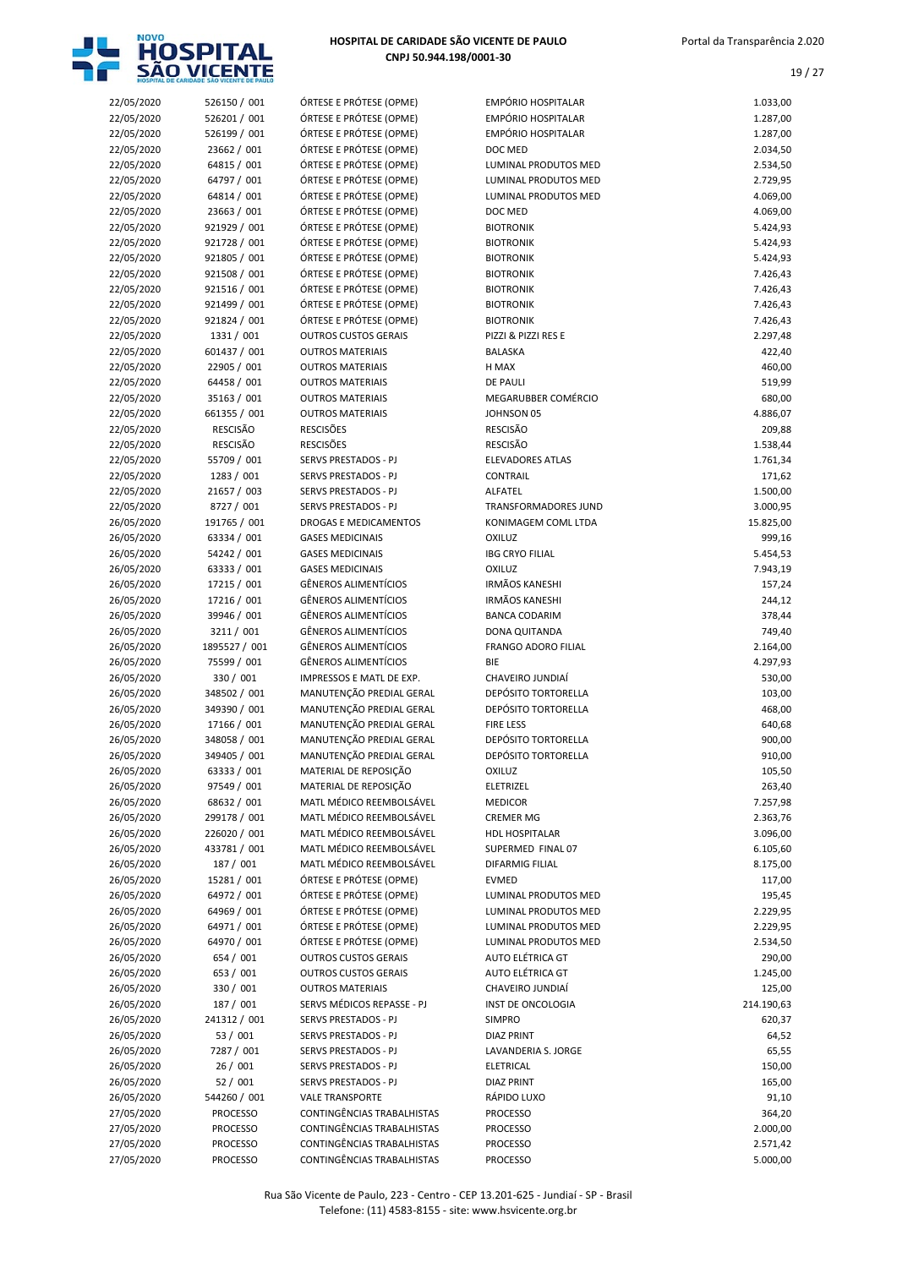

|                          | HOSPITAL DE CARIDADE SAO VICENTE DE PAULO |                                                        |                                        |                      |
|--------------------------|-------------------------------------------|--------------------------------------------------------|----------------------------------------|----------------------|
| 22/05/2020               | 526150 / 001                              | ÓRTESE E PRÓTESE (OPME)                                | <b>EMPÓRIO HOSPITALAR</b>              | 1.033,00             |
| 22/05/2020               | 526201 / 001                              | ÓRTESE E PRÓTESE (OPME)                                | EMPÓRIO HOSPITALAR                     | 1.287,00             |
| 22/05/2020               | 526199 / 001                              | ÓRTESE E PRÓTESE (OPME)                                | <b>EMPÓRIO HOSPITALAR</b><br>DOC MED   | 1.287,00             |
| 22/05/2020<br>22/05/2020 | 23662 / 001<br>64815 / 001                | ÓRTESE E PRÓTESE (OPME)<br>ÓRTESE E PRÓTESE (OPME)     | LUMINAL PRODUTOS MED                   | 2.034,50<br>2.534,50 |
| 22/05/2020               | 64797 / 001                               | ÓRTESE E PRÓTESE (OPME)                                | LUMINAL PRODUTOS MED                   | 2.729,95             |
| 22/05/2020               | 64814 / 001                               | ÓRTESE E PRÓTESE (OPME)                                | LUMINAL PRODUTOS MED                   | 4.069,00             |
| 22/05/2020               | 23663 / 001                               | ÓRTESE E PRÓTESE (OPME)                                | DOC MED                                | 4.069,00             |
| 22/05/2020               | 921929 / 001                              | ÓRTESE E PRÓTESE (OPME)                                | <b>BIOTRONIK</b>                       | 5.424,93             |
| 22/05/2020               | 921728 / 001                              | ÓRTESE E PRÓTESE (OPME)                                | <b>BIOTRONIK</b>                       | 5.424,93             |
| 22/05/2020               | 921805 / 001                              | ÓRTESE E PRÓTESE (OPME)                                | <b>BIOTRONIK</b>                       | 5.424,93             |
| 22/05/2020               | 921508 / 001                              | ÓRTESE E PRÓTESE (OPME)                                | <b>BIOTRONIK</b>                       | 7.426,43             |
| 22/05/2020               | 921516 / 001                              | ÓRTESE E PRÓTESE (OPME)                                | <b>BIOTRONIK</b>                       | 7.426,43             |
| 22/05/2020               | 921499 / 001                              | ÓRTESE E PRÓTESE (OPME)                                | <b>BIOTRONIK</b>                       | 7.426,43             |
| 22/05/2020               | 921824 / 001                              | ÓRTESE E PRÓTESE (OPME)                                | <b>BIOTRONIK</b>                       | 7.426,43             |
| 22/05/2020               | 1331 / 001                                | <b>OUTROS CUSTOS GERAIS</b>                            | PIZZI & PIZZI RES E                    | 2.297,48             |
| 22/05/2020<br>22/05/2020 | 601437 / 001<br>22905 / 001               | <b>OUTROS MATERIAIS</b><br><b>OUTROS MATERIAIS</b>     | <b>BALASKA</b><br>H MAX                | 422,40<br>460,00     |
| 22/05/2020               | 64458 / 001                               | <b>OUTROS MATERIAIS</b>                                | <b>DE PAULI</b>                        | 519,99               |
| 22/05/2020               | 35163 / 001                               | <b>OUTROS MATERIAIS</b>                                | MEGARUBBER COMÉRCIO                    | 680,00               |
| 22/05/2020               | 661355 / 001                              | <b>OUTROS MATERIAIS</b>                                | JOHNSON 05                             | 4.886,07             |
| 22/05/2020               | <b>RESCISÃO</b>                           | <b>RESCISÕES</b>                                       | <b>RESCISÃO</b>                        | 209,88               |
| 22/05/2020               | <b>RESCISÃO</b>                           | <b>RESCISÕES</b>                                       | <b>RESCISÃO</b>                        | 1.538,44             |
| 22/05/2020               | 55709 / 001                               | SERVS PRESTADOS - PJ                                   | <b>ELEVADORES ATLAS</b>                | 1.761,34             |
| 22/05/2020               | 1283 / 001                                | <b>SERVS PRESTADOS - PJ</b>                            | <b>CONTRAIL</b>                        | 171,62               |
| 22/05/2020               | 21657 / 003                               | SERVS PRESTADOS - PJ                                   | ALFATEL                                | 1.500,00             |
| 22/05/2020               | 8727 / 001                                | SERVS PRESTADOS - PJ                                   | <b>TRANSFORMADORES JUND</b>            | 3.000,95             |
| 26/05/2020               | 191765 / 001                              | DROGAS E MEDICAMENTOS                                  | KONIMAGEM COML LTDA                    | 15.825,00            |
| 26/05/2020               | 63334 / 001                               | <b>GASES MEDICINAIS</b>                                | <b>OXILUZ</b>                          | 999,16               |
| 26/05/2020               | 54242 / 001                               | <b>GASES MEDICINAIS</b>                                | <b>IBG CRYO FILIAL</b>                 | 5.454,53             |
| 26/05/2020               | 63333 / 001<br>17215 / 001                | <b>GASES MEDICINAIS</b><br><b>GÊNEROS ALIMENTÍCIOS</b> | <b>OXILUZ</b><br><b>IRMÃOS KANESHI</b> | 7.943,19             |
| 26/05/2020<br>26/05/2020 | 17216 / 001                               | <b>GÊNEROS ALIMENTÍCIOS</b>                            | <b>IRMÃOS KANESHI</b>                  | 157,24<br>244,12     |
| 26/05/2020               | 39946 / 001                               | <b>GÊNEROS ALIMENTÍCIOS</b>                            | <b>BANCA CODARIM</b>                   | 378,44               |
| 26/05/2020               | 3211 / 001                                | <b>GÊNEROS ALIMENTÍCIOS</b>                            | DONA QUITANDA                          | 749,40               |
| 26/05/2020               | 1895527 / 001                             | <b>GÊNEROS ALIMENTÍCIOS</b>                            | <b>FRANGO ADORO FILIAL</b>             | 2.164,00             |
| 26/05/2020               | 75599 / 001                               | <b>GÊNEROS ALIMENTÍCIOS</b>                            | <b>BIE</b>                             | 4.297,93             |
| 26/05/2020               | 330 / 001                                 | IMPRESSOS E MATL DE EXP.                               | CHAVEIRO JUNDIAÍ                       | 530,00               |
| 26/05/2020               | 348502 / 001                              | MANUTENÇÃO PREDIAL GERAL                               | <b>DEPÓSITO TORTORELLA</b>             | 103,00               |
| 26/05/2020               | 349390 / 001                              | MANUTENÇÃO PREDIAL GERAL                               | DEPÓSITO TORTORELLA                    | 468,00               |
| 26/05/2020               | 17166 / 001                               | MANUTENÇÃO PREDIAL GERAL                               | <b>FIRE LESS</b>                       | 640,68               |
| 26/05/2020               | 348058 / 001                              | MANUTENÇÃO PREDIAL GERAL                               | DEPÓSITO TORTORELLA                    | 900,00               |
| 26/05/2020               | 349405 / 001                              | MANUTENÇÃO PREDIAL GERAL                               | DEPÓSITO TORTORELLA                    | 910,00               |
| 26/05/2020               | 63333 / 001                               | MATERIAL DE REPOSIÇÃO<br>MATERIAL DE REPOSIÇÃO         | <b>OXILUZ</b>                          | 105,50               |
| 26/05/2020<br>26/05/2020 | 97549 / 001<br>68632 / 001                | MATL MÉDICO REEMBOLSÁVEL                               | ELETRIZEL<br><b>MEDICOR</b>            | 263,40<br>7.257,98   |
| 26/05/2020               | 299178 / 001                              | MATL MÉDICO REEMBOLSÁVEL                               | <b>CREMER MG</b>                       | 2.363,76             |
| 26/05/2020               | 226020 / 001                              | MATL MÉDICO REEMBOLSÁVEL                               | <b>HDL HOSPITALAR</b>                  | 3.096,00             |
| 26/05/2020               | 433781 / 001                              | MATL MÉDICO REEMBOLSÁVEL                               | SUPERMED FINAL 07                      | 6.105,60             |
| 26/05/2020               | 187 / 001                                 | MATL MÉDICO REEMBOLSÁVEL                               | DIFARMIG FILIAL                        | 8.175,00             |
| 26/05/2020               | 15281 / 001                               | ÓRTESE E PRÓTESE (OPME)                                | <b>EVMED</b>                           | 117,00               |
| 26/05/2020               | 64972 / 001                               | ÓRTESE E PRÓTESE (OPME)                                | LUMINAL PRODUTOS MED                   | 195,45               |
| 26/05/2020               | 64969 / 001                               | ÓRTESE E PRÓTESE (OPME)                                | LUMINAL PRODUTOS MED                   | 2.229,95             |
| 26/05/2020               | 64971 / 001                               | ÓRTESE E PRÓTESE (OPME)                                | LUMINAL PRODUTOS MED                   | 2.229,95             |
| 26/05/2020               | 64970 / 001                               | ÓRTESE E PRÓTESE (OPME)                                | LUMINAL PRODUTOS MED                   | 2.534,50             |
| 26/05/2020               | 654 / 001                                 | <b>OUTROS CUSTOS GERAIS</b>                            | AUTO ELÉTRICA GT                       | 290,00               |
| 26/05/2020<br>26/05/2020 | 653 / 001<br>330 / 001                    | <b>OUTROS CUSTOS GERAIS</b><br><b>OUTROS MATERIAIS</b> | AUTO ELÉTRICA GT<br>CHAVEIRO JUNDIAÍ   | 1.245,00<br>125,00   |
| 26/05/2020               | 187 / 001                                 | SERVS MÉDICOS REPASSE - PJ                             | INST DE ONCOLOGIA                      | 214.190,63           |
| 26/05/2020               | 241312 / 001                              | SERVS PRESTADOS - PJ                                   | <b>SIMPRO</b>                          | 620,37               |
| 26/05/2020               | 53 / 001                                  | SERVS PRESTADOS - PJ                                   | <b>DIAZ PRINT</b>                      | 64,52                |
| 26/05/2020               | 7287 / 001                                | SERVS PRESTADOS - PJ                                   | LAVANDERIA S. JORGE                    | 65,55                |
| 26/05/2020               | 26/001                                    | SERVS PRESTADOS - PJ                                   | ELETRICAL                              | 150,00               |
| 26/05/2020               | 52/001                                    | SERVS PRESTADOS - PJ                                   | <b>DIAZ PRINT</b>                      | 165,00               |
| 26/05/2020               | 544260 / 001                              | <b>VALE TRANSPORTE</b>                                 | RÁPIDO LUXO                            | 91,10                |
| 27/05/2020               | <b>PROCESSO</b>                           | CONTINGÊNCIAS TRABALHISTAS                             | <b>PROCESSO</b>                        | 364,20               |
| 27/05/2020               | <b>PROCESSO</b>                           | CONTINGÊNCIAS TRABALHISTAS                             | <b>PROCESSO</b>                        | 2.000,00             |
| 27/05/2020               | <b>PROCESSO</b>                           | CONTINGÊNCIAS TRABALHISTAS                             | <b>PROCESSO</b>                        | 2.571,42             |
| 27/05/2020               | <b>PROCESSO</b>                           | CONTINGÊNCIAS TRABALHISTAS                             | <b>PROCESSO</b>                        | 5.000,00             |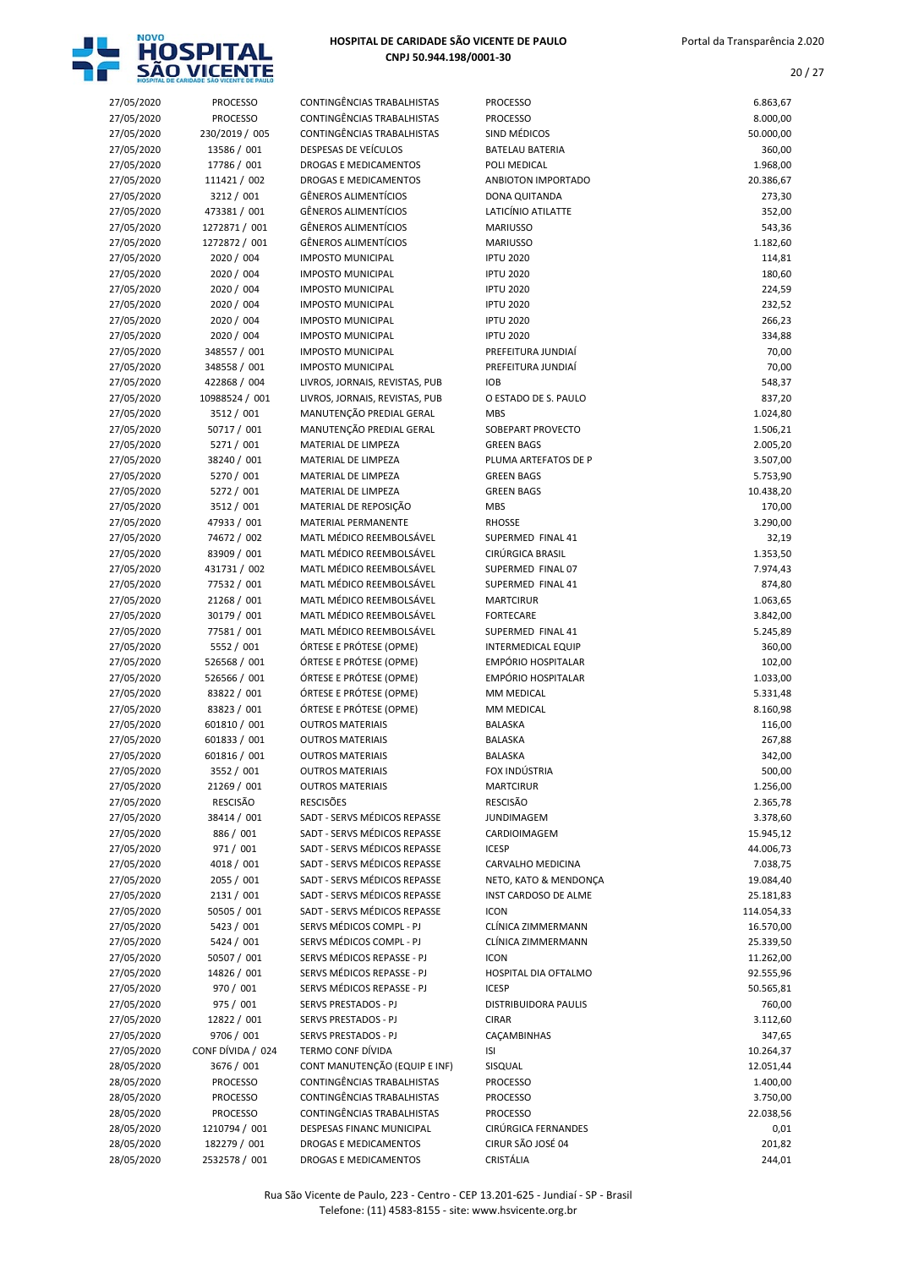

| 27/05/2020               | <b>PROCESSO</b>              | CONTINGÊNCIAS TRABALHISTAS                                 | <b>PROCESSO</b>                           | 6.863,67             |
|--------------------------|------------------------------|------------------------------------------------------------|-------------------------------------------|----------------------|
| 27/05/2020               | <b>PROCESSO</b>              | CONTINGÊNCIAS TRABALHISTAS                                 | <b>PROCESSO</b>                           | 8.000,00             |
| 27/05/2020               | 230/2019 / 005               | CONTINGÊNCIAS TRABALHISTAS                                 | SIND MÉDICOS                              | 50.000,00            |
| 27/05/2020               | 13586 / 001                  | DESPESAS DE VEÍCULOS                                       | <b>BATELAU BATERIA</b>                    | 360,00               |
| 27/05/2020               | 17786 / 001                  | <b>DROGAS E MEDICAMENTOS</b>                               | POLI MEDICAL                              | 1.968,00             |
| 27/05/2020               | 111421 / 002                 | DROGAS E MEDICAMENTOS                                      | ANBIOTON IMPORTADO                        | 20.386,67            |
| 27/05/2020               | 3212 / 001                   | <b>GÊNEROS ALIMENTÍCIOS</b>                                | DONA QUITANDA                             | 273,30               |
| 27/05/2020               | 473381 / 001                 | GÊNEROS ALIMENTÍCIOS                                       | LATICÍNIO ATILATTE                        | 352,00               |
| 27/05/2020               | 1272871 / 001                | GÊNEROS ALIMENTÍCIOS                                       | <b>MARIUSSO</b>                           | 543,36               |
| 27/05/2020               | 1272872 / 001                | <b>GÊNEROS ALIMENTÍCIOS</b>                                | <b>MARIUSSO</b>                           | 1.182,60             |
| 27/05/2020               | 2020 / 004                   | <b>IMPOSTO MUNICIPAL</b>                                   | <b>IPTU 2020</b>                          | 114,81               |
| 27/05/2020               | 2020 / 004                   | <b>IMPOSTO MUNICIPAL</b>                                   | <b>IPTU 2020</b>                          | 180,60               |
| 27/05/2020               | 2020 / 004                   | <b>IMPOSTO MUNICIPAL</b>                                   | <b>IPTU 2020</b>                          | 224,59               |
| 27/05/2020               | 2020 / 004                   | <b>IMPOSTO MUNICIPAL</b>                                   | <b>IPTU 2020</b>                          | 232,52               |
| 27/05/2020               | 2020 / 004                   | <b>IMPOSTO MUNICIPAL</b>                                   | <b>IPTU 2020</b>                          | 266,23               |
| 27/05/2020               | 2020 / 004                   | <b>IMPOSTO MUNICIPAL</b>                                   | <b>IPTU 2020</b>                          | 334,88               |
| 27/05/2020               | 348557 / 001                 | <b>IMPOSTO MUNICIPAL</b>                                   | PREFEITURA JUNDIAÍ                        | 70,00                |
| 27/05/2020               | 348558 / 001                 | <b>IMPOSTO MUNICIPAL</b>                                   | PREFEITURA JUNDIAÍ                        | 70,00                |
| 27/05/2020               | 422868 / 004                 | LIVROS, JORNAIS, REVISTAS, PUB                             | <b>IOB</b>                                | 548,37               |
| 27/05/2020<br>27/05/2020 | 10988524 / 001<br>3512 / 001 | LIVROS, JORNAIS, REVISTAS, PUB<br>MANUTENÇÃO PREDIAL GERAL | O ESTADO DE S. PAULO                      | 837,20<br>1.024,80   |
|                          |                              | MANUTENÇÃO PREDIAL GERAL                                   | <b>MBS</b>                                |                      |
| 27/05/2020               | 50717 / 001<br>5271 / 001    |                                                            | SOBEPART PROVECTO<br><b>GREEN BAGS</b>    | 1.506,21             |
| 27/05/2020<br>27/05/2020 | 38240 / 001                  | MATERIAL DE LIMPEZA<br>MATERIAL DE LIMPEZA                 |                                           | 2.005,20             |
| 27/05/2020               | 5270 / 001                   | MATERIAL DE LIMPEZA                                        | PLUMA ARTEFATOS DE P<br><b>GREEN BAGS</b> | 3.507,00<br>5.753,90 |
| 27/05/2020               | 5272 / 001                   | MATERIAL DE LIMPEZA                                        | <b>GREEN BAGS</b>                         | 10.438,20            |
| 27/05/2020               | 3512 / 001                   | MATERIAL DE REPOSIÇÃO                                      | <b>MBS</b>                                | 170,00               |
| 27/05/2020               | 47933 / 001                  | MATERIAL PERMANENTE                                        | <b>RHOSSE</b>                             | 3.290,00             |
| 27/05/2020               | 74672 / 002                  | MATL MÉDICO REEMBOLSÁVEL                                   | SUPERMED FINAL 41                         | 32,19                |
| 27/05/2020               | 83909 / 001                  | MATL MÉDICO REEMBOLSÁVEL                                   | CIRÚRGICA BRASIL                          | 1.353,50             |
| 27/05/2020               | 431731 / 002                 | MATL MÉDICO REEMBOLSÁVEL                                   | SUPERMED FINAL 07                         | 7.974,43             |
| 27/05/2020               | 77532 / 001                  | MATL MÉDICO REEMBOLSÁVEL                                   | SUPERMED FINAL 41                         | 874,80               |
| 27/05/2020               | 21268 / 001                  | MATL MÉDICO REEMBOLSÁVEL                                   | <b>MARTCIRUR</b>                          | 1.063,65             |
| 27/05/2020               | 30179 / 001                  | MATL MÉDICO REEMBOLSÁVEL                                   | <b>FORTECARE</b>                          | 3.842,00             |
| 27/05/2020               | 77581 / 001                  | MATL MÉDICO REEMBOLSÁVEL                                   | SUPERMED FINAL 41                         | 5.245,89             |
| 27/05/2020               | 5552 / 001                   | ÓRTESE E PRÓTESE (OPME)                                    | <b>INTERMEDICAL EQUIP</b>                 | 360,00               |
| 27/05/2020               | 526568 / 001                 | ÓRTESE E PRÓTESE (OPME)                                    | <b>EMPÓRIO HOSPITALAR</b>                 | 102,00               |
| 27/05/2020               | 526566 / 001                 | ÓRTESE E PRÓTESE (OPME)                                    | EMPÓRIO HOSPITALAR                        | 1.033,00             |
| 27/05/2020               | 83822 / 001                  | ÓRTESE E PRÓTESE (OPME)                                    | MM MEDICAL                                | 5.331,48             |
| 27/05/2020               | 83823 / 001                  | ÓRTESE E PRÓTESE (OPME)                                    | MM MEDICAL                                | 8.160,98             |
| 27/05/2020               | 601810 / 001                 | <b>OUTROS MATERIAIS</b>                                    | <b>BALASKA</b>                            | 116,00               |
| 27/05/2020               | 601833 / 001                 | <b>OUTROS MATERIAIS</b>                                    | <b>BALASKA</b>                            | 267,88               |
| 27/05/2020               | 601816 / 001                 | <b>OUTROS MATERIAIS</b>                                    | <b>BALASKA</b>                            | 342,00               |
| 27/05/2020               | 3552 / 001                   | <b>OUTROS MATERIAIS</b>                                    | FOX INDÚSTRIA                             | 500,00               |
| 27/05/2020               | 21269 / 001                  | <b>OUTROS MATERIAIS</b>                                    | <b>MARTCIRUR</b>                          | 1.256,00             |
| 27/05/2020               | RESCISÃO                     | <b>RESCISÕES</b>                                           | RESCISÃO                                  | 2.365,78             |
| 27/05/2020               | 38414 / 001                  | SADT - SERVS MÉDICOS REPASSE                               | <b>JUNDIMAGEM</b>                         | 3.378,60             |
| 27/05/2020               | 886 / 001                    | SADT - SERVS MÉDICOS REPASSE                               | CARDIOIMAGEM                              | 15.945,12            |
| 27/05/2020               | 971 / 001                    | SADT - SERVS MÉDICOS REPASSE                               | <b>ICESP</b>                              | 44.006,73            |
| 27/05/2020               | 4018 / 001                   | SADT - SERVS MÉDICOS REPASSE                               | CARVALHO MEDICINA                         | 7.038,75             |
| 27/05/2020               | 2055 / 001                   | SADT - SERVS MÉDICOS REPASSE                               | NETO, KATO & MENDONÇA                     | 19.084,40            |
| 27/05/2020               | 2131/001                     | SADT - SERVS MÉDICOS REPASSE                               | INST CARDOSO DE ALME                      | 25.181,83            |
| 27/05/2020               | 50505 / 001                  | SADT - SERVS MÉDICOS REPASSE                               | <b>ICON</b>                               | 114.054,33           |
| 27/05/2020               | 5423 / 001                   | SERVS MÉDICOS COMPL - PJ                                   | CLÍNICA ZIMMERMANN                        | 16.570,00            |
| 27/05/2020               | 5424 / 001                   | SERVS MÉDICOS COMPL - PJ                                   | CLÍNICA ZIMMERMANN                        | 25.339,50            |
| 27/05/2020               | 50507 / 001                  | SERVS MÉDICOS REPASSE - PJ                                 | <b>ICON</b>                               | 11.262,00            |
| 27/05/2020               | 14826 / 001                  | SERVS MÉDICOS REPASSE - PJ                                 | HOSPITAL DIA OFTALMO                      | 92.555,96            |
| 27/05/2020               | 970 / 001                    | SERVS MÉDICOS REPASSE - PJ                                 | <b>ICESP</b>                              | 50.565,81            |
| 27/05/2020               | 975 / 001                    | SERVS PRESTADOS - PJ                                       | <b>DISTRIBUIDORA PAULIS</b>               | 760,00               |
| 27/05/2020               | 12822 / 001                  | SERVS PRESTADOS - PJ                                       | <b>CIRAR</b>                              | 3.112,60             |
| 27/05/2020               | 9706 / 001                   | SERVS PRESTADOS - PJ                                       | CAÇAMBINHAS                               | 347,65               |
| 27/05/2020               | CONF DÍVIDA / 024            | <b>TERMO CONF DÍVIDA</b>                                   | ISI                                       | 10.264,37            |
| 28/05/2020               | 3676 / 001                   | CONT MANUTENÇÃO (EQUIP E INF)                              | SISQUAL                                   | 12.051,44            |
| 28/05/2020               | <b>PROCESSO</b>              | CONTINGÊNCIAS TRABALHISTAS                                 | <b>PROCESSO</b>                           | 1.400,00             |
| 28/05/2020               | <b>PROCESSO</b>              | CONTINGÊNCIAS TRABALHISTAS                                 | <b>PROCESSO</b>                           | 3.750,00             |
| 28/05/2020               | <b>PROCESSO</b>              | CONTINGÊNCIAS TRABALHISTAS                                 | <b>PROCESSO</b>                           | 22.038,56            |
| 28/05/2020               | 1210794 / 001                | DESPESAS FINANC MUNICIPAL                                  | CIRÚRGICA FERNANDES                       | 0,01                 |
| 28/05/2020               | 182279 / 001                 | DROGAS E MEDICAMENTOS                                      | CIRUR SÃO JOSÉ 04                         | 201,82               |
| 28/05/2020               | 2532578 / 001                | DROGAS E MEDICAMENTOS                                      | CRISTÁLIA                                 | 244,01               |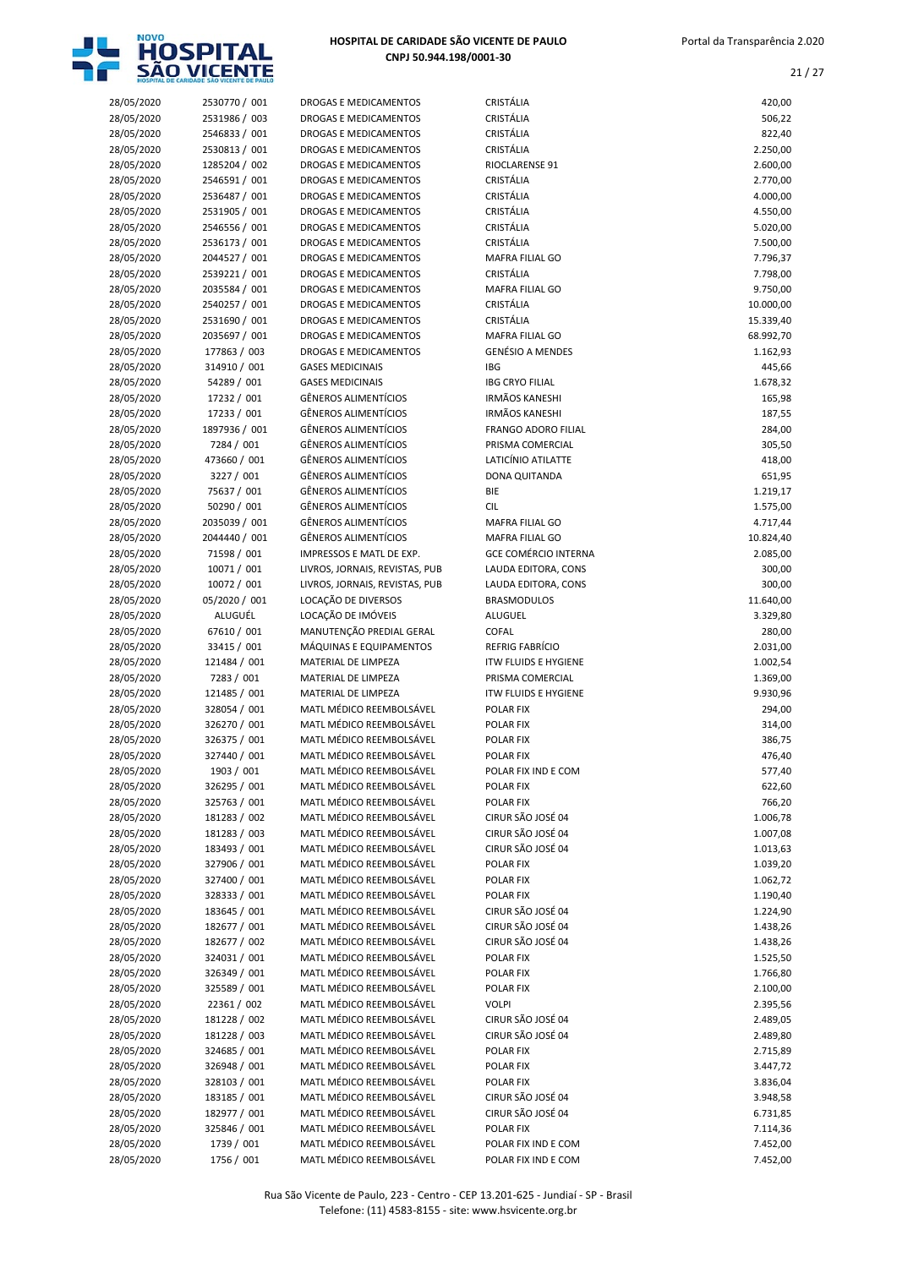

| 28/05/2020               | 2530770 / 001              | DROGAS E MEDICAMENTOS                           | CRISTÁLIA                                | 420,00               |
|--------------------------|----------------------------|-------------------------------------------------|------------------------------------------|----------------------|
| 28/05/2020               | 2531986 / 003              | DROGAS E MEDICAMENTOS                           | CRISTÁLIA                                | 506,22               |
| 28/05/2020               | 2546833 / 001              | DROGAS E MEDICAMENTOS                           | CRISTÁLIA                                | 822,40               |
| 28/05/2020               | 2530813 / 001              | DROGAS E MEDICAMENTOS                           | CRISTÁLIA                                | 2.250,00             |
| 28/05/2020               | 1285204 / 002              | DROGAS E MEDICAMENTOS                           | RIOCLARENSE 91                           | 2.600,00             |
| 28/05/2020               | 2546591 / 001              | <b>DROGAS E MEDICAMENTOS</b>                    | <b>CRISTÁLIA</b>                         | 2.770,00             |
| 28/05/2020               | 2536487 / 001              | <b>DROGAS E MEDICAMENTOS</b>                    | CRISTÁLIA                                | 4.000,00             |
| 28/05/2020               | 2531905 / 001              | DROGAS E MEDICAMENTOS                           | CRISTÁLIA                                | 4.550,00             |
| 28/05/2020               | 2546556 / 001              | DROGAS E MEDICAMENTOS                           | CRISTÁLIA                                | 5.020,00             |
| 28/05/2020               | 2536173 / 001              | DROGAS E MEDICAMENTOS                           | CRISTÁLIA                                | 7.500,00             |
| 28/05/2020               | 2044527 / 001              | DROGAS E MEDICAMENTOS                           | MAFRA FILIAL GO                          | 7.796,37             |
| 28/05/2020               | 2539221 / 001              | DROGAS E MEDICAMENTOS                           | <b>CRISTÁLIA</b>                         | 7.798,00             |
| 28/05/2020               | 2035584 / 001              | DROGAS E MEDICAMENTOS                           | MAFRA FILIAL GO                          | 9.750,00             |
| 28/05/2020               | 2540257 / 001              | <b>DROGAS E MEDICAMENTOS</b>                    | CRISTÁLIA                                | 10.000,00            |
| 28/05/2020               | 2531690 / 001              | DROGAS E MEDICAMENTOS                           | CRISTÁLIA                                | 15.339,40            |
| 28/05/2020               | 2035697 / 001              | DROGAS E MEDICAMENTOS                           | MAFRA FILIAL GO                          | 68.992,70            |
| 28/05/2020               | 177863 / 003               | DROGAS E MEDICAMENTOS                           | <b>GENÉSIO A MENDES</b>                  | 1.162,93             |
| 28/05/2020               | 314910 / 001               | <b>GASES MEDICINAIS</b>                         | <b>IBG</b>                               | 445,66               |
| 28/05/2020               | 54289 / 001                | <b>GASES MEDICINAIS</b>                         | <b>IBG CRYO FILIAL</b>                   | 1.678,32             |
| 28/05/2020               | 17232 / 001                | <b>GÊNEROS ALIMENTÍCIOS</b>                     | <b>IRMÃOS KANESHI</b>                    | 165,98               |
| 28/05/2020               | 17233 / 001                | <b>GÊNEROS ALIMENTÍCIOS</b>                     | <b>IRMÃOS KANESHI</b>                    | 187,55               |
| 28/05/2020               | 1897936 / 001              | <b>GÊNEROS ALIMENTÍCIOS</b>                     | <b>FRANGO ADORO FILIAL</b>               | 284,00               |
| 28/05/2020               | 7284 / 001                 | <b>GÊNEROS ALIMENTÍCIOS</b>                     | PRISMA COMERCIAL                         | 305,50               |
| 28/05/2020               | 473660 / 001               | <b>GÊNEROS ALIMENTÍCIOS</b>                     | LATICÍNIO ATILATTE                       | 418,00               |
| 28/05/2020               | 3227 / 001                 | <b>GÊNEROS ALIMENTÍCIOS</b>                     | DONA QUITANDA                            | 651,95               |
| 28/05/2020               | 75637 / 001                | <b>GÊNEROS ALIMENTÍCIOS</b>                     | <b>BIE</b>                               | 1.219,17             |
| 28/05/2020               | 50290 / 001                | <b>GÊNEROS ALIMENTÍCIOS</b>                     | <b>CIL</b>                               | 1.575,00             |
| 28/05/2020               | 2035039 / 001              | <b>GÊNEROS ALIMENTÍCIOS</b>                     | <b>MAFRA FILIAL GO</b>                   | 4.717,44             |
| 28/05/2020               | 2044440 / 001              | <b>GÊNEROS ALIMENTÍCIOS</b>                     | MAFRA FILIAL GO                          | 10.824,40            |
| 28/05/2020               | 71598 / 001                | IMPRESSOS E MATL DE EXP.                        | <b>GCE COMÉRCIO INTERNA</b>              | 2.085,00             |
| 28/05/2020               | 10071 / 001                | LIVROS, JORNAIS, REVISTAS, PUB                  | LAUDA EDITORA, CONS                      | 300,00               |
| 28/05/2020               | 10072 / 001                | LIVROS, JORNAIS, REVISTAS, PUB                  | LAUDA EDITORA, CONS                      | 300,00               |
| 28/05/2020               | 05/2020 / 001              | LOCAÇÃO DE DIVERSOS                             | <b>BRASMODULOS</b>                       | 11.640,00            |
| 28/05/2020               | ALUGUÉL                    | LOCAÇÃO DE IMÓVEIS                              | ALUGUEL                                  | 3.329,80             |
| 28/05/2020               | 67610 / 001                | MANUTENÇÃO PREDIAL GERAL                        | <b>COFAL</b>                             | 280,00               |
| 28/05/2020               | 33415 / 001                | MÁQUINAS E EQUIPAMENTOS                         | REFRIG FABRÍCIO                          | 2.031,00             |
| 28/05/2020               | 121484 / 001               | MATERIAL DE LIMPEZA<br>MATERIAL DE LIMPEZA      | <b>ITW FLUIDS E HYGIENE</b>              | 1.002,54             |
| 28/05/2020               | 7283 / 001<br>121485 / 001 |                                                 | PRISMA COMERCIAL                         | 1.369,00<br>9.930,96 |
| 28/05/2020<br>28/05/2020 | 328054 / 001               | MATERIAL DE LIMPEZA<br>MATL MÉDICO REEMBOLSÁVEL | <b>ITW FLUIDS E HYGIENE</b><br>POLAR FIX | 294,00               |
| 28/05/2020               | 326270 / 001               | MATL MÉDICO REEMBOLSÁVEL                        | POLAR FIX                                | 314,00               |
| 28/05/2020               | 326375 / 001               | MATL MÉDICO REEMBOLSÁVEL                        | <b>POLAR FIX</b>                         | 386,75               |
| 28/05/2020               | 327440 / 001               | MATL MÉDICO REEMBOLSÁVEL                        | <b>POLAR FIX</b>                         | 476,40               |
| 28/05/2020               | 1903 / 001                 | MATL MÉDICO REEMBOLSÁVEL                        | POLAR FIX IND E COM                      | 577,40               |
| 28/05/2020               | 326295 / 001               | MATL MÉDICO REEMBOLSÁVEL                        | POLAR FIX                                | 622,60               |
| 28/05/2020               | 325763 / 001               | MATL MÉDICO REEMBOLSÁVEL                        | POLAR FIX                                | 766,20               |
| 28/05/2020               | 181283 / 002               | MATL MÉDICO REEMBOLSÁVEL                        | CIRUR SÃO JOSÉ 04                        | 1.006,78             |
| 28/05/2020               | 181283 / 003               | MATL MÉDICO REEMBOLSÁVEL                        | CIRUR SÃO JOSÉ 04                        | 1.007,08             |
| 28/05/2020               | 183493 / 001               | MATL MÉDICO REEMBOLSÁVEL                        | CIRUR SÃO JOSÉ 04                        | 1.013,63             |
| 28/05/2020               | 327906 / 001               | MATL MÉDICO REEMBOLSÁVEL                        | POLAR FIX                                | 1.039,20             |
| 28/05/2020               | 327400 / 001               | MATL MÉDICO REEMBOLSÁVEL                        | POLAR FIX                                | 1.062,72             |
| 28/05/2020               | 328333 / 001               | MATL MÉDICO REEMBOLSÁVEL                        | POLAR FIX                                | 1.190,40             |
| 28/05/2020               | 183645 / 001               | MATL MÉDICO REEMBOLSÁVEL                        | CIRUR SÃO JOSÉ 04                        | 1.224,90             |
| 28/05/2020               | 182677 / 001               | MATL MÉDICO REEMBOLSÁVEL                        | CIRUR SÃO JOSÉ 04                        | 1.438,26             |
| 28/05/2020               | 182677 / 002               | MATL MÉDICO REEMBOLSÁVEL                        | CIRUR SÃO JOSÉ 04                        | 1.438,26             |
| 28/05/2020               | 324031 / 001               | MATL MÉDICO REEMBOLSÁVEL                        | POLAR FIX                                | 1.525,50             |
| 28/05/2020               | 326349 / 001               | MATL MÉDICO REEMBOLSÁVEL                        | POLAR FIX                                | 1.766,80             |
| 28/05/2020               | 325589 / 001               | MATL MÉDICO REEMBOLSÁVEL                        | POLAR FIX                                | 2.100,00             |
| 28/05/2020               | 22361 / 002                | MATL MÉDICO REEMBOLSÁVEL                        | <b>VOLPI</b>                             | 2.395,56             |
| 28/05/2020               | 181228 / 002               | MATL MÉDICO REEMBOLSÁVEL                        | CIRUR SÃO JOSÉ 04                        | 2.489,05             |
| 28/05/2020               | 181228 / 003               | MATL MÉDICO REEMBOLSÁVEL                        | CIRUR SÃO JOSÉ 04                        | 2.489,80             |
| 28/05/2020               | 324685 / 001               | MATL MÉDICO REEMBOLSÁVEL                        | POLAR FIX                                | 2.715,89             |
| 28/05/2020               | 326948 / 001               | MATL MÉDICO REEMBOLSÁVEL                        | POLAR FIX                                | 3.447,72             |
| 28/05/2020               | 328103 / 001               | MATL MÉDICO REEMBOLSÁVEL                        | POLAR FIX                                | 3.836,04             |
| 28/05/2020               | 183185 / 001               | MATL MÉDICO REEMBOLSÁVEL                        | CIRUR SÃO JOSÉ 04                        | 3.948,58             |
| 28/05/2020               | 182977 / 001               | MATL MÉDICO REEMBOLSÁVEL                        | CIRUR SÃO JOSÉ 04                        | 6.731,85             |
| 28/05/2020               | 325846 / 001               | MATL MÉDICO REEMBOLSÁVEL                        | POLAR FIX                                | 7.114,36             |
| 28/05/2020               | 1739 / 001                 | MATL MÉDICO REEMBOLSÁVEL                        | POLAR FIX IND E COM                      | 7.452,00             |
| 28/05/2020               | 1756 / 001                 | MATL MÉDICO REEMBOLSÁVEL                        | POLAR FIX IND E COM                      | 7.452,00             |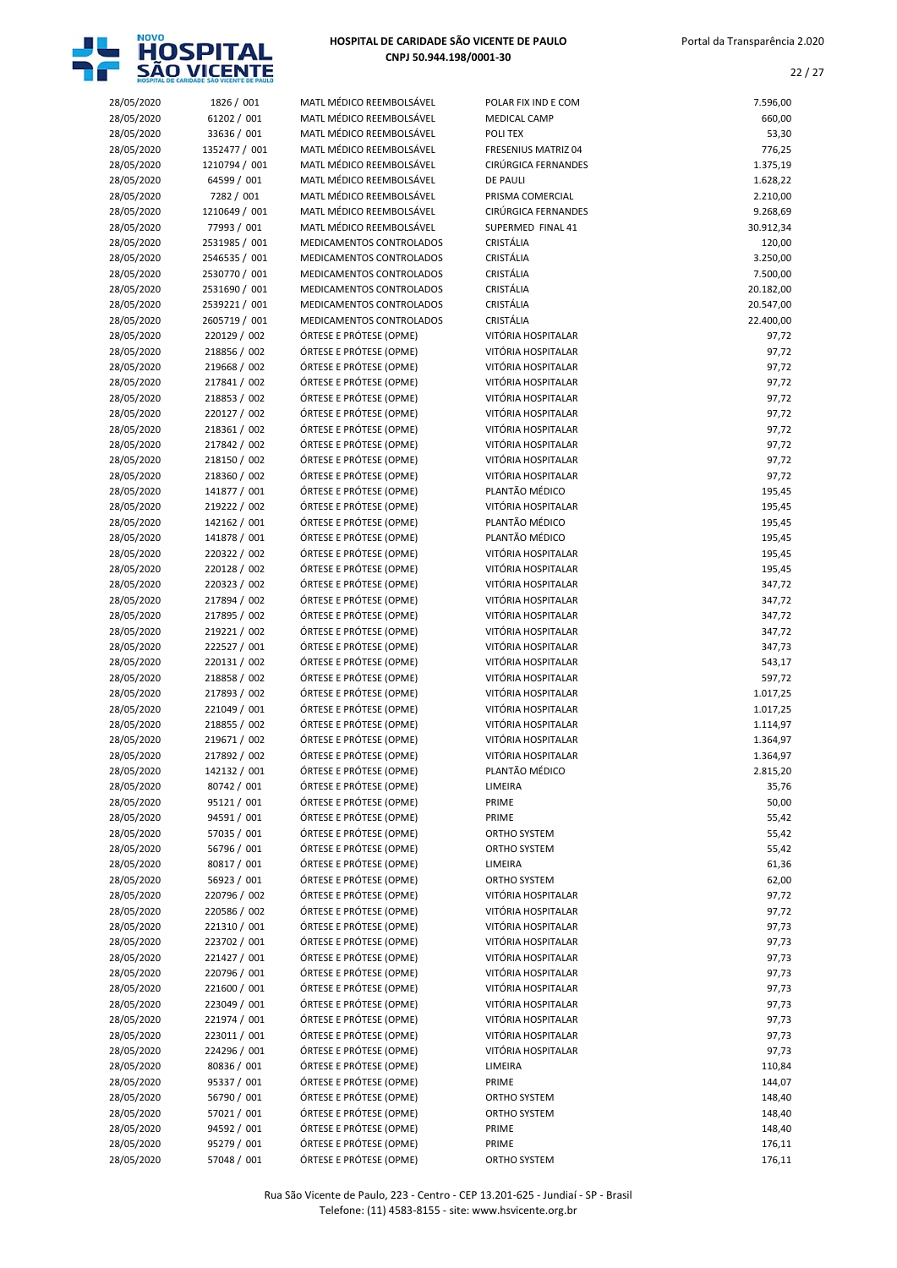

| 28/05/2020 | 1826 / 001    | MATL MÉDICO REEMBOLSÁVEL | POLAR FIX IND E COM        | 7.596,00  |
|------------|---------------|--------------------------|----------------------------|-----------|
| 28/05/2020 | 61202 / 001   | MATL MÉDICO REEMBOLSÁVEL | <b>MEDICAL CAMP</b>        | 660,00    |
| 28/05/2020 | 33636 / 001   | MATL MÉDICO REEMBOLSÁVEL | POLI TEX                   | 53,30     |
| 28/05/2020 | 1352477 / 001 | MATL MÉDICO REEMBOLSÁVEL | <b>FRESENIUS MATRIZ 04</b> | 776,25    |
| 28/05/2020 |               | MATL MÉDICO REEMBOLSÁVEL | CIRÚRGICA FERNANDES        |           |
|            | 1210794 / 001 |                          |                            | 1.375,19  |
| 28/05/2020 | 64599 / 001   | MATL MÉDICO REEMBOLSÁVEL | <b>DE PAULI</b>            | 1.628,22  |
| 28/05/2020 | 7282 / 001    | MATL MÉDICO REEMBOLSÁVEL | PRISMA COMERCIAL           | 2.210,00  |
| 28/05/2020 | 1210649 / 001 | MATL MÉDICO REEMBOLSÁVEL | CIRÚRGICA FERNANDES        | 9.268,69  |
| 28/05/2020 | 77993 / 001   | MATL MÉDICO REEMBOLSÁVEL | SUPERMED FINAL 41          | 30.912,34 |
|            |               |                          |                            |           |
| 28/05/2020 | 2531985 / 001 | MEDICAMENTOS CONTROLADOS | CRISTÁLIA                  | 120,00    |
| 28/05/2020 | 2546535 / 001 | MEDICAMENTOS CONTROLADOS | CRISTÁLIA                  | 3.250,00  |
| 28/05/2020 | 2530770 / 001 | MEDICAMENTOS CONTROLADOS | CRISTÁLIA                  | 7.500,00  |
| 28/05/2020 | 2531690 / 001 | MEDICAMENTOS CONTROLADOS | CRISTÁLIA                  | 20.182,00 |
|            |               |                          |                            |           |
| 28/05/2020 | 2539221 / 001 | MEDICAMENTOS CONTROLADOS | CRISTÁLIA                  | 20.547,00 |
| 28/05/2020 | 2605719 / 001 | MEDICAMENTOS CONTROLADOS | CRISTÁLIA                  | 22.400,00 |
| 28/05/2020 | 220129 / 002  | ÓRTESE E PRÓTESE (OPME)  | VITÓRIA HOSPITALAR         | 97,72     |
| 28/05/2020 | 218856 / 002  | ÓRTESE E PRÓTESE (OPME)  | VITÓRIA HOSPITALAR         | 97,72     |
| 28/05/2020 | 219668 / 002  | ÓRTESE E PRÓTESE (OPME)  | VITÓRIA HOSPITALAR         | 97,72     |
|            |               |                          |                            |           |
| 28/05/2020 | 217841 / 002  | ÓRTESE E PRÓTESE (OPME)  | VITÓRIA HOSPITALAR         | 97,72     |
| 28/05/2020 | 218853 / 002  | ÓRTESE E PRÓTESE (OPME)  | VITÓRIA HOSPITALAR         | 97,72     |
| 28/05/2020 | 220127 / 002  | ÓRTESE E PRÓTESE (OPME)  | VITÓRIA HOSPITALAR         | 97,72     |
| 28/05/2020 | 218361 / 002  | ÓRTESE E PRÓTESE (OPME)  | VITÓRIA HOSPITALAR         | 97,72     |
|            |               |                          |                            |           |
| 28/05/2020 | 217842 / 002  | ÓRTESE E PRÓTESE (OPME)  | VITÓRIA HOSPITALAR         | 97,72     |
| 28/05/2020 | 218150 / 002  | ÓRTESE E PRÓTESE (OPME)  | VITÓRIA HOSPITALAR         | 97,72     |
| 28/05/2020 | 218360 / 002  | ÓRTESE E PRÓTESE (OPME)  | VITÓRIA HOSPITALAR         | 97,72     |
| 28/05/2020 | 141877 / 001  | ÓRTESE E PRÓTESE (OPME)  | PLANTÃO MÉDICO             | 195,45    |
| 28/05/2020 | 219222 / 002  | ÓRTESE E PRÓTESE (OPME)  | VITÓRIA HOSPITALAR         | 195,45    |
|            |               |                          |                            |           |
| 28/05/2020 | 142162 / 001  | ÓRTESE E PRÓTESE (OPME)  | PLANTÃO MÉDICO             | 195,45    |
| 28/05/2020 | 141878 / 001  | ÓRTESE E PRÓTESE (OPME)  | PLANTÃO MÉDICO             | 195,45    |
| 28/05/2020 | 220322 / 002  | ÓRTESE E PRÓTESE (OPME)  | VITÓRIA HOSPITALAR         | 195,45    |
| 28/05/2020 | 220128 / 002  | ÓRTESE E PRÓTESE (OPME)  | VITÓRIA HOSPITALAR         | 195,45    |
|            |               |                          |                            |           |
| 28/05/2020 | 220323 / 002  | ÓRTESE E PRÓTESE (OPME)  | VITÓRIA HOSPITALAR         | 347,72    |
| 28/05/2020 | 217894 / 002  | ÓRTESE E PRÓTESE (OPME)  | VITÓRIA HOSPITALAR         | 347,72    |
| 28/05/2020 | 217895 / 002  | ÓRTESE E PRÓTESE (OPME)  | VITÓRIA HOSPITALAR         | 347,72    |
| 28/05/2020 | 219221 / 002  | ÓRTESE E PRÓTESE (OPME)  | VITÓRIA HOSPITALAR         | 347,72    |
| 28/05/2020 | 222527 / 001  | ÓRTESE E PRÓTESE (OPME)  | VITÓRIA HOSPITALAR         | 347,73    |
|            |               |                          |                            |           |
| 28/05/2020 | 220131 / 002  | ÓRTESE E PRÓTESE (OPME)  | VITÓRIA HOSPITALAR         | 543,17    |
| 28/05/2020 | 218858 / 002  | ÓRTESE E PRÓTESE (OPME)  | VITÓRIA HOSPITALAR         | 597,72    |
| 28/05/2020 | 217893 / 002  | ÓRTESE E PRÓTESE (OPME)  | VITÓRIA HOSPITALAR         | 1.017,25  |
| 28/05/2020 | 221049 / 001  | ÓRTESE E PRÓTESE (OPME)  | VITÓRIA HOSPITALAR         | 1.017,25  |
| 28/05/2020 | 218855 / 002  | ÓRTESE E PRÓTESE (OPME)  | VITÓRIA HOSPITALAR         | 1.114,97  |
|            |               |                          |                            |           |
| 28/05/2020 | 219671 / 002  | ÓRTESE E PRÓTESE (OPME)  | VITÓRIA HOSPITALAR         | 1.364,97  |
| 28/05/2020 | 217892 / 002  | ÓRTESE E PRÓTESE (OPME)  | VITÓRIA HOSPITALAR         | 1.364,97  |
| 28/05/2020 | 142132 / 001  | ÓRTESE E PRÓTESE (OPME)  | PLANTÃO MÉDICO             | 2.815,20  |
| 28/05/2020 | 80742 / 001   | ÓRTESE E PRÓTESE (OPME)  | LIMEIRA                    | 35,76     |
|            |               | ÓRTESE E PRÓTESE (OPME)  |                            |           |
| 28/05/2020 | 95121 / 001   |                          | PRIME                      | 50,00     |
| 28/05/2020 | 94591 / 001   | ÓRTESE E PRÓTESE (OPME)  | PRIME                      | 55,42     |
| 28/05/2020 | 57035 / 001   | ÓRTESE E PRÓTESE (OPME)  | ORTHO SYSTEM               | 55,42     |
| 28/05/2020 | 56796 / 001   | ÓRTESE E PRÓTESE (OPME)  | ORTHO SYSTEM               | 55,42     |
| 28/05/2020 | 80817 / 001   | ÓRTESE E PRÓTESE (OPME)  | LIMEIRA                    | 61,36     |
|            |               |                          |                            |           |
| 28/05/2020 | 56923 / 001   | ÓRTESE E PRÓTESE (OPME)  | ORTHO SYSTEM               | 62,00     |
| 28/05/2020 | 220796 / 002  | ÓRTESE E PRÓTESE (OPME)  | VITÓRIA HOSPITALAR         | 97,72     |
| 28/05/2020 | 220586 / 002  | ÓRTESE E PRÓTESE (OPME)  | VITÓRIA HOSPITALAR         | 97,72     |
| 28/05/2020 | 221310 / 001  | ÓRTESE E PRÓTESE (OPME)  | VITÓRIA HOSPITALAR         | 97,73     |
| 28/05/2020 | 223702 / 001  | ÓRTESE E PRÓTESE (OPME)  | VITÓRIA HOSPITALAR         | 97,73     |
|            |               |                          |                            |           |
| 28/05/2020 | 221427 / 001  | ÓRTESE E PRÓTESE (OPME)  | VITÓRIA HOSPITALAR         | 97,73     |
| 28/05/2020 | 220796 / 001  | ÓRTESE E PRÓTESE (OPME)  | VITÓRIA HOSPITALAR         | 97,73     |
| 28/05/2020 | 221600 / 001  | ÓRTESE E PRÓTESE (OPME)  | VITÓRIA HOSPITALAR         | 97,73     |
| 28/05/2020 | 223049 / 001  | ÓRTESE E PRÓTESE (OPME)  | VITÓRIA HOSPITALAR         | 97,73     |
|            |               |                          |                            |           |
| 28/05/2020 | 221974 / 001  | ÓRTESE E PRÓTESE (OPME)  | VITÓRIA HOSPITALAR         | 97,73     |
| 28/05/2020 | 223011 / 001  | ÓRTESE E PRÓTESE (OPME)  | VITÓRIA HOSPITALAR         | 97,73     |
| 28/05/2020 | 224296 / 001  | ÓRTESE E PRÓTESE (OPME)  | VITÓRIA HOSPITALAR         | 97,73     |
| 28/05/2020 | 80836 / 001   | ÓRTESE E PRÓTESE (OPME)  | LIMEIRA                    | 110,84    |
| 28/05/2020 | 95337 / 001   | ÓRTESE E PRÓTESE (OPME)  | PRIME                      | 144,07    |
|            |               |                          |                            |           |
| 28/05/2020 | 56790 / 001   | ÓRTESE E PRÓTESE (OPME)  | ORTHO SYSTEM               | 148,40    |
| 28/05/2020 | 57021 / 001   | ÓRTESE E PRÓTESE (OPME)  | ORTHO SYSTEM               | 148,40    |
| 28/05/2020 | 94592 / 001   | ÓRTESE E PRÓTESE (OPME)  | PRIME                      | 148,40    |
| 28/05/2020 | 95279 / 001   | ÓRTESE E PRÓTESE (OPME)  | PRIME                      | 176,11    |
|            |               |                          |                            |           |
| 28/05/2020 | 57048 / 001   | ÓRTESE E PRÓTESE (OPME)  | ORTHO SYSTEM               | 176,11    |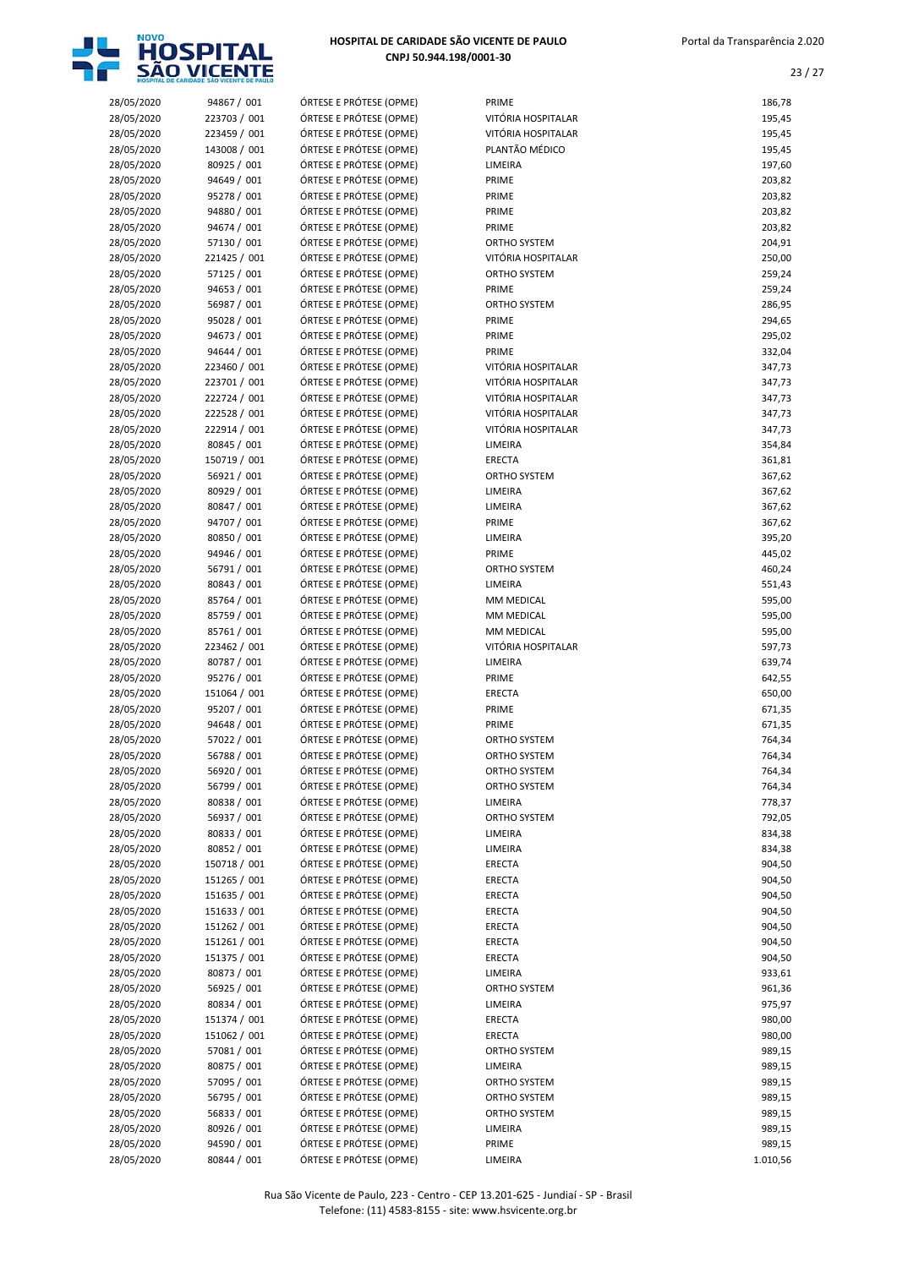

| 28/05/2020               | 94867 / 001                  | ÓRTESE E PRÓTESE (OPME)                            | PRIME                                    | 186,78           |
|--------------------------|------------------------------|----------------------------------------------------|------------------------------------------|------------------|
| 28/05/2020               | 223703 / 001                 | ÓRTESE E PRÓTESE (OPME)                            | VITÓRIA HOSPITALAR                       | 195,45           |
| 28/05/2020               | 223459 / 001                 | ÓRTESE E PRÓTESE (OPME)                            | VITÓRIA HOSPITALAR                       | 195,45           |
| 28/05/2020               | 143008 / 001                 | ÓRTESE E PRÓTESE (OPME)                            | PLANTÃO MÉDICO                           | 195,45           |
| 28/05/2020               | 80925 / 001                  | ÓRTESE E PRÓTESE (OPME)                            | LIMEIRA                                  | 197,60           |
| 28/05/2020               | 94649 / 001                  | ÓRTESE E PRÓTESE (OPME)                            | PRIME                                    | 203,82           |
| 28/05/2020               | 95278 / 001                  | ÓRTESE E PRÓTESE (OPME)                            | PRIME                                    | 203,82           |
| 28/05/2020               | 94880 / 001                  | ÓRTESE E PRÓTESE (OPME)                            | PRIME                                    | 203,82           |
| 28/05/2020               | 94674 / 001                  | ÓRTESE E PRÓTESE (OPME)                            | PRIME                                    | 203,82           |
| 28/05/2020               | 57130 / 001                  | ÓRTESE E PRÓTESE (OPME)                            | ORTHO SYSTEM                             | 204,91           |
| 28/05/2020               | 221425 / 001                 | ÓRTESE E PRÓTESE (OPME)                            | VITÓRIA HOSPITALAR                       | 250,00           |
| 28/05/2020               | 57125 / 001                  | ÓRTESE E PRÓTESE (OPME)                            | ORTHO SYSTEM                             | 259,24           |
| 28/05/2020               | 94653 / 001                  | ÓRTESE E PRÓTESE (OPME)                            | PRIME                                    | 259,24           |
| 28/05/2020               | 56987 / 001                  | ÓRTESE E PRÓTESE (OPME)                            | ORTHO SYSTEM                             | 286,95           |
| 28/05/2020               | 95028 / 001                  | ÓRTESE E PRÓTESE (OPME)                            | PRIME                                    | 294,65           |
| 28/05/2020               | 94673 / 001                  | ÓRTESE E PRÓTESE (OPME)                            | PRIME                                    | 295,02           |
| 28/05/2020               | 94644 / 001                  | ÓRTESE E PRÓTESE (OPME)                            | PRIME                                    | 332,04           |
| 28/05/2020               | 223460 / 001<br>223701 / 001 | ÓRTESE E PRÓTESE (OPME)<br>ÓRTESE E PRÓTESE (OPME) | VITÓRIA HOSPITALAR                       | 347,73<br>347,73 |
| 28/05/2020               | 222724 / 001                 | ÓRTESE E PRÓTESE (OPME)                            | VITÓRIA HOSPITALAR<br>VITÓRIA HOSPITALAR |                  |
| 28/05/2020<br>28/05/2020 | 222528 / 001                 | ÓRTESE E PRÓTESE (OPME)                            | VITÓRIA HOSPITALAR                       | 347,73<br>347,73 |
| 28/05/2020               | 222914 / 001                 | ÓRTESE E PRÓTESE (OPME)                            | VITÓRIA HOSPITALAR                       | 347,73           |
| 28/05/2020               | 80845 / 001                  | ÓRTESE E PRÓTESE (OPME)                            | LIMEIRA                                  | 354,84           |
| 28/05/2020               | 150719 / 001                 | ÓRTESE E PRÓTESE (OPME)                            | <b>ERECTA</b>                            | 361,81           |
| 28/05/2020               | 56921 / 001                  | ÓRTESE E PRÓTESE (OPME)                            | ORTHO SYSTEM                             | 367,62           |
| 28/05/2020               | 80929 / 001                  | ÓRTESE E PRÓTESE (OPME)                            | LIMEIRA                                  | 367,62           |
| 28/05/2020               | 80847 / 001                  | ÓRTESE E PRÓTESE (OPME)                            | LIMEIRA                                  | 367,62           |
| 28/05/2020               | 94707 / 001                  | ÓRTESE E PRÓTESE (OPME)                            | PRIME                                    | 367,62           |
| 28/05/2020               | 80850 / 001                  | ÓRTESE E PRÓTESE (OPME)                            | LIMEIRA                                  | 395,20           |
| 28/05/2020               | 94946 / 001                  | ÓRTESE E PRÓTESE (OPME)                            | PRIME                                    | 445,02           |
| 28/05/2020               | 56791 / 001                  | ÓRTESE E PRÓTESE (OPME)                            | ORTHO SYSTEM                             | 460,24           |
| 28/05/2020               | 80843 / 001                  | ÓRTESE E PRÓTESE (OPME)                            | LIMEIRA                                  | 551,43           |
| 28/05/2020               | 85764 / 001                  | ÓRTESE E PRÓTESE (OPME)                            | MM MEDICAL                               | 595,00           |
| 28/05/2020               | 85759 / 001                  | ÓRTESE E PRÓTESE (OPME)                            | MM MEDICAL                               | 595,00           |
| 28/05/2020               | 85761 / 001                  | ÓRTESE E PRÓTESE (OPME)                            | MM MEDICAL                               | 595,00           |
| 28/05/2020               | 223462 / 001                 | ÓRTESE E PRÓTESE (OPME)                            | VITÓRIA HOSPITALAR                       | 597,73           |
| 28/05/2020               | 80787 / 001                  | ÓRTESE E PRÓTESE (OPME)                            | LIMEIRA                                  | 639,74           |
| 28/05/2020               | 95276 / 001                  | ÓRTESE E PRÓTESE (OPME)                            | PRIME                                    | 642,55           |
| 28/05/2020               | 151064 / 001                 | ÓRTESE E PRÓTESE (OPME)                            | ERECTA                                   | 650,00           |
| 28/05/2020               | 95207 / 001                  | ÓRTESE E PRÓTESE (OPME)                            | PRIME                                    | 671,35           |
| 28/05/2020               | 94648 / 001                  | ÓRTESE E PRÓTESE (OPME)                            | PRIME                                    | 671,35           |
| 28/05/2020               | 57022 / 001                  | ÓRTESE E PRÓTESE (OPME)                            | ORTHO SYSTEM                             | 764,34           |
| 28/05/2020               | 56788 / 001                  | ÓRTESE E PRÓTESE (OPME)                            | ORTHO SYSTEM                             | 764,34           |
| 28/05/2020               | 56920 / 001                  | ÓRTESE E PRÓTESE (OPME)                            | ORTHO SYSTEM                             | 764,34           |
| 28/05/2020               | 56799 / 001                  | ÓRTESE E PRÓTESE (OPME)                            | ORTHO SYSTEM                             | 764,34           |
| 28/05/2020               | 80838 / 001                  | ÓRTESE E PRÓTESE (OPME)                            | LIMEIRA                                  | 778,37           |
| 28/05/2020               | 56937 / 001                  | ÓRTESE E PRÓTESE (OPME)                            | ORTHO SYSTEM                             | 792,05           |
| 28/05/2020               | 80833 / 001                  | ÓRTESE E PRÓTESE (OPME)                            | LIMEIRA                                  | 834,38           |
| 28/05/2020               | 80852 / 001<br>150718 / 001  | ÓRTESE E PRÓTESE (OPME)<br>ÓRTESE E PRÓTESE (OPME) | LIMEIRA                                  | 834,38<br>904,50 |
| 28/05/2020<br>28/05/2020 | 151265 / 001                 | ÓRTESE E PRÓTESE (OPME)                            | ERECTA<br>ERECTA                         | 904,50           |
| 28/05/2020               | 151635 / 001                 | ÓRTESE E PRÓTESE (OPME)                            | ERECTA                                   | 904,50           |
| 28/05/2020               | 151633 / 001                 | ÓRTESE E PRÓTESE (OPME)                            | ERECTA                                   | 904,50           |
| 28/05/2020               | 151262 / 001                 | ÓRTESE E PRÓTESE (OPME)                            | ERECTA                                   | 904,50           |
| 28/05/2020               | 151261 / 001                 | ÓRTESE E PRÓTESE (OPME)                            | ERECTA                                   | 904,50           |
| 28/05/2020               | 151375 / 001                 | ÓRTESE E PRÓTESE (OPME)                            | ERECTA                                   | 904,50           |
| 28/05/2020               | 80873 / 001                  | ÓRTESE E PRÓTESE (OPME)                            | LIMEIRA                                  | 933,61           |
| 28/05/2020               | 56925 / 001                  | ÓRTESE E PRÓTESE (OPME)                            | ORTHO SYSTEM                             | 961,36           |
| 28/05/2020               | 80834 / 001                  | ÓRTESE E PRÓTESE (OPME)                            | LIMEIRA                                  | 975,97           |
| 28/05/2020               | 151374 / 001                 | ÓRTESE E PRÓTESE (OPME)                            | ERECTA                                   | 980,00           |
| 28/05/2020               | 151062 / 001                 | ÓRTESE E PRÓTESE (OPME)                            | ERECTA                                   | 980,00           |
| 28/05/2020               | 57081 / 001                  | ÓRTESE E PRÓTESE (OPME)                            | ORTHO SYSTEM                             | 989,15           |
| 28/05/2020               | 80875 / 001                  | ÓRTESE E PRÓTESE (OPME)                            | LIMEIRA                                  | 989,15           |
| 28/05/2020               | 57095 / 001                  | ÓRTESE E PRÓTESE (OPME)                            | ORTHO SYSTEM                             | 989,15           |
| 28/05/2020               | 56795 / 001                  | ÓRTESE E PRÓTESE (OPME)                            | ORTHO SYSTEM                             | 989,15           |
| 28/05/2020               | 56833 / 001                  | ÓRTESE E PRÓTESE (OPME)                            | ORTHO SYSTEM                             | 989,15           |
| 28/05/2020               | 80926 / 001                  | ÓRTESE E PRÓTESE (OPME)                            | LIMEIRA                                  | 989,15           |
| 28/05/2020               | 94590 / 001                  | ÓRTESE E PRÓTESE (OPME)                            | PRIME                                    | 989,15           |
| 28/05/2020               | 80844 / 001                  | ÓRTESE E PRÓTESE (OPME)                            | LIMEIRA                                  | 1.010,56         |
|                          |                              |                                                    |                                          |                  |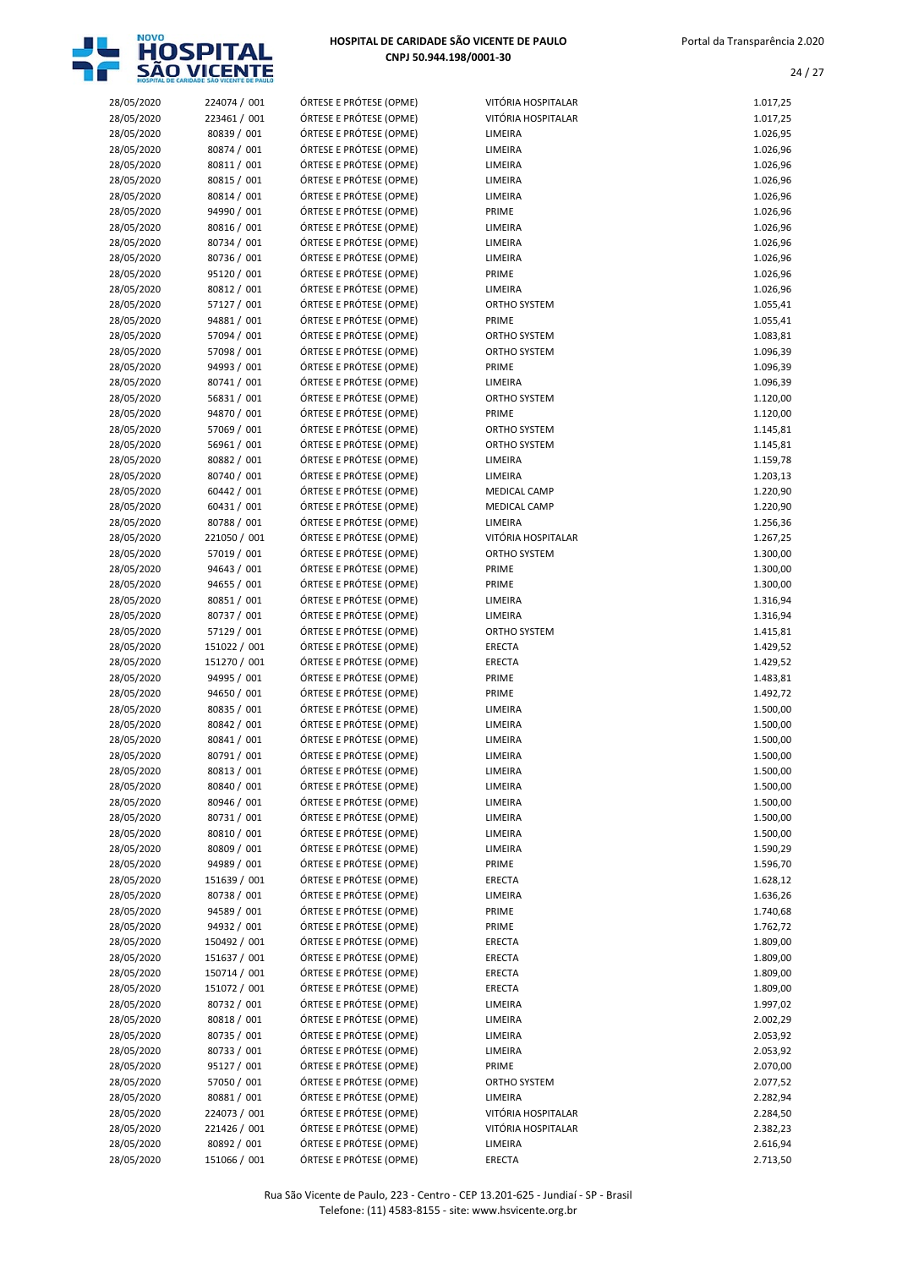

|                          | HOSPITAL DE CARIDADE SÃO VICENTE DE PAULO |                                                    |                                |                      |
|--------------------------|-------------------------------------------|----------------------------------------------------|--------------------------------|----------------------|
| 28/05/2020               | 224074 / 001                              | ÓRTESE E PRÓTESE (OPME)                            | VITÓRIA HOSPITALAR             | 1.017,25             |
| 28/05/2020               | 223461 / 001                              | ÓRTESE E PRÓTESE (OPME)                            | VITÓRIA HOSPITALAR             | 1.017,25             |
| 28/05/2020               | 80839 / 001                               | ÓRTESE E PRÓTESE (OPME)                            | LIMEIRA                        | 1.026,95             |
| 28/05/2020<br>28/05/2020 | 80874 / 001<br>80811 / 001                | ÓRTESE E PRÓTESE (OPME)<br>ÓRTESE E PRÓTESE (OPME) | LIMEIRA<br>LIMEIRA             | 1.026,96<br>1.026,96 |
| 28/05/2020               | 80815 / 001                               | ÓRTESE E PRÓTESE (OPME)                            | LIMEIRA                        | 1.026,96             |
| 28/05/2020               | 80814 / 001                               | ÓRTESE E PRÓTESE (OPME)                            | LIMEIRA                        | 1.026,96             |
| 28/05/2020               | 94990 / 001                               | ÓRTESE E PRÓTESE (OPME)                            | PRIME                          | 1.026,96             |
| 28/05/2020               | 80816 / 001                               | ÓRTESE E PRÓTESE (OPME)                            | LIMEIRA                        | 1.026,96             |
| 28/05/2020               | 80734 / 001                               | ÓRTESE E PRÓTESE (OPME)                            | LIMEIRA                        | 1.026,96             |
| 28/05/2020               | 80736 / 001                               | ÓRTESE E PRÓTESE (OPME)                            | LIMEIRA                        | 1.026,96             |
| 28/05/2020               | 95120 / 001                               | ÓRTESE E PRÓTESE (OPME)                            | PRIME                          | 1.026,96             |
| 28/05/2020               | 80812 / 001<br>57127 / 001                | ÓRTESE E PRÓTESE (OPME)<br>ÓRTESE E PRÓTESE (OPME) | LIMEIRA<br><b>ORTHO SYSTEM</b> | 1.026,96             |
| 28/05/2020<br>28/05/2020 | 94881 / 001                               | ÓRTESE E PRÓTESE (OPME)                            | PRIME                          | 1.055,41<br>1.055,41 |
| 28/05/2020               | 57094 / 001                               | ÓRTESE E PRÓTESE (OPME)                            | <b>ORTHO SYSTEM</b>            | 1.083,81             |
| 28/05/2020               | 57098 / 001                               | ÓRTESE E PRÓTESE (OPME)                            | ORTHO SYSTEM                   | 1.096,39             |
| 28/05/2020               | 94993 / 001                               | ÓRTESE E PRÓTESE (OPME)                            | PRIME                          | 1.096,39             |
| 28/05/2020               | 80741 / 001                               | ÓRTESE E PRÓTESE (OPME)                            | LIMEIRA                        | 1.096,39             |
| 28/05/2020               | 56831 / 001                               | ÓRTESE E PRÓTESE (OPME)                            | ORTHO SYSTEM                   | 1.120,00             |
| 28/05/2020               | 94870 / 001                               | ÓRTESE E PRÓTESE (OPME)                            | PRIME                          | 1.120,00             |
| 28/05/2020               | 57069 / 001                               | ÓRTESE E PRÓTESE (OPME)                            | ORTHO SYSTEM                   | 1.145,81             |
| 28/05/2020               | 56961 / 001                               | ÓRTESE E PRÓTESE (OPME)<br>ÓRTESE E PRÓTESE (OPME) | <b>ORTHO SYSTEM</b><br>LIMEIRA | 1.145,81<br>1.159,78 |
| 28/05/2020<br>28/05/2020 | 80882 / 001<br>80740 / 001                | ÓRTESE E PRÓTESE (OPME)                            | LIMEIRA                        | 1.203,13             |
| 28/05/2020               | 60442 / 001                               | ÓRTESE E PRÓTESE (OPME)                            | <b>MEDICAL CAMP</b>            | 1.220,90             |
| 28/05/2020               | 60431 / 001                               | ÓRTESE E PRÓTESE (OPME)                            | <b>MEDICAL CAMP</b>            | 1.220,90             |
| 28/05/2020               | 80788 / 001                               | ÓRTESE E PRÓTESE (OPME)                            | LIMEIRA                        | 1.256,36             |
| 28/05/2020               | 221050 / 001                              | ÓRTESE E PRÓTESE (OPME)                            | VITÓRIA HOSPITALAR             | 1.267,25             |
| 28/05/2020               | 57019 / 001                               | ÓRTESE E PRÓTESE (OPME)                            | ORTHO SYSTEM                   | 1.300,00             |
| 28/05/2020               | 94643 / 001                               | ÓRTESE E PRÓTESE (OPME)                            | PRIME                          | 1.300,00             |
| 28/05/2020               | 94655 / 001                               | ÓRTESE E PRÓTESE (OPME)                            | PRIME                          | 1.300,00             |
| 28/05/2020<br>28/05/2020 | 80851 / 001<br>80737 / 001                | ÓRTESE E PRÓTESE (OPME)<br>ÓRTESE E PRÓTESE (OPME) | LIMEIRA<br>LIMEIRA             | 1.316,94<br>1.316,94 |
| 28/05/2020               | 57129 / 001                               | ÓRTESE E PRÓTESE (OPME)                            | ORTHO SYSTEM                   | 1.415,81             |
| 28/05/2020               | 151022 / 001                              | ÓRTESE E PRÓTESE (OPME)                            | ERECTA                         | 1.429,52             |
| 28/05/2020               | 151270 / 001                              | ÓRTESE E PRÓTESE (OPME)                            | <b>ERECTA</b>                  | 1.429,52             |
| 28/05/2020               | 94995 / 001                               | ÓRTESE E PRÓTESE (OPME)                            | PRIME                          | 1.483,81             |
| 28/05/2020               | 94650 / 001                               | ÓRTESE E PRÓTESE (OPME)                            | PRIME                          | 1.492,72             |
| 28/05/2020               | 80835 / 001                               | ÓRTESE E PRÓTESE (OPME)                            | LIMEIRA                        | 1.500,00             |
| 28/05/2020<br>28/05/2020 | 80842 / 001<br>80841 / 001                | ÓRTESE E PRÓTESE (OPME)<br>ÓRTESE E PRÓTESE (OPME) | LIMEIRA<br>LIMEIRA             | 1.500,00<br>1.500,00 |
| 28/05/2020               | 80791 / 001                               | ÓRTESE E PRÓTESE (OPME)                            | LIMEIRA                        | 1.500,00             |
| 28/05/2020               | 80813 / 001                               | ÓRTESE E PRÓTESE (OPME)                            | LIMEIRA                        | 1.500,00             |
| 28/05/2020               | 80840 / 001                               | ÓRTESE E PRÓTESE (OPME)                            | LIMEIRA                        | 1.500,00             |
| 28/05/2020               | 80946 / 001                               | ÓRTESE E PRÓTESE (OPME)                            | LIMEIRA                        | 1.500,00             |
| 28/05/2020               | 80731 / 001                               | ÓRTESE E PRÓTESE (OPME)                            | LIMEIRA                        | 1.500,00             |
| 28/05/2020               | 80810 / 001                               | ÓRTESE E PRÓTESE (OPME)                            | LIMEIRA                        | 1.500,00             |
| 28/05/2020               | 80809 / 001                               | ÓRTESE E PRÓTESE (OPME)                            | LIMEIRA                        | 1.590,29             |
| 28/05/2020               | 94989 / 001                               | ÓRTESE E PRÓTESE (OPME)                            | PRIME                          | 1.596,70             |
| 28/05/2020<br>28/05/2020 | 151639 / 001<br>80738 / 001               | ÓRTESE E PRÓTESE (OPME)<br>ÓRTESE E PRÓTESE (OPME) | <b>ERECTA</b><br>LIMEIRA       | 1.628,12<br>1.636,26 |
| 28/05/2020               | 94589 / 001                               | ÓRTESE E PRÓTESE (OPME)                            | PRIME                          | 1.740,68             |
| 28/05/2020               | 94932 / 001                               | ÓRTESE E PRÓTESE (OPME)                            | PRIME                          | 1.762,72             |
| 28/05/2020               | 150492 / 001                              | ÓRTESE E PRÓTESE (OPME)                            | <b>ERECTA</b>                  | 1.809,00             |
| 28/05/2020               | 151637 / 001                              | ÓRTESE E PRÓTESE (OPME)                            | <b>ERECTA</b>                  | 1.809,00             |
| 28/05/2020               | 150714 / 001                              | ÓRTESE E PRÓTESE (OPME)                            | ERECTA                         | 1.809,00             |
| 28/05/2020               | 151072 / 001                              | ÓRTESE E PRÓTESE (OPME)                            | <b>ERECTA</b>                  | 1.809,00             |
| 28/05/2020               | 80732 / 001                               | ÓRTESE E PRÓTESE (OPME)                            | LIMEIRA                        | 1.997,02             |
| 28/05/2020<br>28/05/2020 | 80818 / 001<br>80735 / 001                | ÓRTESE E PRÓTESE (OPME)<br>ÓRTESE E PRÓTESE (OPME) | LIMEIRA<br>LIMEIRA             | 2.002,29<br>2.053,92 |
| 28/05/2020               | 80733 / 001                               | ÓRTESE E PRÓTESE (OPME)                            | LIMEIRA                        | 2.053,92             |
| 28/05/2020               | 95127 / 001                               | ÓRTESE E PRÓTESE (OPME)                            | PRIME                          | 2.070,00             |
| 28/05/2020               | 57050 / 001                               | ÓRTESE E PRÓTESE (OPME)                            | ORTHO SYSTEM                   | 2.077,52             |
| 28/05/2020               | 80881 / 001                               | ÓRTESE E PRÓTESE (OPME)                            | LIMEIRA                        | 2.282,94             |
| 28/05/2020               | 224073 / 001                              | ÓRTESE E PRÓTESE (OPME)                            | VITÓRIA HOSPITALAR             | 2.284,50             |
| 28/05/2020               | 221426 / 001                              | ÓRTESE E PRÓTESE (OPME)                            | VITÓRIA HOSPITALAR             | 2.382,23             |
| 28/05/2020               | 80892 / 001                               | ÓRTESE E PRÓTESE (OPME)                            | LIMEIRA                        | 2.616,94             |
| 28/05/2020               | 151066 / 001                              | ÓRTESE E PRÓTESE (OPME)                            | ERECTA                         | 2.713,50             |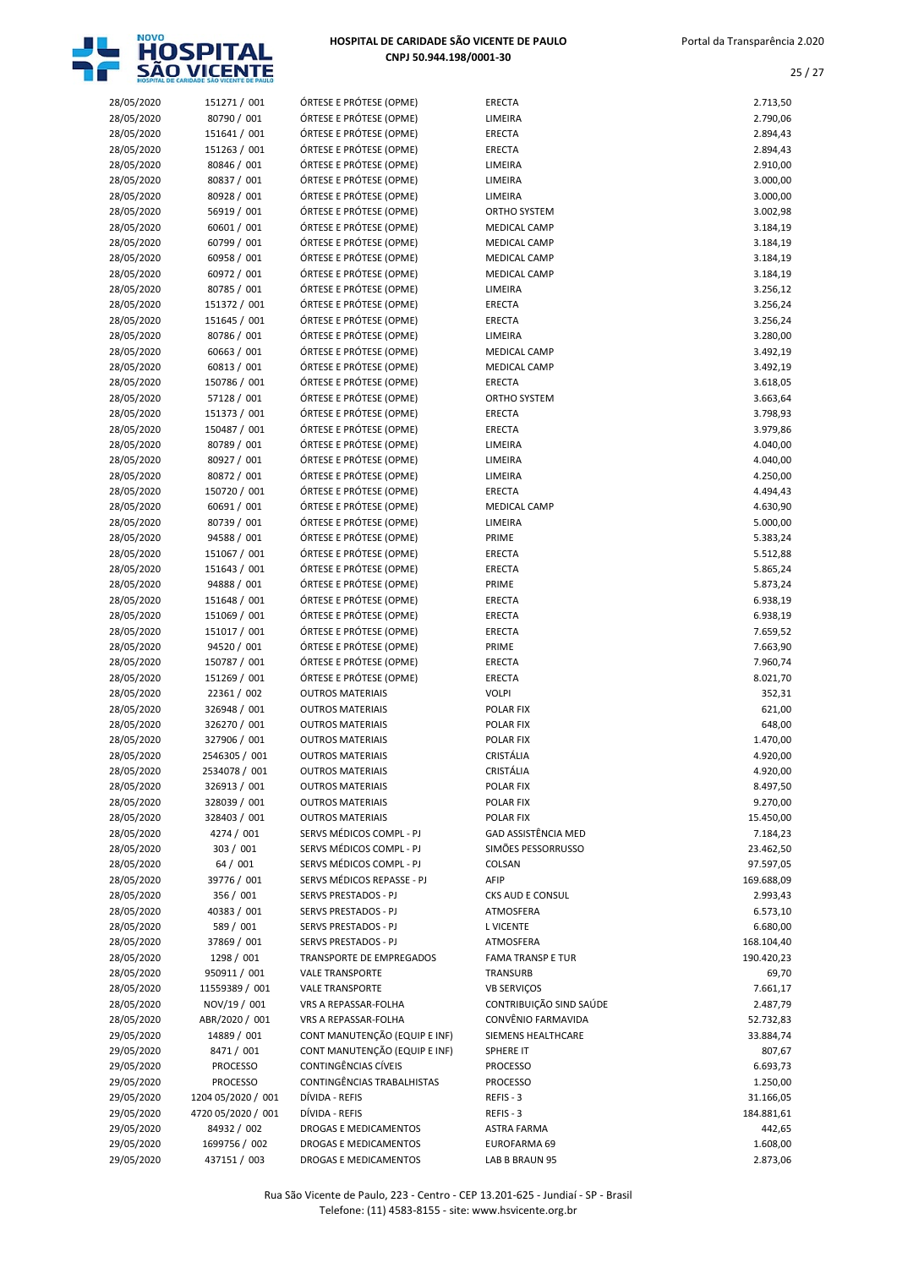

| 28/05/2020 | 151271 / 001       | ÓRTESE E PRÓTESE (OPME)       | <b>ERECTA</b>            | 2.713,50   |
|------------|--------------------|-------------------------------|--------------------------|------------|
| 28/05/2020 | 80790 / 001        | ÓRTESE E PRÓTESE (OPME)       | LIMEIRA                  | 2.790,06   |
| 28/05/2020 | 151641 / 001       | ÓRTESE E PRÓTESE (OPME)       | <b>ERECTA</b>            | 2.894,43   |
|            |                    |                               |                          |            |
| 28/05/2020 | 151263 / 001       | ÓRTESE E PRÓTESE (OPME)       | ERECTA                   | 2.894,43   |
| 28/05/2020 | 80846 / 001        | ÓRTESE E PRÓTESE (OPME)       | LIMEIRA                  | 2.910,00   |
| 28/05/2020 | 80837 / 001        | ÓRTESE E PRÓTESE (OPME)       | LIMEIRA                  | 3.000,00   |
| 28/05/2020 | 80928 / 001        | ÓRTESE E PRÓTESE (OPME)       | LIMEIRA                  | 3.000,00   |
| 28/05/2020 | 56919 / 001        | ÓRTESE E PRÓTESE (OPME)       | ORTHO SYSTEM             | 3.002,98   |
|            | 60601 / 001        | ÓRTESE E PRÓTESE (OPME)       | <b>MEDICAL CAMP</b>      | 3.184,19   |
| 28/05/2020 |                    |                               |                          |            |
| 28/05/2020 | 60799 / 001        | ÓRTESE E PRÓTESE (OPME)       | <b>MEDICAL CAMP</b>      | 3.184,19   |
| 28/05/2020 | 60958 / 001        | ÓRTESE E PRÓTESE (OPME)       | <b>MEDICAL CAMP</b>      | 3.184,19   |
| 28/05/2020 | 60972 / 001        | ÓRTESE E PRÓTESE (OPME)       | <b>MEDICAL CAMP</b>      | 3.184,19   |
| 28/05/2020 | 80785 / 001        | ÓRTESE E PRÓTESE (OPME)       | LIMEIRA                  | 3.256,12   |
| 28/05/2020 | 151372 / 001       | ÓRTESE E PRÓTESE (OPME)       | <b>ERECTA</b>            | 3.256,24   |
|            |                    |                               |                          |            |
| 28/05/2020 | 151645 / 001       | ÓRTESE E PRÓTESE (OPME)       | <b>ERECTA</b>            | 3.256,24   |
| 28/05/2020 | 80786 / 001        | ÓRTESE E PRÓTESE (OPME)       | LIMEIRA                  | 3.280,00   |
| 28/05/2020 | 60663 / 001        | ÓRTESE E PRÓTESE (OPME)       | <b>MEDICAL CAMP</b>      | 3.492,19   |
| 28/05/2020 | 60813 / 001        | ÓRTESE E PRÓTESE (OPME)       | <b>MEDICAL CAMP</b>      | 3.492,19   |
| 28/05/2020 | 150786 / 001       | ÓRTESE E PRÓTESE (OPME)       | <b>ERECTA</b>            | 3.618,05   |
|            |                    |                               |                          |            |
| 28/05/2020 | 57128 / 001        | ÓRTESE E PRÓTESE (OPME)       | ORTHO SYSTEM             | 3.663,64   |
| 28/05/2020 | 151373 / 001       | ÓRTESE E PRÓTESE (OPME)       | <b>ERECTA</b>            | 3.798,93   |
| 28/05/2020 | 150487 / 001       | ÓRTESE E PRÓTESE (OPME)       | ERECTA                   | 3.979,86   |
| 28/05/2020 | 80789 / 001        | ÓRTESE E PRÓTESE (OPME)       | LIMEIRA                  | 4.040,00   |
| 28/05/2020 | 80927 / 001        | ÓRTESE E PRÓTESE (OPME)       | LIMEIRA                  | 4.040,00   |
|            |                    |                               |                          |            |
| 28/05/2020 | 80872 / 001        | ÓRTESE E PRÓTESE (OPME)       | LIMEIRA                  | 4.250,00   |
| 28/05/2020 | 150720 / 001       | ÓRTESE E PRÓTESE (OPME)       | <b>ERECTA</b>            | 4.494,43   |
| 28/05/2020 | 60691 / 001        | ÓRTESE E PRÓTESE (OPME)       | <b>MEDICAL CAMP</b>      | 4.630,90   |
| 28/05/2020 | 80739 / 001        | ÓRTESE E PRÓTESE (OPME)       | LIMEIRA                  | 5.000,00   |
| 28/05/2020 | 94588 / 001        | ÓRTESE E PRÓTESE (OPME)       | PRIME                    | 5.383,24   |
| 28/05/2020 | 151067 / 001       | ÓRTESE E PRÓTESE (OPME)       | <b>ERECTA</b>            | 5.512,88   |
|            |                    |                               |                          |            |
| 28/05/2020 | 151643 / 001       | ÓRTESE E PRÓTESE (OPME)       | <b>ERECTA</b>            | 5.865,24   |
| 28/05/2020 | 94888 / 001        | ÓRTESE E PRÓTESE (OPME)       | PRIME                    | 5.873,24   |
| 28/05/2020 | 151648 / 001       | ÓRTESE E PRÓTESE (OPME)       | <b>ERECTA</b>            | 6.938,19   |
| 28/05/2020 | 151069 / 001       | ÓRTESE E PRÓTESE (OPME)       | <b>ERECTA</b>            | 6.938,19   |
| 28/05/2020 | 151017 / 001       | ÓRTESE E PRÓTESE (OPME)       | <b>ERECTA</b>            | 7.659,52   |
|            |                    |                               |                          |            |
| 28/05/2020 | 94520 / 001        | ÓRTESE E PRÓTESE (OPME)       | PRIME                    | 7.663,90   |
| 28/05/2020 | 150787 / 001       | ÓRTESE E PRÓTESE (OPME)       | <b>ERECTA</b>            | 7.960,74   |
| 28/05/2020 | 151269 / 001       | ÓRTESE E PRÓTESE (OPME)       | <b>ERECTA</b>            | 8.021,70   |
| 28/05/2020 | 22361 / 002        | <b>OUTROS MATERIAIS</b>       | <b>VOLPI</b>             | 352,31     |
| 28/05/2020 | 326948 / 001       | <b>OUTROS MATERIAIS</b>       | <b>POLAR FIX</b>         | 621,00     |
|            | 326270 / 001       |                               |                          |            |
| 28/05/2020 |                    | <b>OUTROS MATERIAIS</b>       | <b>POLAR FIX</b>         | 648,00     |
| 28/05/2020 | 327906 / 001       | <b>OUTROS MATERIAIS</b>       | <b>POLAR FIX</b>         | 1.470,00   |
| 28/05/2020 | 2546305 / 001      | <b>OUTROS MATERIAIS</b>       | CRISTÁLIA                | 4.920,00   |
| 28/05/2020 | 2534078 / 001      | <b>OUTROS MATERIAIS</b>       | CRISTÁLIA                | 4.920,00   |
| 28/05/2020 | 326913 / 001       | <b>OUTROS MATERIAIS</b>       | POLAR FIX                | 8.497,50   |
| 28/05/2020 | 328039 / 001       | <b>OUTROS MATERIAIS</b>       | <b>POLAR FIX</b>         | 9.270,00   |
|            |                    |                               |                          |            |
| 28/05/2020 | 328403 / 001       | <b>OUTROS MATERIAIS</b>       | <b>POLAR FIX</b>         | 15.450,00  |
| 28/05/2020 | 4274 / 001         | SERVS MÉDICOS COMPL - PJ      | GAD ASSISTÊNCIA MED      | 7.184,23   |
| 28/05/2020 | 303 / 001          | SERVS MÉDICOS COMPL - PJ      | SIMÕES PESSORRUSSO       | 23.462,50  |
| 28/05/2020 | 64 / 001           | SERVS MÉDICOS COMPL - PJ      | COLSAN                   | 97.597,05  |
| 28/05/2020 | 39776 / 001        | SERVS MÉDICOS REPASSE - PJ    | AFIP                     | 169.688,09 |
| 28/05/2020 | 356 / 001          | SERVS PRESTADOS - PJ          | CKS AUD E CONSUL         | 2.993,43   |
|            |                    |                               |                          |            |
| 28/05/2020 | 40383 / 001        | SERVS PRESTADOS - PJ          | ATMOSFERA                | 6.573,10   |
| 28/05/2020 | 589 / 001          | SERVS PRESTADOS - PJ          | L VICENTE                | 6.680,00   |
| 28/05/2020 | 37869 / 001        | SERVS PRESTADOS - PJ          | ATMOSFERA                | 168.104,40 |
| 28/05/2020 | 1298 / 001         | TRANSPORTE DE EMPREGADOS      | <b>FAMA TRANSP E TUR</b> | 190.420,23 |
| 28/05/2020 | 950911 / 001       | <b>VALE TRANSPORTE</b>        | <b>TRANSURB</b>          | 69,70      |
|            |                    |                               |                          |            |
| 28/05/2020 | 11559389 / 001     | <b>VALE TRANSPORTE</b>        | <b>VB SERVIÇOS</b>       | 7.661,17   |
| 28/05/2020 | NOV/19 / 001       | VRS A REPASSAR-FOLHA          | CONTRIBUIÇÃO SIND SAÚDE  | 2.487,79   |
| 28/05/2020 | ABR/2020 / 001     | VRS A REPASSAR-FOLHA          | CONVÊNIO FARMAVIDA       | 52.732,83  |
| 29/05/2020 | 14889 / 001        | CONT MANUTENÇÃO (EQUIP E INF) | SIEMENS HEALTHCARE       | 33.884,74  |
| 29/05/2020 | 8471 / 001         | CONT MANUTENÇÃO (EQUIP E INF) | SPHERE IT                | 807,67     |
| 29/05/2020 | <b>PROCESSO</b>    | CONTINGÊNCIAS CÍVEIS          | <b>PROCESSO</b>          | 6.693,73   |
|            |                    |                               |                          |            |
| 29/05/2020 | <b>PROCESSO</b>    | CONTINGÊNCIAS TRABALHISTAS    | <b>PROCESSO</b>          | 1.250,00   |
| 29/05/2020 | 1204 05/2020 / 001 | DÍVIDA - REFIS                | REFIS-3                  | 31.166,05  |
| 29/05/2020 | 4720 05/2020 / 001 | DÍVIDA - REFIS                | REFIS-3                  | 184.881,61 |
| 29/05/2020 | 84932 / 002        | DROGAS E MEDICAMENTOS         | <b>ASTRA FARMA</b>       | 442,65     |
| 29/05/2020 | 1699756 / 002      | DROGAS E MEDICAMENTOS         | EUROFARMA 69             | 1.608,00   |
|            |                    |                               |                          | 2.873,06   |
| 29/05/2020 | 437151 / 003       | DROGAS E MEDICAMENTOS         | LAB B BRAUN 95           |            |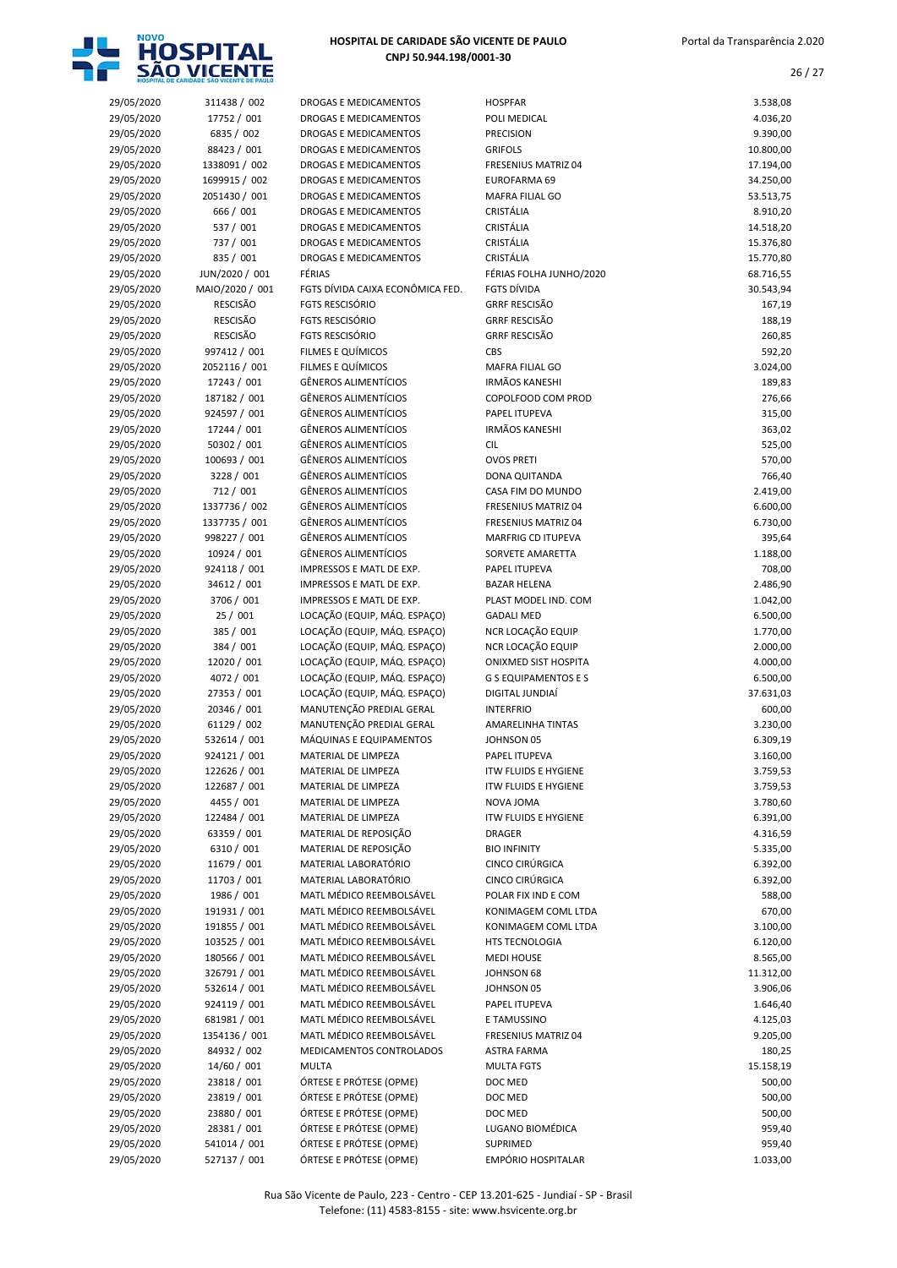

|            |                 | DROGAS E MEDICAMENTOS            | <b>HOSPFAR</b>              |           |
|------------|-----------------|----------------------------------|-----------------------------|-----------|
| 29/05/2020 | 311438 / 002    |                                  |                             | 3.538,08  |
| 29/05/2020 | 17752 / 001     | DROGAS E MEDICAMENTOS            | POLI MEDICAL                | 4.036,20  |
| 29/05/2020 | 6835 / 002      | DROGAS E MEDICAMENTOS            | <b>PRECISION</b>            | 9.390,00  |
| 29/05/2020 | 88423 / 001     | DROGAS E MEDICAMENTOS            | <b>GRIFOLS</b>              | 10.800,00 |
| 29/05/2020 | 1338091 / 002   | DROGAS E MEDICAMENTOS            | FRESENIUS MATRIZ 04         | 17.194,00 |
| 29/05/2020 | 1699915 / 002   | DROGAS E MEDICAMENTOS            | EUROFARMA 69                | 34.250,00 |
|            |                 |                                  |                             |           |
| 29/05/2020 | 2051430 / 001   | DROGAS E MEDICAMENTOS            | <b>MAFRA FILIAL GO</b>      | 53.513,75 |
| 29/05/2020 | 666 / 001       | DROGAS E MEDICAMENTOS            | CRISTÁLIA                   | 8.910,20  |
| 29/05/2020 | 537 / 001       | DROGAS E MEDICAMENTOS            | CRISTÁLIA                   | 14.518,20 |
| 29/05/2020 | 737 / 001       | DROGAS E MEDICAMENTOS            | CRISTÁLIA                   | 15.376,80 |
| 29/05/2020 | 835 / 001       | DROGAS E MEDICAMENTOS            | CRISTÁLIA                   | 15.770,80 |
|            |                 |                                  |                             |           |
| 29/05/2020 | JUN/2020 / 001  | FÉRIAS                           | FÉRIAS FOLHA JUNHO/2020     | 68.716,55 |
| 29/05/2020 | MAIO/2020 / 001 | FGTS DÍVIDA CAIXA ECONÔMICA FED. | <b>FGTS DÍVIDA</b>          | 30.543,94 |
| 29/05/2020 | <b>RESCISÃO</b> | <b>FGTS RESCISÓRIO</b>           | <b>GRRF RESCISÃO</b>        | 167,19    |
| 29/05/2020 | <b>RESCISÃO</b> | <b>FGTS RESCISÓRIO</b>           | <b>GRRF RESCISÃO</b>        | 188,19    |
| 29/05/2020 | <b>RESCISÃO</b> | <b>FGTS RESCISÓRIO</b>           | <b>GRRF RESCISÃO</b>        | 260,85    |
|            |                 |                                  |                             |           |
| 29/05/2020 | 997412 / 001    | FILMES E QUÍMICOS                | CBS                         | 592,20    |
| 29/05/2020 | 2052116 / 001   | FILMES E QUÍMICOS                | MAFRA FILIAL GO             | 3.024,00  |
| 29/05/2020 | 17243 / 001     | <b>GÊNEROS ALIMENTÍCIOS</b>      | <b>IRMÃOS KANESHI</b>       | 189,83    |
| 29/05/2020 | 187182 / 001    | <b>GÊNEROS ALIMENTÍCIOS</b>      | COPOLFOOD COM PROD          | 276,66    |
| 29/05/2020 | 924597 / 001    | <b>GÊNEROS ALIMENTÍCIOS</b>      | PAPEL ITUPEVA               | 315,00    |
|            |                 |                                  |                             |           |
| 29/05/2020 | 17244 / 001     | <b>GÊNEROS ALIMENTÍCIOS</b>      | <b>IRMÃOS KANESHI</b>       | 363,02    |
| 29/05/2020 | 50302 / 001     | <b>GÊNEROS ALIMENTÍCIOS</b>      | <b>CIL</b>                  | 525,00    |
| 29/05/2020 | 100693 / 001    | <b>GÊNEROS ALIMENTÍCIOS</b>      | <b>OVOS PRETI</b>           | 570,00    |
| 29/05/2020 | 3228 / 001      | <b>GÊNEROS ALIMENTÍCIOS</b>      | DONA QUITANDA               | 766,40    |
| 29/05/2020 | 712 / 001       | <b>GÊNEROS ALIMENTÍCIOS</b>      | CASA FIM DO MUNDO           | 2.419,00  |
|            |                 |                                  |                             |           |
| 29/05/2020 | 1337736 / 002   | <b>GÊNEROS ALIMENTÍCIOS</b>      | FRESENIUS MATRIZ 04         | 6.600,00  |
| 29/05/2020 | 1337735 / 001   | <b>GÊNEROS ALIMENTÍCIOS</b>      | FRESENIUS MATRIZ 04         | 6.730,00  |
| 29/05/2020 | 998227 / 001    | <b>GÊNEROS ALIMENTÍCIOS</b>      | MARFRIG CD ITUPEVA          | 395,64    |
| 29/05/2020 | 10924 / 001     | <b>GÊNEROS ALIMENTÍCIOS</b>      | SORVETE AMARETTA            | 1.188,00  |
| 29/05/2020 | 924118 / 001    | IMPRESSOS E MATL DE EXP.         | PAPEL ITUPEVA               | 708,00    |
|            |                 |                                  |                             |           |
| 29/05/2020 | 34612 / 001     | IMPRESSOS E MATL DE EXP.         | <b>BAZAR HELENA</b>         | 2.486,90  |
| 29/05/2020 | 3706 / 001      | IMPRESSOS E MATL DE EXP.         | PLAST MODEL IND. COM        | 1.042,00  |
| 29/05/2020 | 25/001          | LOCAÇÃO (EQUIP, MÁQ. ESPAÇO)     | <b>GADALI MED</b>           | 6.500,00  |
| 29/05/2020 | 385 / 001       | LOCAÇÃO (EQUIP, MÁQ. ESPAÇO)     | NCR LOCAÇÃO EQUIP           | 1.770,00  |
| 29/05/2020 | 384 / 001       | LOCAÇÃO (EQUIP, MÁQ. ESPAÇO)     | NCR LOCAÇÃO EQUIP           | 2.000,00  |
|            |                 |                                  |                             |           |
| 29/05/2020 | 12020 / 001     | LOCAÇÃO (EQUIP, MÁQ. ESPAÇO)     | ONIXMED SIST HOSPITA        | 4.000,00  |
| 29/05/2020 | 4072 / 001      | LOCAÇÃO (EQUIP, MÁQ. ESPAÇO)     | <b>G S EQUIPAMENTOS E S</b> | 6.500,00  |
| 29/05/2020 | 27353 / 001     | LOCAÇÃO (EQUIP, MÁQ. ESPAÇO)     | DIGITAL JUNDIAÍ             | 37.631,03 |
| 29/05/2020 | 20346 / 001     | MANUTENÇÃO PREDIAL GERAL         | <b>INTERFRIO</b>            | 600,00    |
|            | 61129 / 002     | MANUTENÇÃO PREDIAL GERAL         | AMARELINHA TINTAS           | 3.230,00  |
| 29/05/2020 |                 |                                  |                             |           |
| 29/05/2020 | 532614 / 001    | MÁQUINAS E EQUIPAMENTOS          | JOHNSON 05                  | 6.309,19  |
| 29/05/2020 | 924121 / 001    | MATERIAL DE LIMPEZA              | PAPEL ITUPEVA               | 3.160,00  |
| 29/05/2020 | 122626 / 001    | MATERIAL DE LIMPEZA              | <b>ITW FLUIDS E HYGIENE</b> | 3.759,53  |
| 29/05/2020 | 122687 / 001    | MATERIAL DE LIMPEZA              | <b>ITW FLUIDS E HYGIENE</b> | 3.759,53  |
| 29/05/2020 | 4455 / 001      | MATERIAL DE LIMPEZA              | NOVA JOMA                   | 3.780,60  |
|            |                 |                                  |                             |           |
| 29/05/2020 | 122484 / 001    | MATERIAL DE LIMPEZA              | <b>ITW FLUIDS E HYGIENE</b> | 6.391,00  |
| 29/05/2020 | 63359 / 001     | MATERIAL DE REPOSIÇÃO            | <b>DRAGER</b>               | 4.316,59  |
| 29/05/2020 | 6310 / 001      | MATERIAL DE REPOSIÇÃO            | <b>BIO INFINITY</b>         | 5.335,00  |
| 29/05/2020 | 11679 / 001     | MATERIAL LABORATÓRIO             | <b>CINCO CIRÚRGICA</b>      | 6.392,00  |
| 29/05/2020 | 11703 / 001     | MATERIAL LABORATÓRIO             | CINCO CIRÚRGICA             | 6.392,00  |
|            |                 |                                  |                             |           |
| 29/05/2020 | 1986 / 001      | MATL MÉDICO REEMBOLSÁVEL         | POLAR FIX IND E COM         | 588,00    |
| 29/05/2020 | 191931 / 001    | MATL MÉDICO REEMBOLSÁVEL         | KONIMAGEM COML LTDA         | 670,00    |
| 29/05/2020 | 191855 / 001    | MATL MÉDICO REEMBOLSÁVEL         | KONIMAGEM COML LTDA         | 3.100,00  |
| 29/05/2020 | 103525 / 001    | MATL MÉDICO REEMBOLSÁVEL         | HTS TECNOLOGIA              | 6.120,00  |
| 29/05/2020 | 180566 / 001    | MATL MÉDICO REEMBOLSÁVEL         | <b>MEDI HOUSE</b>           | 8.565,00  |
|            |                 |                                  |                             |           |
| 29/05/2020 | 326791 / 001    | MATL MÉDICO REEMBOLSÁVEL         | JOHNSON 68                  | 11.312,00 |
| 29/05/2020 | 532614 / 001    | MATL MÉDICO REEMBOLSÁVEL         | JOHNSON 05                  | 3.906,06  |
| 29/05/2020 | 924119 / 001    | MATL MÉDICO REEMBOLSÁVEL         | PAPEL ITUPEVA               | 1.646,40  |
| 29/05/2020 | 681981 / 001    | MATL MÉDICO REEMBOLSÁVEL         | E TAMUSSINO                 | 4.125,03  |
| 29/05/2020 | 1354136 / 001   | MATL MÉDICO REEMBOLSÁVEL         | FRESENIUS MATRIZ 04         | 9.205,00  |
|            |                 |                                  |                             |           |
| 29/05/2020 | 84932 / 002     | MEDICAMENTOS CONTROLADOS         | ASTRA FARMA                 | 180,25    |
| 29/05/2020 | 14/60 / 001     | <b>MULTA</b>                     | <b>MULTA FGTS</b>           | 15.158,19 |
| 29/05/2020 | 23818 / 001     | ÓRTESE E PRÓTESE (OPME)          | DOC MED                     | 500,00    |
| 29/05/2020 | 23819 / 001     | ÓRTESE E PRÓTESE (OPME)          | DOC MED                     | 500,00    |
| 29/05/2020 | 23880 / 001     | ÓRTESE E PRÓTESE (OPME)          | DOC MED                     | 500,00    |
|            |                 |                                  |                             |           |
| 29/05/2020 | 28381 / 001     | ÓRTESE E PRÓTESE (OPME)          | LUGANO BIOMÉDICA            | 959,40    |
| 29/05/2020 | 541014 / 001    | ÓRTESE E PRÓTESE (OPME)          | SUPRIMED                    | 959,40    |
| 29/05/2020 | 527137 / 001    | ÓRTESE E PRÓTESE (OPME)          | EMPÓRIO HOSPITALAR          | 1.033,00  |